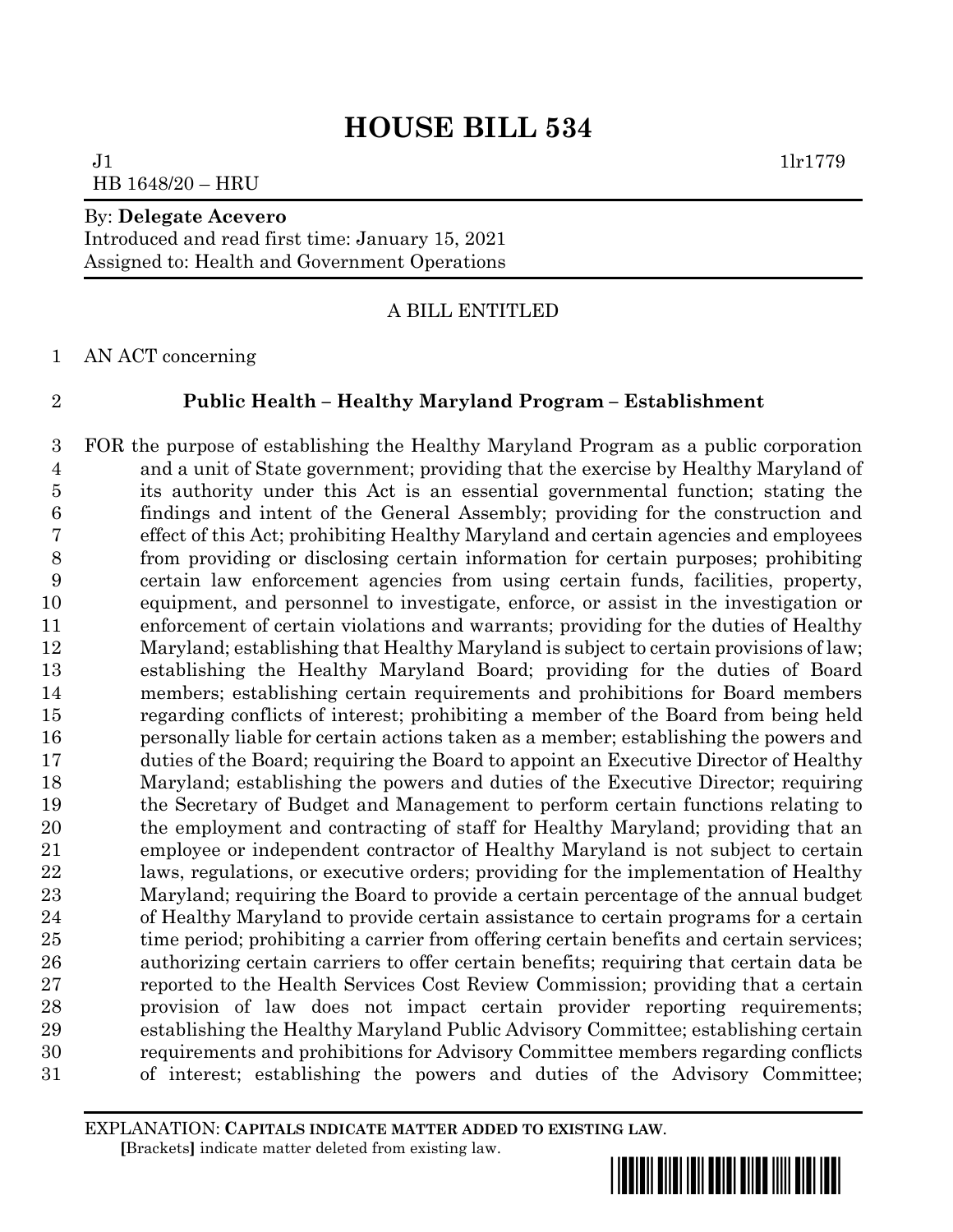# **HOUSE BILL 534**

 $J1$   $1\text{lr}1779$ HB 1648/20 – HRU

## By: **Delegate Acevero**

Introduced and read first time: January 15, 2021 Assigned to: Health and Government Operations

# A BILL ENTITLED

AN ACT concerning

# **Public Health – Healthy Maryland Program – Establishment**

 FOR the purpose of establishing the Healthy Maryland Program as a public corporation and a unit of State government; providing that the exercise by Healthy Maryland of its authority under this Act is an essential governmental function; stating the findings and intent of the General Assembly; providing for the construction and effect of this Act; prohibiting Healthy Maryland and certain agencies and employees from providing or disclosing certain information for certain purposes; prohibiting certain law enforcement agencies from using certain funds, facilities, property, equipment, and personnel to investigate, enforce, or assist in the investigation or enforcement of certain violations and warrants; providing for the duties of Healthy Maryland; establishing that Healthy Maryland is subject to certain provisions of law; establishing the Healthy Maryland Board; providing for the duties of Board members; establishing certain requirements and prohibitions for Board members regarding conflicts of interest; prohibiting a member of the Board from being held personally liable for certain actions taken as a member; establishing the powers and duties of the Board; requiring the Board to appoint an Executive Director of Healthy Maryland; establishing the powers and duties of the Executive Director; requiring the Secretary of Budget and Management to perform certain functions relating to the employment and contracting of staff for Healthy Maryland; providing that an employee or independent contractor of Healthy Maryland is not subject to certain laws, regulations, or executive orders; providing for the implementation of Healthy Maryland; requiring the Board to provide a certain percentage of the annual budget of Healthy Maryland to provide certain assistance to certain programs for a certain 25 time period; prohibiting a carrier from offering certain benefits and certain services; authorizing certain carriers to offer certain benefits; requiring that certain data be reported to the Health Services Cost Review Commission; providing that a certain provision of law does not impact certain provider reporting requirements; establishing the Healthy Maryland Public Advisory Committee; establishing certain requirements and prohibitions for Advisory Committee members regarding conflicts of interest; establishing the powers and duties of the Advisory Committee;

EXPLANATION: **CAPITALS INDICATE MATTER ADDED TO EXISTING LAW**.  **[**Brackets**]** indicate matter deleted from existing law.

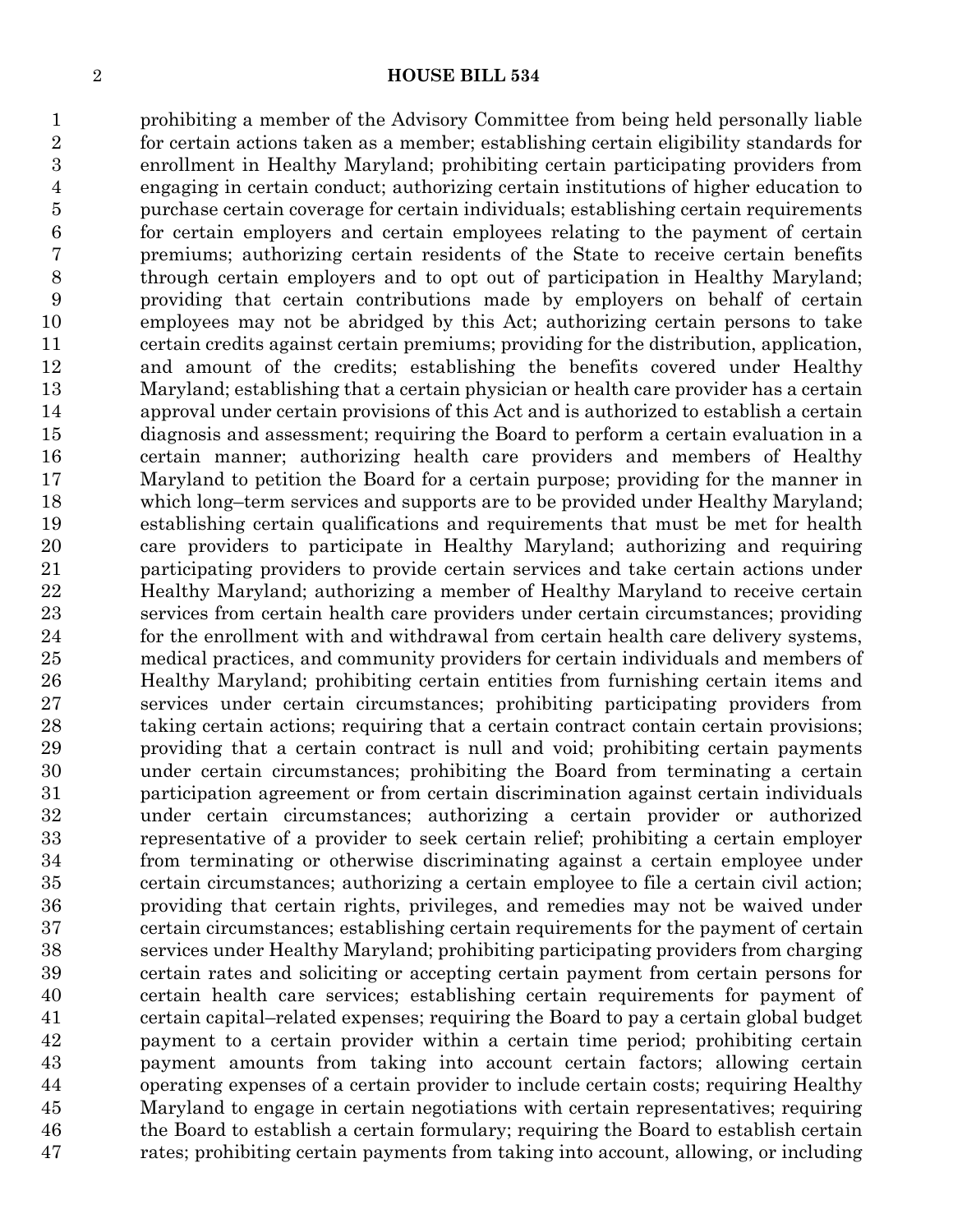#### **HOUSE BILL 534**

 prohibiting a member of the Advisory Committee from being held personally liable for certain actions taken as a member; establishing certain eligibility standards for enrollment in Healthy Maryland; prohibiting certain participating providers from engaging in certain conduct; authorizing certain institutions of higher education to purchase certain coverage for certain individuals; establishing certain requirements for certain employers and certain employees relating to the payment of certain premiums; authorizing certain residents of the State to receive certain benefits through certain employers and to opt out of participation in Healthy Maryland; providing that certain contributions made by employers on behalf of certain employees may not be abridged by this Act; authorizing certain persons to take certain credits against certain premiums; providing for the distribution, application, and amount of the credits; establishing the benefits covered under Healthy Maryland; establishing that a certain physician or health care provider has a certain approval under certain provisions of this Act and is authorized to establish a certain diagnosis and assessment; requiring the Board to perform a certain evaluation in a certain manner; authorizing health care providers and members of Healthy Maryland to petition the Board for a certain purpose; providing for the manner in which long–term services and supports are to be provided under Healthy Maryland; establishing certain qualifications and requirements that must be met for health care providers to participate in Healthy Maryland; authorizing and requiring participating providers to provide certain services and take certain actions under Healthy Maryland; authorizing a member of Healthy Maryland to receive certain services from certain health care providers under certain circumstances; providing for the enrollment with and withdrawal from certain health care delivery systems, medical practices, and community providers for certain individuals and members of Healthy Maryland; prohibiting certain entities from furnishing certain items and services under certain circumstances; prohibiting participating providers from taking certain actions; requiring that a certain contract contain certain provisions; providing that a certain contract is null and void; prohibiting certain payments under certain circumstances; prohibiting the Board from terminating a certain participation agreement or from certain discrimination against certain individuals under certain circumstances; authorizing a certain provider or authorized representative of a provider to seek certain relief; prohibiting a certain employer from terminating or otherwise discriminating against a certain employee under certain circumstances; authorizing a certain employee to file a certain civil action; providing that certain rights, privileges, and remedies may not be waived under certain circumstances; establishing certain requirements for the payment of certain services under Healthy Maryland; prohibiting participating providers from charging certain rates and soliciting or accepting certain payment from certain persons for certain health care services; establishing certain requirements for payment of certain capital–related expenses; requiring the Board to pay a certain global budget payment to a certain provider within a certain time period; prohibiting certain payment amounts from taking into account certain factors; allowing certain operating expenses of a certain provider to include certain costs; requiring Healthy Maryland to engage in certain negotiations with certain representatives; requiring the Board to establish a certain formulary; requiring the Board to establish certain rates; prohibiting certain payments from taking into account, allowing, or including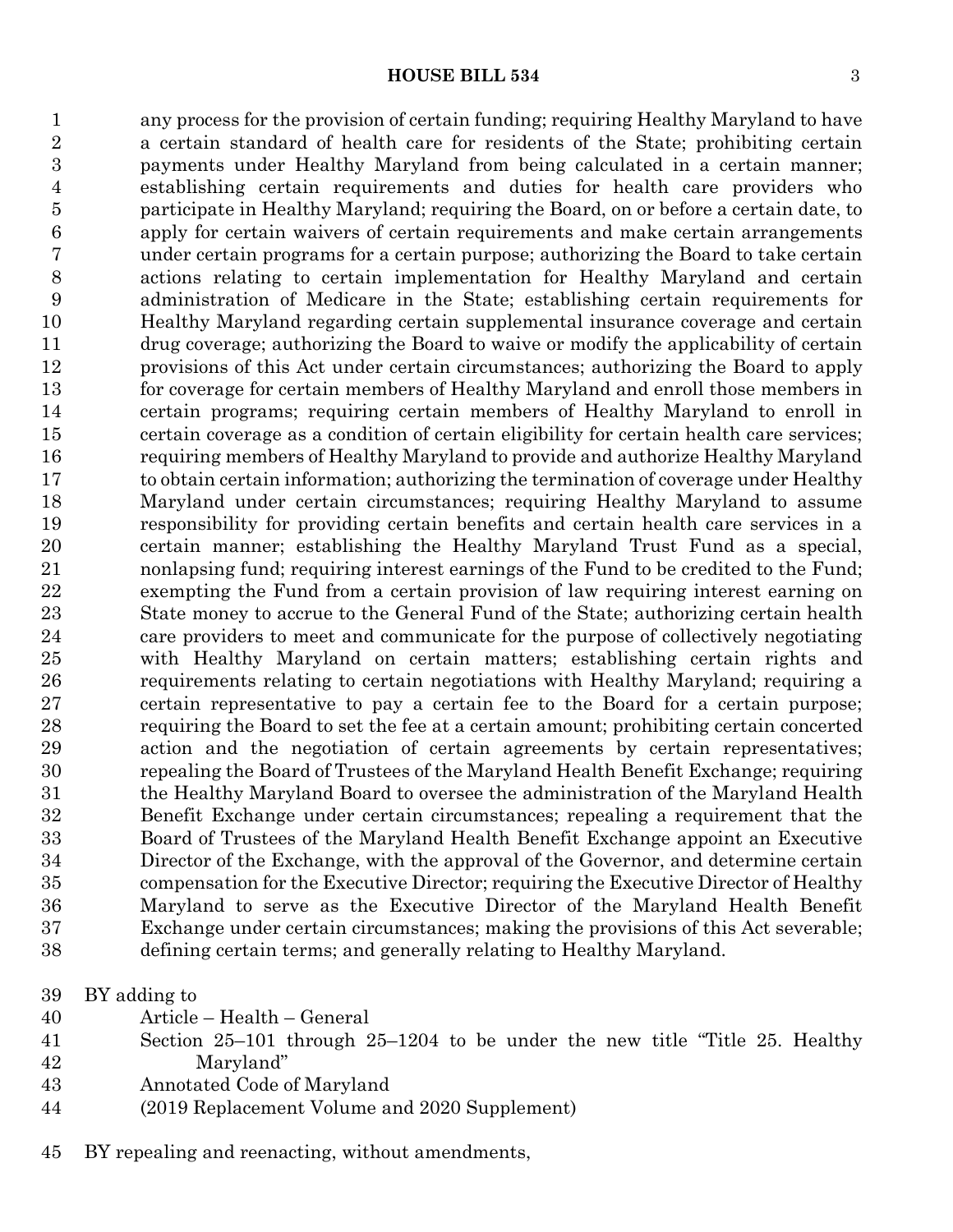any process for the provision of certain funding; requiring Healthy Maryland to have a certain standard of health care for residents of the State; prohibiting certain payments under Healthy Maryland from being calculated in a certain manner; establishing certain requirements and duties for health care providers who participate in Healthy Maryland; requiring the Board, on or before a certain date, to apply for certain waivers of certain requirements and make certain arrangements under certain programs for a certain purpose; authorizing the Board to take certain actions relating to certain implementation for Healthy Maryland and certain administration of Medicare in the State; establishing certain requirements for Healthy Maryland regarding certain supplemental insurance coverage and certain drug coverage; authorizing the Board to waive or modify the applicability of certain provisions of this Act under certain circumstances; authorizing the Board to apply for coverage for certain members of Healthy Maryland and enroll those members in certain programs; requiring certain members of Healthy Maryland to enroll in certain coverage as a condition of certain eligibility for certain health care services; requiring members of Healthy Maryland to provide and authorize Healthy Maryland to obtain certain information; authorizing the termination of coverage under Healthy Maryland under certain circumstances; requiring Healthy Maryland to assume responsibility for providing certain benefits and certain health care services in a certain manner; establishing the Healthy Maryland Trust Fund as a special, nonlapsing fund; requiring interest earnings of the Fund to be credited to the Fund; exempting the Fund from a certain provision of law requiring interest earning on State money to accrue to the General Fund of the State; authorizing certain health care providers to meet and communicate for the purpose of collectively negotiating with Healthy Maryland on certain matters; establishing certain rights and requirements relating to certain negotiations with Healthy Maryland; requiring a certain representative to pay a certain fee to the Board for a certain purpose; requiring the Board to set the fee at a certain amount; prohibiting certain concerted action and the negotiation of certain agreements by certain representatives; repealing the Board of Trustees of the Maryland Health Benefit Exchange; requiring the Healthy Maryland Board to oversee the administration of the Maryland Health Benefit Exchange under certain circumstances; repealing a requirement that the Board of Trustees of the Maryland Health Benefit Exchange appoint an Executive Director of the Exchange, with the approval of the Governor, and determine certain compensation for the Executive Director; requiring the Executive Director of Healthy Maryland to serve as the Executive Director of the Maryland Health Benefit Exchange under certain circumstances; making the provisions of this Act severable; defining certain terms; and generally relating to Healthy Maryland.

- BY adding to
- Article Health General
- Section 25–101 through 25–1204 to be under the new title "Title 25. Healthy Maryland"
- Annotated Code of Maryland
- (2019 Replacement Volume and 2020 Supplement)
- BY repealing and reenacting, without amendments,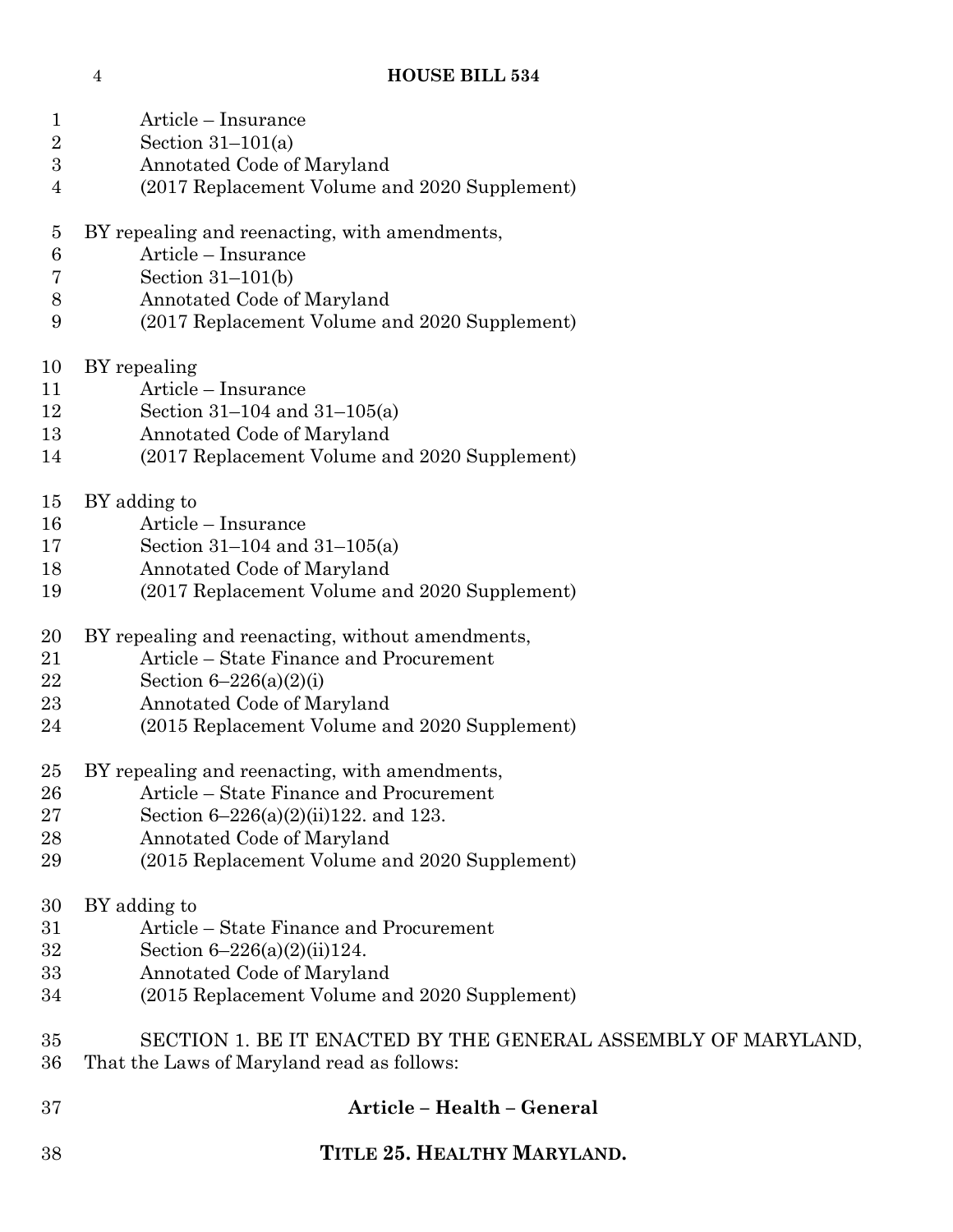| $\mathbf{1}$<br>$\overline{2}$ | Article – Insurance                                           |  |  |
|--------------------------------|---------------------------------------------------------------|--|--|
| $\boldsymbol{3}$               | Section $31-101(a)$<br>Annotated Code of Maryland             |  |  |
| 4                              | (2017 Replacement Volume and 2020 Supplement)                 |  |  |
| $\overline{5}$                 | BY repealing and reenacting, with amendments,                 |  |  |
| $\boldsymbol{6}$               | Article – Insurance                                           |  |  |
| 7                              | Section $31-101(b)$                                           |  |  |
| $8\,$                          | Annotated Code of Maryland                                    |  |  |
| 9                              | (2017 Replacement Volume and 2020 Supplement)                 |  |  |
|                                |                                                               |  |  |
| 10                             | BY repealing                                                  |  |  |
| 11                             | Article – Insurance                                           |  |  |
| 12                             | Section $31-104$ and $31-105(a)$                              |  |  |
| 13                             | Annotated Code of Maryland                                    |  |  |
| 14                             | (2017 Replacement Volume and 2020 Supplement)                 |  |  |
| 15                             | BY adding to                                                  |  |  |
| 16                             | Article – Insurance                                           |  |  |
| 17                             | Section $31-104$ and $31-105(a)$                              |  |  |
| 18                             | Annotated Code of Maryland                                    |  |  |
| 19                             | (2017 Replacement Volume and 2020 Supplement)                 |  |  |
|                                |                                                               |  |  |
| 20                             | BY repealing and reenacting, without amendments,              |  |  |
| 21                             | Article – State Finance and Procurement                       |  |  |
| 22                             | Section $6 - 226(a)(2)(i)$                                    |  |  |
| 23                             | Annotated Code of Maryland                                    |  |  |
| 24                             | (2015 Replacement Volume and 2020 Supplement)                 |  |  |
| 25                             | BY repealing and reenacting, with amendments,                 |  |  |
| 26                             | Article – State Finance and Procurement                       |  |  |
| 27                             | Section $6-226(a)(2)(ii)122$ , and 123.                       |  |  |
| 28                             | Annotated Code of Maryland                                    |  |  |
| 29                             | (2015 Replacement Volume and 2020 Supplement)                 |  |  |
|                                |                                                               |  |  |
| 30                             | BY adding to                                                  |  |  |
| 31                             | Article – State Finance and Procurement                       |  |  |
| 32                             | Section $6-226(a)(2)(ii)124$ .                                |  |  |
| 33                             | Annotated Code of Maryland                                    |  |  |
| 34                             | (2015 Replacement Volume and 2020 Supplement)                 |  |  |
| 35                             | SECTION 1. BE IT ENACTED BY THE GENERAL ASSEMBLY OF MARYLAND, |  |  |
| 36                             | That the Laws of Maryland read as follows:                    |  |  |
| 37                             | Article - Health - General                                    |  |  |
| 38                             | TITLE 25. HEALTHY MARYLAND.                                   |  |  |
|                                |                                                               |  |  |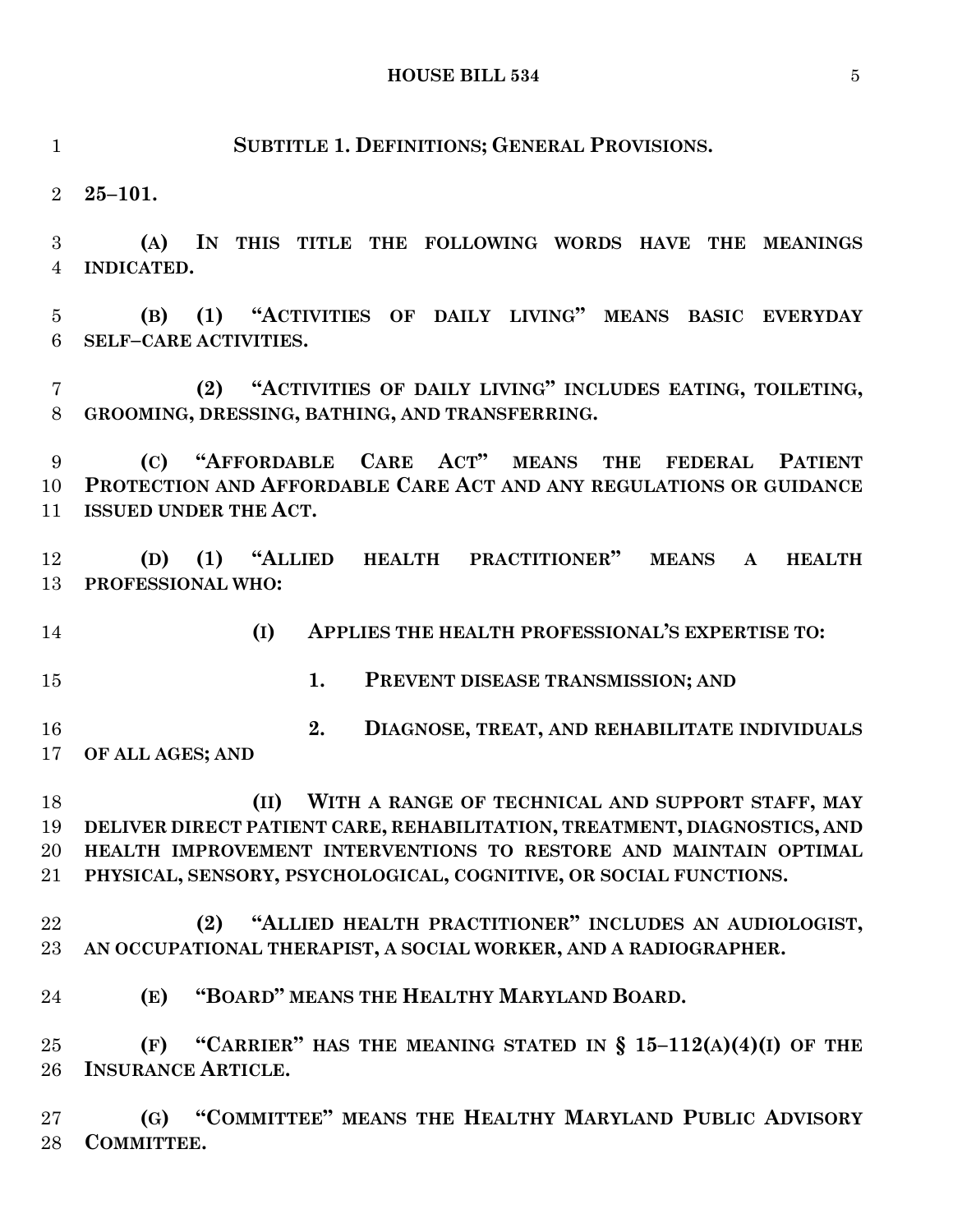**INDICATED. (B) (1) "ACTIVITIES OF DAILY LIVING" MEANS BASIC EVERYDAY SELF–CARE ACTIVITIES. (2) "ACTIVITIES OF DAILY LIVING" INCLUDES EATING, TOILETING, GROOMING, DRESSING, BATHING, AND TRANSFERRING. (C) "AFFORDABLE CARE ACT" MEANS THE FEDERAL PATIENT PROTECTION AND AFFORDABLE CARE ACT AND ANY REGULATIONS OR GUIDANCE ISSUED UNDER THE ACT. (D) (1) "ALLIED HEALTH PRACTITIONER" MEANS A HEALTH PROFESSIONAL WHO: 2. DIAGNOSE, TREAT, AND REHABILITATE INDIVIDUALS (II) WITH A RANGE OF TECHNICAL AND SUPPORT STAFF, MAY DELIVER DIRECT PATIENT CARE, REHABILITATION, TREATMENT, DIAGNOSTICS, AND HEALTH IMPROVEMENT INTERVENTIONS TO RESTORE AND MAINTAIN OPTIMAL PHYSICAL, SENSORY, PSYCHOLOGICAL, COGNITIVE, OR SOCIAL FUNCTIONS. (2) "ALLIED HEALTH PRACTITIONER" INCLUDES AN AUDIOLOGIST, AN OCCUPATIONAL THERAPIST, A SOCIAL WORKER, AND A RADIOGRAPHER. (E) "BOARD" MEANS THE HEALTHY MARYLAND BOARD. (F) "CARRIER" HAS THE MEANING STATED IN § 15–112(A)(4)(I) OF THE**

**SUBTITLE 1. DEFINITIONS; GENERAL PROVISIONS.**

**25–101.**

**(A) IN THIS TITLE THE FOLLOWING WORDS HAVE THE MEANINGS**

**(I) APPLIES THE HEALTH PROFESSIONAL'S EXPERTISE TO:**

**1. PREVENT DISEASE TRANSMISSION; AND**

**OF ALL AGES; AND**

**INSURANCE ARTICLE.**

 **(G) "COMMITTEE" MEANS THE HEALTHY MARYLAND PUBLIC ADVISORY COMMITTEE.**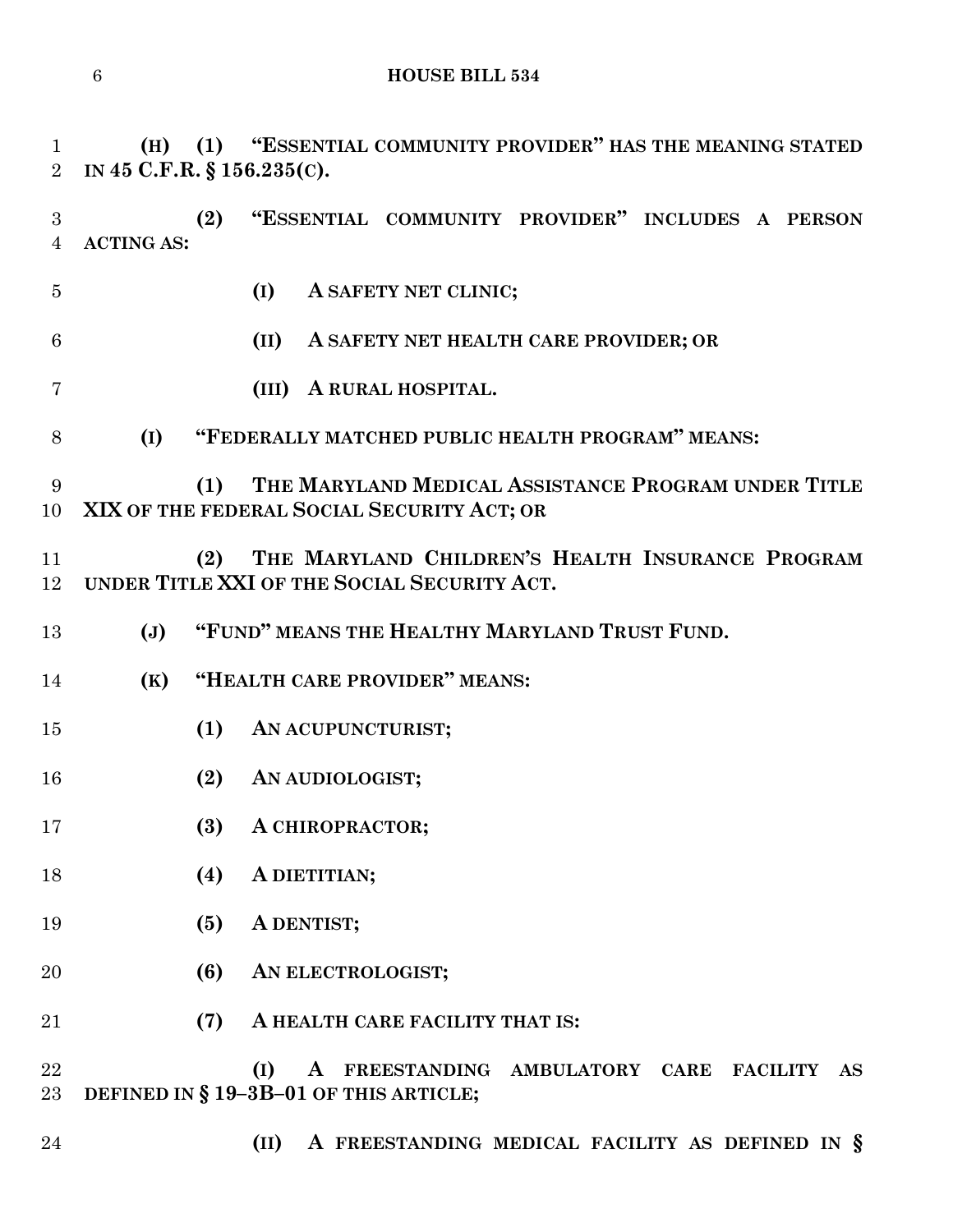```
6 HOUSE BILL 534
```
**(H) (1) "ESSENTIAL COMMUNITY PROVIDER" HAS THE MEANING STATED**

 **(2) "ESSENTIAL COMMUNITY PROVIDER" INCLUDES A PERSON ACTING AS: (I) A SAFETY NET CLINIC; (II) A SAFETY NET HEALTH CARE PROVIDER; OR (III) A RURAL HOSPITAL. (I) "FEDERALLY MATCHED PUBLIC HEALTH PROGRAM" MEANS: (1) THE MARYLAND MEDICAL ASSISTANCE PROGRAM UNDER TITLE XIX OF THE FEDERAL SOCIAL SECURITY ACT; OR (2) THE MARYLAND CHILDREN'S HEALTH INSURANCE PROGRAM UNDER TITLE XXI OF THE SOCIAL SECURITY ACT. (J) "FUND" MEANS THE HEALTHY MARYLAND TRUST FUND. (K) "HEALTH CARE PROVIDER" MEANS: (1) AN ACUPUNCTURIST; (2) AN AUDIOLOGIST; (3) A CHIROPRACTOR; (4) A DIETITIAN; (5) A DENTIST; (6) AN ELECTROLOGIST; (7) A HEALTH CARE FACILITY THAT IS: (I) A FREESTANDING AMBULATORY CARE FACILITY AS DEFINED IN § 19–3B–01 OF THIS ARTICLE; (II) A FREESTANDING MEDICAL FACILITY AS DEFINED IN §**

**IN 45 C.F.R. § 156.235(C).**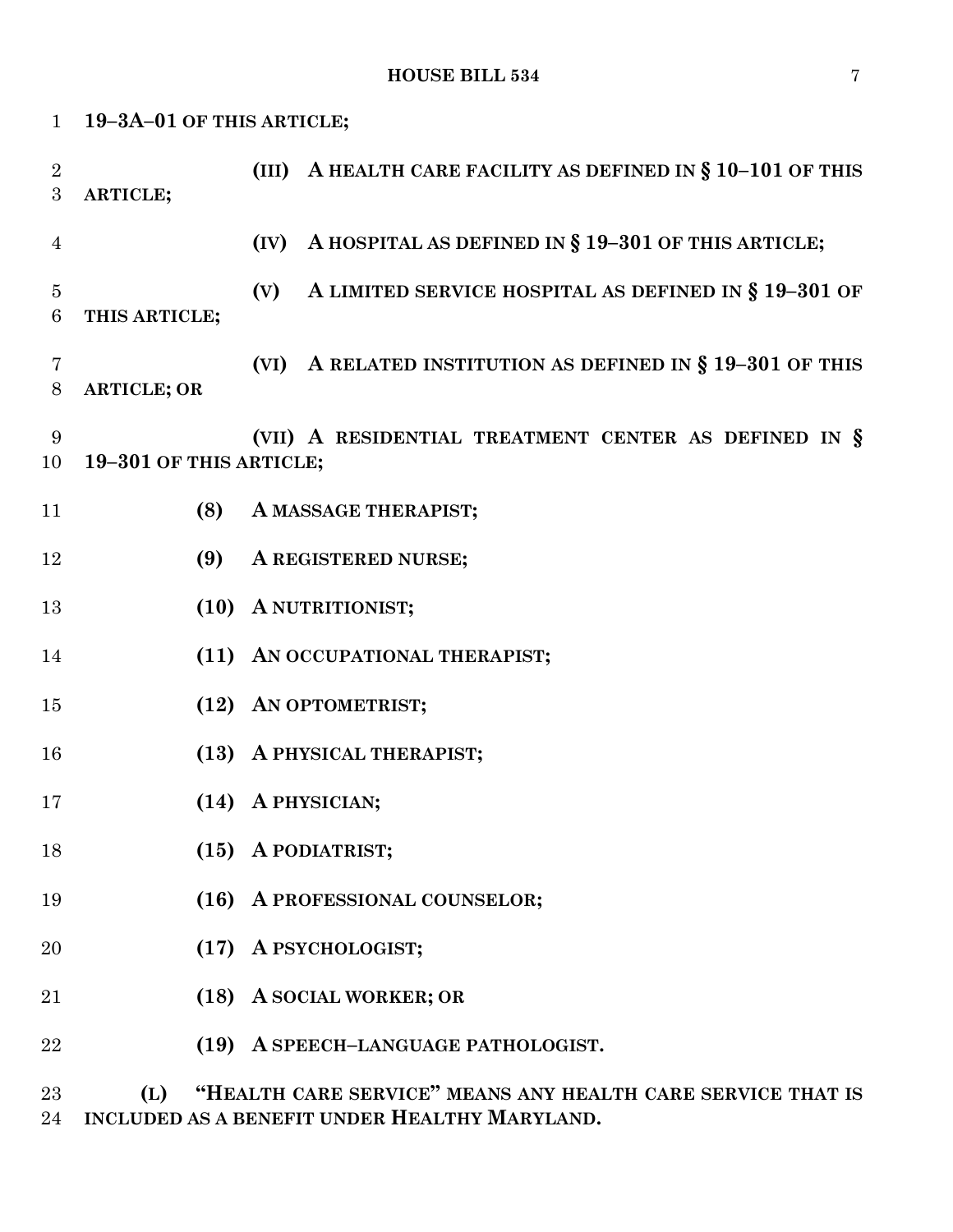| $\mathbf{1}$                   | 19-3A-01 OF THIS ARTICLE; |                                                                |
|--------------------------------|---------------------------|----------------------------------------------------------------|
| $\sqrt{2}$<br>$\boldsymbol{3}$ | ARTICLE;                  | (III) A HEALTH CARE FACILITY AS DEFINED IN $\S 10-101$ OF THIS |
| $\overline{4}$                 |                           | A HOSPITAL AS DEFINED IN § 19-301 OF THIS ARTICLE;<br>(IV)     |
| $\overline{5}$<br>$\,6\,$      | THIS ARTICLE;             | A LIMITED SERVICE HOSPITAL AS DEFINED IN § 19-301 OF<br>(V)    |
| $\overline{7}$<br>$8\,$        | <b>ARTICLE; OR</b>        | (VI) A RELATED INSTITUTION AS DEFINED IN $\S 19-301$ OF THIS   |
| 9<br>10                        | 19-301 OF THIS ARTICLE;   | (VII) A RESIDENTIAL TREATMENT CENTER AS DEFINED IN §           |
| 11                             | (8)                       | A MASSAGE THERAPIST;                                           |
| 12                             | (9)                       | A REGISTERED NURSE;                                            |
| 13                             |                           | (10) A NUTRITIONIST;                                           |
| 14                             |                           | (11) AN OCCUPATIONAL THERAPIST;                                |
| 15                             |                           | (12) AN OPTOMETRIST;                                           |
| 16                             |                           | (13) A PHYSICAL THERAPIST;                                     |
| 17                             |                           | (14) A PHYSICIAN;                                              |
| 18                             |                           | (15) A PODIATRIST;                                             |
| 19                             |                           | (16) A PROFESSIONAL COUNSELOR;                                 |
| 20                             | (17)                      | A PSYCHOLOGIST;                                                |
| 21                             |                           | (18) A SOCIAL WORKER; OR                                       |
| 22                             | (19)                      | A SPEECH-LANGUAGE PATHOLOGIST.                                 |
|                                |                           |                                                                |

 **(L) "HEALTH CARE SERVICE" MEANS ANY HEALTH CARE SERVICE THAT IS INCLUDED AS A BENEFIT UNDER HEALTHY MARYLAND.**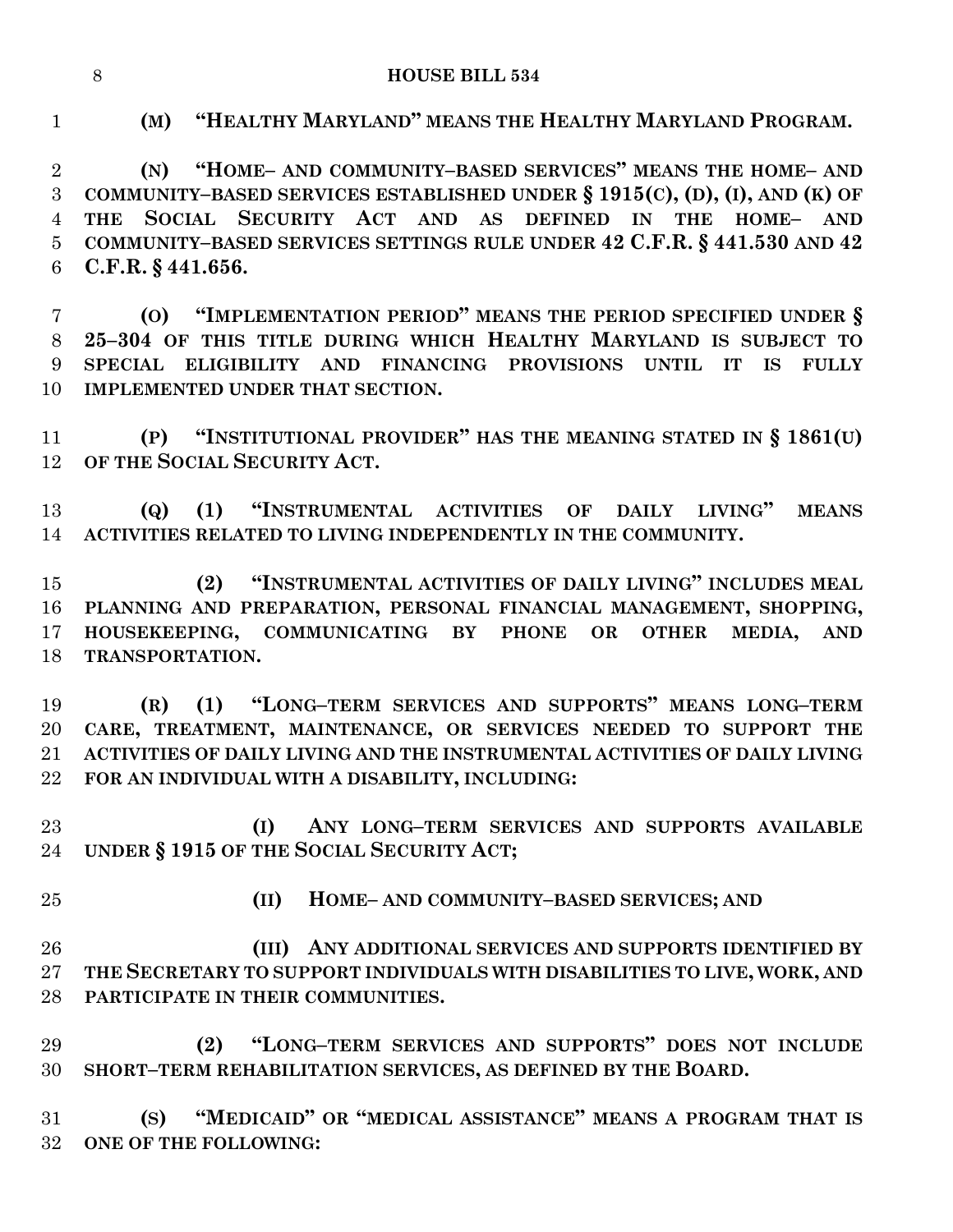**HOUSE BILL 534**

**(M) "HEALTHY MARYLAND" MEANS THE HEALTHY MARYLAND PROGRAM.**

 **(N) "HOME– AND COMMUNITY–BASED SERVICES" MEANS THE HOME– AND COMMUNITY–BASED SERVICES ESTABLISHED UNDER § 1915(C), (D), (I), AND (K) OF THE SOCIAL SECURITY ACT AND AS DEFINED IN THE HOME– AND COMMUNITY–BASED SERVICES SETTINGS RULE UNDER 42 C.F.R. § 441.530 AND 42 C.F.R. § 441.656.**

 **(O) "IMPLEMENTATION PERIOD" MEANS THE PERIOD SPECIFIED UNDER § 25–304 OF THIS TITLE DURING WHICH HEALTHY MARYLAND IS SUBJECT TO SPECIAL ELIGIBILITY AND FINANCING PROVISIONS UNTIL IT IS FULLY IMPLEMENTED UNDER THAT SECTION.**

 **(P) "INSTITUTIONAL PROVIDER" HAS THE MEANING STATED IN § 1861(U) OF THE SOCIAL SECURITY ACT.**

 **(Q) (1) "INSTRUMENTAL ACTIVITIES OF DAILY LIVING" MEANS ACTIVITIES RELATED TO LIVING INDEPENDENTLY IN THE COMMUNITY.**

 **(2) "INSTRUMENTAL ACTIVITIES OF DAILY LIVING" INCLUDES MEAL PLANNING AND PREPARATION, PERSONAL FINANCIAL MANAGEMENT, SHOPPING, HOUSEKEEPING, COMMUNICATING BY PHONE OR OTHER MEDIA, AND TRANSPORTATION.**

 **(R) (1) "LONG–TERM SERVICES AND SUPPORTS" MEANS LONG–TERM CARE, TREATMENT, MAINTENANCE, OR SERVICES NEEDED TO SUPPORT THE ACTIVITIES OF DAILY LIVING AND THE INSTRUMENTAL ACTIVITIES OF DAILY LIVING FOR AN INDIVIDUAL WITH A DISABILITY, INCLUDING:**

 **(I) ANY LONG–TERM SERVICES AND SUPPORTS AVAILABLE UNDER § 1915 OF THE SOCIAL SECURITY ACT;**

- 
- **(II) HOME– AND COMMUNITY–BASED SERVICES; AND**

 **(III) ANY ADDITIONAL SERVICES AND SUPPORTS IDENTIFIED BY THE SECRETARY TO SUPPORT INDIVIDUALS WITH DISABILITIES TO LIVE, WORK, AND PARTICIPATE IN THEIR COMMUNITIES.**

 **(2) "LONG–TERM SERVICES AND SUPPORTS" DOES NOT INCLUDE SHORT–TERM REHABILITATION SERVICES, AS DEFINED BY THE BOARD.**

 **(S) "MEDICAID" OR "MEDICAL ASSISTANCE" MEANS A PROGRAM THAT IS ONE OF THE FOLLOWING:**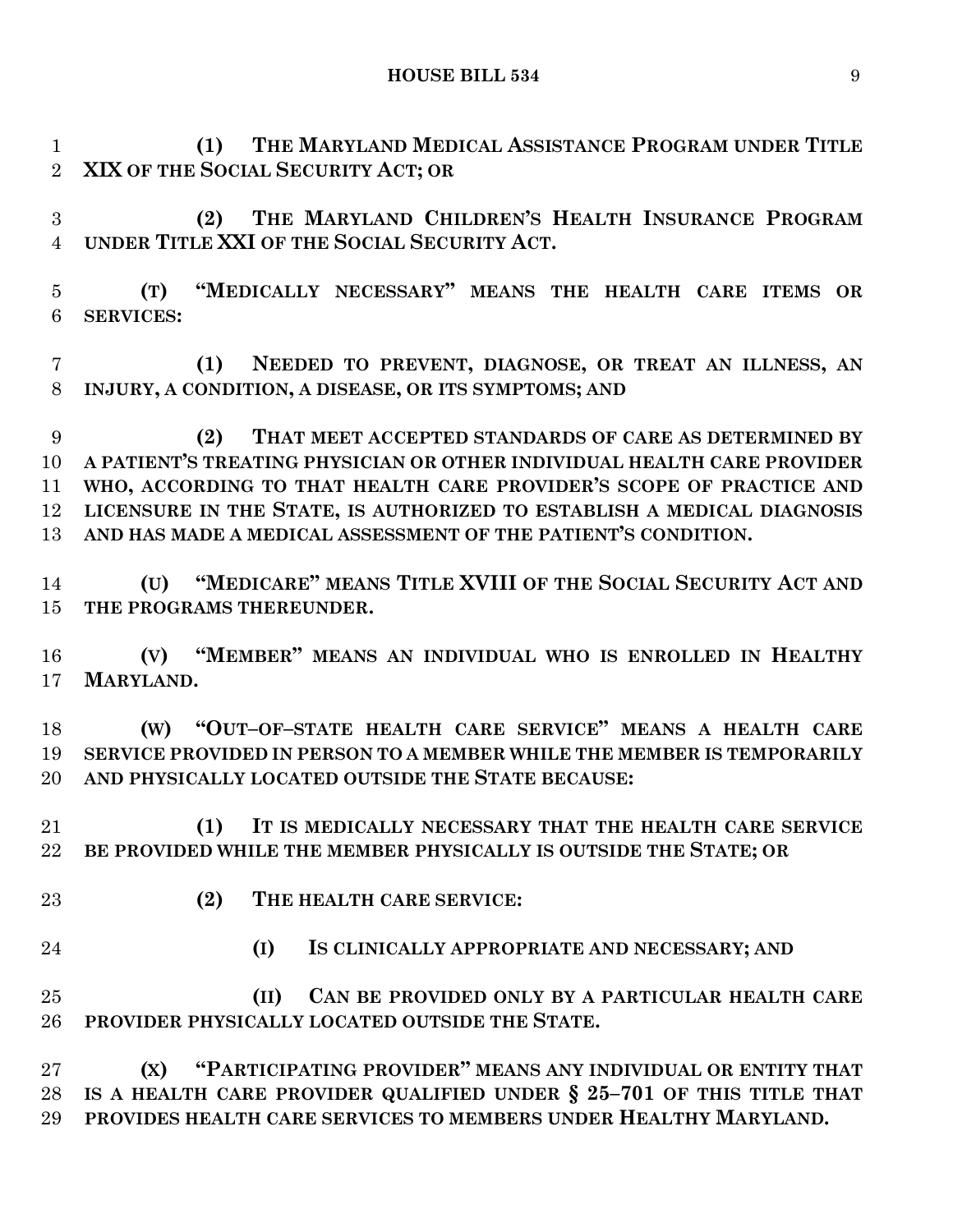**(1) THE MARYLAND MEDICAL ASSISTANCE PROGRAM UNDER TITLE XIX OF THE SOCIAL SECURITY ACT; OR**

 **(2) THE MARYLAND CHILDREN'S HEALTH INSURANCE PROGRAM UNDER TITLE XXI OF THE SOCIAL SECURITY ACT.**

 **(T) "MEDICALLY NECESSARY" MEANS THE HEALTH CARE ITEMS OR SERVICES:**

 **(1) NEEDED TO PREVENT, DIAGNOSE, OR TREAT AN ILLNESS, AN INJURY, A CONDITION, A DISEASE, OR ITS SYMPTOMS; AND**

 **(2) THAT MEET ACCEPTED STANDARDS OF CARE AS DETERMINED BY A PATIENT'S TREATING PHYSICIAN OR OTHER INDIVIDUAL HEALTH CARE PROVIDER WHO, ACCORDING TO THAT HEALTH CARE PROVIDER'S SCOPE OF PRACTICE AND LICENSURE IN THE STATE, IS AUTHORIZED TO ESTABLISH A MEDICAL DIAGNOSIS AND HAS MADE A MEDICAL ASSESSMENT OF THE PATIENT'S CONDITION.**

 **(U) "MEDICARE" MEANS TITLE XVIII OF THE SOCIAL SECURITY ACT AND THE PROGRAMS THEREUNDER.**

 **(V) "MEMBER" MEANS AN INDIVIDUAL WHO IS ENROLLED IN HEALTHY MARYLAND.**

 **(W) "OUT–OF–STATE HEALTH CARE SERVICE" MEANS A HEALTH CARE SERVICE PROVIDED IN PERSON TO A MEMBER WHILE THE MEMBER IS TEMPORARILY AND PHYSICALLY LOCATED OUTSIDE THE STATE BECAUSE:**

 **(1) IT IS MEDICALLY NECESSARY THAT THE HEALTH CARE SERVICE BE PROVIDED WHILE THE MEMBER PHYSICALLY IS OUTSIDE THE STATE; OR**

- 
- **(2) THE HEALTH CARE SERVICE:**
- 
- **(I) IS CLINICALLY APPROPRIATE AND NECESSARY; AND**

 **(II) CAN BE PROVIDED ONLY BY A PARTICULAR HEALTH CARE PROVIDER PHYSICALLY LOCATED OUTSIDE THE STATE.**

 **(X) "PARTICIPATING PROVIDER" MEANS ANY INDIVIDUAL OR ENTITY THAT IS A HEALTH CARE PROVIDER QUALIFIED UNDER § 25–701 OF THIS TITLE THAT PROVIDES HEALTH CARE SERVICES TO MEMBERS UNDER HEALTHY MARYLAND.**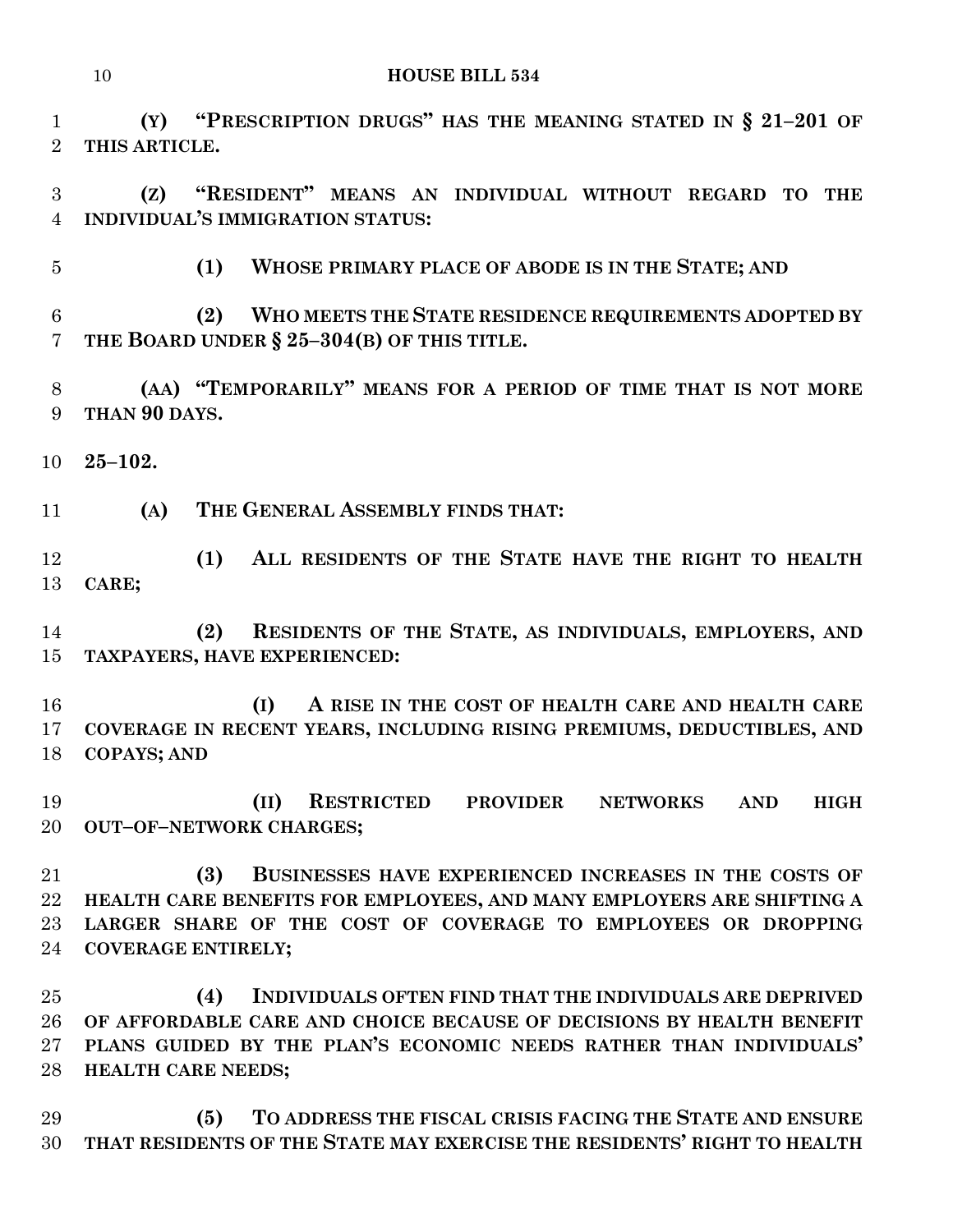**(Y) "PRESCRIPTION DRUGS" HAS THE MEANING STATED IN § 21–201 OF THIS ARTICLE.**

 **(Z) "RESIDENT" MEANS AN INDIVIDUAL WITHOUT REGARD TO THE INDIVIDUAL'S IMMIGRATION STATUS:**

**(1) WHOSE PRIMARY PLACE OF ABODE IS IN THE STATE; AND**

 **(2) WHO MEETS THE STATE RESIDENCE REQUIREMENTS ADOPTED BY THE BOARD UNDER § 25–304(B) OF THIS TITLE.**

 **(AA) "TEMPORARILY" MEANS FOR A PERIOD OF TIME THAT IS NOT MORE THAN 90 DAYS.**

**25–102.**

**(A) THE GENERAL ASSEMBLY FINDS THAT:**

 **(1) ALL RESIDENTS OF THE STATE HAVE THE RIGHT TO HEALTH CARE;**

 **(2) RESIDENTS OF THE STATE, AS INDIVIDUALS, EMPLOYERS, AND TAXPAYERS, HAVE EXPERIENCED:**

 **(I) A RISE IN THE COST OF HEALTH CARE AND HEALTH CARE COVERAGE IN RECENT YEARS, INCLUDING RISING PREMIUMS, DEDUCTIBLES, AND COPAYS; AND**

 **(II) RESTRICTED PROVIDER NETWORKS AND HIGH OUT–OF–NETWORK CHARGES;**

 **(3) BUSINESSES HAVE EXPERIENCED INCREASES IN THE COSTS OF HEALTH CARE BENEFITS FOR EMPLOYEES, AND MANY EMPLOYERS ARE SHIFTING A LARGER SHARE OF THE COST OF COVERAGE TO EMPLOYEES OR DROPPING COVERAGE ENTIRELY;**

 **(4) INDIVIDUALS OFTEN FIND THAT THE INDIVIDUALS ARE DEPRIVED OF AFFORDABLE CARE AND CHOICE BECAUSE OF DECISIONS BY HEALTH BENEFIT PLANS GUIDED BY THE PLAN'S ECONOMIC NEEDS RATHER THAN INDIVIDUALS' HEALTH CARE NEEDS;**

 **(5) TO ADDRESS THE FISCAL CRISIS FACING THE STATE AND ENSURE THAT RESIDENTS OF THE STATE MAY EXERCISE THE RESIDENTS' RIGHT TO HEALTH**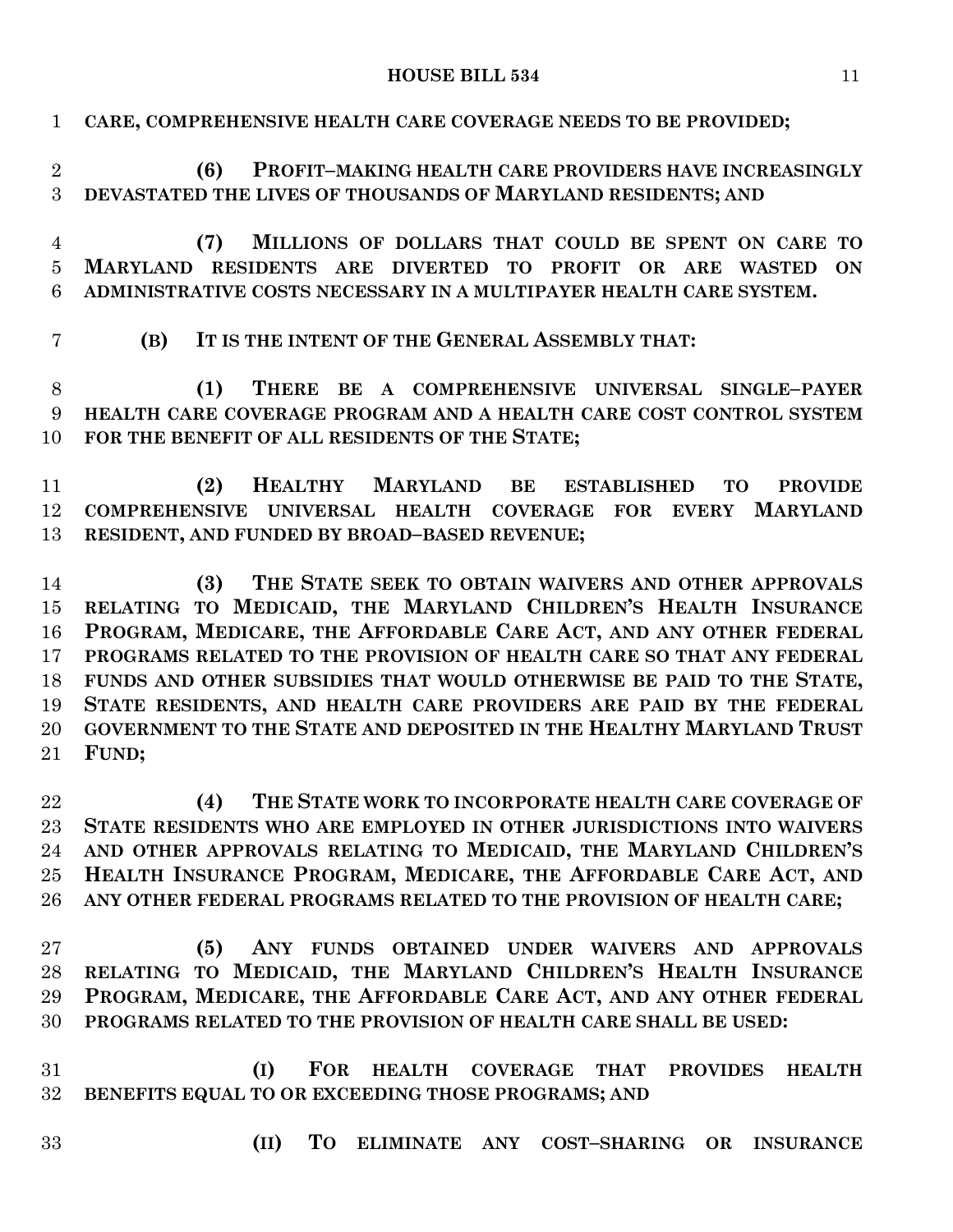**CARE, COMPREHENSIVE HEALTH CARE COVERAGE NEEDS TO BE PROVIDED;**

| $\overline{2}$<br>3 | (6)<br>PROFIT-MAKING HEALTH CARE PROVIDERS HAVE INCREASINGLY<br>DEVASTATED THE LIVES OF THOUSANDS OF MARYLAND RESIDENTS; AND |
|---------------------|------------------------------------------------------------------------------------------------------------------------------|
| 4                   | MILLIONS OF DOLLARS THAT COULD BE SPENT ON CARE TO<br>(7)                                                                    |
| $\overline{5}$      | MARYLAND RESIDENTS ARE DIVERTED TO PROFIT OR ARE WASTED<br><b>ON</b>                                                         |
| 6                   | ADMINISTRATIVE COSTS NECESSARY IN A MULTIPAYER HEALTH CARE SYSTEM.                                                           |
| 7                   | IT IS THE INTENT OF THE GENERAL ASSEMBLY THAT:<br>(B)                                                                        |
| 8                   | (1)<br>THERE BE A COMPREHENSIVE UNIVERSAL SINGLE-PAYER                                                                       |
| 9                   | HEALTH CARE COVERAGE PROGRAM AND A HEALTH CARE COST CONTROL SYSTEM                                                           |
| 10                  | FOR THE BENEFIT OF ALL RESIDENTS OF THE STATE;                                                                               |
| 11                  | HEALTHY MARYLAND<br>(2)<br>BE ESTABLISHED<br><b>TO</b><br><b>PROVIDE</b>                                                     |
| 12                  | <b>MARYLAND</b><br>COMPREHENSIVE UNIVERSAL HEALTH COVERAGE FOR EVERY                                                         |
| 13                  | RESIDENT, AND FUNDED BY BROAD-BASED REVENUE;                                                                                 |
| 14                  | THE STATE SEEK TO OBTAIN WAIVERS AND OTHER APPROVALS<br>(3)                                                                  |
| 15                  | RELATING TO MEDICAID, THE MARYLAND CHILDREN'S HEALTH INSURANCE                                                               |
| 16                  | PROGRAM, MEDICARE, THE AFFORDABLE CARE ACT, AND ANY OTHER FEDERAL                                                            |
| 17                  | PROGRAMS RELATED TO THE PROVISION OF HEALTH CARE SO THAT ANY FEDERAL                                                         |
| 18                  | FUNDS AND OTHER SUBSIDIES THAT WOULD OTHERWISE BE PAID TO THE STATE,                                                         |
| 19                  | STATE RESIDENTS, AND HEALTH CARE PROVIDERS ARE PAID BY THE FEDERAL                                                           |
| 20                  | GOVERNMENT TO THE STATE AND DEPOSITED IN THE HEALTHY MARYLAND TRUST                                                          |
| 21                  | FUND;                                                                                                                        |
| 22                  | (4)<br>THE STATE WORK TO INCORPORATE HEALTH CARE COVERAGE OF                                                                 |
| 23                  | STATE RESIDENTS WHO ARE EMPLOYED IN OTHER JURISDICTIONS INTO WAIVERS                                                         |
| 24                  | AND OTHER APPROVALS RELATING TO MEDICAID, THE MARYLAND CHILDREN'S                                                            |
| 25 <sub>1</sub>     | HEALTH INSURANCE PROGRAM, MEDICARE, THE AFFORDABLE CARE ACT, AND                                                             |
| $26\,$              | ANY OTHER FEDERAL PROGRAMS RELATED TO THE PROVISION OF HEALTH CARE;                                                          |
| 27                  | ANY FUNDS OBTAINED UNDER WAIVERS AND APPROVALS<br>(5)                                                                        |
| 28                  | RELATING TO MEDICAID, THE MARYLAND CHILDREN'S HEALTH INSURANCE                                                               |
| 29                  | PROGRAM, MEDICARE, THE AFFORDABLE CARE ACT, AND ANY OTHER FEDERAL                                                            |
| 30                  | PROGRAMS RELATED TO THE PROVISION OF HEALTH CARE SHALL BE USED:                                                              |
| 31                  | (I)<br>FOR HEALTH COVERAGE THAT PROVIDES<br><b>HEALTH</b>                                                                    |
| $32\,$              | BENEFITS EQUAL TO OR EXCEEDING THOSE PROGRAMS; AND                                                                           |
| 33                  | TO ELIMINATE ANY COST-SHARING OR INSURANCE<br>(II)                                                                           |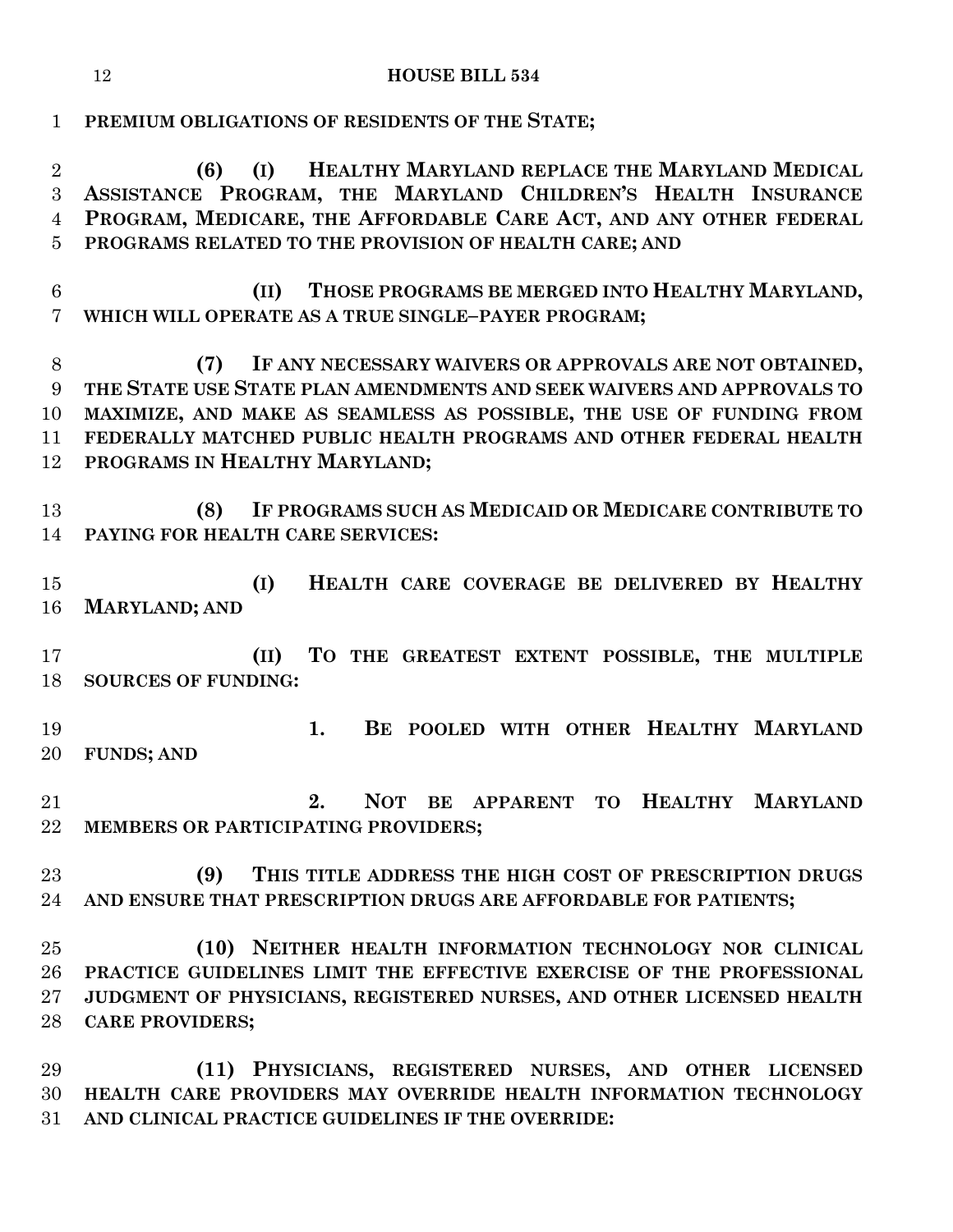#### **HOUSE BILL 534**

**PREMIUM OBLIGATIONS OF RESIDENTS OF THE STATE;**

 **(6) (I) HEALTHY MARYLAND REPLACE THE MARYLAND MEDICAL ASSISTANCE PROGRAM, THE MARYLAND CHILDREN'S HEALTH INSURANCE PROGRAM, MEDICARE, THE AFFORDABLE CARE ACT, AND ANY OTHER FEDERAL PROGRAMS RELATED TO THE PROVISION OF HEALTH CARE; AND**

 **(II) THOSE PROGRAMS BE MERGED INTO HEALTHY MARYLAND, WHICH WILL OPERATE AS A TRUE SINGLE–PAYER PROGRAM;**

 **(7) IF ANY NECESSARY WAIVERS OR APPROVALS ARE NOT OBTAINED, THE STATE USE STATE PLAN AMENDMENTS AND SEEK WAIVERS AND APPROVALS TO MAXIMIZE, AND MAKE AS SEAMLESS AS POSSIBLE, THE USE OF FUNDING FROM FEDERALLY MATCHED PUBLIC HEALTH PROGRAMS AND OTHER FEDERAL HEALTH PROGRAMS IN HEALTHY MARYLAND;**

 **(8) IF PROGRAMS SUCH AS MEDICAID OR MEDICARE CONTRIBUTE TO PAYING FOR HEALTH CARE SERVICES:**

 **(I) HEALTH CARE COVERAGE BE DELIVERED BY HEALTHY MARYLAND; AND**

 **(II) TO THE GREATEST EXTENT POSSIBLE, THE MULTIPLE SOURCES OF FUNDING:**

 **1. BE POOLED WITH OTHER HEALTHY MARYLAND FUNDS; AND**

 **2. NOT BE APPARENT TO HEALTHY MARYLAND MEMBERS OR PARTICIPATING PROVIDERS;**

 **(9) THIS TITLE ADDRESS THE HIGH COST OF PRESCRIPTION DRUGS AND ENSURE THAT PRESCRIPTION DRUGS ARE AFFORDABLE FOR PATIENTS;**

 **(10) NEITHER HEALTH INFORMATION TECHNOLOGY NOR CLINICAL PRACTICE GUIDELINES LIMIT THE EFFECTIVE EXERCISE OF THE PROFESSIONAL JUDGMENT OF PHYSICIANS, REGISTERED NURSES, AND OTHER LICENSED HEALTH CARE PROVIDERS;**

 **(11) PHYSICIANS, REGISTERED NURSES, AND OTHER LICENSED HEALTH CARE PROVIDERS MAY OVERRIDE HEALTH INFORMATION TECHNOLOGY AND CLINICAL PRACTICE GUIDELINES IF THE OVERRIDE:**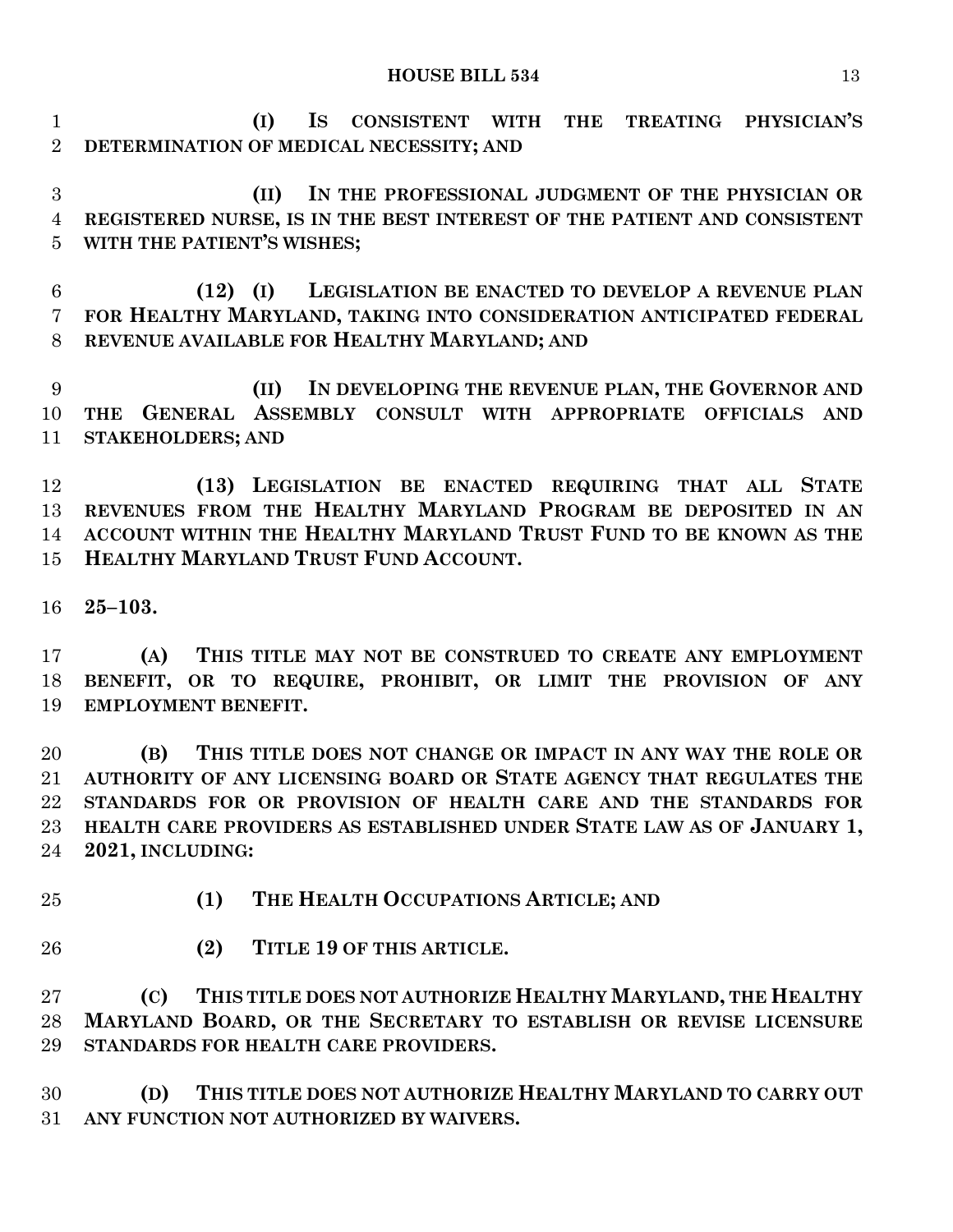**(I) IS CONSISTENT WITH THE TREATING PHYSICIAN'S DETERMINATION OF MEDICAL NECESSITY; AND**

 **(II) IN THE PROFESSIONAL JUDGMENT OF THE PHYSICIAN OR REGISTERED NURSE, IS IN THE BEST INTEREST OF THE PATIENT AND CONSISTENT WITH THE PATIENT'S WISHES;**

 **(12) (I) LEGISLATION BE ENACTED TO DEVELOP A REVENUE PLAN FOR HEALTHY MARYLAND, TAKING INTO CONSIDERATION ANTICIPATED FEDERAL REVENUE AVAILABLE FOR HEALTHY MARYLAND; AND**

 **(II) IN DEVELOPING THE REVENUE PLAN, THE GOVERNOR AND THE GENERAL ASSEMBLY CONSULT WITH APPROPRIATE OFFICIALS AND STAKEHOLDERS; AND**

 **(13) LEGISLATION BE ENACTED REQUIRING THAT ALL STATE REVENUES FROM THE HEALTHY MARYLAND PROGRAM BE DEPOSITED IN AN ACCOUNT WITHIN THE HEALTHY MARYLAND TRUST FUND TO BE KNOWN AS THE HEALTHY MARYLAND TRUST FUND ACCOUNT.**

**25–103.**

 **(A) THIS TITLE MAY NOT BE CONSTRUED TO CREATE ANY EMPLOYMENT BENEFIT, OR TO REQUIRE, PROHIBIT, OR LIMIT THE PROVISION OF ANY EMPLOYMENT BENEFIT.**

 **(B) THIS TITLE DOES NOT CHANGE OR IMPACT IN ANY WAY THE ROLE OR AUTHORITY OF ANY LICENSING BOARD OR STATE AGENCY THAT REGULATES THE STANDARDS FOR OR PROVISION OF HEALTH CARE AND THE STANDARDS FOR HEALTH CARE PROVIDERS AS ESTABLISHED UNDER STATE LAW AS OF JANUARY 1, 2021, INCLUDING:**

- 
- **(1) THE HEALTH OCCUPATIONS ARTICLE; AND**
- **(2) TITLE 19 OF THIS ARTICLE.**

 **(C) THIS TITLE DOES NOT AUTHORIZE HEALTHY MARYLAND, THE HEALTHY MARYLAND BOARD, OR THE SECRETARY TO ESTABLISH OR REVISE LICENSURE STANDARDS FOR HEALTH CARE PROVIDERS.**

 **(D) THIS TITLE DOES NOT AUTHORIZE HEALTHY MARYLAND TO CARRY OUT ANY FUNCTION NOT AUTHORIZED BY WAIVERS.**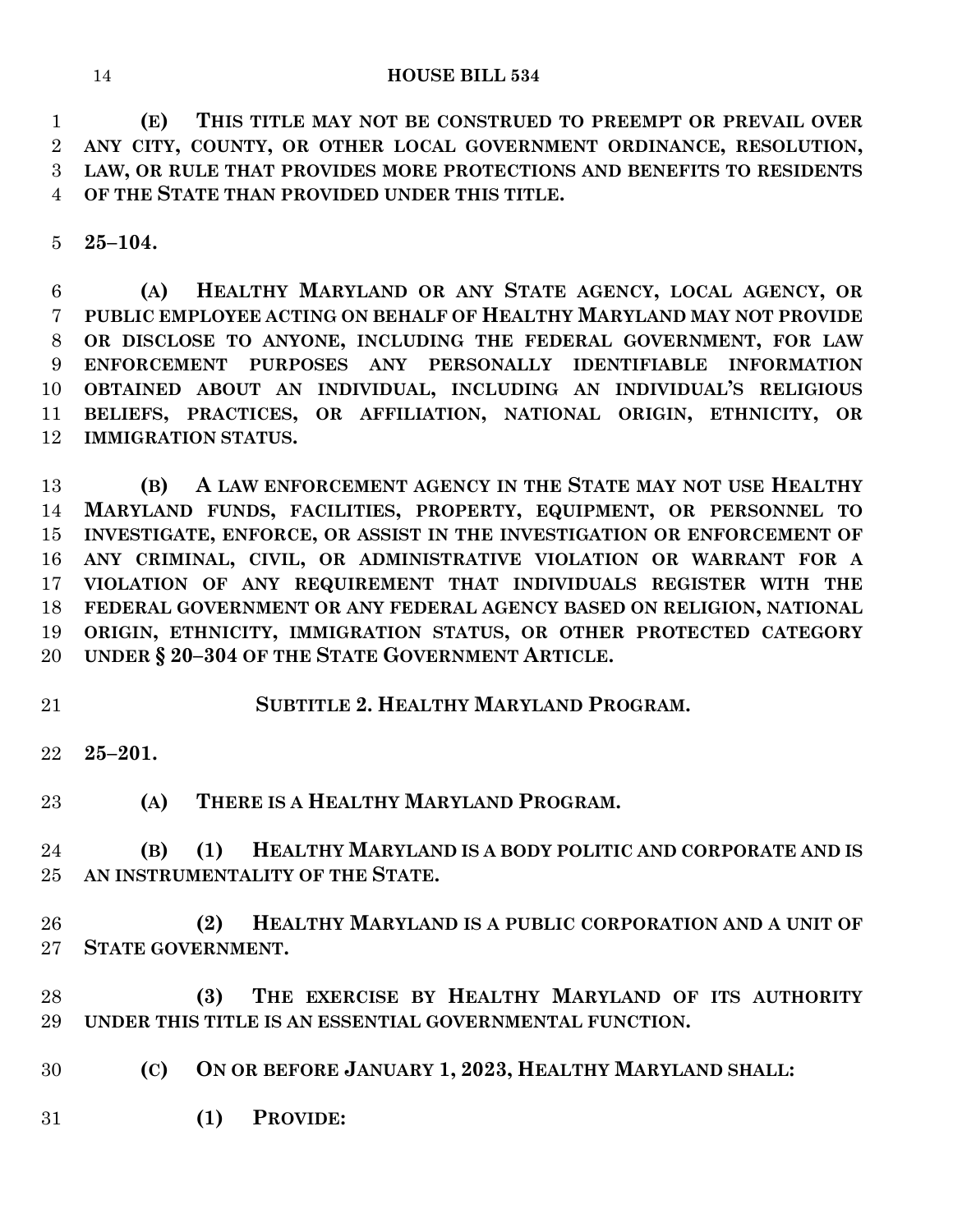**(E) THIS TITLE MAY NOT BE CONSTRUED TO PREEMPT OR PREVAIL OVER ANY CITY, COUNTY, OR OTHER LOCAL GOVERNMENT ORDINANCE, RESOLUTION, LAW, OR RULE THAT PROVIDES MORE PROTECTIONS AND BENEFITS TO RESIDENTS OF THE STATE THAN PROVIDED UNDER THIS TITLE.**

**25–104.**

 **(A) HEALTHY MARYLAND OR ANY STATE AGENCY, LOCAL AGENCY, OR PUBLIC EMPLOYEE ACTING ON BEHALF OF HEALTHY MARYLAND MAY NOT PROVIDE OR DISCLOSE TO ANYONE, INCLUDING THE FEDERAL GOVERNMENT, FOR LAW ENFORCEMENT PURPOSES ANY PERSONALLY IDENTIFIABLE INFORMATION OBTAINED ABOUT AN INDIVIDUAL, INCLUDING AN INDIVIDUAL'S RELIGIOUS BELIEFS, PRACTICES, OR AFFILIATION, NATIONAL ORIGIN, ETHNICITY, OR IMMIGRATION STATUS.**

 **(B) A LAW ENFORCEMENT AGENCY IN THE STATE MAY NOT USE HEALTHY MARYLAND FUNDS, FACILITIES, PROPERTY, EQUIPMENT, OR PERSONNEL TO INVESTIGATE, ENFORCE, OR ASSIST IN THE INVESTIGATION OR ENFORCEMENT OF ANY CRIMINAL, CIVIL, OR ADMINISTRATIVE VIOLATION OR WARRANT FOR A VIOLATION OF ANY REQUIREMENT THAT INDIVIDUALS REGISTER WITH THE FEDERAL GOVERNMENT OR ANY FEDERAL AGENCY BASED ON RELIGION, NATIONAL ORIGIN, ETHNICITY, IMMIGRATION STATUS, OR OTHER PROTECTED CATEGORY UNDER § 20–304 OF THE STATE GOVERNMENT ARTICLE.**

**SUBTITLE 2. HEALTHY MARYLAND PROGRAM.**

**25–201.**

**(A) THERE IS A HEALTHY MARYLAND PROGRAM.**

 **(B) (1) HEALTHY MARYLAND IS A BODY POLITIC AND CORPORATE AND IS AN INSTRUMENTALITY OF THE STATE.**

- **(2) HEALTHY MARYLAND IS A PUBLIC CORPORATION AND A UNIT OF STATE GOVERNMENT.**
- **(3) THE EXERCISE BY HEALTHY MARYLAND OF ITS AUTHORITY UNDER THIS TITLE IS AN ESSENTIAL GOVERNMENTAL FUNCTION.**
- **(C) ON OR BEFORE JANUARY 1, 2023, HEALTHY MARYLAND SHALL:**
- **(1) PROVIDE:**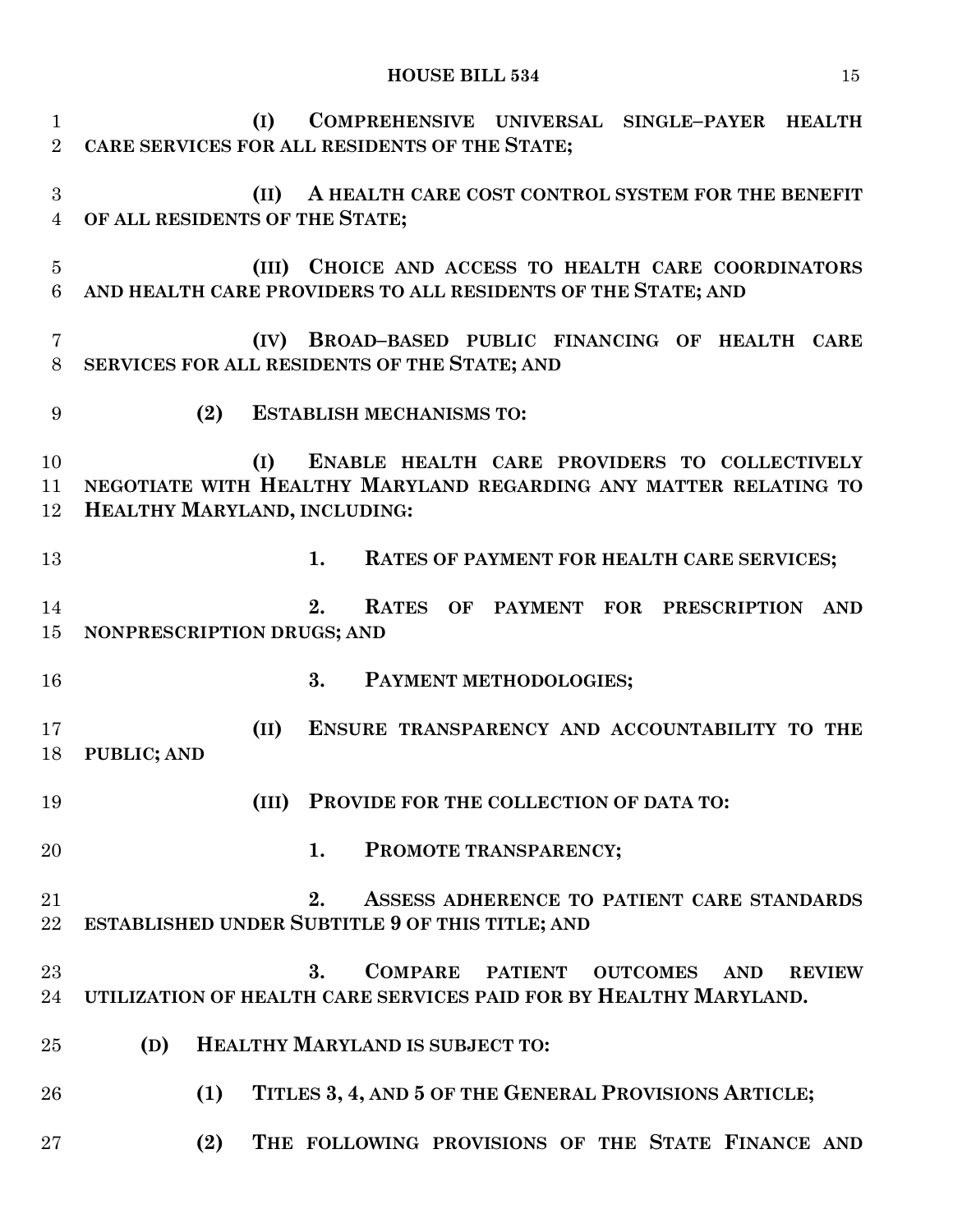| $\mathbf{1}$<br>$\overline{2}$ | (I)                                    | COMPREHENSIVE UNIVERSAL SINGLE-PAYER HEALTH<br>CARE SERVICES FOR ALL RESIDENTS OF THE STATE;                                       |
|--------------------------------|----------------------------------------|------------------------------------------------------------------------------------------------------------------------------------|
| 3<br>$\overline{4}$            | (II)<br>OF ALL RESIDENTS OF THE STATE; | A HEALTH CARE COST CONTROL SYSTEM FOR THE BENEFIT                                                                                  |
| $\overline{5}$<br>6            |                                        | (III) CHOICE AND ACCESS TO HEALTH CARE COORDINATORS<br>AND HEALTH CARE PROVIDERS TO ALL RESIDENTS OF THE STATE; AND                |
| 7<br>8                         | (IV)                                   | BROAD-BASED PUBLIC FINANCING OF HEALTH CARE<br>SERVICES FOR ALL RESIDENTS OF THE STATE; AND                                        |
| 9                              | (2)                                    | <b>ESTABLISH MECHANISMS TO:</b>                                                                                                    |
| 10<br>11<br>12                 | (I)<br>HEALTHY MARYLAND, INCLUDING:    | ENABLE HEALTH CARE PROVIDERS TO COLLECTIVELY<br>NEGOTIATE WITH HEALTHY MARYLAND REGARDING ANY MATTER RELATING TO                   |
| 13                             |                                        | 1.<br>RATES OF PAYMENT FOR HEALTH CARE SERVICES;                                                                                   |
| 14<br>15                       | NONPRESCRIPTION DRUGS; AND             | 2.<br><b>RATES</b><br>OF PAYMENT FOR PRESCRIPTION<br><b>AND</b>                                                                    |
| 16                             |                                        | 3.<br>PAYMENT METHODOLOGIES;                                                                                                       |
| 17<br>18                       | (II)<br><b>PUBLIC; AND</b>             | ENSURE TRANSPARENCY AND ACCOUNTABILITY TO THE                                                                                      |
| 19                             | (III)                                  | PROVIDE FOR THE COLLECTION OF DATA TO:                                                                                             |
| 20                             |                                        | PROMOTE TRANSPARENCY;<br>1.                                                                                                        |
| 21<br>22                       |                                        | 2.<br>ASSESS ADHERENCE TO PATIENT CARE STANDARDS<br><b>ESTABLISHED UNDER SUBTITLE 9 OF THIS TITLE; AND</b>                         |
| $23\,$<br>24                   |                                        | COMPARE PATIENT OUTCOMES<br>3.<br><b>AND</b><br><b>REVIEW</b><br>UTILIZATION OF HEALTH CARE SERVICES PAID FOR BY HEALTHY MARYLAND. |
| 25                             | (D)                                    | HEALTHY MARYLAND IS SUBJECT TO:                                                                                                    |
| 26                             | (1)                                    | TITLES 3, 4, AND 5 OF THE GENERAL PROVISIONS ARTICLE;                                                                              |
| $27\,$                         | (2)                                    | THE FOLLOWING PROVISIONS OF THE STATE FINANCE AND                                                                                  |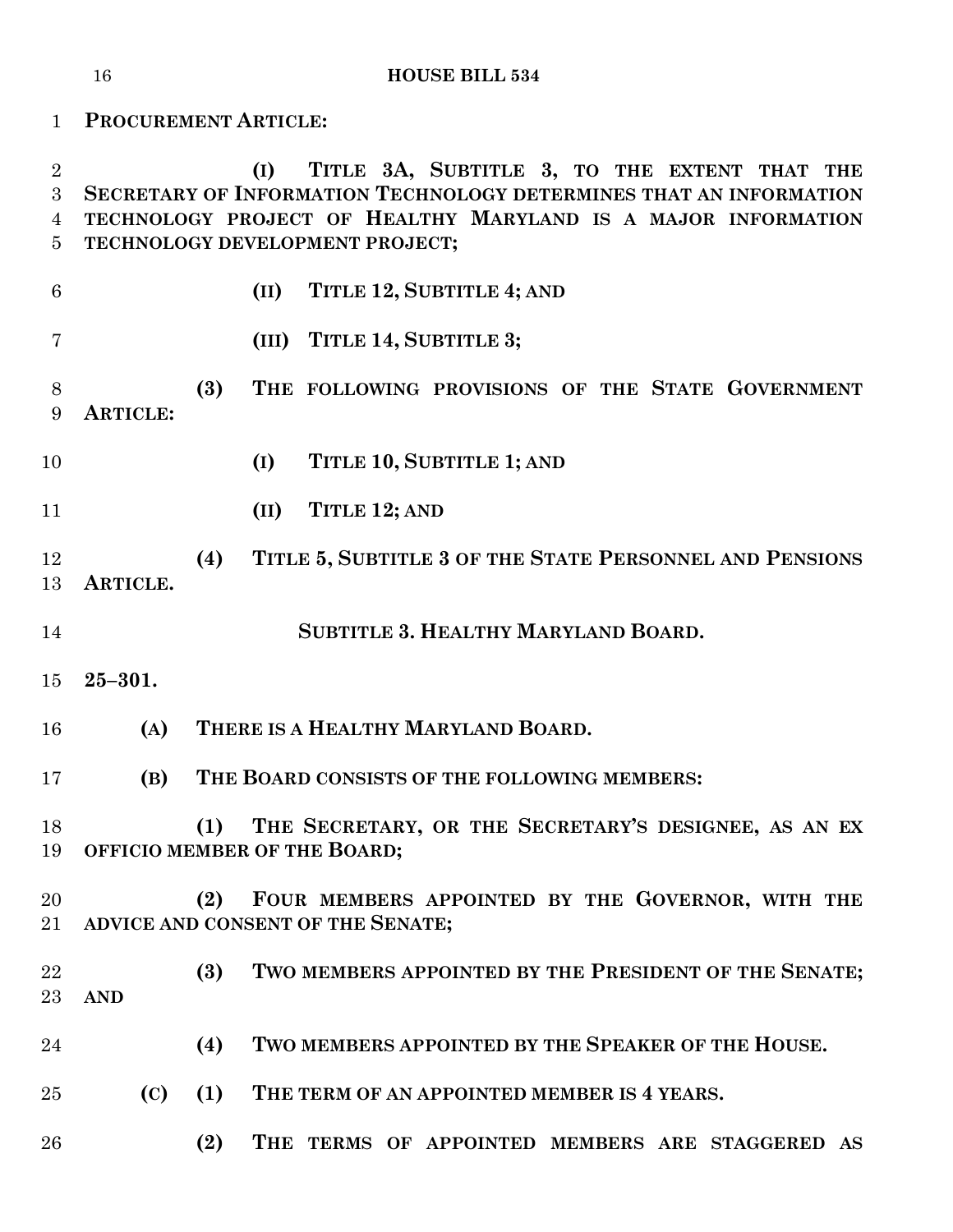**PROCUREMENT ARTICLE: (I) TITLE 3A, SUBTITLE 3, TO THE EXTENT THAT THE SECRETARY OF INFORMATION TECHNOLOGY DETERMINES THAT AN INFORMATION TECHNOLOGY PROJECT OF HEALTHY MARYLAND IS A MAJOR INFORMATION TECHNOLOGY DEVELOPMENT PROJECT; (II) TITLE 12, SUBTITLE 4; AND (III) TITLE 14, SUBTITLE 3; (3) THE FOLLOWING PROVISIONS OF THE STATE GOVERNMENT ARTICLE: (I) TITLE 10, SUBTITLE 1; AND (II) TITLE 12; AND (4) TITLE 5, SUBTITLE 3 OF THE STATE PERSONNEL AND PENSIONS ARTICLE. SUBTITLE 3. HEALTHY MARYLAND BOARD. 25–301. (A) THERE IS A HEALTHY MARYLAND BOARD. (B) THE BOARD CONSISTS OF THE FOLLOWING MEMBERS: (1) THE SECRETARY, OR THE SECRETARY'S DESIGNEE, AS AN EX OFFICIO MEMBER OF THE BOARD; (2) FOUR MEMBERS APPOINTED BY THE GOVERNOR, WITH THE ADVICE AND CONSENT OF THE SENATE; (3) TWO MEMBERS APPOINTED BY THE PRESIDENT OF THE SENATE; AND (4) TWO MEMBERS APPOINTED BY THE SPEAKER OF THE HOUSE. (C) (1) THE TERM OF AN APPOINTED MEMBER IS 4 YEARS. (2) THE TERMS OF APPOINTED MEMBERS ARE STAGGERED AS**

**HOUSE BILL 534**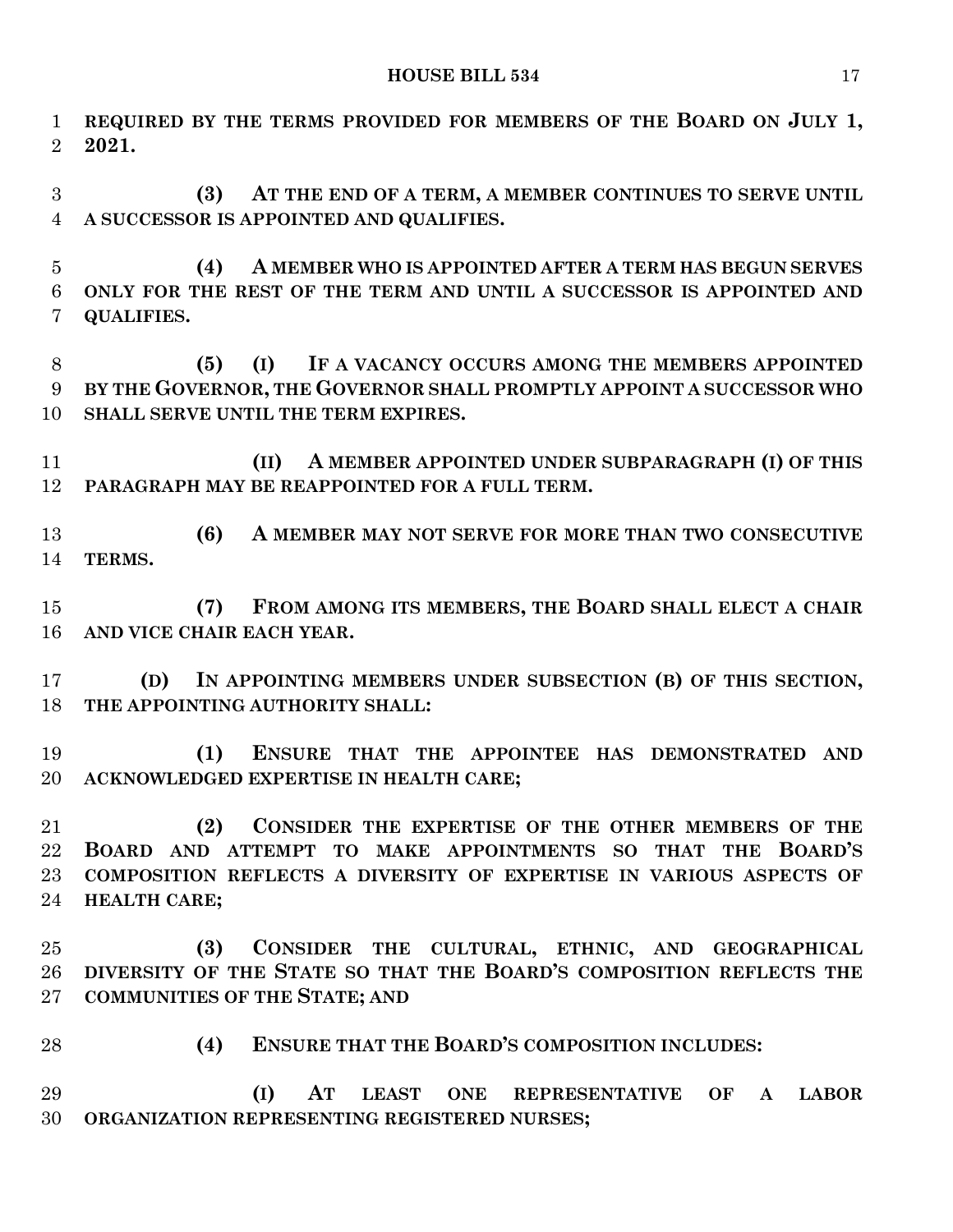**REQUIRED BY THE TERMS PROVIDED FOR MEMBERS OF THE BOARD ON JULY 1, 2021. (3) AT THE END OF A TERM, A MEMBER CONTINUES TO SERVE UNTIL A SUCCESSOR IS APPOINTED AND QUALIFIES. (4) A MEMBER WHO IS APPOINTED AFTER A TERM HAS BEGUN SERVES ONLY FOR THE REST OF THE TERM AND UNTIL A SUCCESSOR IS APPOINTED AND QUALIFIES. (5) (I) IF A VACANCY OCCURS AMONG THE MEMBERS APPOINTED BY THE GOVERNOR, THE GOVERNOR SHALL PROMPTLY APPOINT A SUCCESSOR WHO SHALL SERVE UNTIL THE TERM EXPIRES. (II) A MEMBER APPOINTED UNDER SUBPARAGRAPH (I) OF THIS PARAGRAPH MAY BE REAPPOINTED FOR A FULL TERM. (6) A MEMBER MAY NOT SERVE FOR MORE THAN TWO CONSECUTIVE TERMS. (7) FROM AMONG ITS MEMBERS, THE BOARD SHALL ELECT A CHAIR AND VICE CHAIR EACH YEAR. (D) IN APPOINTING MEMBERS UNDER SUBSECTION (B) OF THIS SECTION, THE APPOINTING AUTHORITY SHALL: (1) ENSURE THAT THE APPOINTEE HAS DEMONSTRATED AND ACKNOWLEDGED EXPERTISE IN HEALTH CARE; (2) CONSIDER THE EXPERTISE OF THE OTHER MEMBERS OF THE BOARD AND ATTEMPT TO MAKE APPOINTMENTS SO THAT THE BOARD'S COMPOSITION REFLECTS A DIVERSITY OF EXPERTISE IN VARIOUS ASPECTS OF HEALTH CARE; (3) CONSIDER THE CULTURAL, ETHNIC, AND GEOGRAPHICAL DIVERSITY OF THE STATE SO THAT THE BOARD'S COMPOSITION REFLECTS THE COMMUNITIES OF THE STATE; AND (4) ENSURE THAT THE BOARD'S COMPOSITION INCLUDES: (I) AT LEAST ONE REPRESENTATIVE OF A LABOR ORGANIZATION REPRESENTING REGISTERED NURSES;**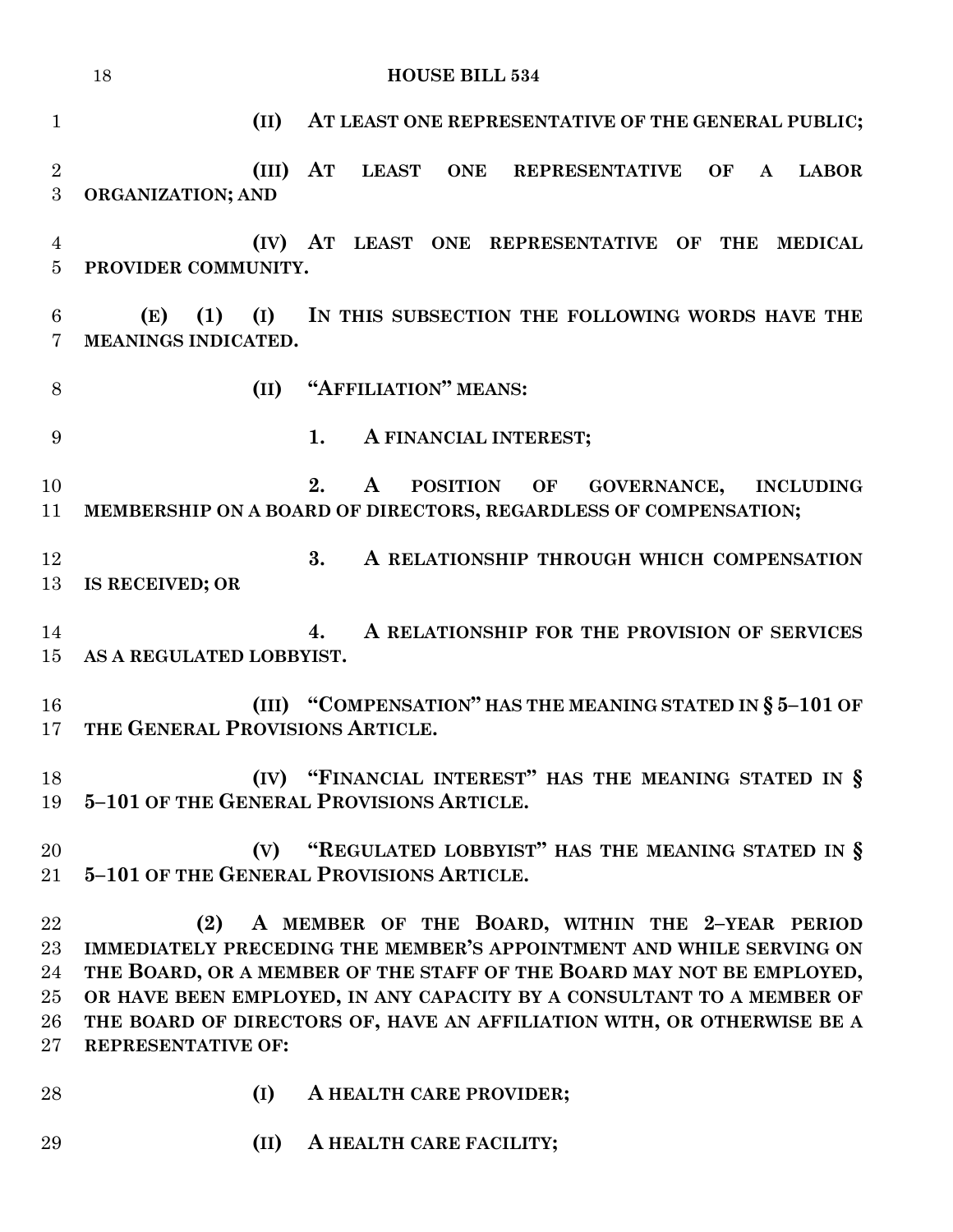|                                      | 18<br><b>HOUSE BILL 534</b>                                                                                                                                                                                                                                                                                                                                                            |
|--------------------------------------|----------------------------------------------------------------------------------------------------------------------------------------------------------------------------------------------------------------------------------------------------------------------------------------------------------------------------------------------------------------------------------------|
| $\mathbf{1}$                         | (II)<br>AT LEAST ONE REPRESENTATIVE OF THE GENERAL PUBLIC;                                                                                                                                                                                                                                                                                                                             |
| $\overline{2}$<br>$\boldsymbol{3}$   | (III)<br>${\bf A}{\bf T}$<br>LEAST ONE REPRESENTATIVE<br>OF<br>$\mathbf{A}$<br><b>LABOR</b><br>ORGANIZATION; AND                                                                                                                                                                                                                                                                       |
| $\overline{4}$<br>$\overline{5}$     | (IV) AT LEAST ONE REPRESENTATIVE OF THE MEDICAL<br>PROVIDER COMMUNITY.                                                                                                                                                                                                                                                                                                                 |
| 6<br>$\overline{7}$                  | (1)<br>(I) IN THIS SUBSECTION THE FOLLOWING WORDS HAVE THE<br>(E)<br>MEANINGS INDICATED.                                                                                                                                                                                                                                                                                               |
| 8                                    | (II) "AFFILIATION" MEANS:                                                                                                                                                                                                                                                                                                                                                              |
| 9                                    | A FINANCIAL INTEREST;<br>1.                                                                                                                                                                                                                                                                                                                                                            |
| 10<br>11                             | 2.<br>POSITION OF GOVERNANCE,<br>$\mathbf{A}$<br><b>INCLUDING</b><br>MEMBERSHIP ON A BOARD OF DIRECTORS, REGARDLESS OF COMPENSATION;                                                                                                                                                                                                                                                   |
| 12<br>13                             | 3.<br>A RELATIONSHIP THROUGH WHICH COMPENSATION<br>IS RECEIVED; OR                                                                                                                                                                                                                                                                                                                     |
| 14<br>15                             | A RELATIONSHIP FOR THE PROVISION OF SERVICES<br>4.<br>AS A REGULATED LOBBYIST.                                                                                                                                                                                                                                                                                                         |
| 16<br>17 <sup>1</sup>                | (III) "COMPENSATION" HAS THE MEANING STATED IN § 5-101 OF<br>THE GENERAL PROVISIONS ARTICLE.                                                                                                                                                                                                                                                                                           |
| 18<br>19                             | (IV) "FINANCIAL INTEREST" HAS THE MEANING STATED IN §<br>5-101 OF THE GENERAL PROVISIONS ARTICLE.                                                                                                                                                                                                                                                                                      |
| 20<br>21                             | (V) "REGULATED LOBBYIST" HAS THE MEANING STATED IN §<br>5-101 OF THE GENERAL PROVISIONS ARTICLE.                                                                                                                                                                                                                                                                                       |
| 22<br>23<br>24<br>25<br>26<br>$27\,$ | A MEMBER OF THE BOARD, WITHIN THE 2-YEAR PERIOD<br>(2)<br>IMMEDIATELY PRECEDING THE MEMBER'S APPOINTMENT AND WHILE SERVING ON<br>THE BOARD, OR A MEMBER OF THE STAFF OF THE BOARD MAY NOT BE EMPLOYED,<br>OR HAVE BEEN EMPLOYED, IN ANY CAPACITY BY A CONSULTANT TO A MEMBER OF<br>THE BOARD OF DIRECTORS OF, HAVE AN AFFILIATION WITH, OR OTHERWISE BE A<br><b>REPRESENTATIVE OF:</b> |
| 28                                   | A HEALTH CARE PROVIDER;<br>(I)                                                                                                                                                                                                                                                                                                                                                         |
| 29                                   | A HEALTH CARE FACILITY;<br>(II)                                                                                                                                                                                                                                                                                                                                                        |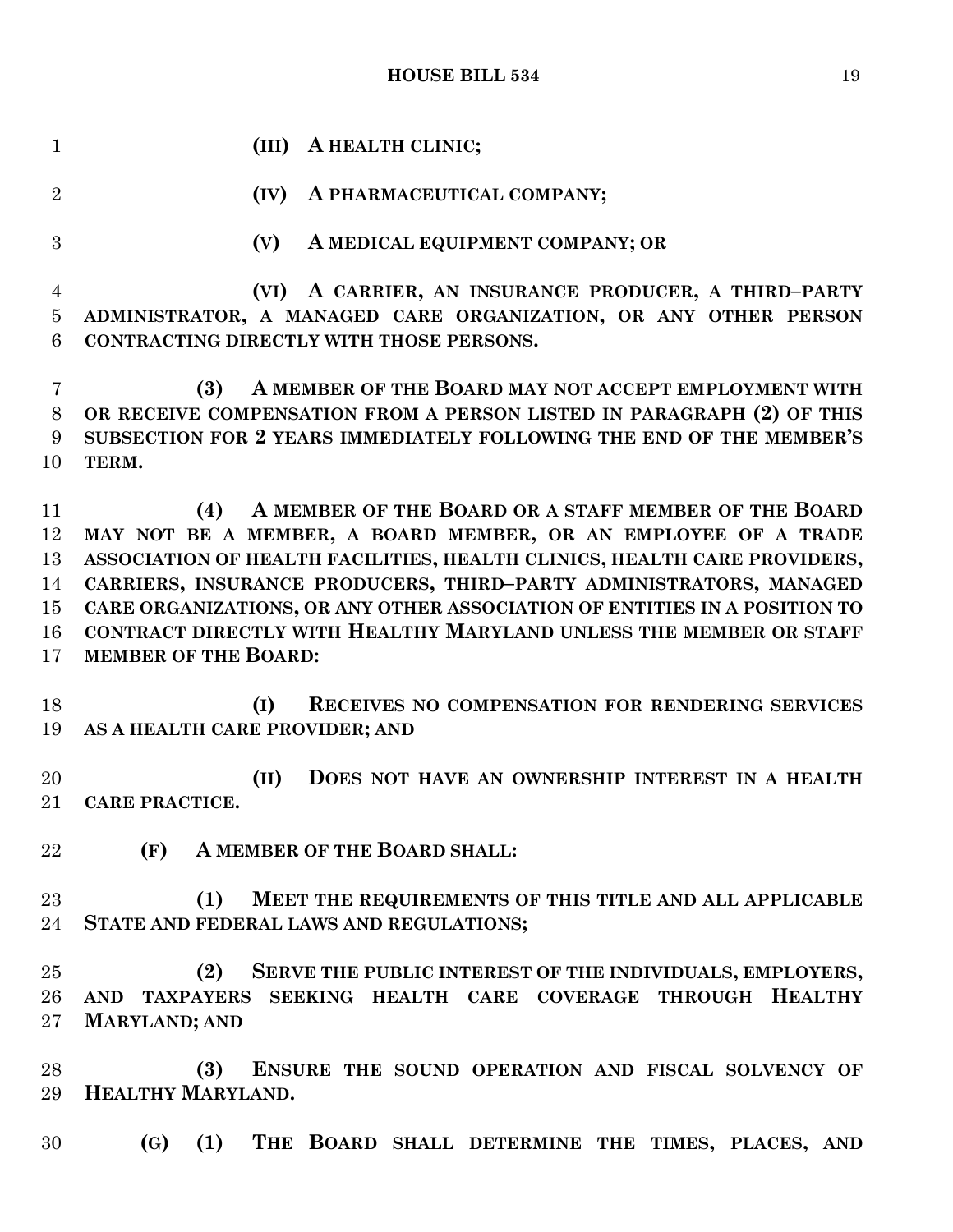**(III) A HEALTH CLINIC; (IV) A PHARMACEUTICAL COMPANY; (V) A MEDICAL EQUIPMENT COMPANY; OR (VI) A CARRIER, AN INSURANCE PRODUCER, A THIRD–PARTY ADMINISTRATOR, A MANAGED CARE ORGANIZATION, OR ANY OTHER PERSON CONTRACTING DIRECTLY WITH THOSE PERSONS. (3) A MEMBER OF THE BOARD MAY NOT ACCEPT EMPLOYMENT WITH OR RECEIVE COMPENSATION FROM A PERSON LISTED IN PARAGRAPH (2) OF THIS SUBSECTION FOR 2 YEARS IMMEDIATELY FOLLOWING THE END OF THE MEMBER'S TERM. (4) A MEMBER OF THE BOARD OR A STAFF MEMBER OF THE BOARD MAY NOT BE A MEMBER, A BOARD MEMBER, OR AN EMPLOYEE OF A TRADE ASSOCIATION OF HEALTH FACILITIES, HEALTH CLINICS, HEALTH CARE PROVIDERS, CARRIERS, INSURANCE PRODUCERS, THIRD–PARTY ADMINISTRATORS, MANAGED CARE ORGANIZATIONS, OR ANY OTHER ASSOCIATION OF ENTITIES IN A POSITION TO CONTRACT DIRECTLY WITH HEALTHY MARYLAND UNLESS THE MEMBER OR STAFF MEMBER OF THE BOARD: (I) RECEIVES NO COMPENSATION FOR RENDERING SERVICES AS A HEALTH CARE PROVIDER; AND (II) DOES NOT HAVE AN OWNERSHIP INTEREST IN A HEALTH CARE PRACTICE. (F) A MEMBER OF THE BOARD SHALL: (1) MEET THE REQUIREMENTS OF THIS TITLE AND ALL APPLICABLE STATE AND FEDERAL LAWS AND REGULATIONS; (2) SERVE THE PUBLIC INTEREST OF THE INDIVIDUALS, EMPLOYERS, AND TAXPAYERS SEEKING HEALTH CARE COVERAGE THROUGH HEALTHY MARYLAND; AND (3) ENSURE THE SOUND OPERATION AND FISCAL SOLVENCY OF HEALTHY MARYLAND.**

**(G) (1) THE BOARD SHALL DETERMINE THE TIMES, PLACES, AND**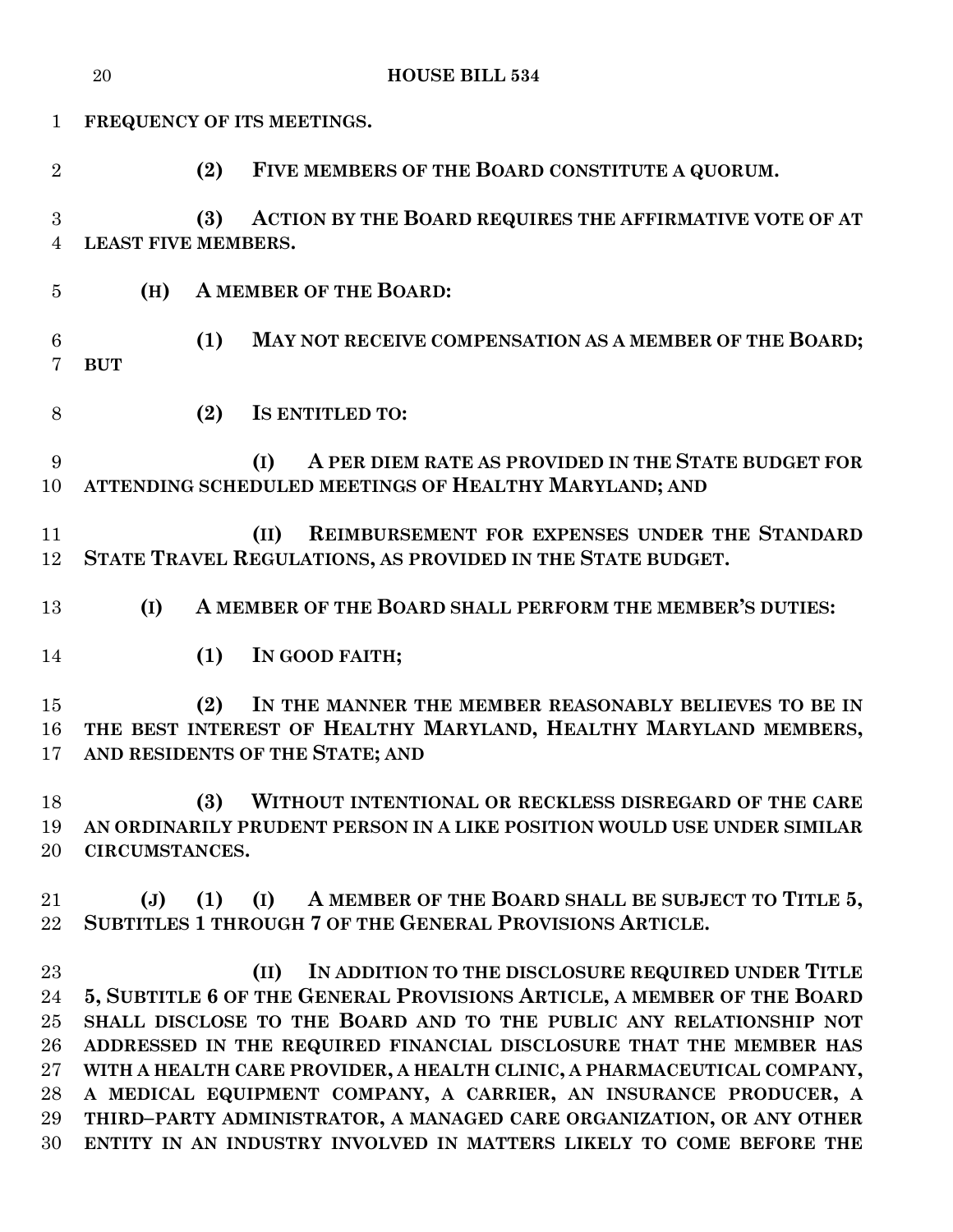|                                                  | 20                                | <b>HOUSE BILL 534</b>                                                                                                                                                                                                                                                                                                                                                                                                                                                                                                                                                          |
|--------------------------------------------------|-----------------------------------|--------------------------------------------------------------------------------------------------------------------------------------------------------------------------------------------------------------------------------------------------------------------------------------------------------------------------------------------------------------------------------------------------------------------------------------------------------------------------------------------------------------------------------------------------------------------------------|
| $\mathbf{1}$                                     |                                   | FREQUENCY OF ITS MEETINGS.                                                                                                                                                                                                                                                                                                                                                                                                                                                                                                                                                     |
| $\overline{2}$                                   | (2)                               | FIVE MEMBERS OF THE BOARD CONSTITUTE A QUORUM.                                                                                                                                                                                                                                                                                                                                                                                                                                                                                                                                 |
| 3<br>$\overline{4}$                              | (3)<br><b>LEAST FIVE MEMBERS.</b> | ACTION BY THE BOARD REQUIRES THE AFFIRMATIVE VOTE OF AT                                                                                                                                                                                                                                                                                                                                                                                                                                                                                                                        |
| $\overline{5}$                                   | (H)                               | A MEMBER OF THE BOARD:                                                                                                                                                                                                                                                                                                                                                                                                                                                                                                                                                         |
| 6<br>7                                           | (1)<br><b>BUT</b>                 | MAY NOT RECEIVE COMPENSATION AS A MEMBER OF THE BOARD;                                                                                                                                                                                                                                                                                                                                                                                                                                                                                                                         |
| 8                                                | (2)                               | <b>IS ENTITLED TO:</b>                                                                                                                                                                                                                                                                                                                                                                                                                                                                                                                                                         |
| 9<br>10                                          |                                   | A PER DIEM RATE AS PROVIDED IN THE STATE BUDGET FOR<br>(I)<br>ATTENDING SCHEDULED MEETINGS OF HEALTHY MARYLAND; AND                                                                                                                                                                                                                                                                                                                                                                                                                                                            |
| 11<br>12                                         |                                   | REIMBURSEMENT FOR EXPENSES UNDER THE STANDARD<br>(II)<br>STATE TRAVEL REGULATIONS, AS PROVIDED IN THE STATE BUDGET.                                                                                                                                                                                                                                                                                                                                                                                                                                                            |
| 13                                               | (I)                               | A MEMBER OF THE BOARD SHALL PERFORM THE MEMBER'S DUTIES:                                                                                                                                                                                                                                                                                                                                                                                                                                                                                                                       |
| 14                                               | (1)                               | IN GOOD FAITH;                                                                                                                                                                                                                                                                                                                                                                                                                                                                                                                                                                 |
| 15<br>16                                         | (2)                               | IN THE MANNER THE MEMBER REASONABLY BELIEVES TO BE IN<br>THE BEST INTEREST OF HEALTHY MARYLAND, HEALTHY MARYLAND MEMBERS,<br>17 AND RESIDENTS OF THE STATE; AND                                                                                                                                                                                                                                                                                                                                                                                                                |
| 18<br>19<br>20                                   | (3)<br>CIRCUMSTANCES.             | WITHOUT INTENTIONAL OR RECKLESS DISREGARD OF THE CARE<br>AN ORDINARILY PRUDENT PERSON IN A LIKE POSITION WOULD USE UNDER SIMILAR                                                                                                                                                                                                                                                                                                                                                                                                                                               |
| 21<br>22                                         | $(\mathrm{J})$<br>(1)             | A MEMBER OF THE BOARD SHALL BE SUBJECT TO TITLE 5,<br>(I)<br>SUBTITLES 1 THROUGH 7 OF THE GENERAL PROVISIONS ARTICLE.                                                                                                                                                                                                                                                                                                                                                                                                                                                          |
| 23<br>24<br>25<br>26<br>$27\,$<br>28<br>29<br>30 |                                   | IN ADDITION TO THE DISCLOSURE REQUIRED UNDER TITLE<br>(II)<br>5, SUBTITLE 6 OF THE GENERAL PROVISIONS ARTICLE, A MEMBER OF THE BOARD<br>SHALL DISCLOSE TO THE BOARD AND TO THE PUBLIC ANY RELATIONSHIP NOT<br>ADDRESSED IN THE REQUIRED FINANCIAL DISCLOSURE THAT THE MEMBER HAS<br>WITH A HEALTH CARE PROVIDER, A HEALTH CLINIC, A PHARMACEUTICAL COMPANY,<br>A MEDICAL EQUIPMENT COMPANY, A CARRIER, AN INSURANCE PRODUCER, A<br>THIRD-PARTY ADMINISTRATOR, A MANAGED CARE ORGANIZATION, OR ANY OTHER<br>ENTITY IN AN INDUSTRY INVOLVED IN MATTERS LIKELY TO COME BEFORE THE |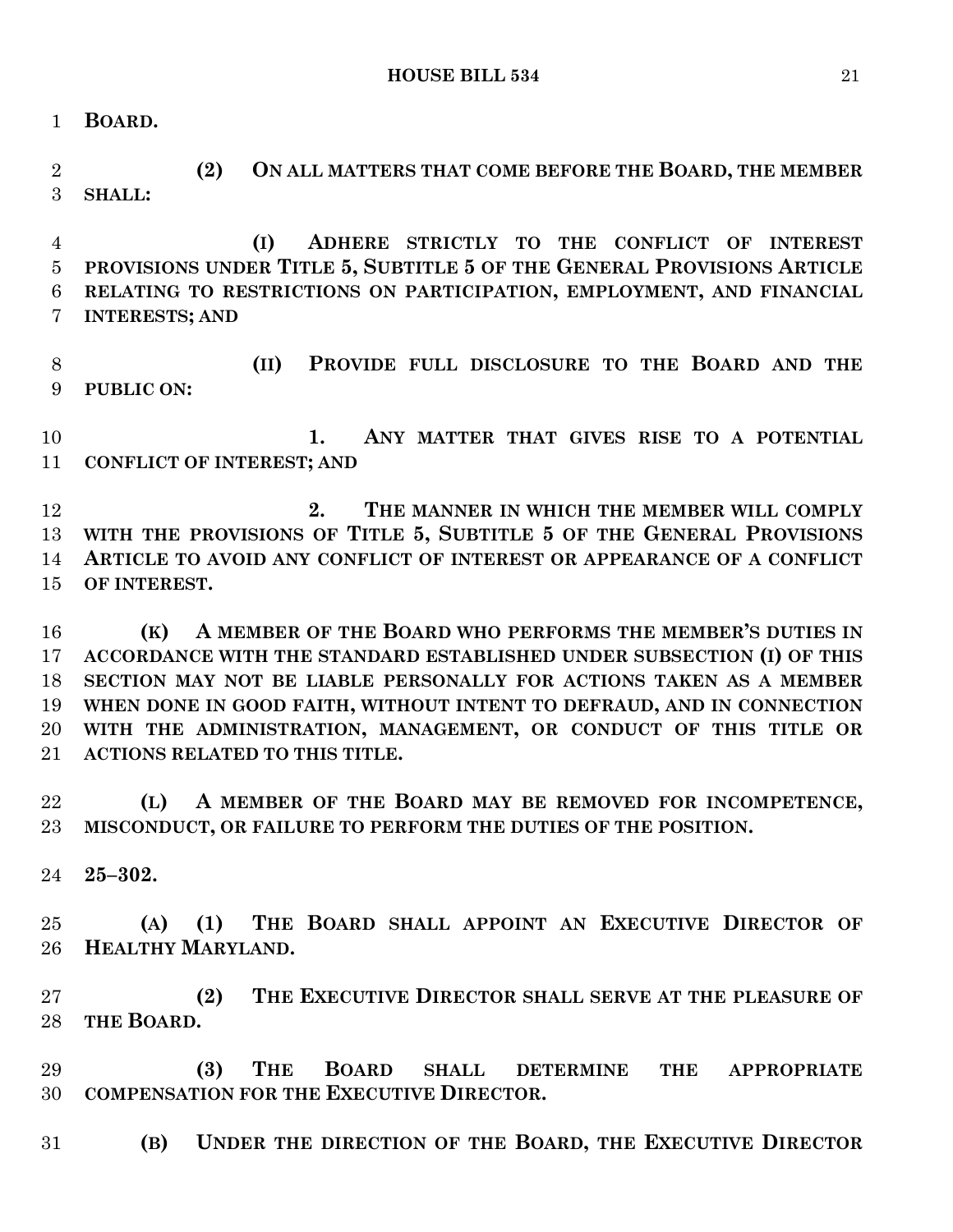**BOARD.**

 **(2) ON ALL MATTERS THAT COME BEFORE THE BOARD, THE MEMBER SHALL:**

 **(I) ADHERE STRICTLY TO THE CONFLICT OF INTEREST PROVISIONS UNDER TITLE 5, SUBTITLE 5 OF THE GENERAL PROVISIONS ARTICLE RELATING TO RESTRICTIONS ON PARTICIPATION, EMPLOYMENT, AND FINANCIAL INTERESTS; AND**

 **(II) PROVIDE FULL DISCLOSURE TO THE BOARD AND THE PUBLIC ON:**

 **1. ANY MATTER THAT GIVES RISE TO A POTENTIAL CONFLICT OF INTEREST; AND**

 **2. THE MANNER IN WHICH THE MEMBER WILL COMPLY WITH THE PROVISIONS OF TITLE 5, SUBTITLE 5 OF THE GENERAL PROVISIONS ARTICLE TO AVOID ANY CONFLICT OF INTEREST OR APPEARANCE OF A CONFLICT OF INTEREST.**

 **(K) A MEMBER OF THE BOARD WHO PERFORMS THE MEMBER'S DUTIES IN ACCORDANCE WITH THE STANDARD ESTABLISHED UNDER SUBSECTION (I) OF THIS SECTION MAY NOT BE LIABLE PERSONALLY FOR ACTIONS TAKEN AS A MEMBER WHEN DONE IN GOOD FAITH, WITHOUT INTENT TO DEFRAUD, AND IN CONNECTION WITH THE ADMINISTRATION, MANAGEMENT, OR CONDUCT OF THIS TITLE OR ACTIONS RELATED TO THIS TITLE.**

 **(L) A MEMBER OF THE BOARD MAY BE REMOVED FOR INCOMPETENCE, MISCONDUCT, OR FAILURE TO PERFORM THE DUTIES OF THE POSITION.**

**25–302.**

 **(A) (1) THE BOARD SHALL APPOINT AN EXECUTIVE DIRECTOR OF HEALTHY MARYLAND.**

 **(2) THE EXECUTIVE DIRECTOR SHALL SERVE AT THE PLEASURE OF THE BOARD.**

 **(3) THE BOARD SHALL DETERMINE THE APPROPRIATE COMPENSATION FOR THE EXECUTIVE DIRECTOR.**

**(B) UNDER THE DIRECTION OF THE BOARD, THE EXECUTIVE DIRECTOR**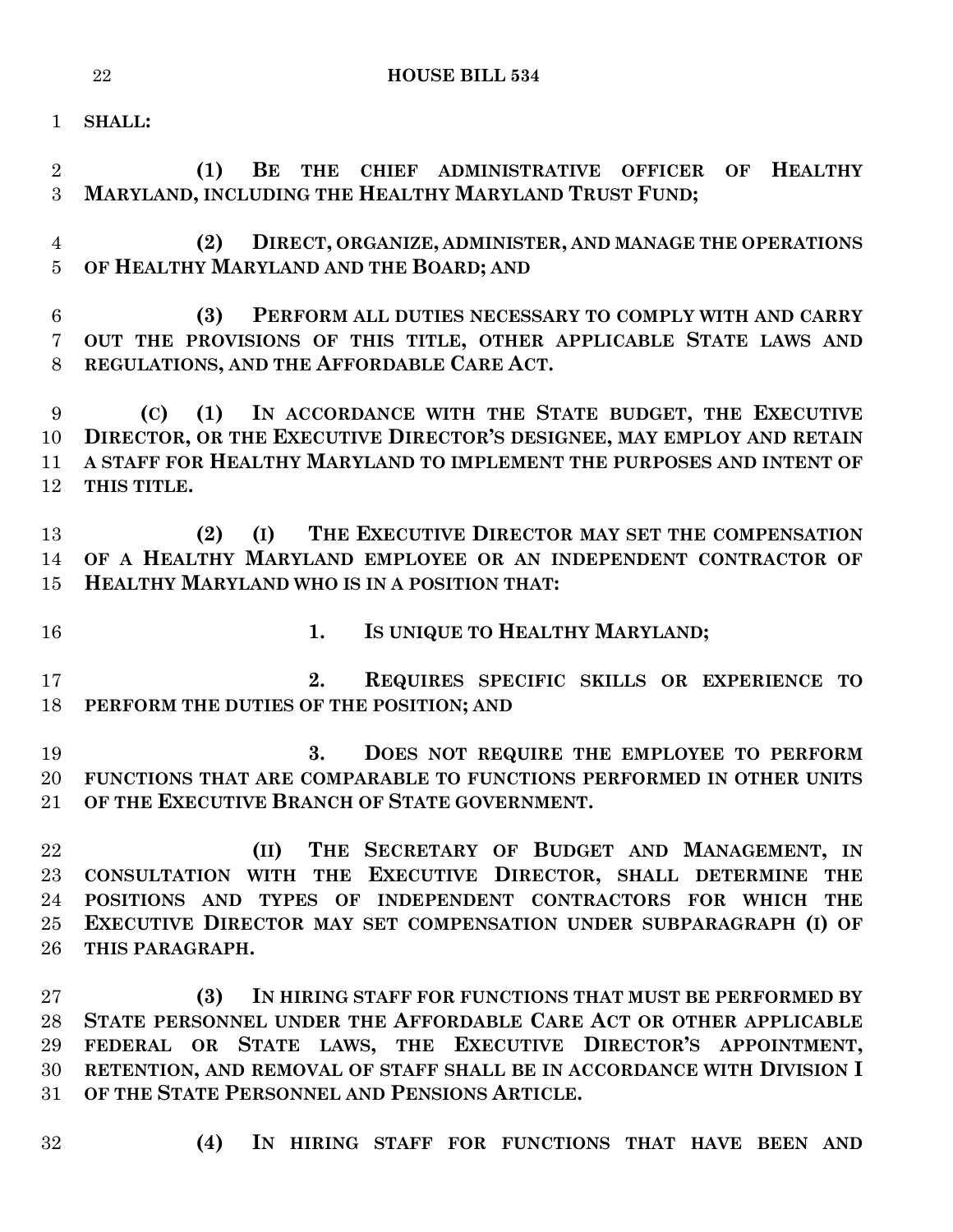**SHALL:**

 **(1) BE THE CHIEF ADMINISTRATIVE OFFICER OF HEALTHY MARYLAND, INCLUDING THE HEALTHY MARYLAND TRUST FUND; (2) DIRECT, ORGANIZE, ADMINISTER, AND MANAGE THE OPERATIONS OF HEALTHY MARYLAND AND THE BOARD; AND (3) PERFORM ALL DUTIES NECESSARY TO COMPLY WITH AND CARRY OUT THE PROVISIONS OF THIS TITLE, OTHER APPLICABLE STATE LAWS AND REGULATIONS, AND THE AFFORDABLE CARE ACT. (C) (1) IN ACCORDANCE WITH THE STATE BUDGET, THE EXECUTIVE DIRECTOR, OR THE EXECUTIVE DIRECTOR'S DESIGNEE, MAY EMPLOY AND RETAIN A STAFF FOR HEALTHY MARYLAND TO IMPLEMENT THE PURPOSES AND INTENT OF THIS TITLE. (2) (I) THE EXECUTIVE DIRECTOR MAY SET THE COMPENSATION OF A HEALTHY MARYLAND EMPLOYEE OR AN INDEPENDENT CONTRACTOR OF HEALTHY MARYLAND WHO IS IN A POSITION THAT: 1. IS UNIQUE TO HEALTHY MARYLAND; 2. REQUIRES SPECIFIC SKILLS OR EXPERIENCE TO PERFORM THE DUTIES OF THE POSITION; AND 3. DOES NOT REQUIRE THE EMPLOYEE TO PERFORM FUNCTIONS THAT ARE COMPARABLE TO FUNCTIONS PERFORMED IN OTHER UNITS OF THE EXECUTIVE BRANCH OF STATE GOVERNMENT. (II) THE SECRETARY OF BUDGET AND MANAGEMENT, IN CONSULTATION WITH THE EXECUTIVE DIRECTOR, SHALL DETERMINE THE POSITIONS AND TYPES OF INDEPENDENT CONTRACTORS FOR WHICH THE EXECUTIVE DIRECTOR MAY SET COMPENSATION UNDER SUBPARAGRAPH (I) OF THIS PARAGRAPH. (3) IN HIRING STAFF FOR FUNCTIONS THAT MUST BE PERFORMED BY STATE PERSONNEL UNDER THE AFFORDABLE CARE ACT OR OTHER APPLICABLE FEDERAL OR STATE LAWS, THE EXECUTIVE DIRECTOR'S APPOINTMENT, RETENTION, AND REMOVAL OF STAFF SHALL BE IN ACCORDANCE WITH DIVISION I**

- **OF THE STATE PERSONNEL AND PENSIONS ARTICLE.**
- 
- **(4) IN HIRING STAFF FOR FUNCTIONS THAT HAVE BEEN AND**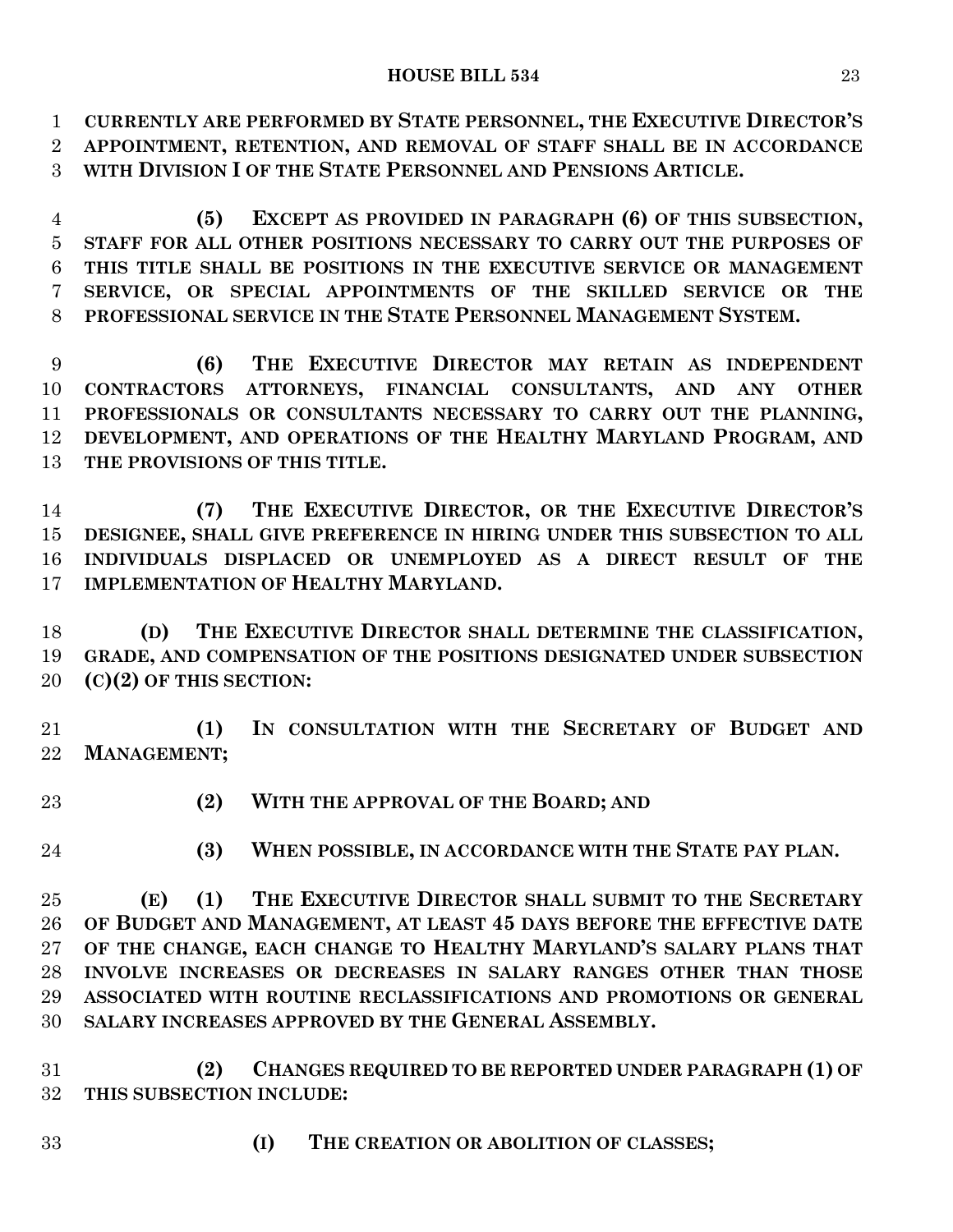**CURRENTLY ARE PERFORMED BY STATE PERSONNEL, THE EXECUTIVE DIRECTOR'S APPOINTMENT, RETENTION, AND REMOVAL OF STAFF SHALL BE IN ACCORDANCE WITH DIVISION I OF THE STATE PERSONNEL AND PENSIONS ARTICLE.**

 **(5) EXCEPT AS PROVIDED IN PARAGRAPH (6) OF THIS SUBSECTION, STAFF FOR ALL OTHER POSITIONS NECESSARY TO CARRY OUT THE PURPOSES OF THIS TITLE SHALL BE POSITIONS IN THE EXECUTIVE SERVICE OR MANAGEMENT SERVICE, OR SPECIAL APPOINTMENTS OF THE SKILLED SERVICE OR THE PROFESSIONAL SERVICE IN THE STATE PERSONNEL MANAGEMENT SYSTEM.**

 **(6) THE EXECUTIVE DIRECTOR MAY RETAIN AS INDEPENDENT CONTRACTORS ATTORNEYS, FINANCIAL CONSULTANTS, AND ANY OTHER PROFESSIONALS OR CONSULTANTS NECESSARY TO CARRY OUT THE PLANNING, DEVELOPMENT, AND OPERATIONS OF THE HEALTHY MARYLAND PROGRAM, AND THE PROVISIONS OF THIS TITLE.**

 **(7) THE EXECUTIVE DIRECTOR, OR THE EXECUTIVE DIRECTOR'S DESIGNEE, SHALL GIVE PREFERENCE IN HIRING UNDER THIS SUBSECTION TO ALL INDIVIDUALS DISPLACED OR UNEMPLOYED AS A DIRECT RESULT OF THE IMPLEMENTATION OF HEALTHY MARYLAND.**

 **(D) THE EXECUTIVE DIRECTOR SHALL DETERMINE THE CLASSIFICATION, GRADE, AND COMPENSATION OF THE POSITIONS DESIGNATED UNDER SUBSECTION (C)(2) OF THIS SECTION:**

 **(1) IN CONSULTATION WITH THE SECRETARY OF BUDGET AND MANAGEMENT;**

- **(2) WITH THE APPROVAL OF THE BOARD; AND**
- 

**(3) WHEN POSSIBLE, IN ACCORDANCE WITH THE STATE PAY PLAN.**

 **(E) (1) THE EXECUTIVE DIRECTOR SHALL SUBMIT TO THE SECRETARY OF BUDGET AND MANAGEMENT, AT LEAST 45 DAYS BEFORE THE EFFECTIVE DATE OF THE CHANGE, EACH CHANGE TO HEALTHY MARYLAND'S SALARY PLANS THAT INVOLVE INCREASES OR DECREASES IN SALARY RANGES OTHER THAN THOSE ASSOCIATED WITH ROUTINE RECLASSIFICATIONS AND PROMOTIONS OR GENERAL SALARY INCREASES APPROVED BY THE GENERAL ASSEMBLY.**

 **(2) CHANGES REQUIRED TO BE REPORTED UNDER PARAGRAPH (1) OF THIS SUBSECTION INCLUDE:**

- 
- **(I) THE CREATION OR ABOLITION OF CLASSES;**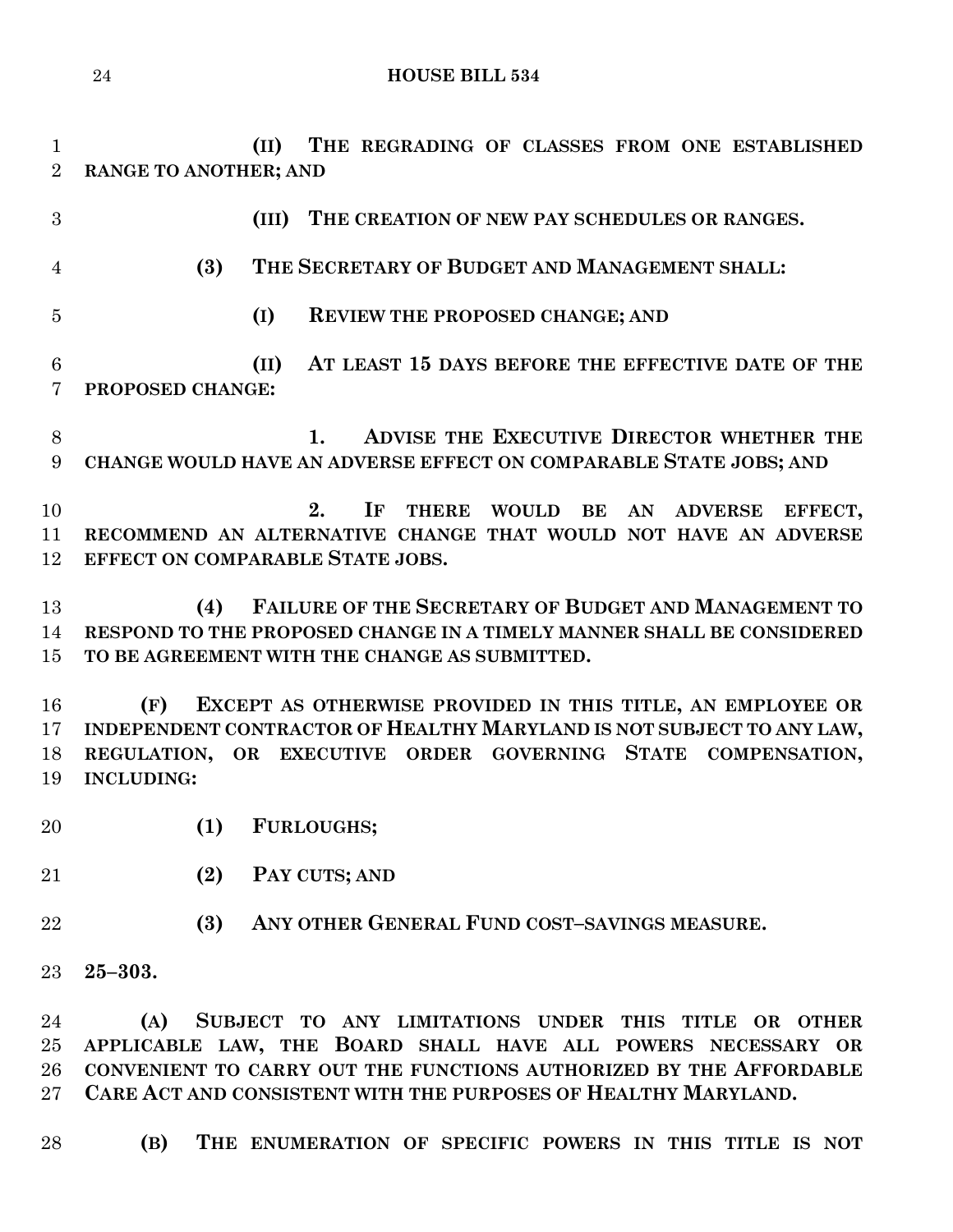**(II) THE REGRADING OF CLASSES FROM ONE ESTABLISHED RANGE TO ANOTHER; AND**

 **(III) THE CREATION OF NEW PAY SCHEDULES OR RANGES. (3) THE SECRETARY OF BUDGET AND MANAGEMENT SHALL: (I) REVIEW THE PROPOSED CHANGE; AND (II) AT LEAST 15 DAYS BEFORE THE EFFECTIVE DATE OF THE PROPOSED CHANGE: 1. ADVISE THE EXECUTIVE DIRECTOR WHETHER THE CHANGE WOULD HAVE AN ADVERSE EFFECT ON COMPARABLE STATE JOBS; AND 2. IF THERE WOULD BE AN ADVERSE EFFECT, RECOMMEND AN ALTERNATIVE CHANGE THAT WOULD NOT HAVE AN ADVERSE EFFECT ON COMPARABLE STATE JOBS. (4) FAILURE OF THE SECRETARY OF BUDGET AND MANAGEMENT TO RESPOND TO THE PROPOSED CHANGE IN A TIMELY MANNER SHALL BE CONSIDERED TO BE AGREEMENT WITH THE CHANGE AS SUBMITTED. (F) EXCEPT AS OTHERWISE PROVIDED IN THIS TITLE, AN EMPLOYEE OR INDEPENDENT CONTRACTOR OF HEALTHY MARYLAND IS NOT SUBJECT TO ANY LAW, REGULATION, OR EXECUTIVE ORDER GOVERNING STATE COMPENSATION, INCLUDING: (1) FURLOUGHS; (2) PAY CUTS; AND (3) ANY OTHER GENERAL FUND COST–SAVINGS MEASURE. 25–303. (A) SUBJECT TO ANY LIMITATIONS UNDER THIS TITLE OR OTHER APPLICABLE LAW, THE BOARD SHALL HAVE ALL POWERS NECESSARY OR CONVENIENT TO CARRY OUT THE FUNCTIONS AUTHORIZED BY THE AFFORDABLE CARE ACT AND CONSISTENT WITH THE PURPOSES OF HEALTHY MARYLAND.**

**(B) THE ENUMERATION OF SPECIFIC POWERS IN THIS TITLE IS NOT**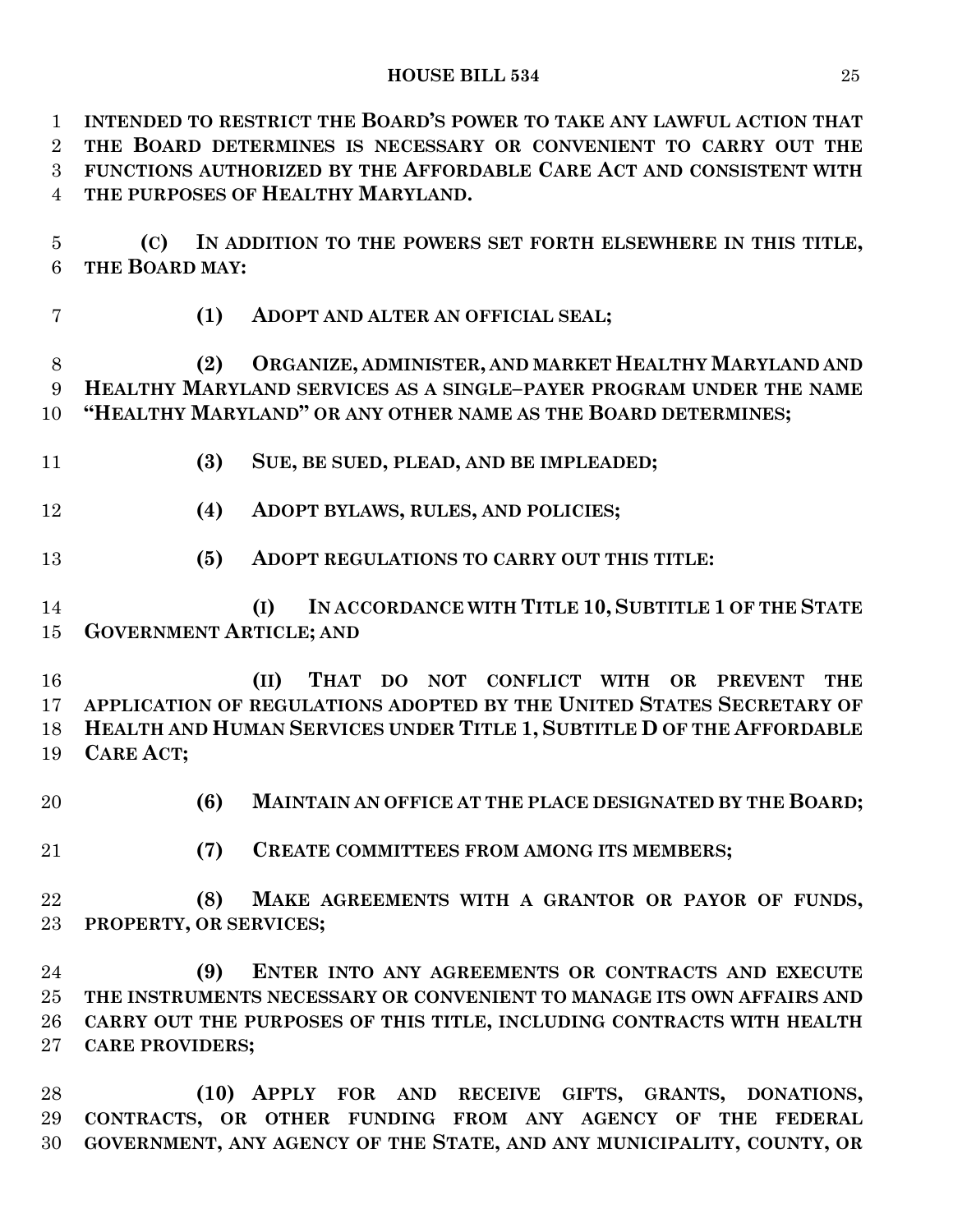**INTENDED TO RESTRICT THE BOARD'S POWER TO TAKE ANY LAWFUL ACTION THAT THE BOARD DETERMINES IS NECESSARY OR CONVENIENT TO CARRY OUT THE FUNCTIONS AUTHORIZED BY THE AFFORDABLE CARE ACT AND CONSISTENT WITH THE PURPOSES OF HEALTHY MARYLAND.**

 **(C) IN ADDITION TO THE POWERS SET FORTH ELSEWHERE IN THIS TITLE, THE BOARD MAY:**

**(1) ADOPT AND ALTER AN OFFICIAL SEAL;**

 **(2) ORGANIZE, ADMINISTER, AND MARKET HEALTHY MARYLAND AND HEALTHY MARYLAND SERVICES AS A SINGLE–PAYER PROGRAM UNDER THE NAME "HEALTHY MARYLAND" OR ANY OTHER NAME AS THE BOARD DETERMINES;**

**(3) SUE, BE SUED, PLEAD, AND BE IMPLEADED;**

**(4) ADOPT BYLAWS, RULES, AND POLICIES;**

**(5) ADOPT REGULATIONS TO CARRY OUT THIS TITLE:**

 **(I) IN ACCORDANCE WITH TITLE 10, SUBTITLE 1 OF THE STATE GOVERNMENT ARTICLE; AND**

 **(II) THAT DO NOT CONFLICT WITH OR PREVENT THE APPLICATION OF REGULATIONS ADOPTED BY THE UNITED STATES SECRETARY OF HEALTH AND HUMAN SERVICES UNDER TITLE 1, SUBTITLE D OF THE AFFORDABLE CARE ACT;**

- **(6) MAINTAIN AN OFFICE AT THE PLACE DESIGNATED BY THE BOARD;**
- **(7) CREATE COMMITTEES FROM AMONG ITS MEMBERS;**

 **(8) MAKE AGREEMENTS WITH A GRANTOR OR PAYOR OF FUNDS, PROPERTY, OR SERVICES;**

 **(9) ENTER INTO ANY AGREEMENTS OR CONTRACTS AND EXECUTE THE INSTRUMENTS NECESSARY OR CONVENIENT TO MANAGE ITS OWN AFFAIRS AND CARRY OUT THE PURPOSES OF THIS TITLE, INCLUDING CONTRACTS WITH HEALTH CARE PROVIDERS;**

 **(10) APPLY FOR AND RECEIVE GIFTS, GRANTS, DONATIONS, CONTRACTS, OR OTHER FUNDING FROM ANY AGENCY OF THE FEDERAL GOVERNMENT, ANY AGENCY OF THE STATE, AND ANY MUNICIPALITY, COUNTY, OR**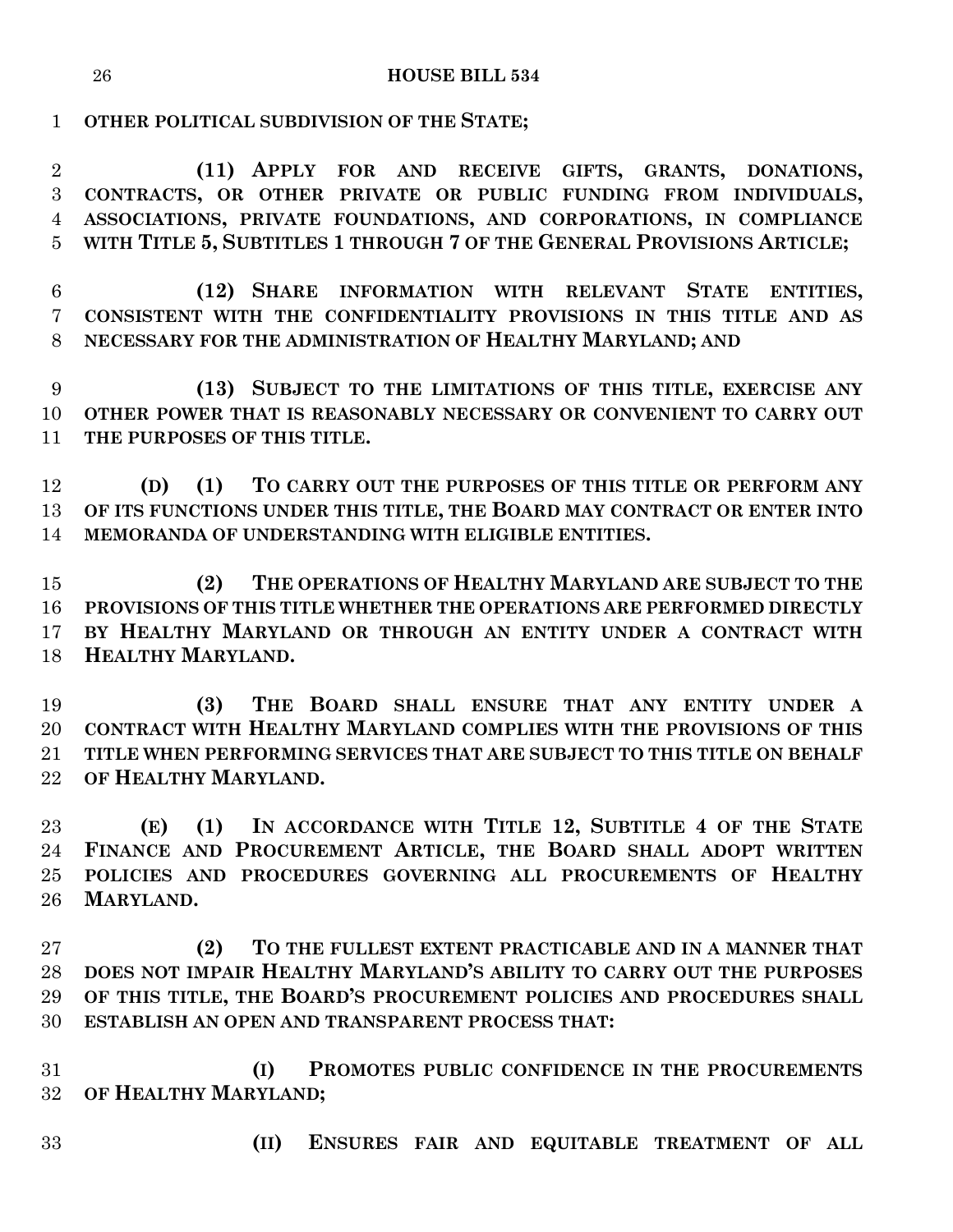**OTHER POLITICAL SUBDIVISION OF THE STATE;**

 **(11) APPLY FOR AND RECEIVE GIFTS, GRANTS, DONATIONS, CONTRACTS, OR OTHER PRIVATE OR PUBLIC FUNDING FROM INDIVIDUALS, ASSOCIATIONS, PRIVATE FOUNDATIONS, AND CORPORATIONS, IN COMPLIANCE WITH TITLE 5, SUBTITLES 1 THROUGH 7 OF THE GENERAL PROVISIONS ARTICLE;**

 **(12) SHARE INFORMATION WITH RELEVANT STATE ENTITIES, CONSISTENT WITH THE CONFIDENTIALITY PROVISIONS IN THIS TITLE AND AS NECESSARY FOR THE ADMINISTRATION OF HEALTHY MARYLAND; AND**

 **(13) SUBJECT TO THE LIMITATIONS OF THIS TITLE, EXERCISE ANY OTHER POWER THAT IS REASONABLY NECESSARY OR CONVENIENT TO CARRY OUT THE PURPOSES OF THIS TITLE.**

 **(D) (1) TO CARRY OUT THE PURPOSES OF THIS TITLE OR PERFORM ANY OF ITS FUNCTIONS UNDER THIS TITLE, THE BOARD MAY CONTRACT OR ENTER INTO MEMORANDA OF UNDERSTANDING WITH ELIGIBLE ENTITIES.**

 **(2) THE OPERATIONS OF HEALTHY MARYLAND ARE SUBJECT TO THE PROVISIONS OF THIS TITLE WHETHER THE OPERATIONS ARE PERFORMED DIRECTLY BY HEALTHY MARYLAND OR THROUGH AN ENTITY UNDER A CONTRACT WITH HEALTHY MARYLAND.**

 **(3) THE BOARD SHALL ENSURE THAT ANY ENTITY UNDER A CONTRACT WITH HEALTHY MARYLAND COMPLIES WITH THE PROVISIONS OF THIS TITLE WHEN PERFORMING SERVICES THAT ARE SUBJECT TO THIS TITLE ON BEHALF OF HEALTHY MARYLAND.**

 **(E) (1) IN ACCORDANCE WITH TITLE 12, SUBTITLE 4 OF THE STATE FINANCE AND PROCUREMENT ARTICLE, THE BOARD SHALL ADOPT WRITTEN POLICIES AND PROCEDURES GOVERNING ALL PROCUREMENTS OF HEALTHY MARYLAND.**

 **(2) TO THE FULLEST EXTENT PRACTICABLE AND IN A MANNER THAT DOES NOT IMPAIR HEALTHY MARYLAND'S ABILITY TO CARRY OUT THE PURPOSES OF THIS TITLE, THE BOARD'S PROCUREMENT POLICIES AND PROCEDURES SHALL ESTABLISH AN OPEN AND TRANSPARENT PROCESS THAT:**

 **(I) PROMOTES PUBLIC CONFIDENCE IN THE PROCUREMENTS OF HEALTHY MARYLAND;**

- 
- **(II) ENSURES FAIR AND EQUITABLE TREATMENT OF ALL**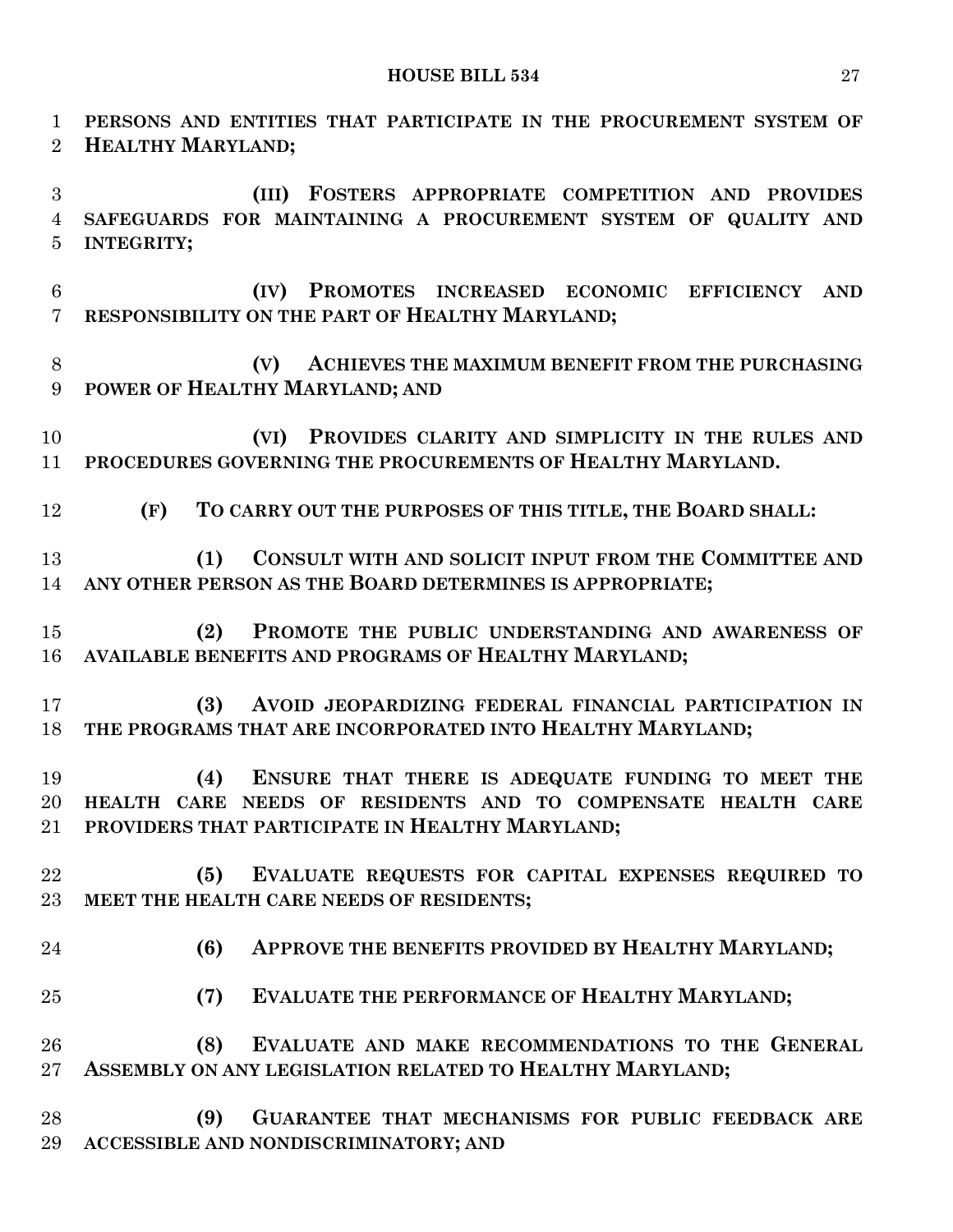**PERSONS AND ENTITIES THAT PARTICIPATE IN THE PROCUREMENT SYSTEM OF HEALTHY MARYLAND; (III) FOSTERS APPROPRIATE COMPETITION AND PROVIDES SAFEGUARDS FOR MAINTAINING A PROCUREMENT SYSTEM OF QUALITY AND INTEGRITY; (IV) PROMOTES INCREASED ECONOMIC EFFICIENCY AND RESPONSIBILITY ON THE PART OF HEALTHY MARYLAND; (V) ACHIEVES THE MAXIMUM BENEFIT FROM THE PURCHASING POWER OF HEALTHY MARYLAND; AND (VI) PROVIDES CLARITY AND SIMPLICITY IN THE RULES AND PROCEDURES GOVERNING THE PROCUREMENTS OF HEALTHY MARYLAND. (F) TO CARRY OUT THE PURPOSES OF THIS TITLE, THE BOARD SHALL: (1) CONSULT WITH AND SOLICIT INPUT FROM THE COMMITTEE AND ANY OTHER PERSON AS THE BOARD DETERMINES IS APPROPRIATE; (2) PROMOTE THE PUBLIC UNDERSTANDING AND AWARENESS OF AVAILABLE BENEFITS AND PROGRAMS OF HEALTHY MARYLAND; (3) AVOID JEOPARDIZING FEDERAL FINANCIAL PARTICIPATION IN THE PROGRAMS THAT ARE INCORPORATED INTO HEALTHY MARYLAND; (4) ENSURE THAT THERE IS ADEQUATE FUNDING TO MEET THE HEALTH CARE NEEDS OF RESIDENTS AND TO COMPENSATE HEALTH CARE PROVIDERS THAT PARTICIPATE IN HEALTHY MARYLAND; (5) EVALUATE REQUESTS FOR CAPITAL EXPENSES REQUIRED TO MEET THE HEALTH CARE NEEDS OF RESIDENTS; (6) APPROVE THE BENEFITS PROVIDED BY HEALTHY MARYLAND; (7) EVALUATE THE PERFORMANCE OF HEALTHY MARYLAND; (8) EVALUATE AND MAKE RECOMMENDATIONS TO THE GENERAL ASSEMBLY ON ANY LEGISLATION RELATED TO HEALTHY MARYLAND; (9) GUARANTEE THAT MECHANISMS FOR PUBLIC FEEDBACK ARE ACCESSIBLE AND NONDISCRIMINATORY; AND**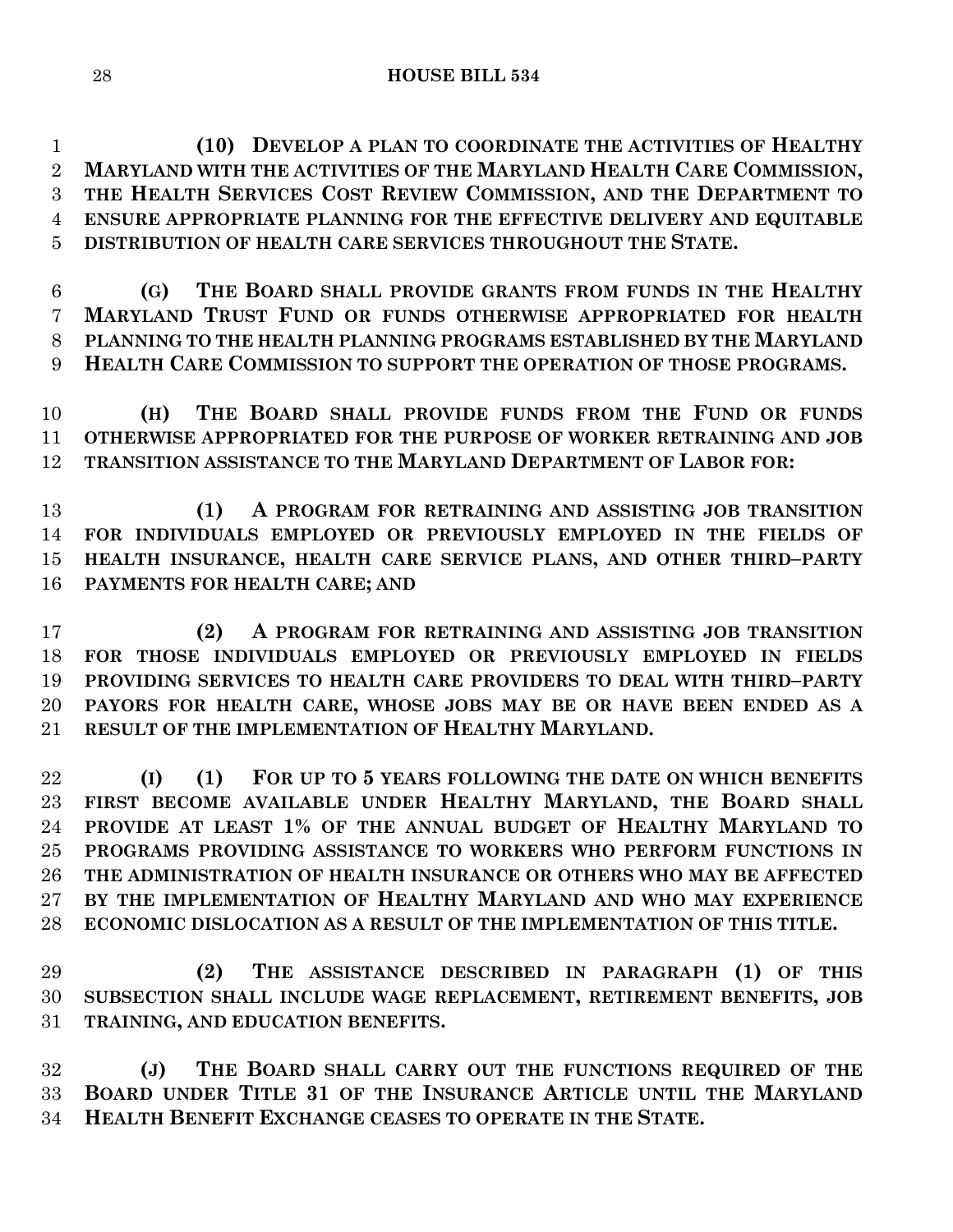**(10) DEVELOP A PLAN TO COORDINATE THE ACTIVITIES OF HEALTHY MARYLAND WITH THE ACTIVITIES OF THE MARYLAND HEALTH CARE COMMISSION, THE HEALTH SERVICES COST REVIEW COMMISSION, AND THE DEPARTMENT TO ENSURE APPROPRIATE PLANNING FOR THE EFFECTIVE DELIVERY AND EQUITABLE DISTRIBUTION OF HEALTH CARE SERVICES THROUGHOUT THE STATE.**

 **(G) THE BOARD SHALL PROVIDE GRANTS FROM FUNDS IN THE HEALTHY MARYLAND TRUST FUND OR FUNDS OTHERWISE APPROPRIATED FOR HEALTH PLANNING TO THE HEALTH PLANNING PROGRAMS ESTABLISHED BY THE MARYLAND HEALTH CARE COMMISSION TO SUPPORT THE OPERATION OF THOSE PROGRAMS.**

 **(H) THE BOARD SHALL PROVIDE FUNDS FROM THE FUND OR FUNDS OTHERWISE APPROPRIATED FOR THE PURPOSE OF WORKER RETRAINING AND JOB TRANSITION ASSISTANCE TO THE MARYLAND DEPARTMENT OF LABOR FOR:**

 **(1) A PROGRAM FOR RETRAINING AND ASSISTING JOB TRANSITION FOR INDIVIDUALS EMPLOYED OR PREVIOUSLY EMPLOYED IN THE FIELDS OF HEALTH INSURANCE, HEALTH CARE SERVICE PLANS, AND OTHER THIRD–PARTY PAYMENTS FOR HEALTH CARE; AND**

 **(2) A PROGRAM FOR RETRAINING AND ASSISTING JOB TRANSITION FOR THOSE INDIVIDUALS EMPLOYED OR PREVIOUSLY EMPLOYED IN FIELDS PROVIDING SERVICES TO HEALTH CARE PROVIDERS TO DEAL WITH THIRD–PARTY PAYORS FOR HEALTH CARE, WHOSE JOBS MAY BE OR HAVE BEEN ENDED AS A RESULT OF THE IMPLEMENTATION OF HEALTHY MARYLAND.**

 **(I) (1) FOR UP TO 5 YEARS FOLLOWING THE DATE ON WHICH BENEFITS FIRST BECOME AVAILABLE UNDER HEALTHY MARYLAND, THE BOARD SHALL PROVIDE AT LEAST 1% OF THE ANNUAL BUDGET OF HEALTHY MARYLAND TO PROGRAMS PROVIDING ASSISTANCE TO WORKERS WHO PERFORM FUNCTIONS IN THE ADMINISTRATION OF HEALTH INSURANCE OR OTHERS WHO MAY BE AFFECTED BY THE IMPLEMENTATION OF HEALTHY MARYLAND AND WHO MAY EXPERIENCE ECONOMIC DISLOCATION AS A RESULT OF THE IMPLEMENTATION OF THIS TITLE.**

 **(2) THE ASSISTANCE DESCRIBED IN PARAGRAPH (1) OF THIS SUBSECTION SHALL INCLUDE WAGE REPLACEMENT, RETIREMENT BENEFITS, JOB TRAINING, AND EDUCATION BENEFITS.**

 **(J) THE BOARD SHALL CARRY OUT THE FUNCTIONS REQUIRED OF THE BOARD UNDER TITLE 31 OF THE INSURANCE ARTICLE UNTIL THE MARYLAND HEALTH BENEFIT EXCHANGE CEASES TO OPERATE IN THE STATE.**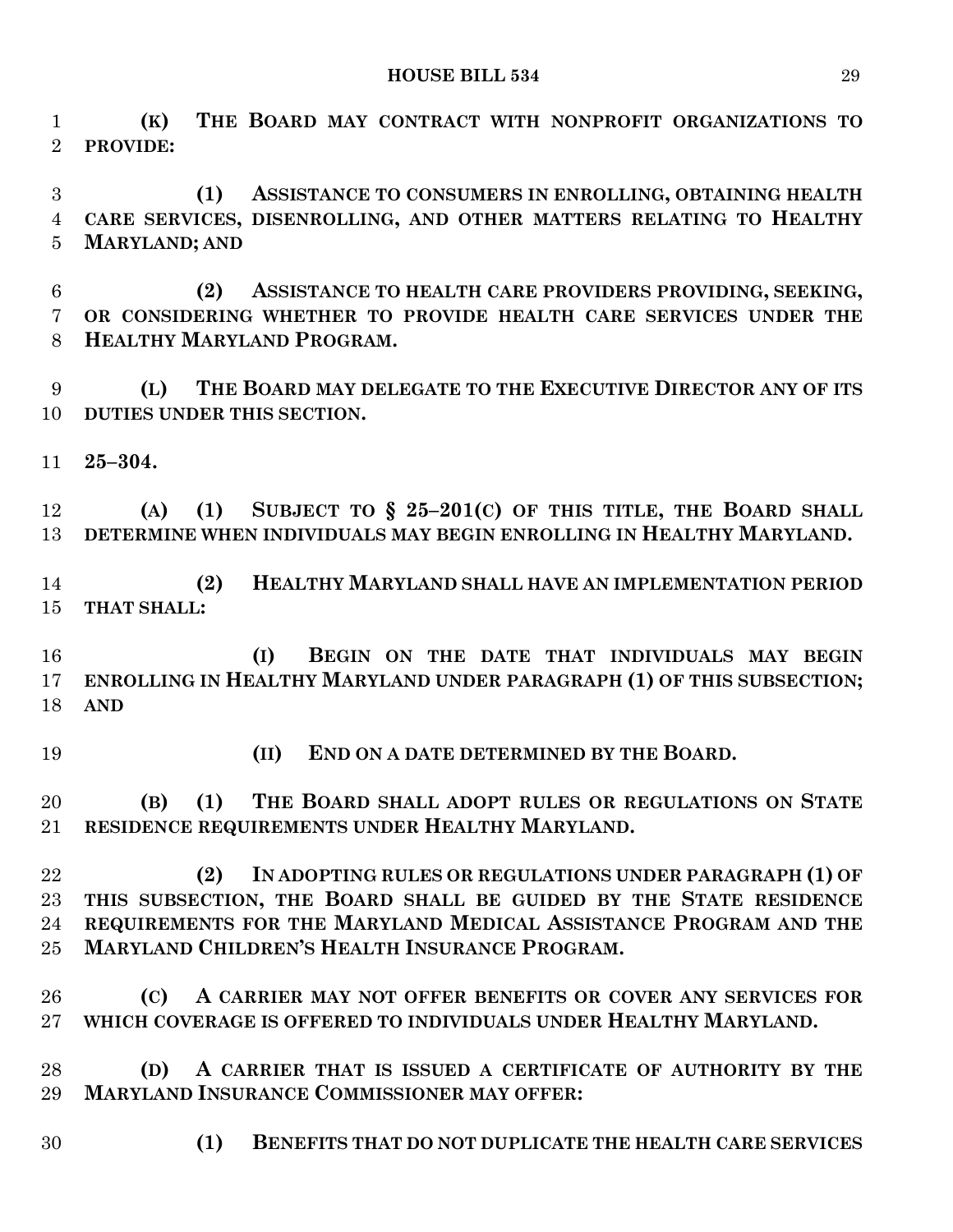**(K) THE BOARD MAY CONTRACT WITH NONPROFIT ORGANIZATIONS TO PROVIDE:**

 **(1) ASSISTANCE TO CONSUMERS IN ENROLLING, OBTAINING HEALTH CARE SERVICES, DISENROLLING, AND OTHER MATTERS RELATING TO HEALTHY MARYLAND; AND**

 **(2) ASSISTANCE TO HEALTH CARE PROVIDERS PROVIDING, SEEKING, OR CONSIDERING WHETHER TO PROVIDE HEALTH CARE SERVICES UNDER THE HEALTHY MARYLAND PROGRAM.**

 **(L) THE BOARD MAY DELEGATE TO THE EXECUTIVE DIRECTOR ANY OF ITS DUTIES UNDER THIS SECTION.**

**25–304.**

 **(A) (1) SUBJECT TO § 25–201(C) OF THIS TITLE, THE BOARD SHALL DETERMINE WHEN INDIVIDUALS MAY BEGIN ENROLLING IN HEALTHY MARYLAND.**

 **(2) HEALTHY MARYLAND SHALL HAVE AN IMPLEMENTATION PERIOD THAT SHALL:**

 **(I) BEGIN ON THE DATE THAT INDIVIDUALS MAY BEGIN ENROLLING IN HEALTHY MARYLAND UNDER PARAGRAPH (1) OF THIS SUBSECTION; AND**

**(II) END ON A DATE DETERMINED BY THE BOARD.**

 **(B) (1) THE BOARD SHALL ADOPT RULES OR REGULATIONS ON STATE RESIDENCE REQUIREMENTS UNDER HEALTHY MARYLAND.**

 **(2) IN ADOPTING RULES OR REGULATIONS UNDER PARAGRAPH (1) OF THIS SUBSECTION, THE BOARD SHALL BE GUIDED BY THE STATE RESIDENCE REQUIREMENTS FOR THE MARYLAND MEDICAL ASSISTANCE PROGRAM AND THE MARYLAND CHILDREN'S HEALTH INSURANCE PROGRAM.**

 **(C) A CARRIER MAY NOT OFFER BENEFITS OR COVER ANY SERVICES FOR WHICH COVERAGE IS OFFERED TO INDIVIDUALS UNDER HEALTHY MARYLAND.**

 **(D) A CARRIER THAT IS ISSUED A CERTIFICATE OF AUTHORITY BY THE MARYLAND INSURANCE COMMISSIONER MAY OFFER:**

**(1) BENEFITS THAT DO NOT DUPLICATE THE HEALTH CARE SERVICES**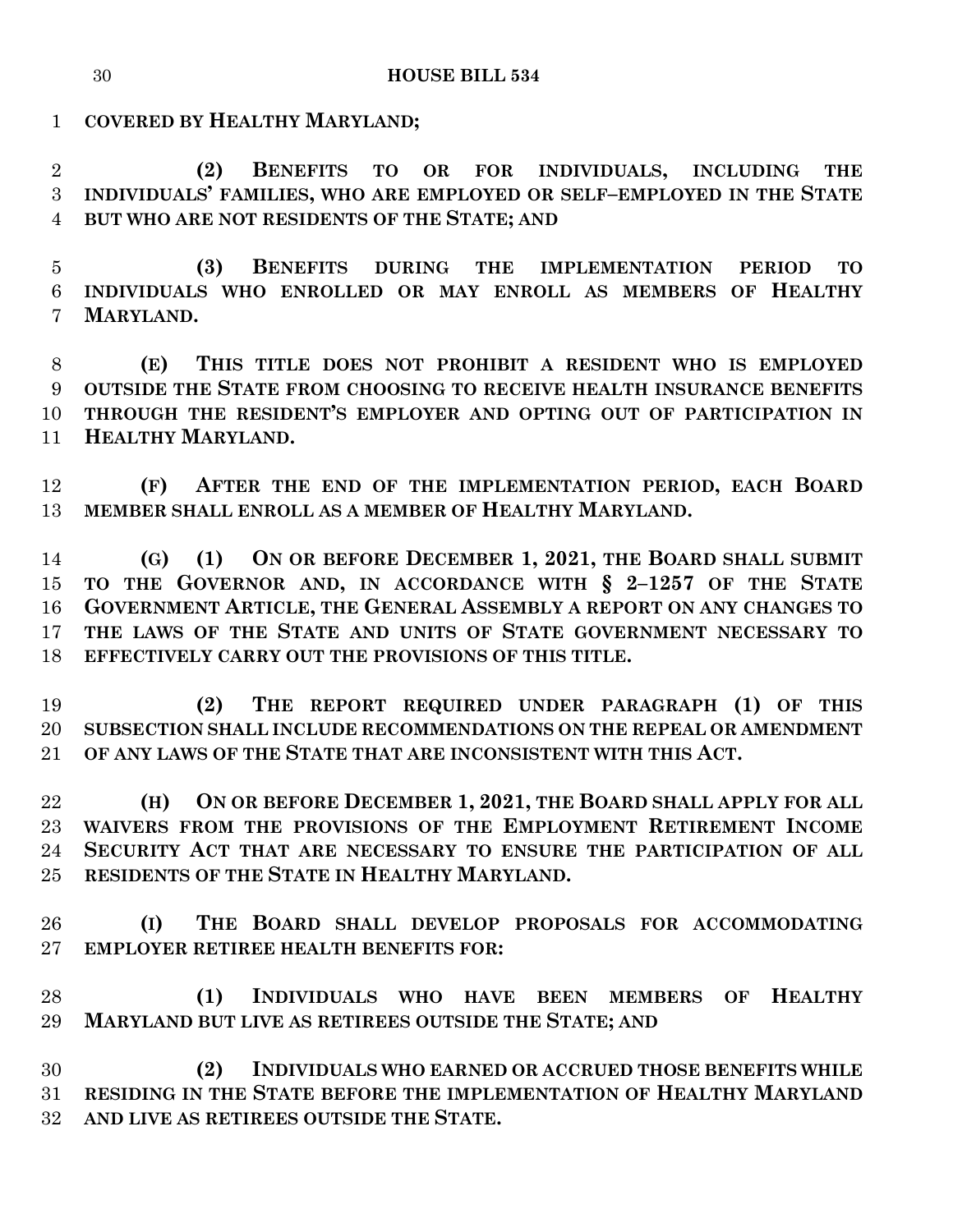**COVERED BY HEALTHY MARYLAND;**

 **(2) BENEFITS TO OR FOR INDIVIDUALS, INCLUDING THE INDIVIDUALS' FAMILIES, WHO ARE EMPLOYED OR SELF–EMPLOYED IN THE STATE BUT WHO ARE NOT RESIDENTS OF THE STATE; AND**

 **(3) BENEFITS DURING THE IMPLEMENTATION PERIOD TO INDIVIDUALS WHO ENROLLED OR MAY ENROLL AS MEMBERS OF HEALTHY MARYLAND.**

 **(E) THIS TITLE DOES NOT PROHIBIT A RESIDENT WHO IS EMPLOYED OUTSIDE THE STATE FROM CHOOSING TO RECEIVE HEALTH INSURANCE BENEFITS THROUGH THE RESIDENT'S EMPLOYER AND OPTING OUT OF PARTICIPATION IN HEALTHY MARYLAND.**

 **(F) AFTER THE END OF THE IMPLEMENTATION PERIOD, EACH BOARD MEMBER SHALL ENROLL AS A MEMBER OF HEALTHY MARYLAND.**

 **(G) (1) ON OR BEFORE DECEMBER 1, 2021, THE BOARD SHALL SUBMIT TO THE GOVERNOR AND, IN ACCORDANCE WITH § 2–1257 OF THE STATE GOVERNMENT ARTICLE, THE GENERAL ASSEMBLY A REPORT ON ANY CHANGES TO THE LAWS OF THE STATE AND UNITS OF STATE GOVERNMENT NECESSARY TO EFFECTIVELY CARRY OUT THE PROVISIONS OF THIS TITLE.**

 **(2) THE REPORT REQUIRED UNDER PARAGRAPH (1) OF THIS SUBSECTION SHALL INCLUDE RECOMMENDATIONS ON THE REPEAL OR AMENDMENT OF ANY LAWS OF THE STATE THAT ARE INCONSISTENT WITH THIS ACT.**

 **(H) ON OR BEFORE DECEMBER 1, 2021, THE BOARD SHALL APPLY FOR ALL WAIVERS FROM THE PROVISIONS OF THE EMPLOYMENT RETIREMENT INCOME SECURITY ACT THAT ARE NECESSARY TO ENSURE THE PARTICIPATION OF ALL RESIDENTS OF THE STATE IN HEALTHY MARYLAND.**

 **(I) THE BOARD SHALL DEVELOP PROPOSALS FOR ACCOMMODATING EMPLOYER RETIREE HEALTH BENEFITS FOR:**

 **(1) INDIVIDUALS WHO HAVE BEEN MEMBERS OF HEALTHY MARYLAND BUT LIVE AS RETIREES OUTSIDE THE STATE; AND**

 **(2) INDIVIDUALS WHO EARNED OR ACCRUED THOSE BENEFITS WHILE RESIDING IN THE STATE BEFORE THE IMPLEMENTATION OF HEALTHY MARYLAND AND LIVE AS RETIREES OUTSIDE THE STATE.**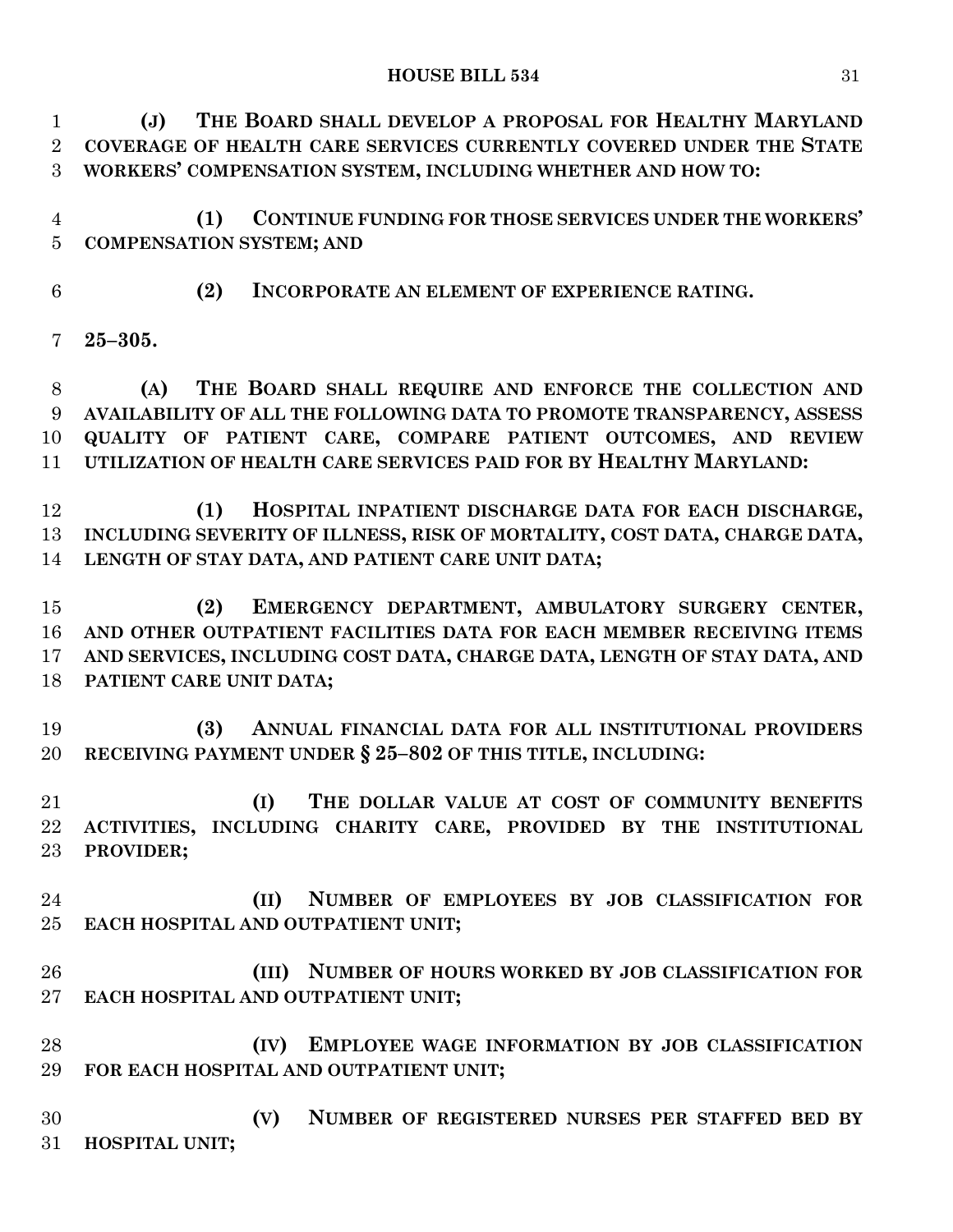**(J) THE BOARD SHALL DEVELOP A PROPOSAL FOR HEALTHY MARYLAND COVERAGE OF HEALTH CARE SERVICES CURRENTLY COVERED UNDER THE STATE WORKERS' COMPENSATION SYSTEM, INCLUDING WHETHER AND HOW TO:**

 **(1) CONTINUE FUNDING FOR THOSE SERVICES UNDER THE WORKERS' COMPENSATION SYSTEM; AND**

**(2) INCORPORATE AN ELEMENT OF EXPERIENCE RATING.**

**25–305.**

 **(A) THE BOARD SHALL REQUIRE AND ENFORCE THE COLLECTION AND AVAILABILITY OF ALL THE FOLLOWING DATA TO PROMOTE TRANSPARENCY, ASSESS QUALITY OF PATIENT CARE, COMPARE PATIENT OUTCOMES, AND REVIEW UTILIZATION OF HEALTH CARE SERVICES PAID FOR BY HEALTHY MARYLAND:**

 **(1) HOSPITAL INPATIENT DISCHARGE DATA FOR EACH DISCHARGE, INCLUDING SEVERITY OF ILLNESS, RISK OF MORTALITY, COST DATA, CHARGE DATA, LENGTH OF STAY DATA, AND PATIENT CARE UNIT DATA;**

 **(2) EMERGENCY DEPARTMENT, AMBULATORY SURGERY CENTER, AND OTHER OUTPATIENT FACILITIES DATA FOR EACH MEMBER RECEIVING ITEMS AND SERVICES, INCLUDING COST DATA, CHARGE DATA, LENGTH OF STAY DATA, AND PATIENT CARE UNIT DATA;**

 **(3) ANNUAL FINANCIAL DATA FOR ALL INSTITUTIONAL PROVIDERS RECEIVING PAYMENT UNDER § 25–802 OF THIS TITLE, INCLUDING:**

 **(I) THE DOLLAR VALUE AT COST OF COMMUNITY BENEFITS ACTIVITIES, INCLUDING CHARITY CARE, PROVIDED BY THE INSTITUTIONAL PROVIDER;**

 **(II) NUMBER OF EMPLOYEES BY JOB CLASSIFICATION FOR EACH HOSPITAL AND OUTPATIENT UNIT;**

 **(III) NUMBER OF HOURS WORKED BY JOB CLASSIFICATION FOR EACH HOSPITAL AND OUTPATIENT UNIT;**

 **(IV) EMPLOYEE WAGE INFORMATION BY JOB CLASSIFICATION FOR EACH HOSPITAL AND OUTPATIENT UNIT;**

 **(V) NUMBER OF REGISTERED NURSES PER STAFFED BED BY HOSPITAL UNIT;**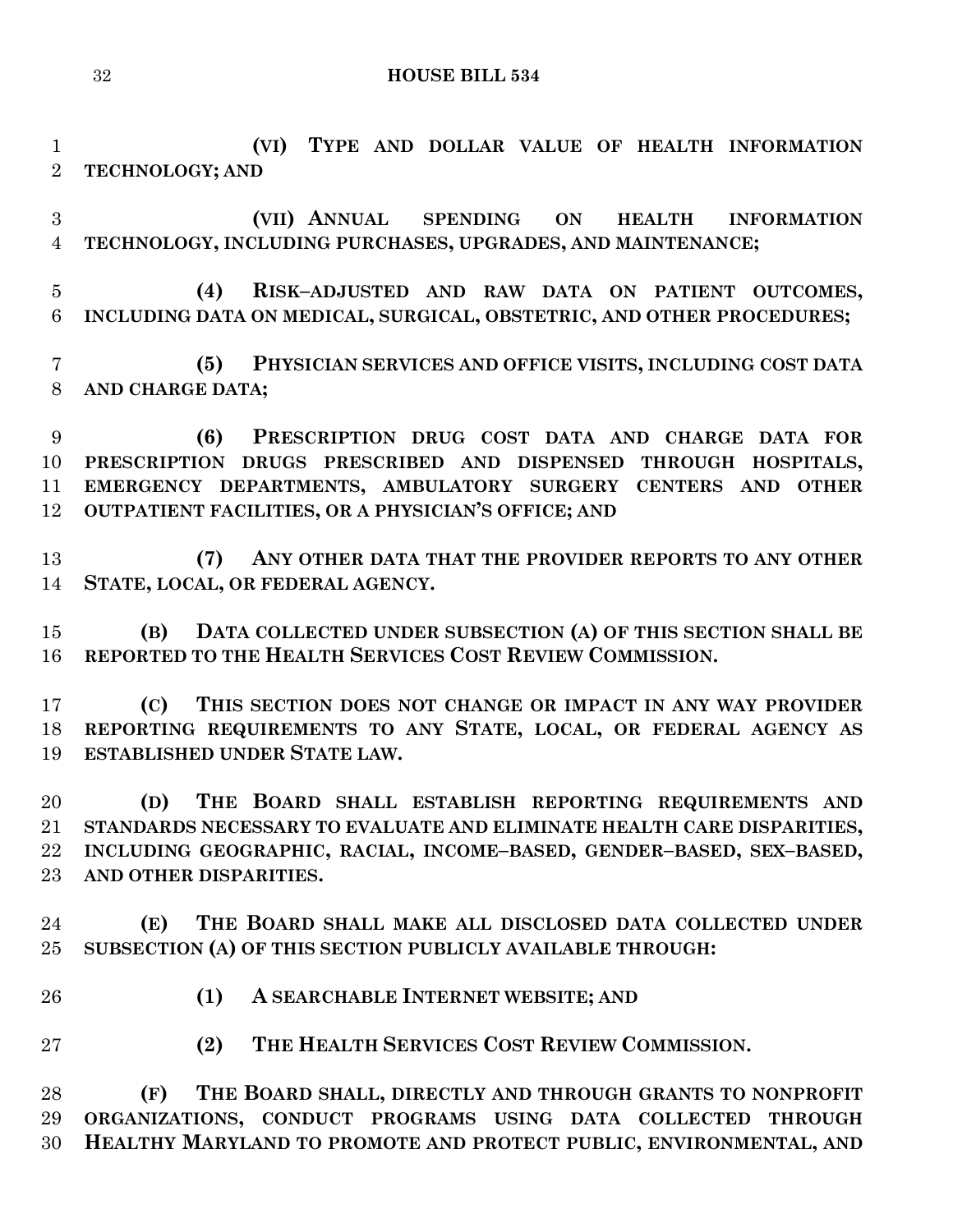**(VI) TYPE AND DOLLAR VALUE OF HEALTH INFORMATION TECHNOLOGY; AND**

 **(VII) ANNUAL SPENDING ON HEALTH INFORMATION TECHNOLOGY, INCLUDING PURCHASES, UPGRADES, AND MAINTENANCE;**

 **(4) RISK–ADJUSTED AND RAW DATA ON PATIENT OUTCOMES, INCLUDING DATA ON MEDICAL, SURGICAL, OBSTETRIC, AND OTHER PROCEDURES;**

 **(5) PHYSICIAN SERVICES AND OFFICE VISITS, INCLUDING COST DATA AND CHARGE DATA;**

 **(6) PRESCRIPTION DRUG COST DATA AND CHARGE DATA FOR PRESCRIPTION DRUGS PRESCRIBED AND DISPENSED THROUGH HOSPITALS, EMERGENCY DEPARTMENTS, AMBULATORY SURGERY CENTERS AND OTHER OUTPATIENT FACILITIES, OR A PHYSICIAN'S OFFICE; AND**

 **(7) ANY OTHER DATA THAT THE PROVIDER REPORTS TO ANY OTHER STATE, LOCAL, OR FEDERAL AGENCY.**

 **(B) DATA COLLECTED UNDER SUBSECTION (A) OF THIS SECTION SHALL BE REPORTED TO THE HEALTH SERVICES COST REVIEW COMMISSION.**

 **(C) THIS SECTION DOES NOT CHANGE OR IMPACT IN ANY WAY PROVIDER REPORTING REQUIREMENTS TO ANY STATE, LOCAL, OR FEDERAL AGENCY AS ESTABLISHED UNDER STATE LAW.**

 **(D) THE BOARD SHALL ESTABLISH REPORTING REQUIREMENTS AND STANDARDS NECESSARY TO EVALUATE AND ELIMINATE HEALTH CARE DISPARITIES, INCLUDING GEOGRAPHIC, RACIAL, INCOME–BASED, GENDER–BASED, SEX–BASED, AND OTHER DISPARITIES.**

 **(E) THE BOARD SHALL MAKE ALL DISCLOSED DATA COLLECTED UNDER SUBSECTION (A) OF THIS SECTION PUBLICLY AVAILABLE THROUGH:**

- **(1) A SEARCHABLE INTERNET WEBSITE; AND**
- **(2) THE HEALTH SERVICES COST REVIEW COMMISSION.**

 **(F) THE BOARD SHALL, DIRECTLY AND THROUGH GRANTS TO NONPROFIT ORGANIZATIONS, CONDUCT PROGRAMS USING DATA COLLECTED THROUGH HEALTHY MARYLAND TO PROMOTE AND PROTECT PUBLIC, ENVIRONMENTAL, AND**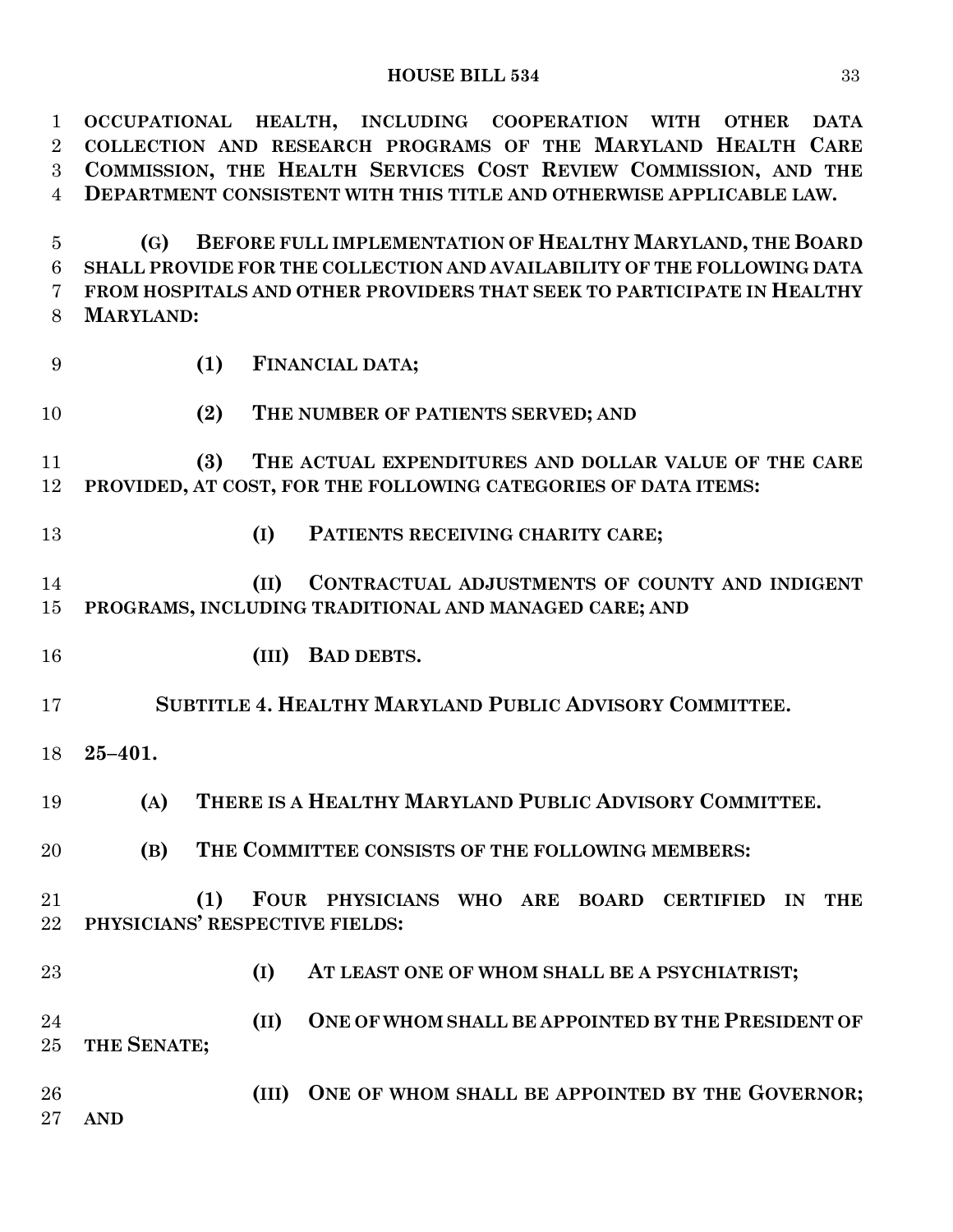| $\mathbf{1}$   | OCCUPATIONAL HEALTH, INCLUDING COOPERATION WITH<br><b>OTHER</b><br><b>DATA</b> |
|----------------|--------------------------------------------------------------------------------|
| $\overline{2}$ | COLLECTION AND RESEARCH PROGRAMS OF THE MARYLAND HEALTH CARE                   |
| 3              | COMMISSION, THE HEALTH SERVICES COST REVIEW COMMISSION, AND THE                |
| $\overline{4}$ | DEPARTMENT CONSISTENT WITH THIS TITLE AND OTHERWISE APPLICABLE LAW.            |
|                |                                                                                |
| 5              | BEFORE FULL IMPLEMENTATION OF HEALTHY MARYLAND, THE BOARD<br>(G)               |
| 6              | SHALL PROVIDE FOR THE COLLECTION AND AVAILABILITY OF THE FOLLOWING DATA        |
| 7              | FROM HOSPITALS AND OTHER PROVIDERS THAT SEEK TO PARTICIPATE IN HEALTHY         |
|                |                                                                                |
| 8              | <b>MARYLAND:</b>                                                               |
| 9              | (1)<br>FINANCIAL DATA;                                                         |
| 10             | (2)<br>THE NUMBER OF PATIENTS SERVED; AND                                      |
| 11             | THE ACTUAL EXPENDITURES AND DOLLAR VALUE OF THE CARE<br>(3)                    |
| 12             | PROVIDED, AT COST, FOR THE FOLLOWING CATEGORIES OF DATA ITEMS:                 |
|                |                                                                                |
| 13             | (I)<br>PATIENTS RECEIVING CHARITY CARE;                                        |
| 14             | CONTRACTUAL ADJUSTMENTS OF COUNTY AND INDIGENT<br>(II)                         |
| 15             | PROGRAMS, INCLUDING TRADITIONAL AND MANAGED CARE; AND                          |
|                |                                                                                |
| 16             | <b>BAD DEBTS.</b><br>(III)                                                     |
| 17             | SUBTITLE 4. HEALTHY MARYLAND PUBLIC ADVISORY COMMITTEE.                        |
| 18             | $25 - 401.$                                                                    |
| 19             | THERE IS A HEALTHY MARYLAND PUBLIC ADVISORY COMMITTEE.<br>(A)                  |
| 20             | (B)<br>THE COMMITTEE CONSISTS OF THE FOLLOWING MEMBERS:                        |
| 21             | FOUR PHYSICIANS WHO ARE BOARD CERTIFIED<br>(1)<br>$\mathbf{I}$ N<br><b>THE</b> |
| 22             | PHYSICIANS' RESPECTIVE FIELDS:                                                 |
|                |                                                                                |
| 23             | (I)<br>AT LEAST ONE OF WHOM SHALL BE A PSYCHIATRIST;                           |
| 24             | ONE OF WHOM SHALL BE APPOINTED BY THE PRESIDENT OF<br>(II)                     |
| 25             | THE SENATE;                                                                    |
|                |                                                                                |
| 26             | ONE OF WHOM SHALL BE APPOINTED BY THE GOVERNOR;<br>(III)                       |
| 27             | <b>AND</b>                                                                     |
|                |                                                                                |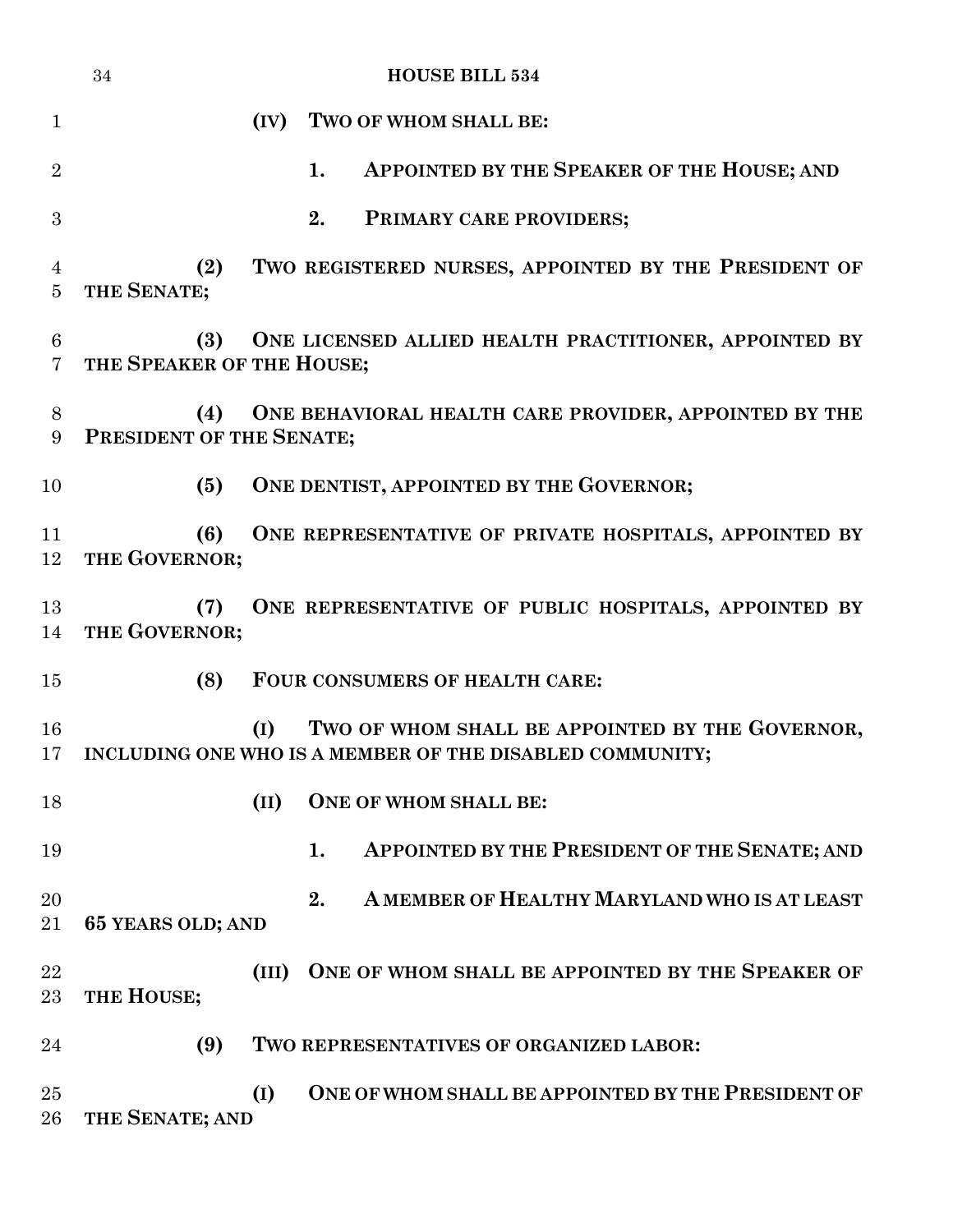|                                   | 34<br><b>HOUSE BILL 534</b>                                                                                           |
|-----------------------------------|-----------------------------------------------------------------------------------------------------------------------|
| $\mathbf{1}$                      | TWO OF WHOM SHALL BE:<br>(IV)                                                                                         |
| $\overline{2}$                    | 1.<br>APPOINTED BY THE SPEAKER OF THE HOUSE; AND                                                                      |
| 3                                 | 2.<br>PRIMARY CARE PROVIDERS;                                                                                         |
| 4<br>$\overline{5}$               | TWO REGISTERED NURSES, APPOINTED BY THE PRESIDENT OF<br>(2)<br>THE SENATE;                                            |
| $6\phantom{.}6$<br>$\overline{7}$ | (3)<br>ONE LICENSED ALLIED HEALTH PRACTITIONER, APPOINTED BY<br>THE SPEAKER OF THE HOUSE;                             |
| $8\phantom{1}$<br>$9\phantom{.}$  | (4)<br>ONE BEHAVIORAL HEALTH CARE PROVIDER, APPOINTED BY THE<br>PRESIDENT OF THE SENATE;                              |
| 10                                | ONE DENTIST, APPOINTED BY THE GOVERNOR;<br>(5)                                                                        |
| 11<br>12                          | ONE REPRESENTATIVE OF PRIVATE HOSPITALS, APPOINTED BY<br>(6)<br>THE GOVERNOR;                                         |
| 13<br>14                          | ONE REPRESENTATIVE OF PUBLIC HOSPITALS, APPOINTED BY<br>(7)<br>THE GOVERNOR;                                          |
| 15                                | (8)<br>FOUR CONSUMERS OF HEALTH CARE:                                                                                 |
| 16                                | TWO OF WHOM SHALL BE APPOINTED BY THE GOVERNOR,<br>(I)<br>17 INCLUDING ONE WHO IS A MEMBER OF THE DISABLED COMMUNITY; |
| 18                                | (II)<br><b>ONE OF WHOM SHALL BE:</b>                                                                                  |
| 19                                | 1.<br>APPOINTED BY THE PRESIDENT OF THE SENATE; AND                                                                   |
| 20<br>21                          | A MEMBER OF HEALTHY MARYLAND WHO IS AT LEAST<br>2.<br>65 YEARS OLD; AND                                               |
|                                   |                                                                                                                       |
| 22<br>23                          | ONE OF WHOM SHALL BE APPOINTED BY THE SPEAKER OF<br>(III)<br>THE HOUSE;                                               |
| 24                                | (9)<br>TWO REPRESENTATIVES OF ORGANIZED LABOR:                                                                        |
| 25<br>26                          | (I)<br>ONE OF WHOM SHALL BE APPOINTED BY THE PRESIDENT OF<br>THE SENATE; AND                                          |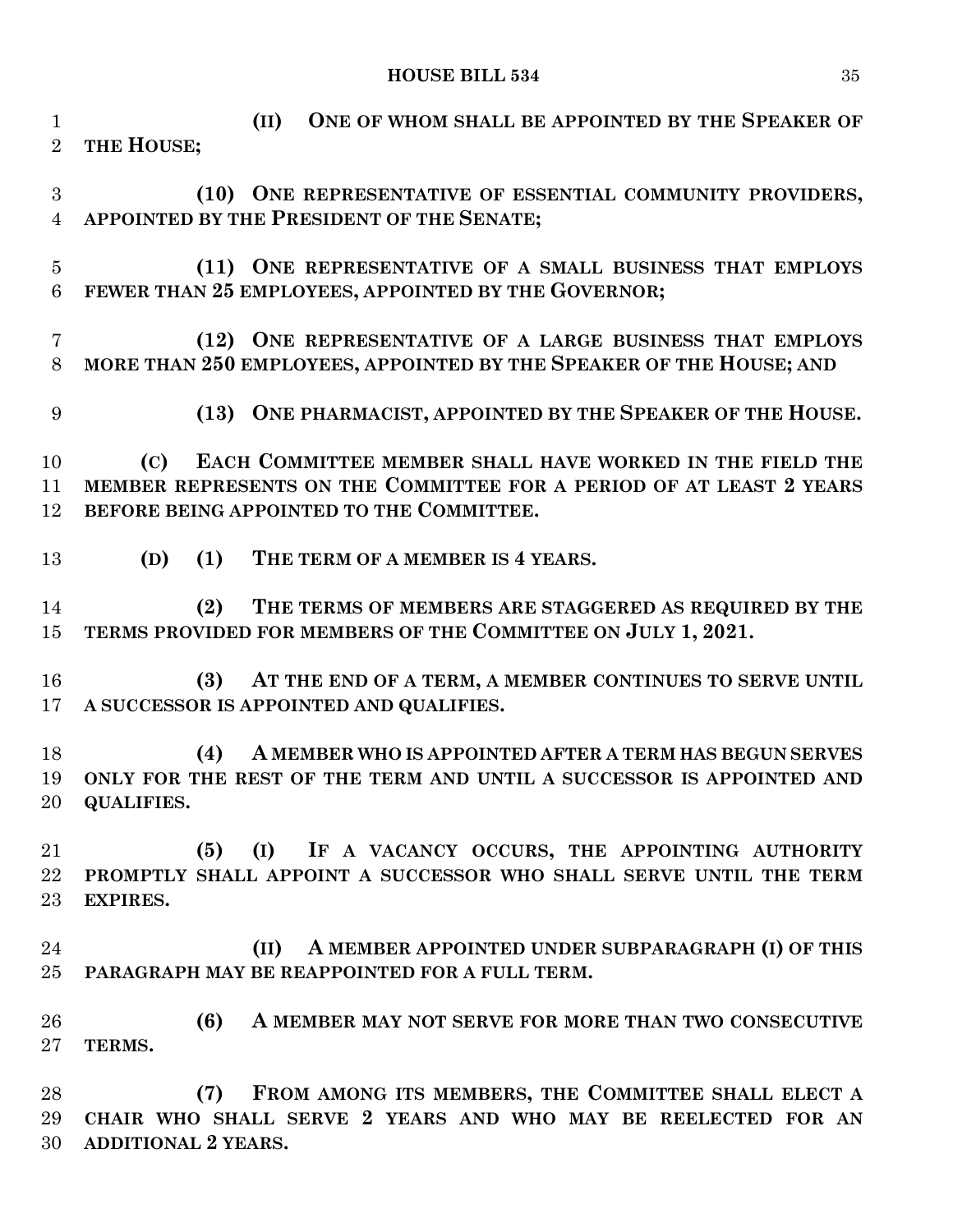**(II) ONE OF WHOM SHALL BE APPOINTED BY THE SPEAKER OF THE HOUSE; (10) ONE REPRESENTATIVE OF ESSENTIAL COMMUNITY PROVIDERS, APPOINTED BY THE PRESIDENT OF THE SENATE; (11) ONE REPRESENTATIVE OF A SMALL BUSINESS THAT EMPLOYS FEWER THAN 25 EMPLOYEES, APPOINTED BY THE GOVERNOR; (12) ONE REPRESENTATIVE OF A LARGE BUSINESS THAT EMPLOYS MORE THAN 250 EMPLOYEES, APPOINTED BY THE SPEAKER OF THE HOUSE; AND (13) ONE PHARMACIST, APPOINTED BY THE SPEAKER OF THE HOUSE. (C) EACH COMMITTEE MEMBER SHALL HAVE WORKED IN THE FIELD THE MEMBER REPRESENTS ON THE COMMITTEE FOR A PERIOD OF AT LEAST 2 YEARS BEFORE BEING APPOINTED TO THE COMMITTEE. (D) (1) THE TERM OF A MEMBER IS 4 YEARS. (2) THE TERMS OF MEMBERS ARE STAGGERED AS REQUIRED BY THE TERMS PROVIDED FOR MEMBERS OF THE COMMITTEE ON JULY 1, 2021. (3) AT THE END OF A TERM, A MEMBER CONTINUES TO SERVE UNTIL A SUCCESSOR IS APPOINTED AND QUALIFIES. (4) A MEMBER WHO IS APPOINTED AFTER A TERM HAS BEGUN SERVES ONLY FOR THE REST OF THE TERM AND UNTIL A SUCCESSOR IS APPOINTED AND QUALIFIES. (5) (I) IF A VACANCY OCCURS, THE APPOINTING AUTHORITY PROMPTLY SHALL APPOINT A SUCCESSOR WHO SHALL SERVE UNTIL THE TERM EXPIRES. (II) A MEMBER APPOINTED UNDER SUBPARAGRAPH (I) OF THIS PARAGRAPH MAY BE REAPPOINTED FOR A FULL TERM. (6) A MEMBER MAY NOT SERVE FOR MORE THAN TWO CONSECUTIVE TERMS. (7) FROM AMONG ITS MEMBERS, THE COMMITTEE SHALL ELECT A CHAIR WHO SHALL SERVE 2 YEARS AND WHO MAY BE REELECTED FOR AN**

**ADDITIONAL 2 YEARS.**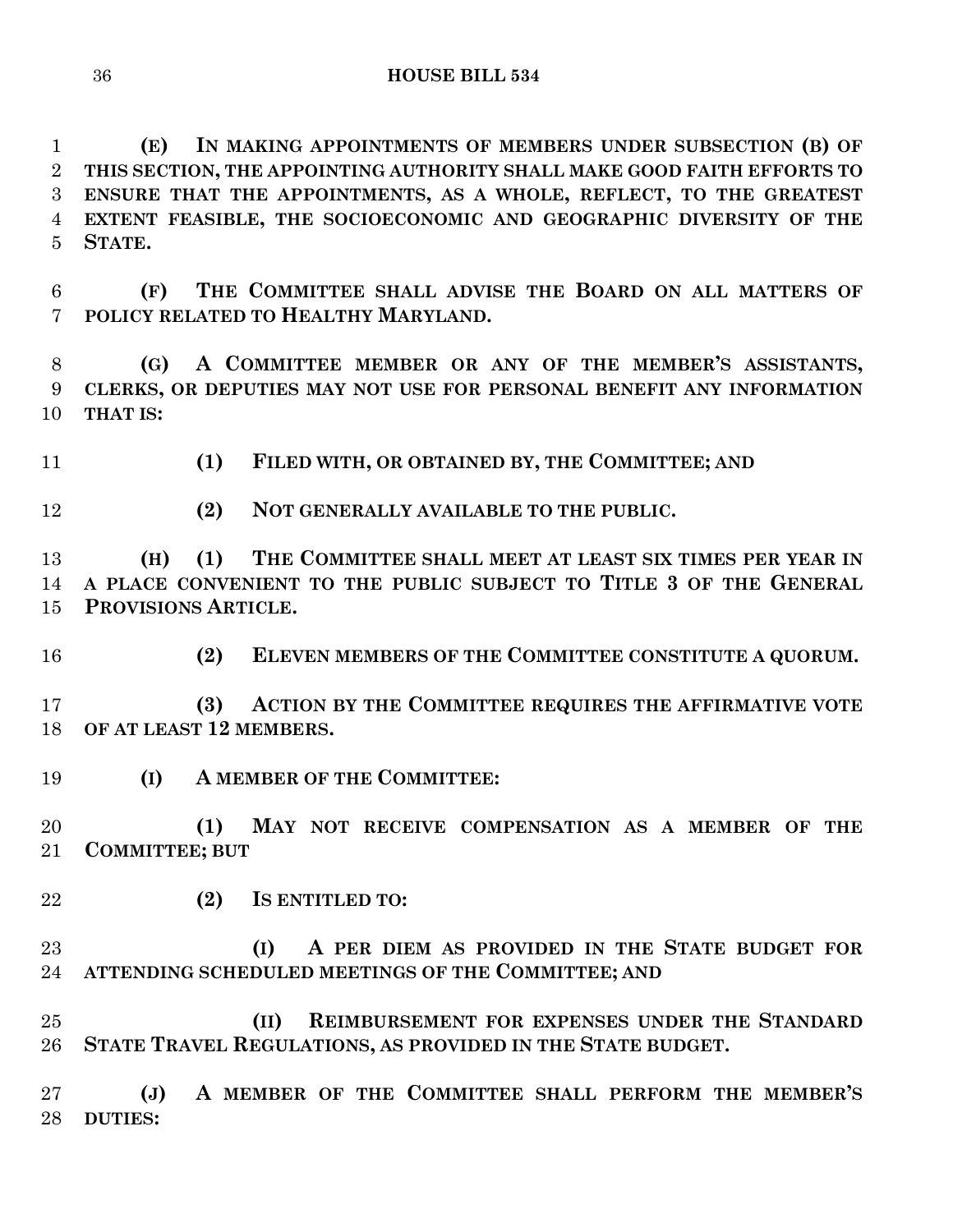**(E) IN MAKING APPOINTMENTS OF MEMBERS UNDER SUBSECTION (B) OF THIS SECTION, THE APPOINTING AUTHORITY SHALL MAKE GOOD FAITH EFFORTS TO ENSURE THAT THE APPOINTMENTS, AS A WHOLE, REFLECT, TO THE GREATEST EXTENT FEASIBLE, THE SOCIOECONOMIC AND GEOGRAPHIC DIVERSITY OF THE STATE.**

 **(F) THE COMMITTEE SHALL ADVISE THE BOARD ON ALL MATTERS OF POLICY RELATED TO HEALTHY MARYLAND.**

 **(G) A COMMITTEE MEMBER OR ANY OF THE MEMBER'S ASSISTANTS, CLERKS, OR DEPUTIES MAY NOT USE FOR PERSONAL BENEFIT ANY INFORMATION THAT IS:**

**(1) FILED WITH, OR OBTAINED BY, THE COMMITTEE; AND**

**(2) NOT GENERALLY AVAILABLE TO THE PUBLIC.**

 **(H) (1) THE COMMITTEE SHALL MEET AT LEAST SIX TIMES PER YEAR IN A PLACE CONVENIENT TO THE PUBLIC SUBJECT TO TITLE 3 OF THE GENERAL PROVISIONS ARTICLE.**

**(2) ELEVEN MEMBERS OF THE COMMITTEE CONSTITUTE A QUORUM.**

 **(3) ACTION BY THE COMMITTEE REQUIRES THE AFFIRMATIVE VOTE OF AT LEAST 12 MEMBERS.**

**(I) A MEMBER OF THE COMMITTEE:**

 **(1) MAY NOT RECEIVE COMPENSATION AS A MEMBER OF THE COMMITTEE; BUT**

**(2) IS ENTITLED TO:**

 **(I) A PER DIEM AS PROVIDED IN THE STATE BUDGET FOR ATTENDING SCHEDULED MEETINGS OF THE COMMITTEE; AND**

 **(II) REIMBURSEMENT FOR EXPENSES UNDER THE STANDARD STATE TRAVEL REGULATIONS, AS PROVIDED IN THE STATE BUDGET.**

 **(J) A MEMBER OF THE COMMITTEE SHALL PERFORM THE MEMBER'S DUTIES:**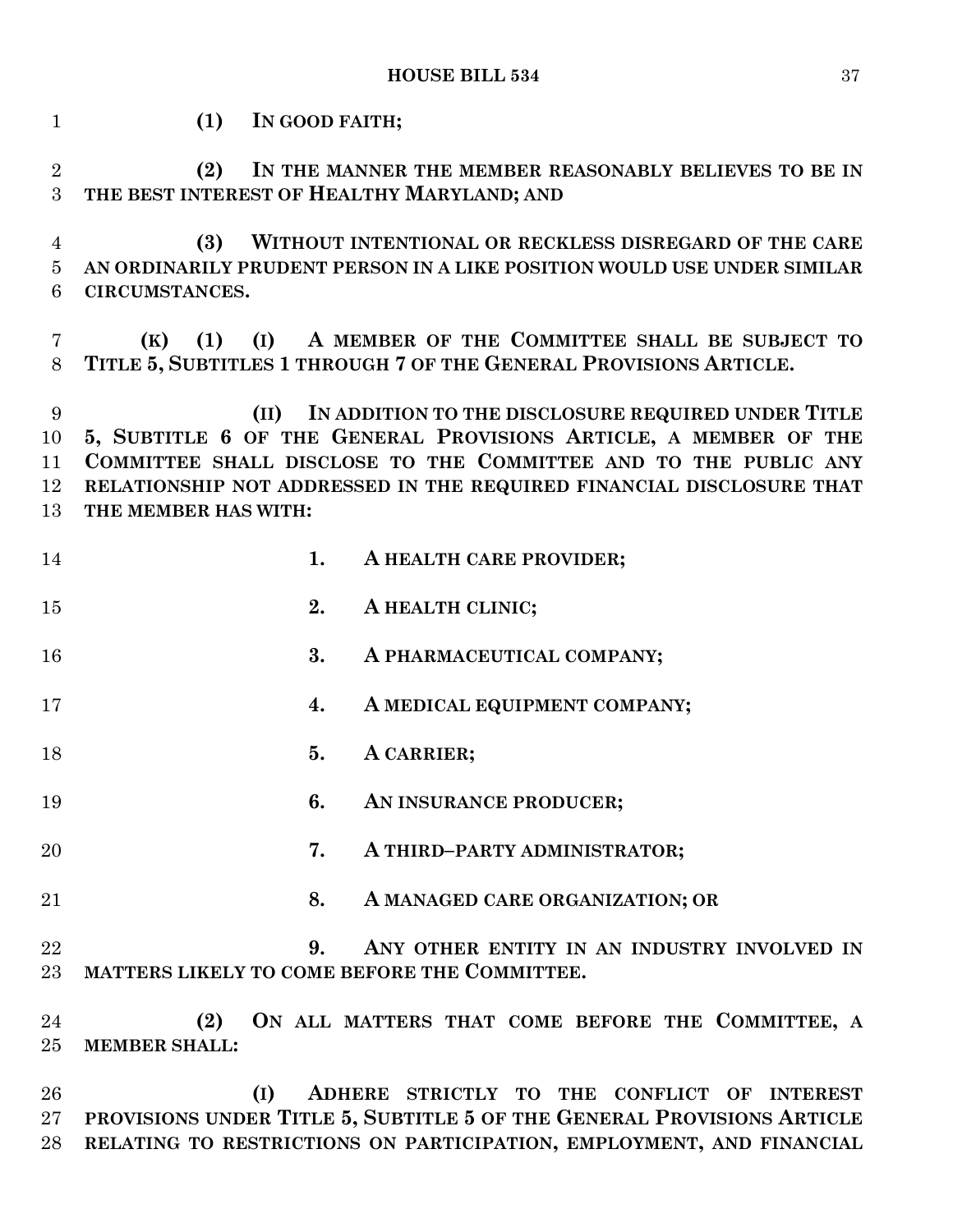| $\mathbf{1}$              | (1)<br>IN GOOD FAITH;                                                                                                                                                                                                                                                                             |
|---------------------------|---------------------------------------------------------------------------------------------------------------------------------------------------------------------------------------------------------------------------------------------------------------------------------------------------|
| $\overline{2}$<br>3       | (2)<br>IN THE MANNER THE MEMBER REASONABLY BELIEVES TO BE IN<br>THE BEST INTEREST OF HEALTHY MARYLAND; AND                                                                                                                                                                                        |
| 4<br>$\overline{5}$       | WITHOUT INTENTIONAL OR RECKLESS DISREGARD OF THE CARE<br>(3)<br>AN ORDINARILY PRUDENT PERSON IN A LIKE POSITION WOULD USE UNDER SIMILAR                                                                                                                                                           |
| 6                         | CIRCUMSTANCES.                                                                                                                                                                                                                                                                                    |
| 7<br>8                    | A MEMBER OF THE COMMITTEE SHALL BE SUBJECT TO<br>(K)<br>(1)<br>(I)<br>TITLE 5, SUBTITLES 1 THROUGH 7 OF THE GENERAL PROVISIONS ARTICLE.                                                                                                                                                           |
| 9<br>10<br>11<br>12<br>13 | IN ADDITION TO THE DISCLOSURE REQUIRED UNDER TITLE<br>(II)<br>5, SUBTITLE 6 OF THE GENERAL PROVISIONS ARTICLE, A MEMBER OF THE<br>COMMITTEE SHALL DISCLOSE TO THE COMMITTEE AND TO THE PUBLIC ANY<br>RELATIONSHIP NOT ADDRESSED IN THE REQUIRED FINANCIAL DISCLOSURE THAT<br>THE MEMBER HAS WITH: |
| 14                        | 1.<br>A HEALTH CARE PROVIDER;                                                                                                                                                                                                                                                                     |
| 15                        | 2.<br>A HEALTH CLINIC;                                                                                                                                                                                                                                                                            |
| 16                        | 3.<br>A PHARMACEUTICAL COMPANY;                                                                                                                                                                                                                                                                   |
| 17                        | A MEDICAL EQUIPMENT COMPANY;<br>4.                                                                                                                                                                                                                                                                |
| 18                        | 5.<br>A CARRIER;                                                                                                                                                                                                                                                                                  |
| 19                        | 6.<br>AN INSURANCE PRODUCER;                                                                                                                                                                                                                                                                      |
| 20                        | 7.<br>A THIRD-PARTY ADMINISTRATOR;                                                                                                                                                                                                                                                                |
| 21                        | 8.<br>A MANAGED CARE ORGANIZATION; OR                                                                                                                                                                                                                                                             |
| 22<br>23                  | ANY OTHER ENTITY IN AN INDUSTRY INVOLVED IN<br>9.<br>MATTERS LIKELY TO COME BEFORE THE COMMITTEE.                                                                                                                                                                                                 |
| 24<br>$25\,$              | ON ALL MATTERS THAT COME BEFORE THE COMMITTEE, A<br>(2)<br><b>MEMBER SHALL:</b>                                                                                                                                                                                                                   |
|                           |                                                                                                                                                                                                                                                                                                   |

 **(I) ADHERE STRICTLY TO THE CONFLICT OF INTEREST PROVISIONS UNDER TITLE 5, SUBTITLE 5 OF THE GENERAL PROVISIONS ARTICLE RELATING TO RESTRICTIONS ON PARTICIPATION, EMPLOYMENT, AND FINANCIAL**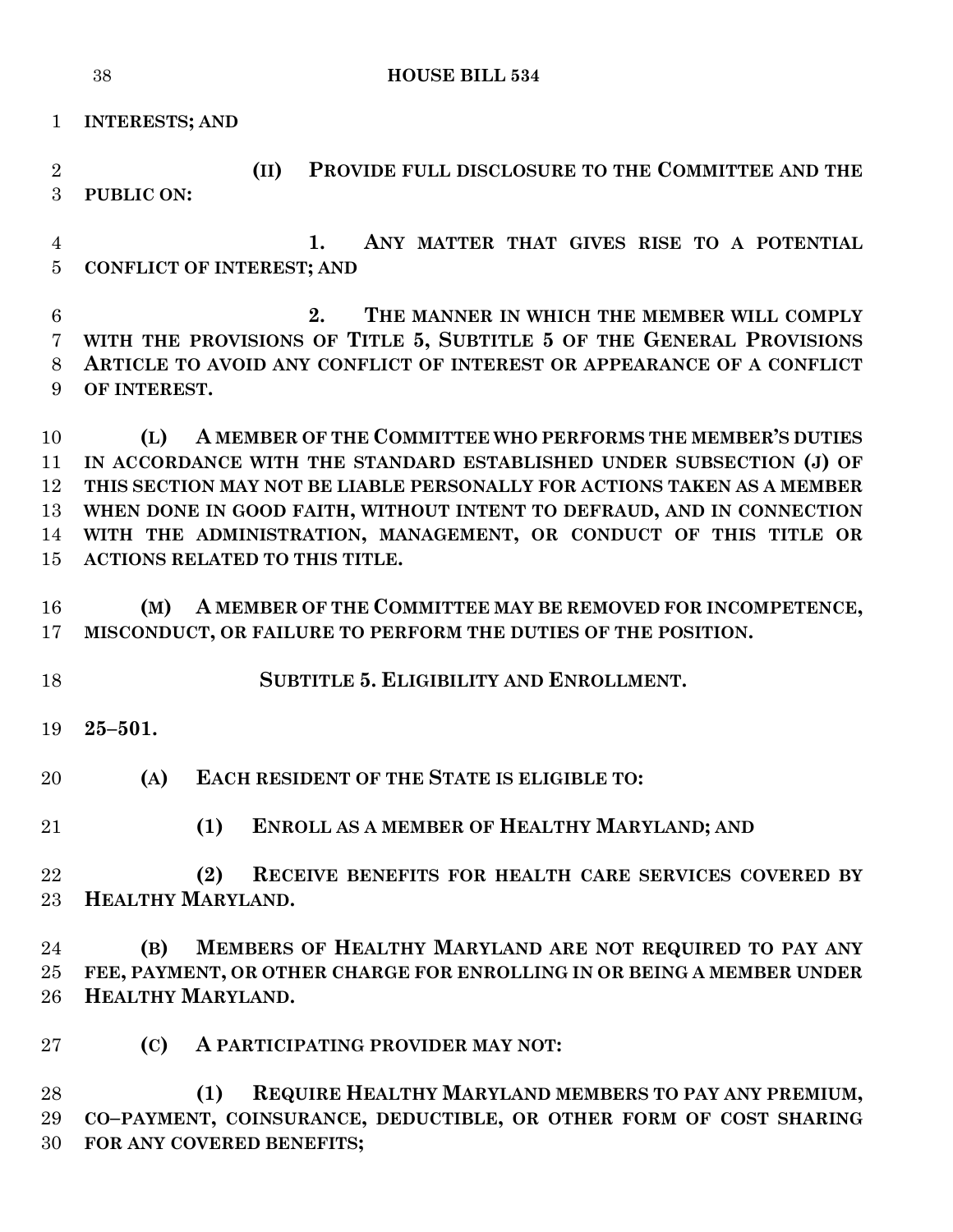```
38 HOUSE BILL 534
```
**INTERESTS; AND**

 **(II) PROVIDE FULL DISCLOSURE TO THE COMMITTEE AND THE PUBLIC ON:**

 **1. ANY MATTER THAT GIVES RISE TO A POTENTIAL CONFLICT OF INTEREST; AND**

 **2. THE MANNER IN WHICH THE MEMBER WILL COMPLY WITH THE PROVISIONS OF TITLE 5, SUBTITLE 5 OF THE GENERAL PROVISIONS ARTICLE TO AVOID ANY CONFLICT OF INTEREST OR APPEARANCE OF A CONFLICT OF INTEREST.**

 **(L) A MEMBER OF THE COMMITTEE WHO PERFORMS THE MEMBER'S DUTIES IN ACCORDANCE WITH THE STANDARD ESTABLISHED UNDER SUBSECTION (J) OF THIS SECTION MAY NOT BE LIABLE PERSONALLY FOR ACTIONS TAKEN AS A MEMBER WHEN DONE IN GOOD FAITH, WITHOUT INTENT TO DEFRAUD, AND IN CONNECTION WITH THE ADMINISTRATION, MANAGEMENT, OR CONDUCT OF THIS TITLE OR ACTIONS RELATED TO THIS TITLE.**

 **(M) A MEMBER OF THE COMMITTEE MAY BE REMOVED FOR INCOMPETENCE, MISCONDUCT, OR FAILURE TO PERFORM THE DUTIES OF THE POSITION.**

**SUBTITLE 5. ELIGIBILITY AND ENROLLMENT.**

**25–501.**

**(A) EACH RESIDENT OF THE STATE IS ELIGIBLE TO:**

**(1) ENROLL AS A MEMBER OF HEALTHY MARYLAND; AND**

 **(2) RECEIVE BENEFITS FOR HEALTH CARE SERVICES COVERED BY HEALTHY MARYLAND.**

 **(B) MEMBERS OF HEALTHY MARYLAND ARE NOT REQUIRED TO PAY ANY FEE, PAYMENT, OR OTHER CHARGE FOR ENROLLING IN OR BEING A MEMBER UNDER HEALTHY MARYLAND.**

**(C) A PARTICIPATING PROVIDER MAY NOT:**

 **(1) REQUIRE HEALTHY MARYLAND MEMBERS TO PAY ANY PREMIUM, CO–PAYMENT, COINSURANCE, DEDUCTIBLE, OR OTHER FORM OF COST SHARING FOR ANY COVERED BENEFITS;**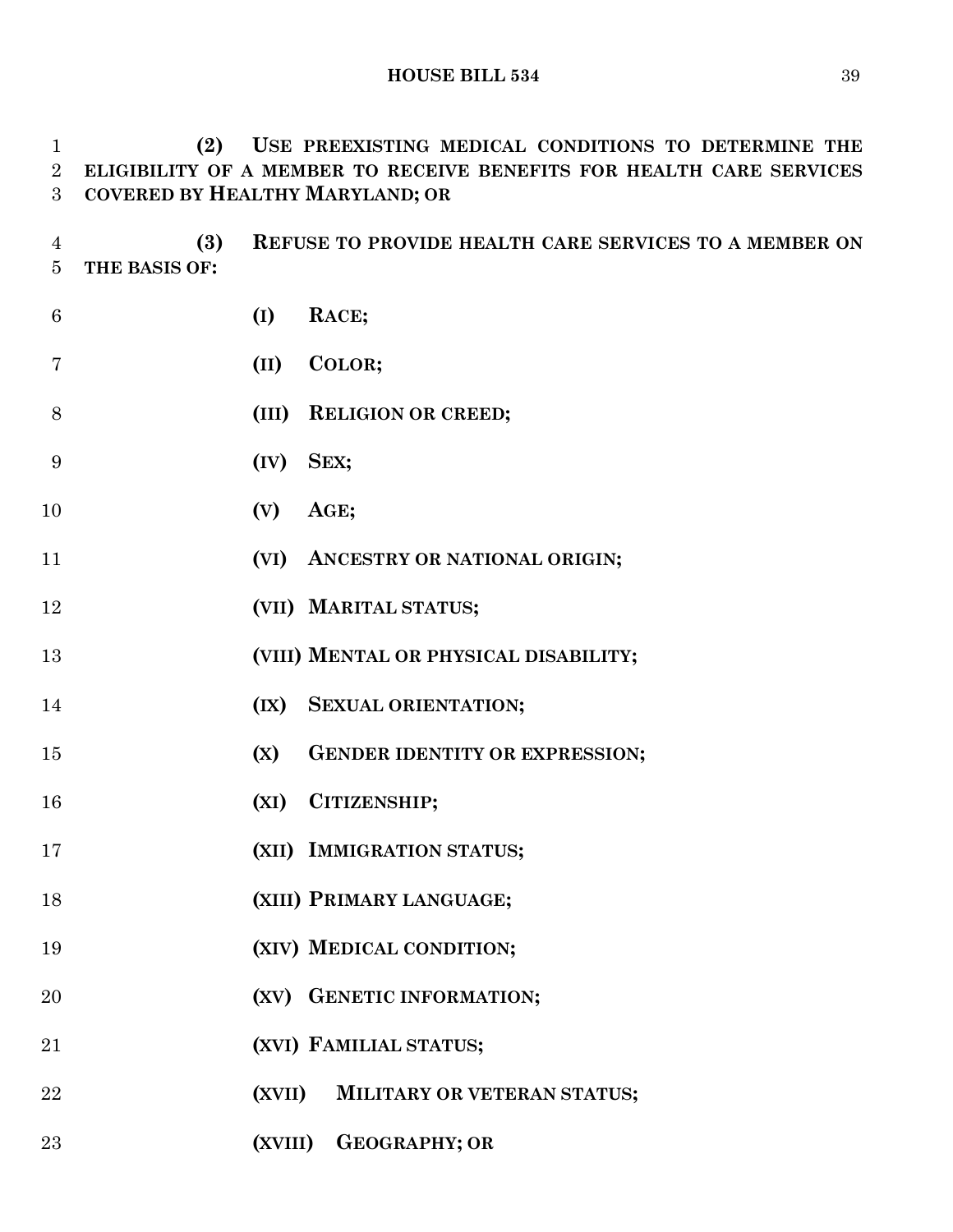**(2) USE PREEXISTING MEDICAL CONDITIONS TO DETERMINE THE ELIGIBILITY OF A MEMBER TO RECEIVE BENEFITS FOR HEALTH CARE SERVICES COVERED BY HEALTHY MARYLAND; OR**

 **(3) REFUSE TO PROVIDE HEALTH CARE SERVICES TO A MEMBER ON THE BASIS OF:**

| 6  | (I)       | RACE;                                 |
|----|-----------|---------------------------------------|
| 7  | (II)      | COLOR;                                |
| 8  |           | (III) RELIGION OR CREED;              |
| 9  | (IV) SEX; |                                       |
| 10 | (V)       | AGE;                                  |
| 11 |           | (VI) ANCESTRY OR NATIONAL ORIGIN;     |
| 12 |           | (VII) MARITAL STATUS;                 |
| 13 |           | (VIII) MENTAL OR PHYSICAL DISABILITY; |
| 14 |           | (IX) SEXUAL ORIENTATION;              |
| 15 | (X)       | <b>GENDER IDENTITY OR EXPRESSION;</b> |
| 16 |           | (XI) CITIZENSHIP;                     |
| 17 |           | (XII) IMMIGRATION STATUS;             |
| 18 |           | (XIII) PRIMARY LANGUAGE;              |
| 19 |           | (XIV) MEDICAL CONDITION;              |
| 20 |           | (XV) GENETIC INFORMATION;             |
| 21 |           | (XVI) FAMILIAL STATUS;                |
| 22 | (XVII)    | MILITARY OR VETERAN STATUS;           |
| 23 |           | (XVIII) GEOGRAPHY; OR                 |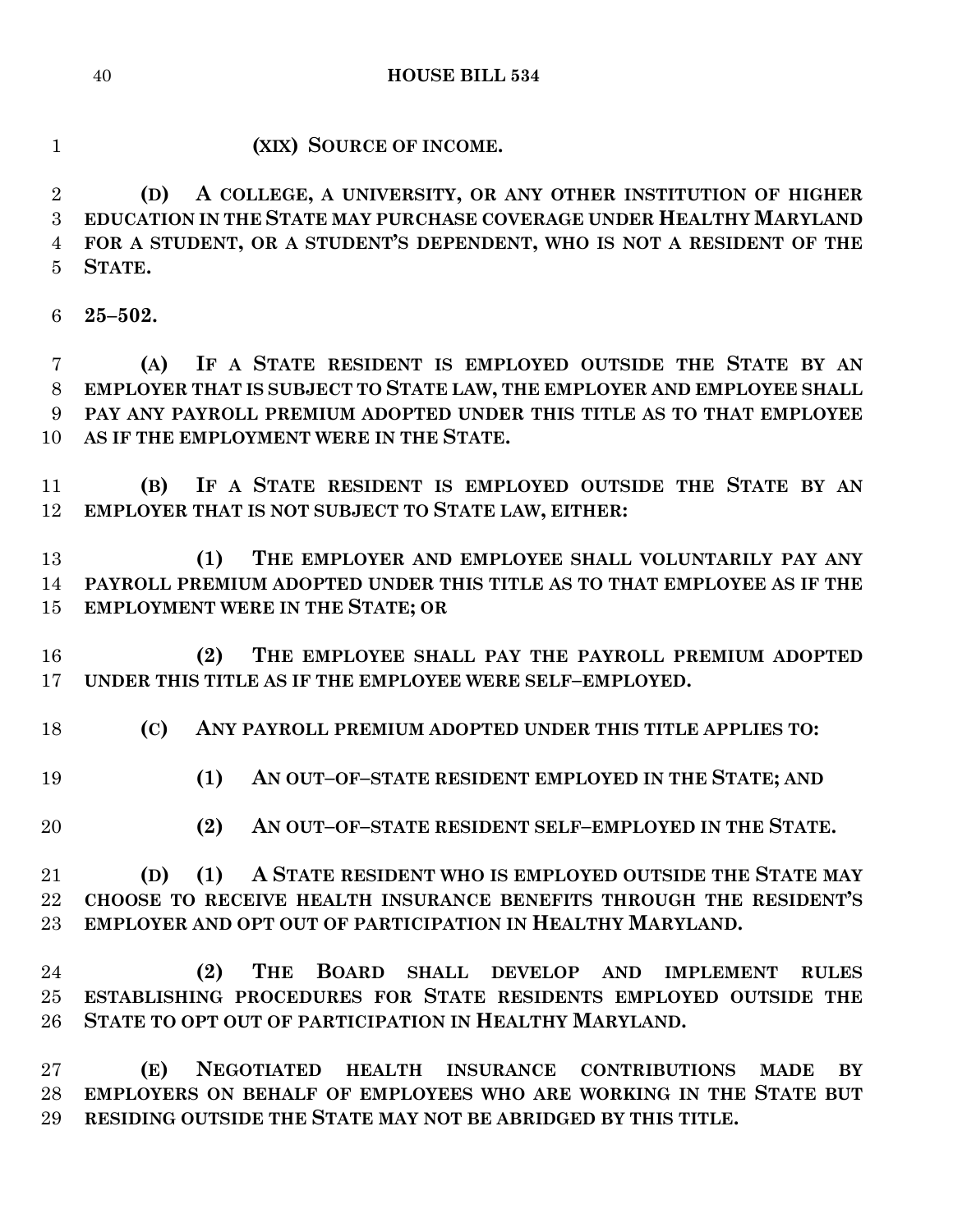**HOUSE BILL 534**

**(XIX) SOURCE OF INCOME.**

 **(D) A COLLEGE, A UNIVERSITY, OR ANY OTHER INSTITUTION OF HIGHER EDUCATION IN THE STATE MAY PURCHASE COVERAGE UNDER HEALTHY MARYLAND FOR A STUDENT, OR A STUDENT'S DEPENDENT, WHO IS NOT A RESIDENT OF THE STATE.**

**25–502.**

 **(A) IF A STATE RESIDENT IS EMPLOYED OUTSIDE THE STATE BY AN EMPLOYER THAT IS SUBJECT TO STATE LAW, THE EMPLOYER AND EMPLOYEE SHALL PAY ANY PAYROLL PREMIUM ADOPTED UNDER THIS TITLE AS TO THAT EMPLOYEE AS IF THE EMPLOYMENT WERE IN THE STATE.**

 **(B) IF A STATE RESIDENT IS EMPLOYED OUTSIDE THE STATE BY AN EMPLOYER THAT IS NOT SUBJECT TO STATE LAW, EITHER:**

 **(1) THE EMPLOYER AND EMPLOYEE SHALL VOLUNTARILY PAY ANY PAYROLL PREMIUM ADOPTED UNDER THIS TITLE AS TO THAT EMPLOYEE AS IF THE EMPLOYMENT WERE IN THE STATE; OR**

 **(2) THE EMPLOYEE SHALL PAY THE PAYROLL PREMIUM ADOPTED UNDER THIS TITLE AS IF THE EMPLOYEE WERE SELF–EMPLOYED.**

**(C) ANY PAYROLL PREMIUM ADOPTED UNDER THIS TITLE APPLIES TO:**

- **(1) AN OUT–OF–STATE RESIDENT EMPLOYED IN THE STATE; AND**
- **(2) AN OUT–OF–STATE RESIDENT SELF–EMPLOYED IN THE STATE.**

 **(D) (1) A STATE RESIDENT WHO IS EMPLOYED OUTSIDE THE STATE MAY CHOOSE TO RECEIVE HEALTH INSURANCE BENEFITS THROUGH THE RESIDENT'S EMPLOYER AND OPT OUT OF PARTICIPATION IN HEALTHY MARYLAND.**

 **(2) THE BOARD SHALL DEVELOP AND IMPLEMENT RULES ESTABLISHING PROCEDURES FOR STATE RESIDENTS EMPLOYED OUTSIDE THE STATE TO OPT OUT OF PARTICIPATION IN HEALTHY MARYLAND.**

 **(E) NEGOTIATED HEALTH INSURANCE CONTRIBUTIONS MADE BY EMPLOYERS ON BEHALF OF EMPLOYEES WHO ARE WORKING IN THE STATE BUT RESIDING OUTSIDE THE STATE MAY NOT BE ABRIDGED BY THIS TITLE.**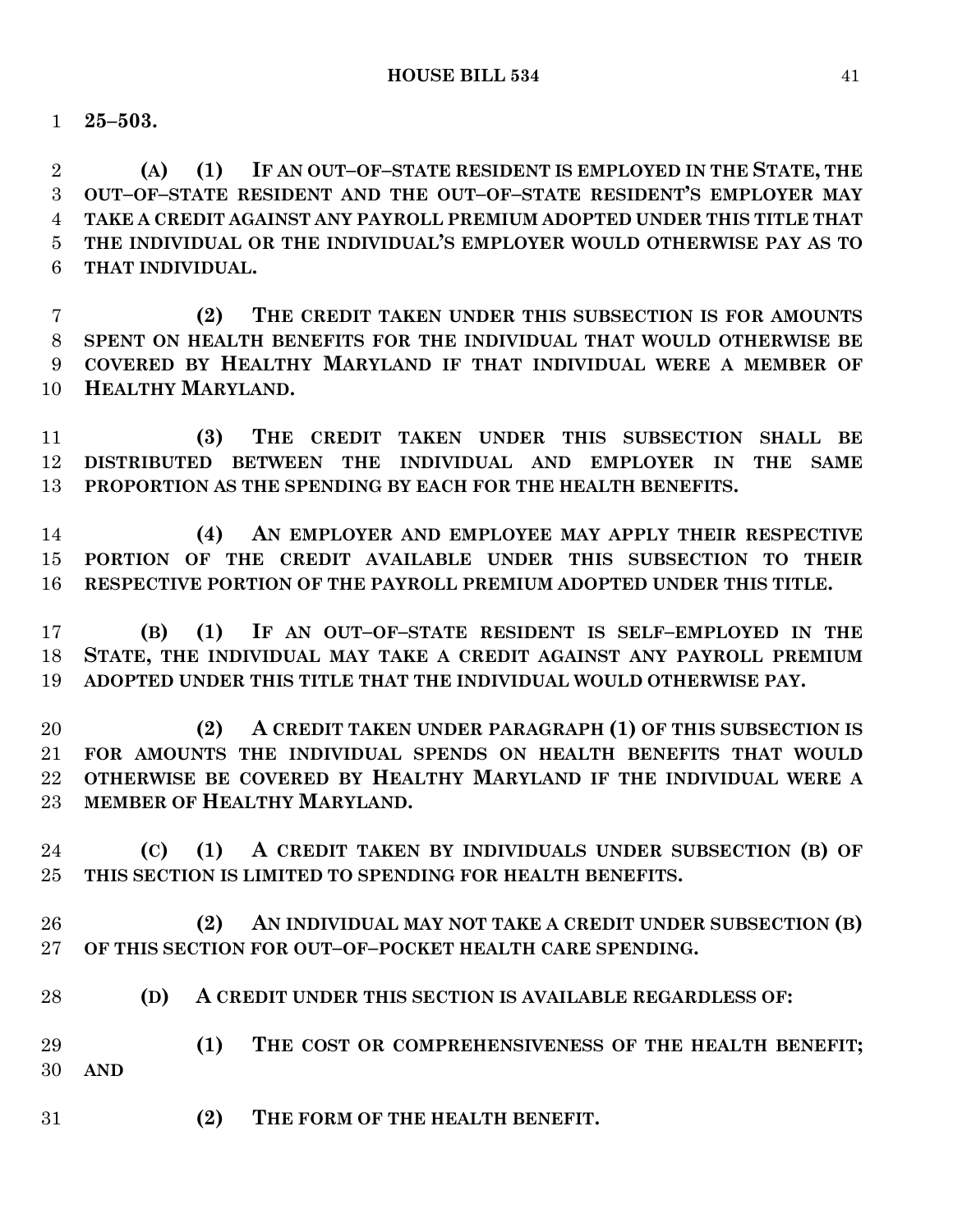**25–503.**

 **(A) (1) IF AN OUT–OF–STATE RESIDENT IS EMPLOYED IN THE STATE, THE OUT–OF–STATE RESIDENT AND THE OUT–OF–STATE RESIDENT'S EMPLOYER MAY TAKE A CREDIT AGAINST ANY PAYROLL PREMIUM ADOPTED UNDER THIS TITLE THAT THE INDIVIDUAL OR THE INDIVIDUAL'S EMPLOYER WOULD OTHERWISE PAY AS TO THAT INDIVIDUAL.**

 **(2) THE CREDIT TAKEN UNDER THIS SUBSECTION IS FOR AMOUNTS SPENT ON HEALTH BENEFITS FOR THE INDIVIDUAL THAT WOULD OTHERWISE BE COVERED BY HEALTHY MARYLAND IF THAT INDIVIDUAL WERE A MEMBER OF HEALTHY MARYLAND.**

 **(3) THE CREDIT TAKEN UNDER THIS SUBSECTION SHALL BE DISTRIBUTED BETWEEN THE INDIVIDUAL AND EMPLOYER IN THE SAME PROPORTION AS THE SPENDING BY EACH FOR THE HEALTH BENEFITS.**

 **(4) AN EMPLOYER AND EMPLOYEE MAY APPLY THEIR RESPECTIVE PORTION OF THE CREDIT AVAILABLE UNDER THIS SUBSECTION TO THEIR RESPECTIVE PORTION OF THE PAYROLL PREMIUM ADOPTED UNDER THIS TITLE.**

 **(B) (1) IF AN OUT–OF–STATE RESIDENT IS SELF–EMPLOYED IN THE STATE, THE INDIVIDUAL MAY TAKE A CREDIT AGAINST ANY PAYROLL PREMIUM ADOPTED UNDER THIS TITLE THAT THE INDIVIDUAL WOULD OTHERWISE PAY.**

 **(2) A CREDIT TAKEN UNDER PARAGRAPH (1) OF THIS SUBSECTION IS FOR AMOUNTS THE INDIVIDUAL SPENDS ON HEALTH BENEFITS THAT WOULD OTHERWISE BE COVERED BY HEALTHY MARYLAND IF THE INDIVIDUAL WERE A MEMBER OF HEALTHY MARYLAND.**

 **(C) (1) A CREDIT TAKEN BY INDIVIDUALS UNDER SUBSECTION (B) OF THIS SECTION IS LIMITED TO SPENDING FOR HEALTH BENEFITS.**

 **(2) AN INDIVIDUAL MAY NOT TAKE A CREDIT UNDER SUBSECTION (B) OF THIS SECTION FOR OUT–OF–POCKET HEALTH CARE SPENDING.**

**(D) A CREDIT UNDER THIS SECTION IS AVAILABLE REGARDLESS OF:**

 **(1) THE COST OR COMPREHENSIVENESS OF THE HEALTH BENEFIT; AND**

**(2) THE FORM OF THE HEALTH BENEFIT.**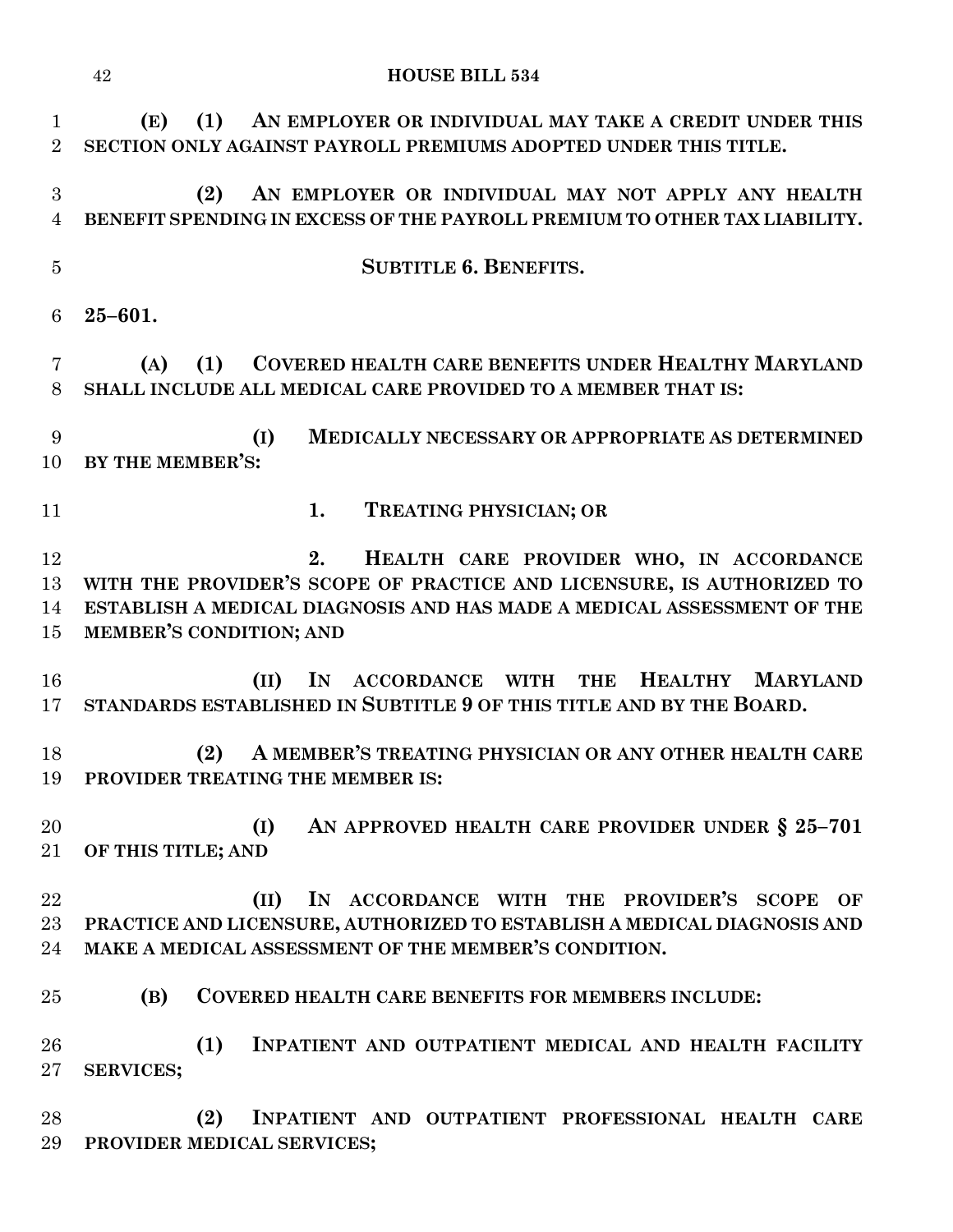|                               | 42<br><b>HOUSE BILL 534</b>                                                                                                                                                                                                 |
|-------------------------------|-----------------------------------------------------------------------------------------------------------------------------------------------------------------------------------------------------------------------------|
| $\mathbf 1$<br>$\overline{2}$ | (1)<br>AN EMPLOYER OR INDIVIDUAL MAY TAKE A CREDIT UNDER THIS<br>(E)<br>SECTION ONLY AGAINST PAYROLL PREMIUMS ADOPTED UNDER THIS TITLE.                                                                                     |
| 3<br>$\overline{4}$           | (2)<br>AN EMPLOYER OR INDIVIDUAL MAY NOT APPLY ANY HEALTH<br>BENEFIT SPENDING IN EXCESS OF THE PAYROLL PREMIUM TO OTHER TAX LIABILITY.                                                                                      |
| $\overline{5}$                | <b>SUBTITLE 6. BENEFITS.</b>                                                                                                                                                                                                |
| 6                             | $25 - 601.$                                                                                                                                                                                                                 |
| 7<br>8                        | <b>COVERED HEALTH CARE BENEFITS UNDER HEALTHY MARYLAND</b><br>(A)<br>(1)<br>SHALL INCLUDE ALL MEDICAL CARE PROVIDED TO A MEMBER THAT IS:                                                                                    |
| 9<br>10                       | (I)<br><b>MEDICALLY NECESSARY OR APPROPRIATE AS DETERMINED</b><br>BY THE MEMBER'S:                                                                                                                                          |
| 11                            | 1.<br>TREATING PHYSICIAN; OR                                                                                                                                                                                                |
| 12<br>13<br>14<br>15          | 2.<br>HEALTH CARE PROVIDER WHO, IN ACCORDANCE<br>WITH THE PROVIDER'S SCOPE OF PRACTICE AND LICENSURE, IS AUTHORIZED TO<br>ESTABLISH A MEDICAL DIAGNOSIS AND HAS MADE A MEDICAL ASSESSMENT OF THE<br>MEMBER'S CONDITION; AND |
| 16<br>17                      | $\mathbf{I}$ N<br><b>HEALTHY</b><br><b>MARYLAND</b><br>(II)<br><b>ACCORDANCE</b><br><b>WITH</b><br><b>THE</b><br>STANDARDS ESTABLISHED IN SUBTITLE 9 OF THIS TITLE AND BY THE BOARD.                                        |
| 18<br>19                      | (2)<br>A MEMBER'S TREATING PHYSICIAN OR ANY OTHER HEALTH CARE<br>PROVIDER TREATING THE MEMBER IS:                                                                                                                           |
| 20<br>$21\,$                  | AN APPROVED HEALTH CARE PROVIDER UNDER § 25-701<br>(I)<br>OF THIS TITLE; AND                                                                                                                                                |
| 22<br>$23\,$<br>24            | IN ACCORDANCE WITH THE PROVIDER'S SCOPE<br>(II)<br>OF<br>PRACTICE AND LICENSURE, AUTHORIZED TO ESTABLISH A MEDICAL DIAGNOSIS AND<br>MAKE A MEDICAL ASSESSMENT OF THE MEMBER'S CONDITION.                                    |
| 25                            | (B)<br><b>COVERED HEALTH CARE BENEFITS FOR MEMBERS INCLUDE:</b>                                                                                                                                                             |
| 26<br>$27\,$                  | (1)<br>INPATIENT AND OUTPATIENT MEDICAL AND HEALTH FACILITY<br><b>SERVICES;</b>                                                                                                                                             |
| 28<br>29                      | (2)<br>INPATIENT AND OUTPATIENT PROFESSIONAL HEALTH CARE<br>PROVIDER MEDICAL SERVICES;                                                                                                                                      |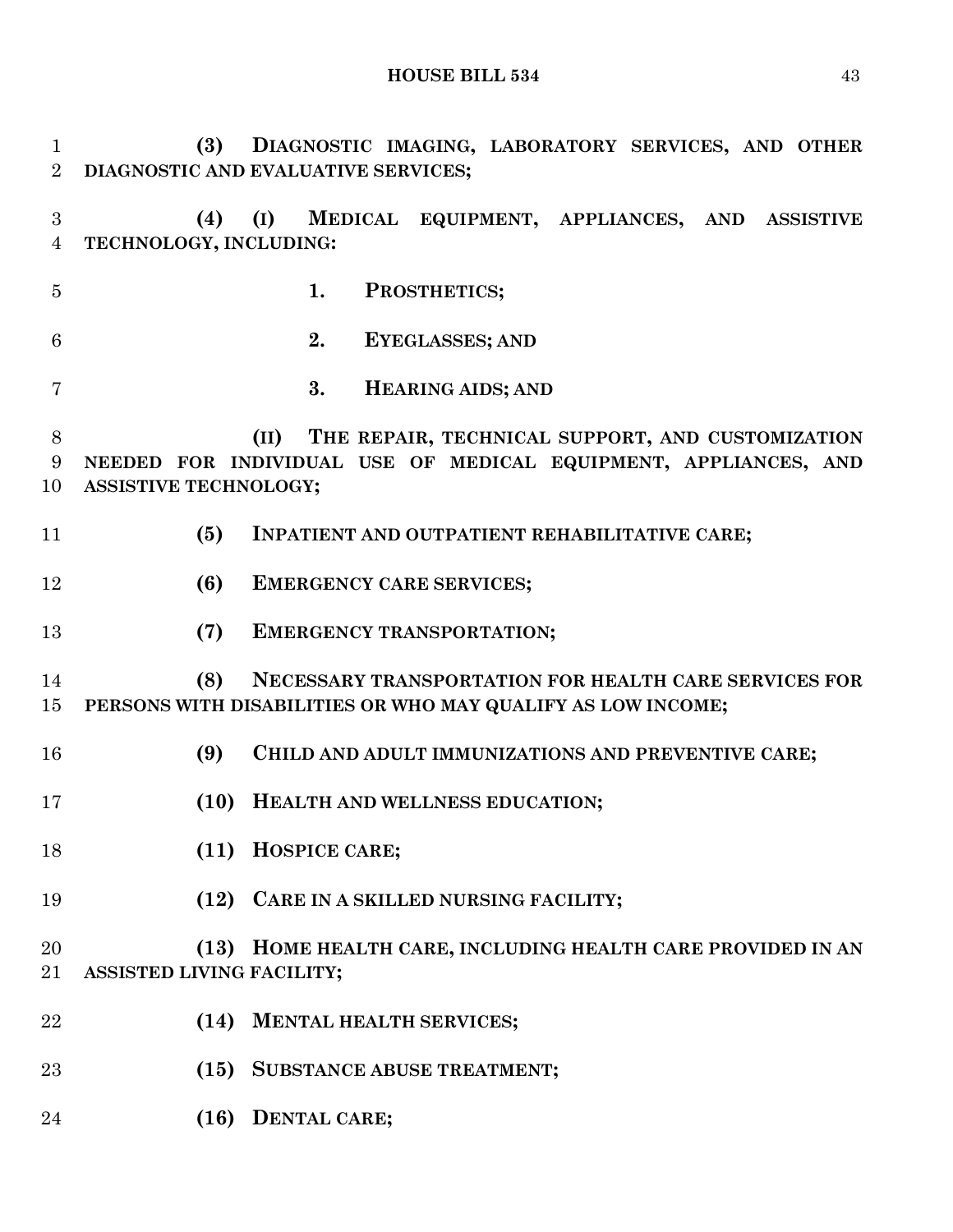**(3) DIAGNOSTIC IMAGING, LABORATORY SERVICES, AND OTHER DIAGNOSTIC AND EVALUATIVE SERVICES; (4) (I) MEDICAL EQUIPMENT, APPLIANCES, AND ASSISTIVE TECHNOLOGY, INCLUDING: 1. PROSTHETICS; 2. EYEGLASSES; AND 3. HEARING AIDS; AND (II) THE REPAIR, TECHNICAL SUPPORT, AND CUSTOMIZATION NEEDED FOR INDIVIDUAL USE OF MEDICAL EQUIPMENT, APPLIANCES, AND ASSISTIVE TECHNOLOGY; (5) INPATIENT AND OUTPATIENT REHABILITATIVE CARE; (6) EMERGENCY CARE SERVICES; (7) EMERGENCY TRANSPORTATION; (8) NECESSARY TRANSPORTATION FOR HEALTH CARE SERVICES FOR PERSONS WITH DISABILITIES OR WHO MAY QUALIFY AS LOW INCOME; (9) CHILD AND ADULT IMMUNIZATIONS AND PREVENTIVE CARE; (10) HEALTH AND WELLNESS EDUCATION; (11) HOSPICE CARE; (12) CARE IN A SKILLED NURSING FACILITY; (13) HOME HEALTH CARE, INCLUDING HEALTH CARE PROVIDED IN AN ASSISTED LIVING FACILITY; (14) MENTAL HEALTH SERVICES; (15) SUBSTANCE ABUSE TREATMENT; (16) DENTAL CARE;**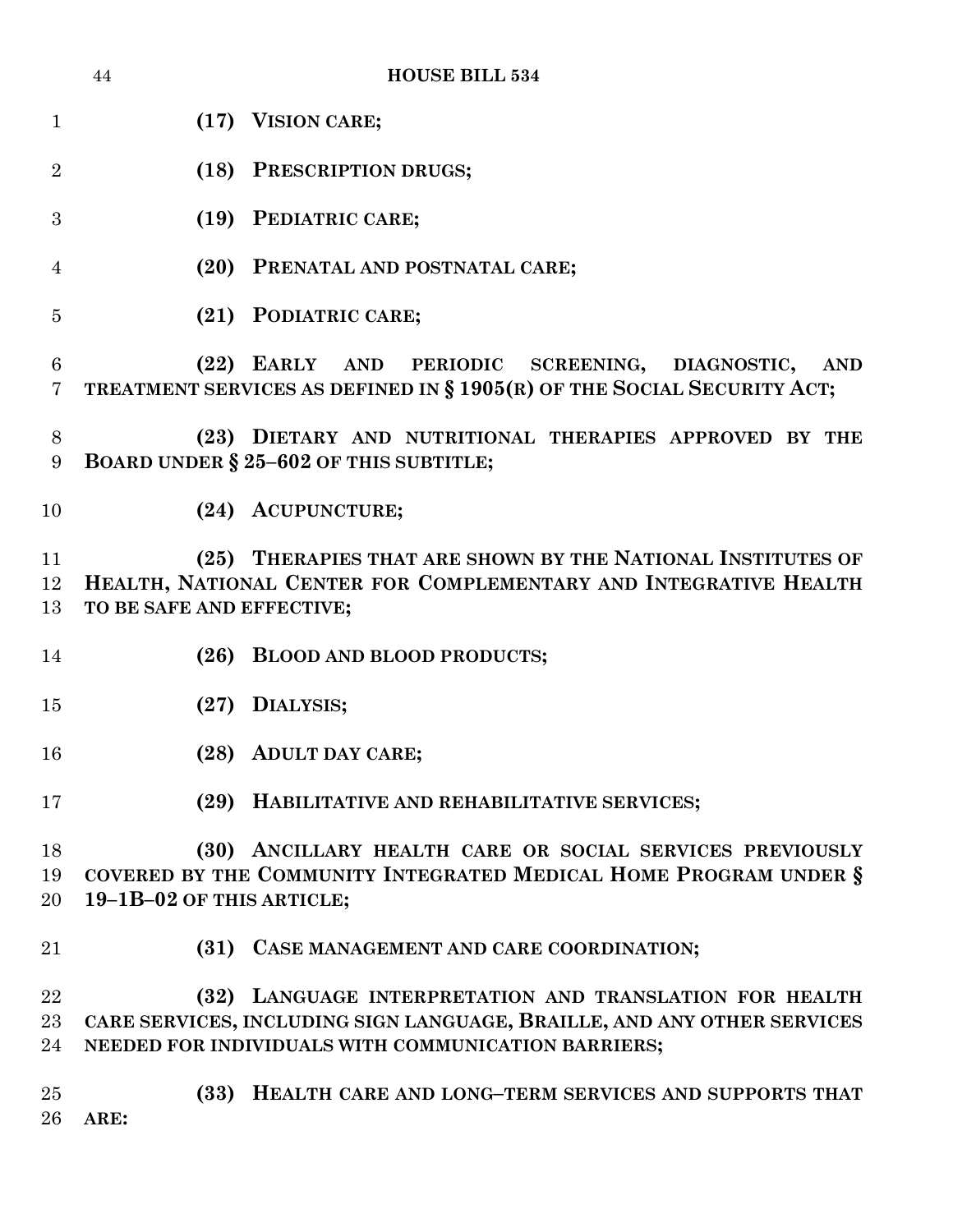|                     | 44                        | <b>HOUSE BILL 534</b>                                                                                                                                                                     |
|---------------------|---------------------------|-------------------------------------------------------------------------------------------------------------------------------------------------------------------------------------------|
| $\mathbf{1}$        |                           | (17) VISION CARE;                                                                                                                                                                         |
| $\overline{2}$      |                           | (18) PRESCRIPTION DRUGS;                                                                                                                                                                  |
| 3                   |                           | (19) PEDIATRIC CARE;                                                                                                                                                                      |
| $\overline{4}$      |                           | (20) PRENATAL AND POSTNATAL CARE;                                                                                                                                                         |
| $\overline{5}$      |                           | (21) PODIATRIC CARE;                                                                                                                                                                      |
| 6<br>$\overline{7}$ |                           | (22) EARLY AND PERIODIC SCREENING, DIAGNOSTIC,<br><b>AND</b><br>TREATMENT SERVICES AS DEFINED IN § 1905(R) OF THE SOCIAL SECURITY ACT;                                                    |
| $8\,$<br>9          |                           | (23) DIETARY AND NUTRITIONAL THERAPIES APPROVED BY THE<br>BOARD UNDER § 25-602 OF THIS SUBTITLE;                                                                                          |
| 10                  |                           | (24) ACUPUNCTURE;                                                                                                                                                                         |
| 11<br>12<br>13      | TO BE SAFE AND EFFECTIVE; | (25) THERAPIES THAT ARE SHOWN BY THE NATIONAL INSTITUTES OF<br>HEALTH, NATIONAL CENTER FOR COMPLEMENTARY AND INTEGRATIVE HEALTH                                                           |
| 14                  |                           | (26) BLOOD AND BLOOD PRODUCTS;                                                                                                                                                            |
| 15                  |                           | (27) DIALYSIS;                                                                                                                                                                            |
| 16                  |                           | (28) ADULT DAY CARE;                                                                                                                                                                      |
| 17                  | (29)                      | HABILITATIVE AND REHABILITATIVE SERVICES;                                                                                                                                                 |
| 18<br>19<br>20      | 19-1B-02 OF THIS ARTICLE; | (30) ANCILLARY HEALTH CARE OR SOCIAL SERVICES PREVIOUSLY<br>COVERED BY THE COMMUNITY INTEGRATED MEDICAL HOME PROGRAM UNDER §                                                              |
| 21                  |                           | (31) CASE MANAGEMENT AND CARE COORDINATION;                                                                                                                                               |
| 22<br>23<br>24      |                           | (32) LANGUAGE INTERPRETATION AND TRANSLATION FOR HEALTH<br>CARE SERVICES, INCLUDING SIGN LANGUAGE, BRAILLE, AND ANY OTHER SERVICES<br>NEEDED FOR INDIVIDUALS WITH COMMUNICATION BARRIERS; |
| 25<br>26            | ARE:                      | (33) HEALTH CARE AND LONG-TERM SERVICES AND SUPPORTS THAT                                                                                                                                 |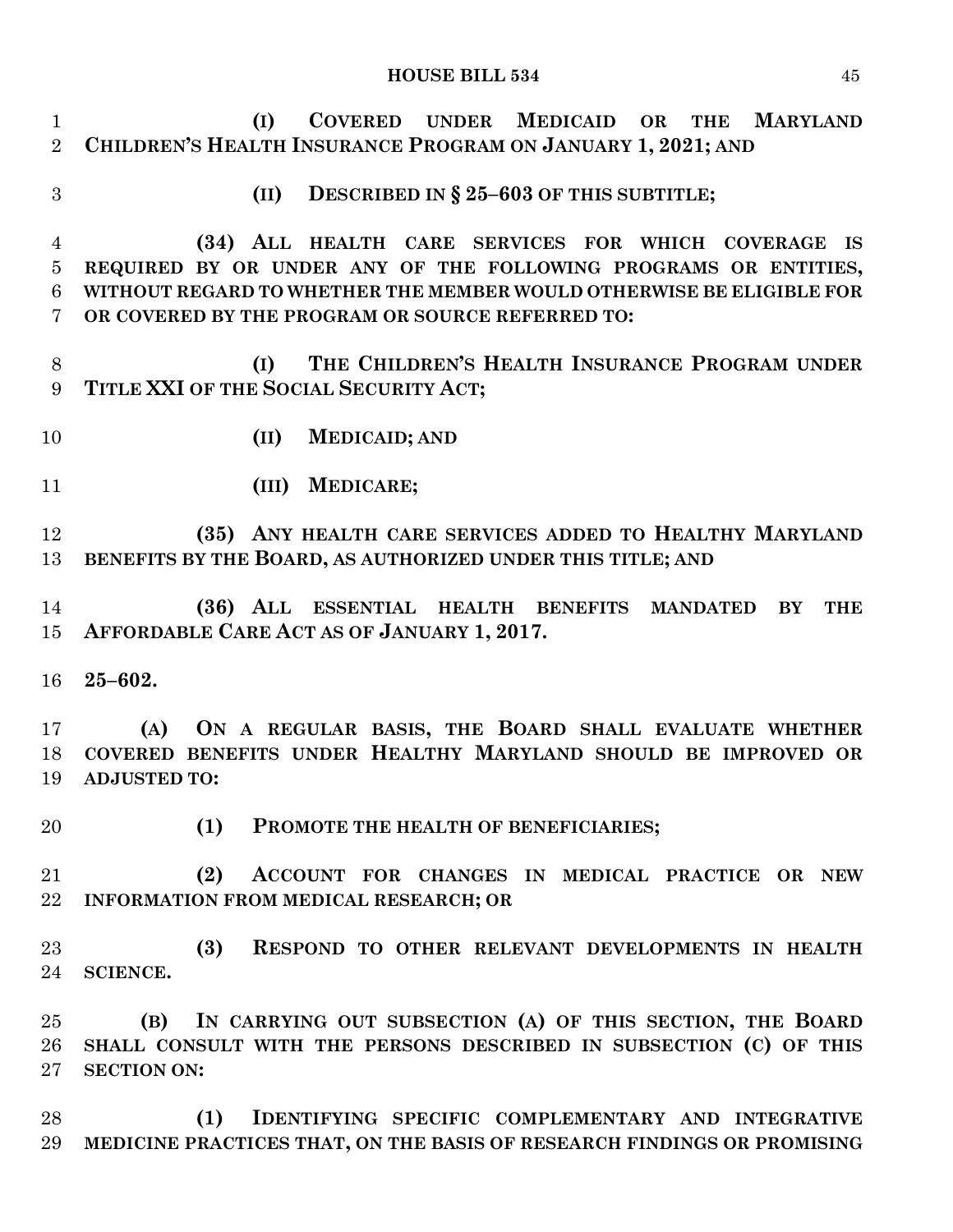| $\mathbf{1}$<br>$\overline{2}$ | COVERED UNDER MEDICAID OR<br>(I)<br><b>MARYLAND</b><br><b>THE</b><br>CHILDREN'S HEALTH INSURANCE PROGRAM ON JANUARY 1, 2021; AND |
|--------------------------------|----------------------------------------------------------------------------------------------------------------------------------|
| 3                              | DESCRIBED IN § 25-603 OF THIS SUBTITLE;<br>(II)                                                                                  |
| 4                              | (34) ALL HEALTH CARE SERVICES FOR WHICH COVERAGE IS                                                                              |
| $\overline{5}$                 | REQUIRED BY OR UNDER ANY OF THE FOLLOWING PROGRAMS OR ENTITIES,                                                                  |
| 6                              | WITHOUT REGARD TO WHETHER THE MEMBER WOULD OTHERWISE BE ELIGIBLE FOR                                                             |
| $\overline{7}$                 | OR COVERED BY THE PROGRAM OR SOURCE REFERRED TO:                                                                                 |
| $8\,$<br>9                     | THE CHILDREN'S HEALTH INSURANCE PROGRAM UNDER<br>(I)<br>TITLE XXI OF THE SOCIAL SECURITY ACT;                                    |
| 10                             | <b>MEDICAID; AND</b><br>(II)                                                                                                     |
| 11                             | <b>MEDICARE;</b><br>(III)                                                                                                        |
| 12                             | (35) ANY HEALTH CARE SERVICES ADDED TO HEALTHY MARYLAND                                                                          |
| 13                             | BENEFITS BY THE BOARD, AS AUTHORIZED UNDER THIS TITLE; AND                                                                       |
| 14                             | (36) ALL ESSENTIAL HEALTH BENEFITS MANDATED<br>$\mathbf{B}\mathbf{Y}$<br><b>THE</b>                                              |
| 15                             | AFFORDABLE CARE ACT AS OF JANUARY 1, 2017.                                                                                       |
|                                |                                                                                                                                  |
| 16                             | $25 - 602.$                                                                                                                      |
| 17                             | ON A REGULAR BASIS, THE BOARD SHALL EVALUATE WHETHER<br>(A)                                                                      |
| 18                             | COVERED BENEFITS UNDER HEALTHY MARYLAND SHOULD BE IMPROVED OR                                                                    |
| 19                             | <b>ADJUSTED TO:</b>                                                                                                              |
| 20                             | (1)<br>PROMOTE THE HEALTH OF BENEFICIARIES;                                                                                      |
| 21                             | (2)<br>ACCOUNT FOR CHANGES IN MEDICAL PRACTICE OR NEW                                                                            |
| 22                             | INFORMATION FROM MEDICAL RESEARCH; OR                                                                                            |
|                                |                                                                                                                                  |
| 23<br>24                       | (3)<br>RESPOND TO OTHER RELEVANT DEVELOPMENTS IN HEALTH<br><b>SCIENCE.</b>                                                       |
|                                |                                                                                                                                  |
| 25                             | IN CARRYING OUT SUBSECTION (A) OF THIS SECTION, THE BOARD<br>(B)                                                                 |
| 26                             | SHALL CONSULT WITH THE PERSONS DESCRIBED IN SUBSECTION (C) OF THIS                                                               |
| $27\,$                         | <b>SECTION ON:</b>                                                                                                               |
| 28                             | IDENTIFYING SPECIFIC COMPLEMENTARY AND INTEGRATIVE<br>(1)                                                                        |
| 29                             | MEDICINE PRACTICES THAT, ON THE BASIS OF RESEARCH FINDINGS OR PROMISING                                                          |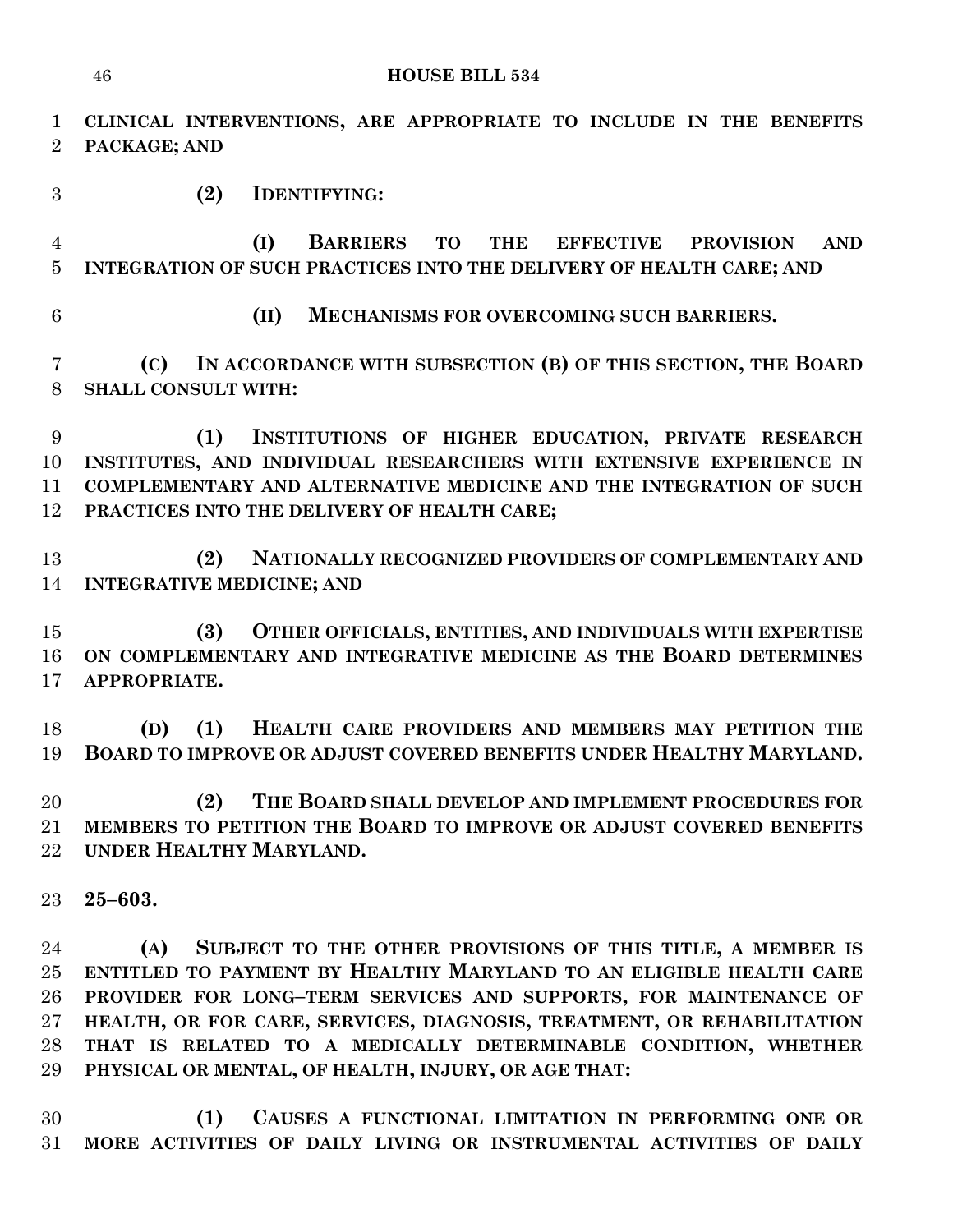**CLINICAL INTERVENTIONS, ARE APPROPRIATE TO INCLUDE IN THE BENEFITS PACKAGE; AND (2) IDENTIFYING:**

 **(I) BARRIERS TO THE EFFECTIVE PROVISION AND INTEGRATION OF SUCH PRACTICES INTO THE DELIVERY OF HEALTH CARE; AND**

**(II) MECHANISMS FOR OVERCOMING SUCH BARRIERS.**

 **(C) IN ACCORDANCE WITH SUBSECTION (B) OF THIS SECTION, THE BOARD SHALL CONSULT WITH:**

 **(1) INSTITUTIONS OF HIGHER EDUCATION, PRIVATE RESEARCH INSTITUTES, AND INDIVIDUAL RESEARCHERS WITH EXTENSIVE EXPERIENCE IN COMPLEMENTARY AND ALTERNATIVE MEDICINE AND THE INTEGRATION OF SUCH PRACTICES INTO THE DELIVERY OF HEALTH CARE;**

 **(2) NATIONALLY RECOGNIZED PROVIDERS OF COMPLEMENTARY AND INTEGRATIVE MEDICINE; AND**

 **(3) OTHER OFFICIALS, ENTITIES, AND INDIVIDUALS WITH EXPERTISE ON COMPLEMENTARY AND INTEGRATIVE MEDICINE AS THE BOARD DETERMINES APPROPRIATE.**

 **(D) (1) HEALTH CARE PROVIDERS AND MEMBERS MAY PETITION THE BOARD TO IMPROVE OR ADJUST COVERED BENEFITS UNDER HEALTHY MARYLAND.**

 **(2) THE BOARD SHALL DEVELOP AND IMPLEMENT PROCEDURES FOR MEMBERS TO PETITION THE BOARD TO IMPROVE OR ADJUST COVERED BENEFITS UNDER HEALTHY MARYLAND.**

**25–603.**

 **(A) SUBJECT TO THE OTHER PROVISIONS OF THIS TITLE, A MEMBER IS ENTITLED TO PAYMENT BY HEALTHY MARYLAND TO AN ELIGIBLE HEALTH CARE PROVIDER FOR LONG–TERM SERVICES AND SUPPORTS, FOR MAINTENANCE OF HEALTH, OR FOR CARE, SERVICES, DIAGNOSIS, TREATMENT, OR REHABILITATION THAT IS RELATED TO A MEDICALLY DETERMINABLE CONDITION, WHETHER PHYSICAL OR MENTAL, OF HEALTH, INJURY, OR AGE THAT:**

 **(1) CAUSES A FUNCTIONAL LIMITATION IN PERFORMING ONE OR MORE ACTIVITIES OF DAILY LIVING OR INSTRUMENTAL ACTIVITIES OF DAILY**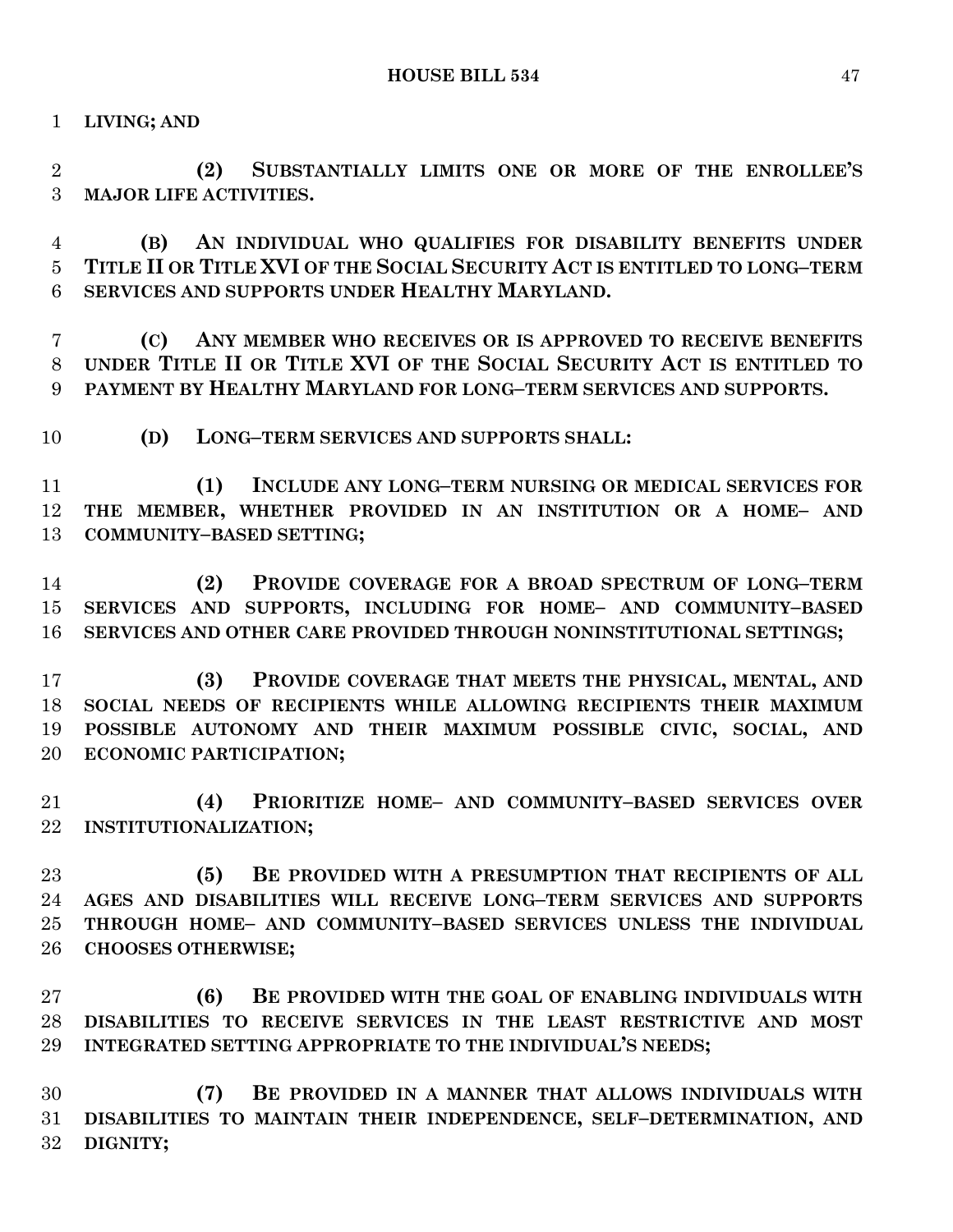**LIVING; AND**

 **(2) SUBSTANTIALLY LIMITS ONE OR MORE OF THE ENROLLEE'S MAJOR LIFE ACTIVITIES.**

 **(B) AN INDIVIDUAL WHO QUALIFIES FOR DISABILITY BENEFITS UNDER TITLE II OR TITLE XVI OF THE SOCIAL SECURITY ACT IS ENTITLED TO LONG–TERM SERVICES AND SUPPORTS UNDER HEALTHY MARYLAND.**

 **(C) ANY MEMBER WHO RECEIVES OR IS APPROVED TO RECEIVE BENEFITS UNDER TITLE II OR TITLE XVI OF THE SOCIAL SECURITY ACT IS ENTITLED TO PAYMENT BY HEALTHY MARYLAND FOR LONG–TERM SERVICES AND SUPPORTS.**

**(D) LONG–TERM SERVICES AND SUPPORTS SHALL:**

 **(1) INCLUDE ANY LONG–TERM NURSING OR MEDICAL SERVICES FOR THE MEMBER, WHETHER PROVIDED IN AN INSTITUTION OR A HOME– AND COMMUNITY–BASED SETTING;**

 **(2) PROVIDE COVERAGE FOR A BROAD SPECTRUM OF LONG–TERM SERVICES AND SUPPORTS, INCLUDING FOR HOME– AND COMMUNITY–BASED SERVICES AND OTHER CARE PROVIDED THROUGH NONINSTITUTIONAL SETTINGS;**

 **(3) PROVIDE COVERAGE THAT MEETS THE PHYSICAL, MENTAL, AND SOCIAL NEEDS OF RECIPIENTS WHILE ALLOWING RECIPIENTS THEIR MAXIMUM POSSIBLE AUTONOMY AND THEIR MAXIMUM POSSIBLE CIVIC, SOCIAL, AND ECONOMIC PARTICIPATION;**

 **(4) PRIORITIZE HOME– AND COMMUNITY–BASED SERVICES OVER INSTITUTIONALIZATION;**

 **(5) BE PROVIDED WITH A PRESUMPTION THAT RECIPIENTS OF ALL AGES AND DISABILITIES WILL RECEIVE LONG–TERM SERVICES AND SUPPORTS THROUGH HOME– AND COMMUNITY–BASED SERVICES UNLESS THE INDIVIDUAL CHOOSES OTHERWISE;**

 **(6) BE PROVIDED WITH THE GOAL OF ENABLING INDIVIDUALS WITH DISABILITIES TO RECEIVE SERVICES IN THE LEAST RESTRICTIVE AND MOST INTEGRATED SETTING APPROPRIATE TO THE INDIVIDUAL'S NEEDS;**

 **(7) BE PROVIDED IN A MANNER THAT ALLOWS INDIVIDUALS WITH DISABILITIES TO MAINTAIN THEIR INDEPENDENCE, SELF–DETERMINATION, AND DIGNITY;**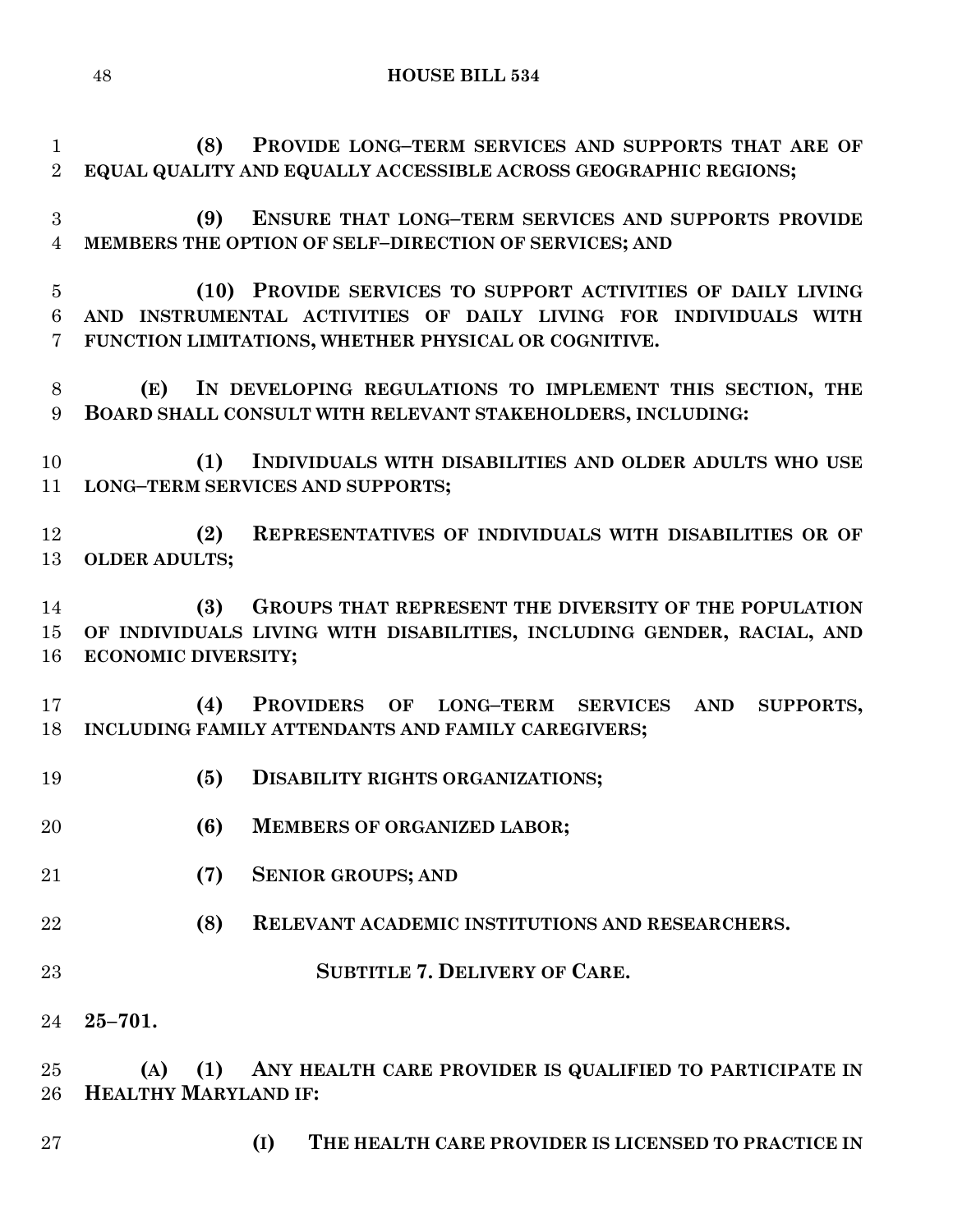**(8) PROVIDE LONG–TERM SERVICES AND SUPPORTS THAT ARE OF EQUAL QUALITY AND EQUALLY ACCESSIBLE ACROSS GEOGRAPHIC REGIONS;**

 **(9) ENSURE THAT LONG–TERM SERVICES AND SUPPORTS PROVIDE MEMBERS THE OPTION OF SELF–DIRECTION OF SERVICES; AND**

 **(10) PROVIDE SERVICES TO SUPPORT ACTIVITIES OF DAILY LIVING AND INSTRUMENTAL ACTIVITIES OF DAILY LIVING FOR INDIVIDUALS WITH FUNCTION LIMITATIONS, WHETHER PHYSICAL OR COGNITIVE.**

 **(E) IN DEVELOPING REGULATIONS TO IMPLEMENT THIS SECTION, THE BOARD SHALL CONSULT WITH RELEVANT STAKEHOLDERS, INCLUDING:**

 **(1) INDIVIDUALS WITH DISABILITIES AND OLDER ADULTS WHO USE LONG–TERM SERVICES AND SUPPORTS;**

 **(2) REPRESENTATIVES OF INDIVIDUALS WITH DISABILITIES OR OF OLDER ADULTS;**

 **(3) GROUPS THAT REPRESENT THE DIVERSITY OF THE POPULATION OF INDIVIDUALS LIVING WITH DISABILITIES, INCLUDING GENDER, RACIAL, AND ECONOMIC DIVERSITY;**

 **(4) PROVIDERS OF LONG–TERM SERVICES AND SUPPORTS, INCLUDING FAMILY ATTENDANTS AND FAMILY CAREGIVERS;**

- **(5) DISABILITY RIGHTS ORGANIZATIONS;**
- **(6) MEMBERS OF ORGANIZED LABOR;**
- **(7) SENIOR GROUPS; AND**
- **(8) RELEVANT ACADEMIC INSTITUTIONS AND RESEARCHERS.**
- **SUBTITLE 7. DELIVERY OF CARE.**
- **25–701.**

 **(A) (1) ANY HEALTH CARE PROVIDER IS QUALIFIED TO PARTICIPATE IN HEALTHY MARYLAND IF:**

- 
- **(I) THE HEALTH CARE PROVIDER IS LICENSED TO PRACTICE IN**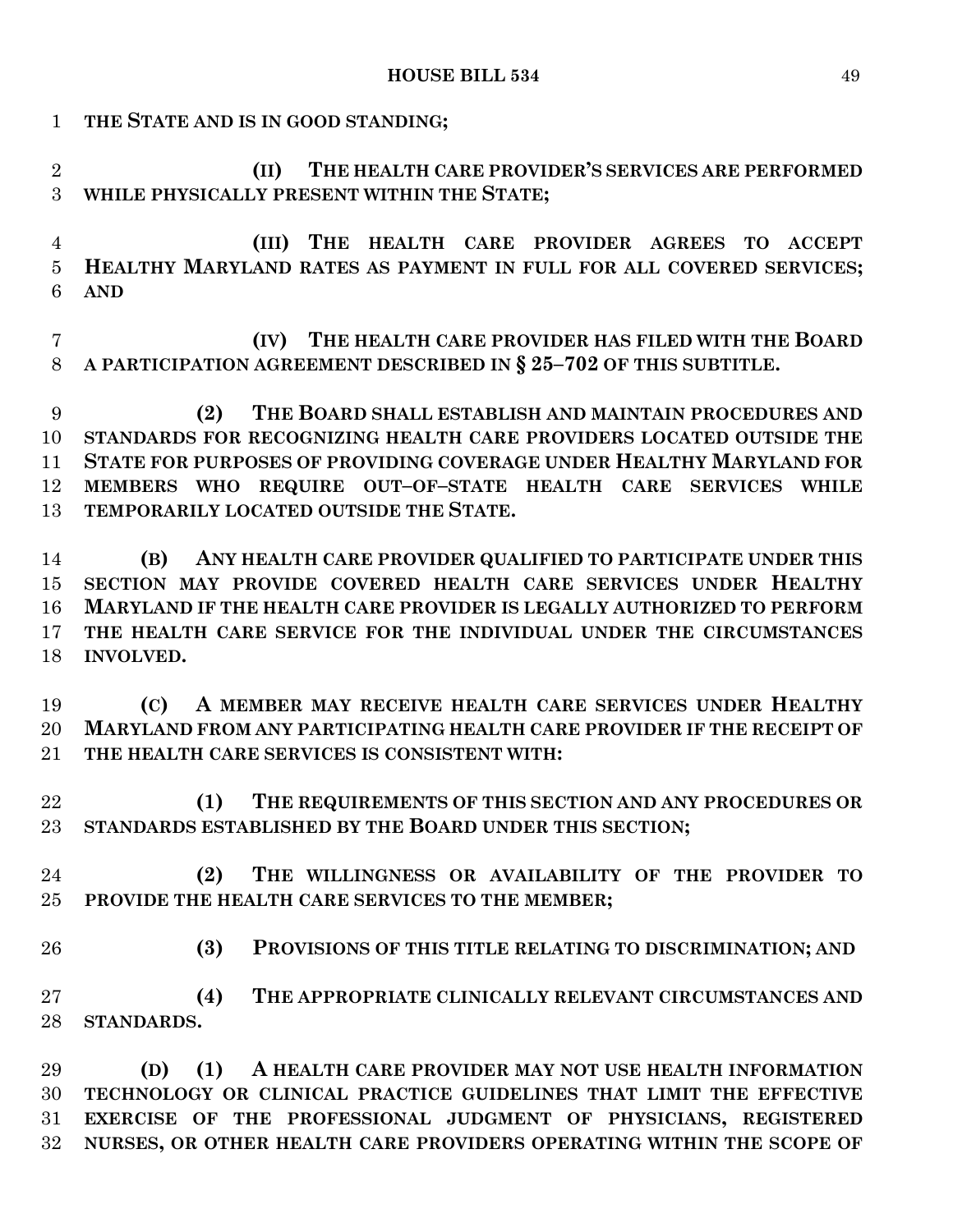**(II) THE HEALTH CARE PROVIDER'S SERVICES ARE PERFORMED WHILE PHYSICALLY PRESENT WITHIN THE STATE;**

**THE STATE AND IS IN GOOD STANDING;**

- **(III) THE HEALTH CARE PROVIDER AGREES TO ACCEPT HEALTHY MARYLAND RATES AS PAYMENT IN FULL FOR ALL COVERED SERVICES; AND**
- **(IV) THE HEALTH CARE PROVIDER HAS FILED WITH THE BOARD A PARTICIPATION AGREEMENT DESCRIBED IN § 25–702 OF THIS SUBTITLE.**
- **(2) THE BOARD SHALL ESTABLISH AND MAINTAIN PROCEDURES AND STANDARDS FOR RECOGNIZING HEALTH CARE PROVIDERS LOCATED OUTSIDE THE STATE FOR PURPOSES OF PROVIDING COVERAGE UNDER HEALTHY MARYLAND FOR MEMBERS WHO REQUIRE OUT–OF–STATE HEALTH CARE SERVICES WHILE TEMPORARILY LOCATED OUTSIDE THE STATE.**
- **(B) ANY HEALTH CARE PROVIDER QUALIFIED TO PARTICIPATE UNDER THIS SECTION MAY PROVIDE COVERED HEALTH CARE SERVICES UNDER HEALTHY MARYLAND IF THE HEALTH CARE PROVIDER IS LEGALLY AUTHORIZED TO PERFORM THE HEALTH CARE SERVICE FOR THE INDIVIDUAL UNDER THE CIRCUMSTANCES INVOLVED.**
- **(C) A MEMBER MAY RECEIVE HEALTH CARE SERVICES UNDER HEALTHY MARYLAND FROM ANY PARTICIPATING HEALTH CARE PROVIDER IF THE RECEIPT OF THE HEALTH CARE SERVICES IS CONSISTENT WITH:**
- **(1) THE REQUIREMENTS OF THIS SECTION AND ANY PROCEDURES OR STANDARDS ESTABLISHED BY THE BOARD UNDER THIS SECTION;**
- **(2) THE WILLINGNESS OR AVAILABILITY OF THE PROVIDER TO PROVIDE THE HEALTH CARE SERVICES TO THE MEMBER;**
- **(3) PROVISIONS OF THIS TITLE RELATING TO DISCRIMINATION; AND**
	- **(4) THE APPROPRIATE CLINICALLY RELEVANT CIRCUMSTANCES AND STANDARDS.**
	- **(D) (1) A HEALTH CARE PROVIDER MAY NOT USE HEALTH INFORMATION TECHNOLOGY OR CLINICAL PRACTICE GUIDELINES THAT LIMIT THE EFFECTIVE EXERCISE OF THE PROFESSIONAL JUDGMENT OF PHYSICIANS, REGISTERED NURSES, OR OTHER HEALTH CARE PROVIDERS OPERATING WITHIN THE SCOPE OF**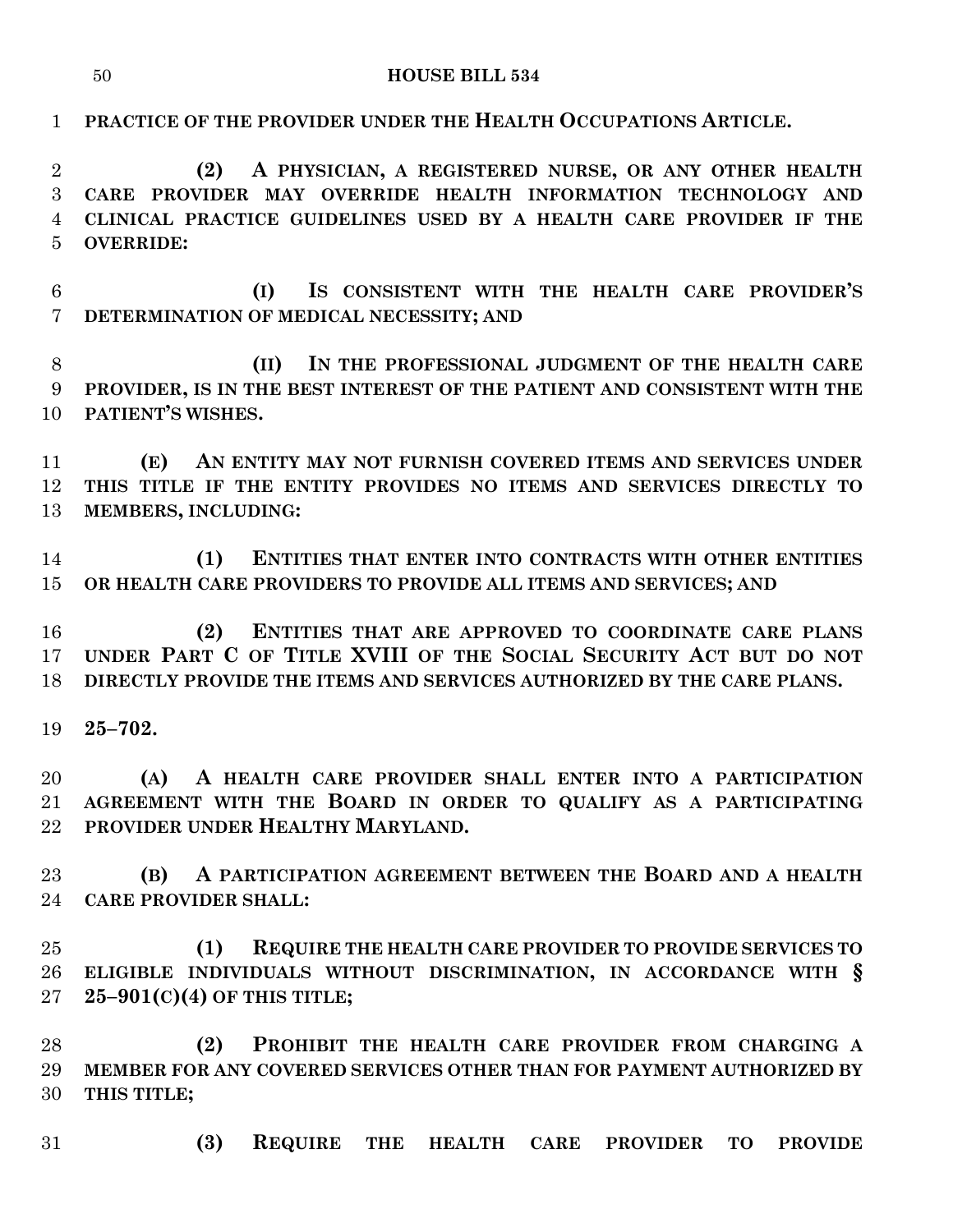#### **HOUSE BILL 534**

 **PRACTICE OF THE PROVIDER UNDER THE HEALTH OCCUPATIONS ARTICLE. (2) A PHYSICIAN, A REGISTERED NURSE, OR ANY OTHER HEALTH CARE PROVIDER MAY OVERRIDE HEALTH INFORMATION TECHNOLOGY AND CLINICAL PRACTICE GUIDELINES USED BY A HEALTH CARE PROVIDER IF THE OVERRIDE: (I) IS CONSISTENT WITH THE HEALTH CARE PROVIDER'S DETERMINATION OF MEDICAL NECESSITY; AND (II) IN THE PROFESSIONAL JUDGMENT OF THE HEALTH CARE PROVIDER, IS IN THE BEST INTEREST OF THE PATIENT AND CONSISTENT WITH THE PATIENT'S WISHES. (E) AN ENTITY MAY NOT FURNISH COVERED ITEMS AND SERVICES UNDER THIS TITLE IF THE ENTITY PROVIDES NO ITEMS AND SERVICES DIRECTLY TO MEMBERS, INCLUDING: (1) ENTITIES THAT ENTER INTO CONTRACTS WITH OTHER ENTITIES OR HEALTH CARE PROVIDERS TO PROVIDE ALL ITEMS AND SERVICES; AND (2) ENTITIES THAT ARE APPROVED TO COORDINATE CARE PLANS UNDER PART C OF TITLE XVIII OF THE SOCIAL SECURITY ACT BUT DO NOT DIRECTLY PROVIDE THE ITEMS AND SERVICES AUTHORIZED BY THE CARE PLANS. 25–702. (A) A HEALTH CARE PROVIDER SHALL ENTER INTO A PARTICIPATION AGREEMENT WITH THE BOARD IN ORDER TO QUALIFY AS A PARTICIPATING PROVIDER UNDER HEALTHY MARYLAND. (B) A PARTICIPATION AGREEMENT BETWEEN THE BOARD AND A HEALTH CARE PROVIDER SHALL: (1) REQUIRE THE HEALTH CARE PROVIDER TO PROVIDE SERVICES TO ELIGIBLE INDIVIDUALS WITHOUT DISCRIMINATION, IN ACCORDANCE WITH § 25–901(C)(4) OF THIS TITLE;**

 **(2) PROHIBIT THE HEALTH CARE PROVIDER FROM CHARGING A MEMBER FOR ANY COVERED SERVICES OTHER THAN FOR PAYMENT AUTHORIZED BY THIS TITLE;**

**(3) REQUIRE THE HEALTH CARE PROVIDER TO PROVIDE**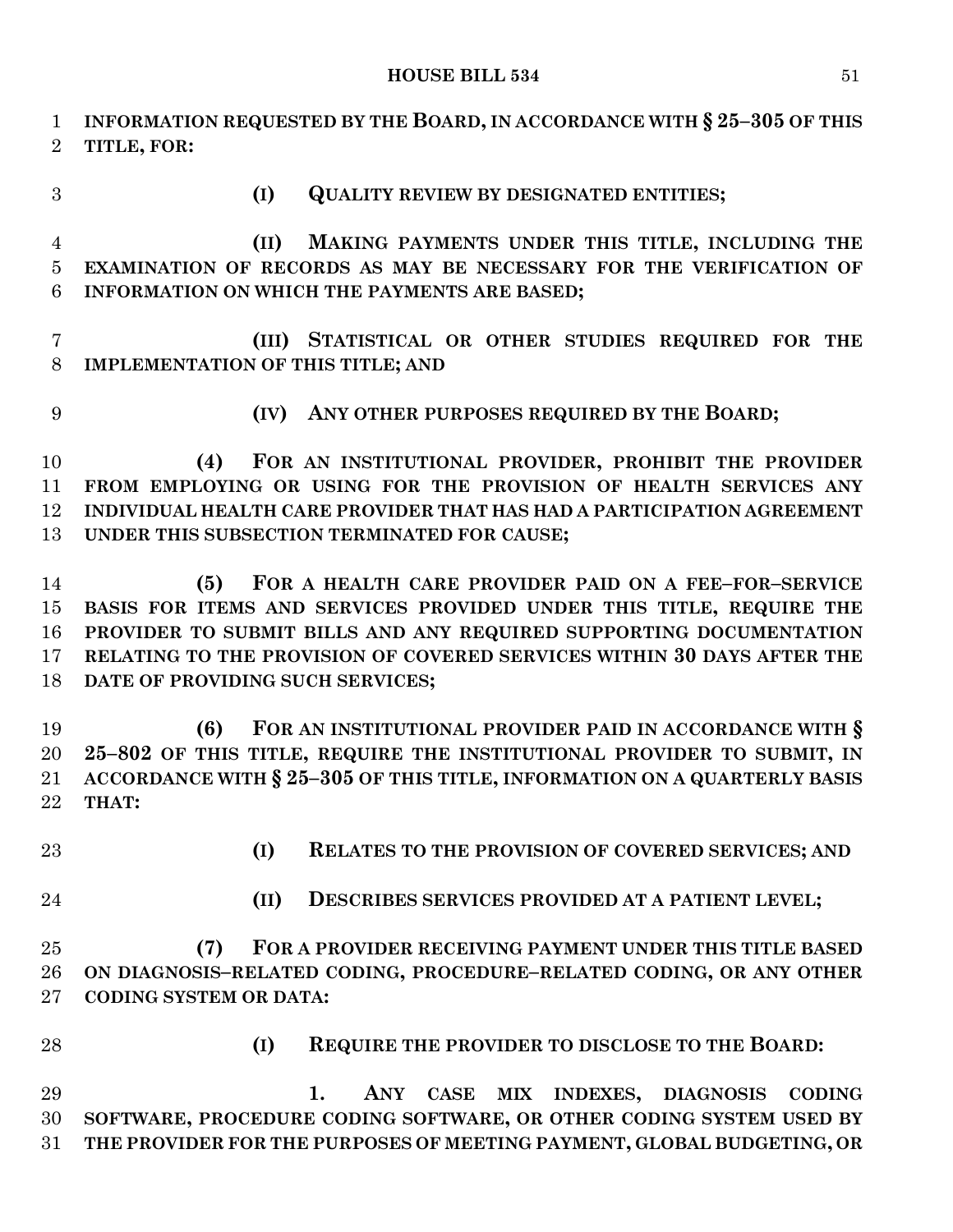**INFORMATION REQUESTED BY THE BOARD, IN ACCORDANCE WITH § 25–305 OF THIS TITLE, FOR: (I) QUALITY REVIEW BY DESIGNATED ENTITIES; (II) MAKING PAYMENTS UNDER THIS TITLE, INCLUDING THE EXAMINATION OF RECORDS AS MAY BE NECESSARY FOR THE VERIFICATION OF INFORMATION ON WHICH THE PAYMENTS ARE BASED; (III) STATISTICAL OR OTHER STUDIES REQUIRED FOR THE IMPLEMENTATION OF THIS TITLE; AND (IV) ANY OTHER PURPOSES REQUIRED BY THE BOARD; (4) FOR AN INSTITUTIONAL PROVIDER, PROHIBIT THE PROVIDER FROM EMPLOYING OR USING FOR THE PROVISION OF HEALTH SERVICES ANY INDIVIDUAL HEALTH CARE PROVIDER THAT HAS HAD A PARTICIPATION AGREEMENT UNDER THIS SUBSECTION TERMINATED FOR CAUSE; (5) FOR A HEALTH CARE PROVIDER PAID ON A FEE–FOR–SERVICE BASIS FOR ITEMS AND SERVICES PROVIDED UNDER THIS TITLE, REQUIRE THE PROVIDER TO SUBMIT BILLS AND ANY REQUIRED SUPPORTING DOCUMENTATION RELATING TO THE PROVISION OF COVERED SERVICES WITHIN 30 DAYS AFTER THE DATE OF PROVIDING SUCH SERVICES; (6) FOR AN INSTITUTIONAL PROVIDER PAID IN ACCORDANCE WITH § 25–802 OF THIS TITLE, REQUIRE THE INSTITUTIONAL PROVIDER TO SUBMIT, IN ACCORDANCE WITH § 25–305 OF THIS TITLE, INFORMATION ON A QUARTERLY BASIS THAT: (I) RELATES TO THE PROVISION OF COVERED SERVICES; AND (II) DESCRIBES SERVICES PROVIDED AT A PATIENT LEVEL; (7) FOR A PROVIDER RECEIVING PAYMENT UNDER THIS TITLE BASED ON DIAGNOSIS–RELATED CODING, PROCEDURE–RELATED CODING, OR ANY OTHER CODING SYSTEM OR DATA: (I) REQUIRE THE PROVIDER TO DISCLOSE TO THE BOARD: 1. ANY CASE MIX INDEXES, DIAGNOSIS CODING SOFTWARE, PROCEDURE CODING SOFTWARE, OR OTHER CODING SYSTEM USED BY THE PROVIDER FOR THE PURPOSES OF MEETING PAYMENT, GLOBAL BUDGETING, OR**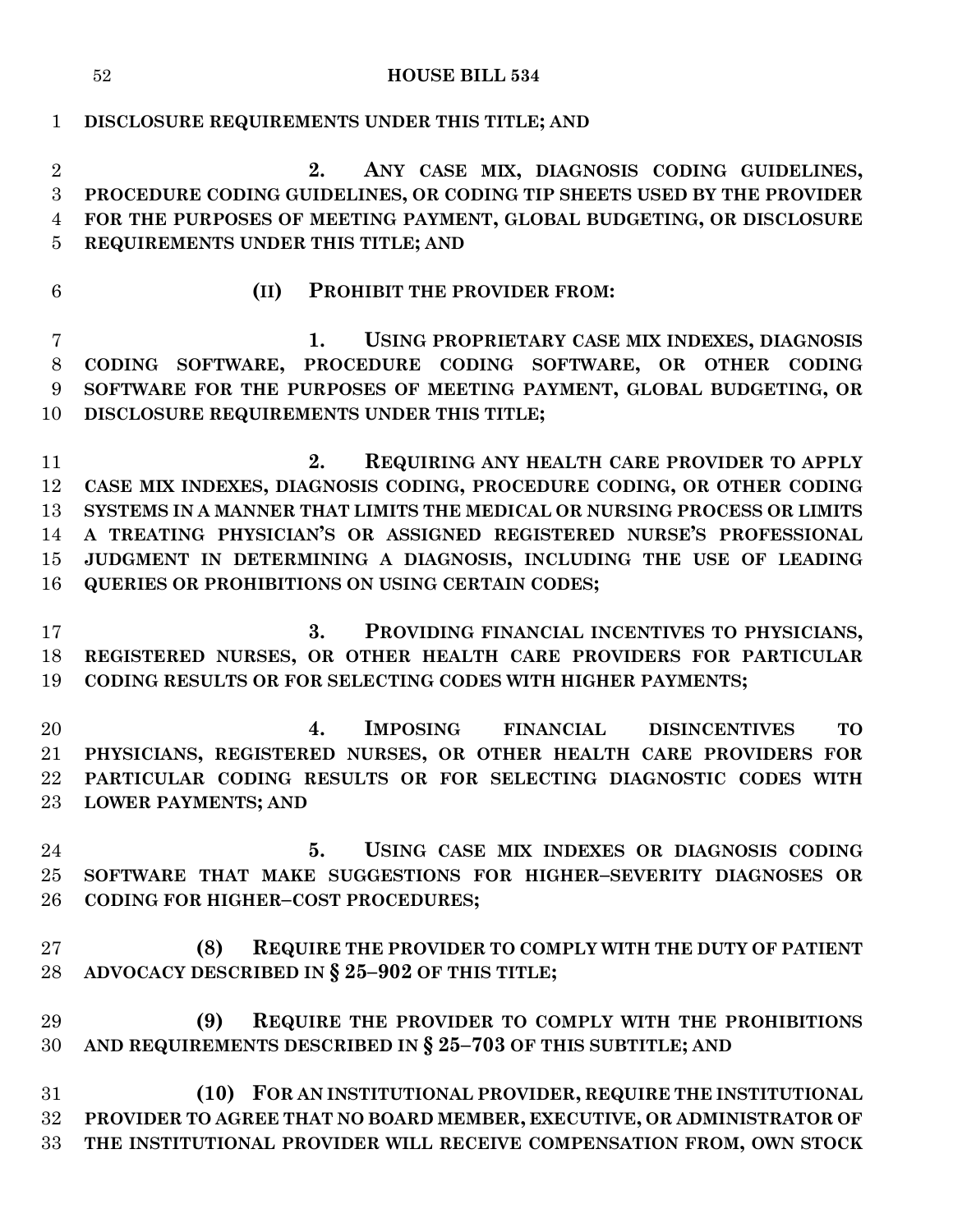#### **HOUSE BILL 534**

**DISCLOSURE REQUIREMENTS UNDER THIS TITLE; AND**

 **2. ANY CASE MIX, DIAGNOSIS CODING GUIDELINES, PROCEDURE CODING GUIDELINES, OR CODING TIP SHEETS USED BY THE PROVIDER FOR THE PURPOSES OF MEETING PAYMENT, GLOBAL BUDGETING, OR DISCLOSURE REQUIREMENTS UNDER THIS TITLE; AND**

- 
- **(II) PROHIBIT THE PROVIDER FROM:**

 **1. USING PROPRIETARY CASE MIX INDEXES, DIAGNOSIS CODING SOFTWARE, PROCEDURE CODING SOFTWARE, OR OTHER CODING SOFTWARE FOR THE PURPOSES OF MEETING PAYMENT, GLOBAL BUDGETING, OR DISCLOSURE REQUIREMENTS UNDER THIS TITLE;**

 **2. REQUIRING ANY HEALTH CARE PROVIDER TO APPLY CASE MIX INDEXES, DIAGNOSIS CODING, PROCEDURE CODING, OR OTHER CODING SYSTEMS IN A MANNER THAT LIMITS THE MEDICAL OR NURSING PROCESS OR LIMITS A TREATING PHYSICIAN'S OR ASSIGNED REGISTERED NURSE'S PROFESSIONAL JUDGMENT IN DETERMINING A DIAGNOSIS, INCLUDING THE USE OF LEADING QUERIES OR PROHIBITIONS ON USING CERTAIN CODES;**

 **3. PROVIDING FINANCIAL INCENTIVES TO PHYSICIANS, REGISTERED NURSES, OR OTHER HEALTH CARE PROVIDERS FOR PARTICULAR CODING RESULTS OR FOR SELECTING CODES WITH HIGHER PAYMENTS;**

 **4. IMPOSING FINANCIAL DISINCENTIVES TO PHYSICIANS, REGISTERED NURSES, OR OTHER HEALTH CARE PROVIDERS FOR PARTICULAR CODING RESULTS OR FOR SELECTING DIAGNOSTIC CODES WITH LOWER PAYMENTS; AND**

- **5. USING CASE MIX INDEXES OR DIAGNOSIS CODING SOFTWARE THAT MAKE SUGGESTIONS FOR HIGHER–SEVERITY DIAGNOSES OR CODING FOR HIGHER–COST PROCEDURES;**
- **(8) REQUIRE THE PROVIDER TO COMPLY WITH THE DUTY OF PATIENT ADVOCACY DESCRIBED IN § 25–902 OF THIS TITLE;**

 **(9) REQUIRE THE PROVIDER TO COMPLY WITH THE PROHIBITIONS AND REQUIREMENTS DESCRIBED IN § 25–703 OF THIS SUBTITLE; AND**

 **(10) FOR AN INSTITUTIONAL PROVIDER, REQUIRE THE INSTITUTIONAL PROVIDER TO AGREE THAT NO BOARD MEMBER, EXECUTIVE, OR ADMINISTRATOR OF THE INSTITUTIONAL PROVIDER WILL RECEIVE COMPENSATION FROM, OWN STOCK**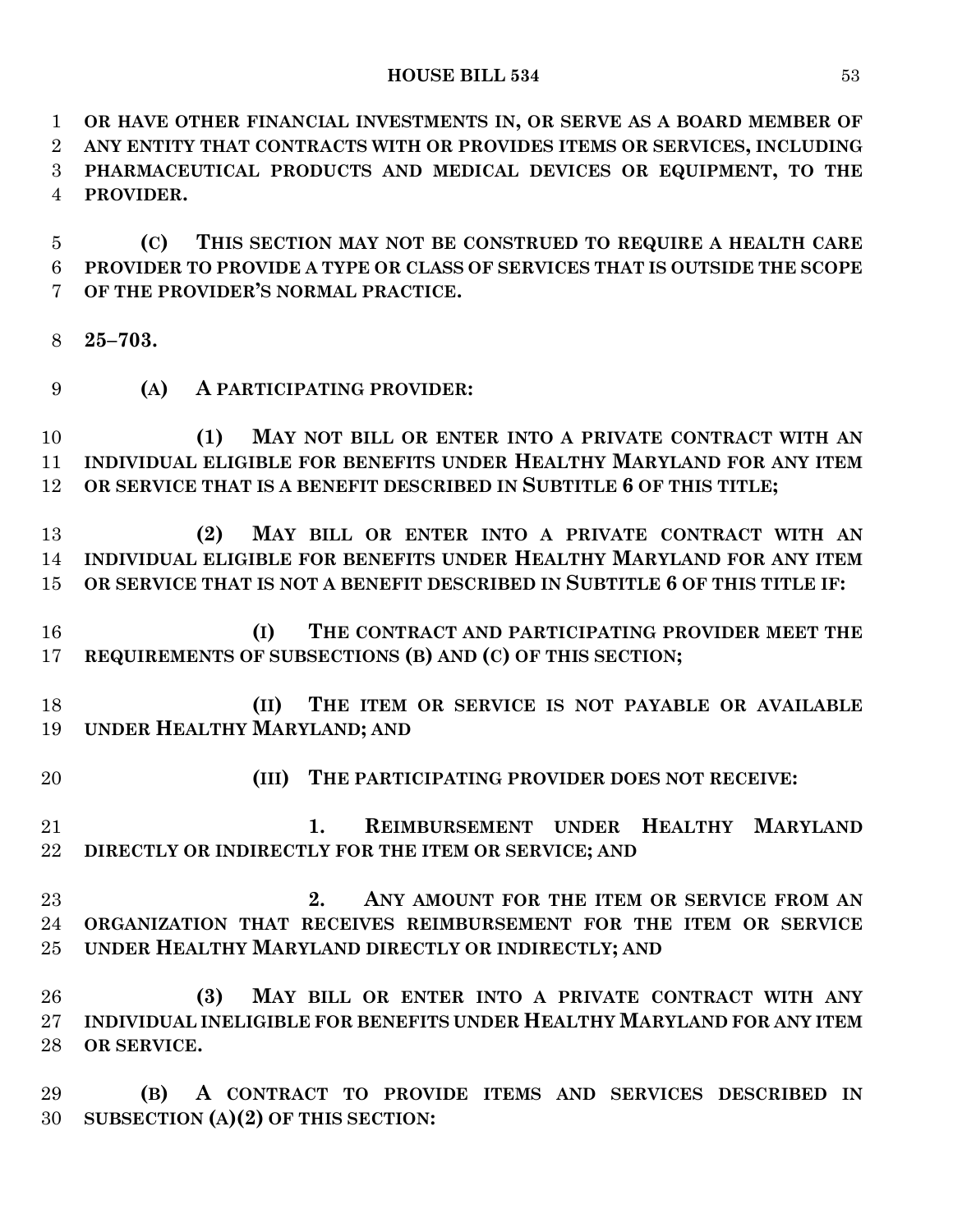**OR HAVE OTHER FINANCIAL INVESTMENTS IN, OR SERVE AS A BOARD MEMBER OF ANY ENTITY THAT CONTRACTS WITH OR PROVIDES ITEMS OR SERVICES, INCLUDING PHARMACEUTICAL PRODUCTS AND MEDICAL DEVICES OR EQUIPMENT, TO THE PROVIDER.**

 **(C) THIS SECTION MAY NOT BE CONSTRUED TO REQUIRE A HEALTH CARE PROVIDER TO PROVIDE A TYPE OR CLASS OF SERVICES THAT IS OUTSIDE THE SCOPE OF THE PROVIDER'S NORMAL PRACTICE.**

- **25–703.**
- **(A) A PARTICIPATING PROVIDER:**

 **(1) MAY NOT BILL OR ENTER INTO A PRIVATE CONTRACT WITH AN INDIVIDUAL ELIGIBLE FOR BENEFITS UNDER HEALTHY MARYLAND FOR ANY ITEM OR SERVICE THAT IS A BENEFIT DESCRIBED IN SUBTITLE 6 OF THIS TITLE;**

 **(2) MAY BILL OR ENTER INTO A PRIVATE CONTRACT WITH AN INDIVIDUAL ELIGIBLE FOR BENEFITS UNDER HEALTHY MARYLAND FOR ANY ITEM OR SERVICE THAT IS NOT A BENEFIT DESCRIBED IN SUBTITLE 6 OF THIS TITLE IF:**

 **(I) THE CONTRACT AND PARTICIPATING PROVIDER MEET THE REQUIREMENTS OF SUBSECTIONS (B) AND (C) OF THIS SECTION;**

 **(II) THE ITEM OR SERVICE IS NOT PAYABLE OR AVAILABLE UNDER HEALTHY MARYLAND; AND**

**(III) THE PARTICIPATING PROVIDER DOES NOT RECEIVE:**

 **1. REIMBURSEMENT UNDER HEALTHY MARYLAND DIRECTLY OR INDIRECTLY FOR THE ITEM OR SERVICE; AND**

 **2. ANY AMOUNT FOR THE ITEM OR SERVICE FROM AN ORGANIZATION THAT RECEIVES REIMBURSEMENT FOR THE ITEM OR SERVICE UNDER HEALTHY MARYLAND DIRECTLY OR INDIRECTLY; AND**

 **(3) MAY BILL OR ENTER INTO A PRIVATE CONTRACT WITH ANY INDIVIDUAL INELIGIBLE FOR BENEFITS UNDER HEALTHY MARYLAND FOR ANY ITEM OR SERVICE.**

 **(B) A CONTRACT TO PROVIDE ITEMS AND SERVICES DESCRIBED IN SUBSECTION (A)(2) OF THIS SECTION:**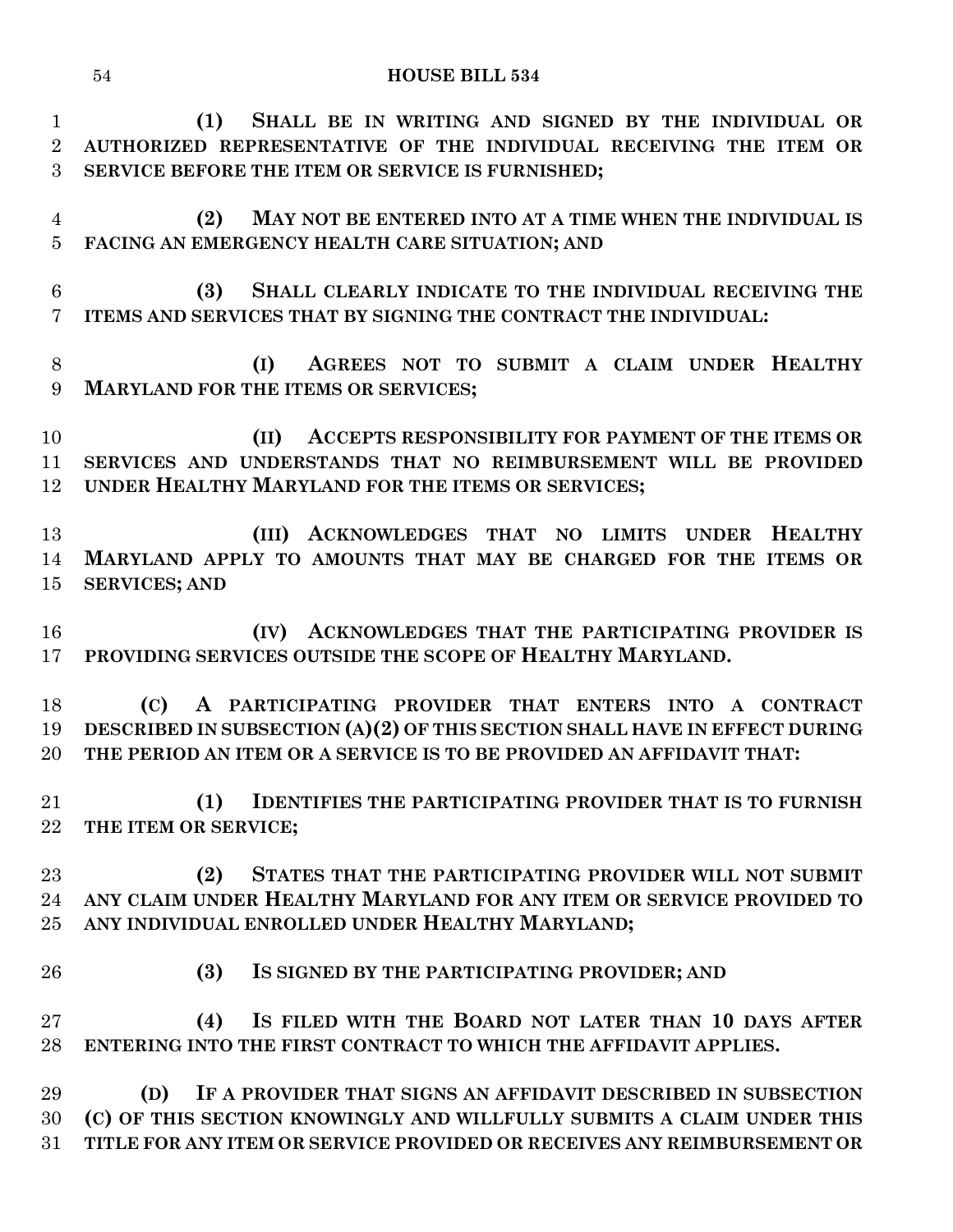**(1) SHALL BE IN WRITING AND SIGNED BY THE INDIVIDUAL OR AUTHORIZED REPRESENTATIVE OF THE INDIVIDUAL RECEIVING THE ITEM OR SERVICE BEFORE THE ITEM OR SERVICE IS FURNISHED; (2) MAY NOT BE ENTERED INTO AT A TIME WHEN THE INDIVIDUAL IS FACING AN EMERGENCY HEALTH CARE SITUATION; AND (3) SHALL CLEARLY INDICATE TO THE INDIVIDUAL RECEIVING THE ITEMS AND SERVICES THAT BY SIGNING THE CONTRACT THE INDIVIDUAL: (I) AGREES NOT TO SUBMIT A CLAIM UNDER HEALTHY MARYLAND FOR THE ITEMS OR SERVICES; (II) ACCEPTS RESPONSIBILITY FOR PAYMENT OF THE ITEMS OR SERVICES AND UNDERSTANDS THAT NO REIMBURSEMENT WILL BE PROVIDED UNDER HEALTHY MARYLAND FOR THE ITEMS OR SERVICES; (III) ACKNOWLEDGES THAT NO LIMITS UNDER HEALTHY MARYLAND APPLY TO AMOUNTS THAT MAY BE CHARGED FOR THE ITEMS OR SERVICES; AND (IV) ACKNOWLEDGES THAT THE PARTICIPATING PROVIDER IS PROVIDING SERVICES OUTSIDE THE SCOPE OF HEALTHY MARYLAND. (C) A PARTICIPATING PROVIDER THAT ENTERS INTO A CONTRACT DESCRIBED IN SUBSECTION (A)(2) OF THIS SECTION SHALL HAVE IN EFFECT DURING THE PERIOD AN ITEM OR A SERVICE IS TO BE PROVIDED AN AFFIDAVIT THAT: (1) IDENTIFIES THE PARTICIPATING PROVIDER THAT IS TO FURNISH THE ITEM OR SERVICE; (2) STATES THAT THE PARTICIPATING PROVIDER WILL NOT SUBMIT ANY CLAIM UNDER HEALTHY MARYLAND FOR ANY ITEM OR SERVICE PROVIDED TO ANY INDIVIDUAL ENROLLED UNDER HEALTHY MARYLAND; (3) IS SIGNED BY THE PARTICIPATING PROVIDER; AND (4) IS FILED WITH THE BOARD NOT LATER THAN 10 DAYS AFTER ENTERING INTO THE FIRST CONTRACT TO WHICH THE AFFIDAVIT APPLIES. (D) IF A PROVIDER THAT SIGNS AN AFFIDAVIT DESCRIBED IN SUBSECTION (C) OF THIS SECTION KNOWINGLY AND WILLFULLY SUBMITS A CLAIM UNDER THIS TITLE FOR ANY ITEM OR SERVICE PROVIDED OR RECEIVES ANY REIMBURSEMENT OR** 

**HOUSE BILL 534**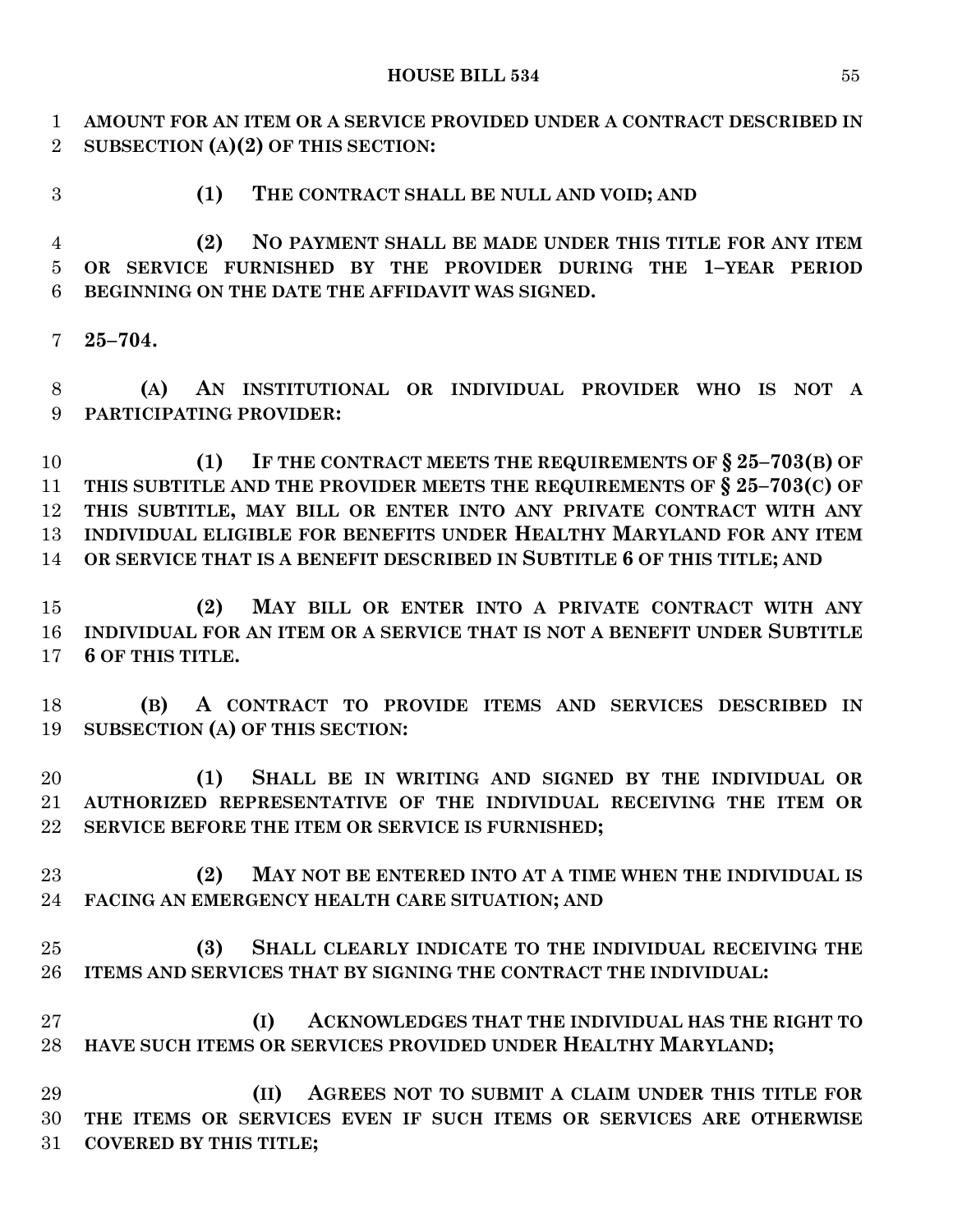**AMOUNT FOR AN ITEM OR A SERVICE PROVIDED UNDER A CONTRACT DESCRIBED IN SUBSECTION (A)(2) OF THIS SECTION:**

- 
- **(1) THE CONTRACT SHALL BE NULL AND VOID; AND**

 **(2) NO PAYMENT SHALL BE MADE UNDER THIS TITLE FOR ANY ITEM OR SERVICE FURNISHED BY THE PROVIDER DURING THE 1–YEAR PERIOD BEGINNING ON THE DATE THE AFFIDAVIT WAS SIGNED.**

**25–704.**

 **(A) AN INSTITUTIONAL OR INDIVIDUAL PROVIDER WHO IS NOT A PARTICIPATING PROVIDER:**

 **(1) IF THE CONTRACT MEETS THE REQUIREMENTS OF § 25–703(B) OF THIS SUBTITLE AND THE PROVIDER MEETS THE REQUIREMENTS OF § 25–703(C) OF THIS SUBTITLE, MAY BILL OR ENTER INTO ANY PRIVATE CONTRACT WITH ANY INDIVIDUAL ELIGIBLE FOR BENEFITS UNDER HEALTHY MARYLAND FOR ANY ITEM OR SERVICE THAT IS A BENEFIT DESCRIBED IN SUBTITLE 6 OF THIS TITLE; AND**

 **(2) MAY BILL OR ENTER INTO A PRIVATE CONTRACT WITH ANY INDIVIDUAL FOR AN ITEM OR A SERVICE THAT IS NOT A BENEFIT UNDER SUBTITLE 6 OF THIS TITLE.**

 **(B) A CONTRACT TO PROVIDE ITEMS AND SERVICES DESCRIBED IN SUBSECTION (A) OF THIS SECTION:**

 **(1) SHALL BE IN WRITING AND SIGNED BY THE INDIVIDUAL OR AUTHORIZED REPRESENTATIVE OF THE INDIVIDUAL RECEIVING THE ITEM OR SERVICE BEFORE THE ITEM OR SERVICE IS FURNISHED;**

 **(2) MAY NOT BE ENTERED INTO AT A TIME WHEN THE INDIVIDUAL IS FACING AN EMERGENCY HEALTH CARE SITUATION; AND**

 **(3) SHALL CLEARLY INDICATE TO THE INDIVIDUAL RECEIVING THE ITEMS AND SERVICES THAT BY SIGNING THE CONTRACT THE INDIVIDUAL:**

 **(I) ACKNOWLEDGES THAT THE INDIVIDUAL HAS THE RIGHT TO HAVE SUCH ITEMS OR SERVICES PROVIDED UNDER HEALTHY MARYLAND;**

 **(II) AGREES NOT TO SUBMIT A CLAIM UNDER THIS TITLE FOR THE ITEMS OR SERVICES EVEN IF SUCH ITEMS OR SERVICES ARE OTHERWISE COVERED BY THIS TITLE;**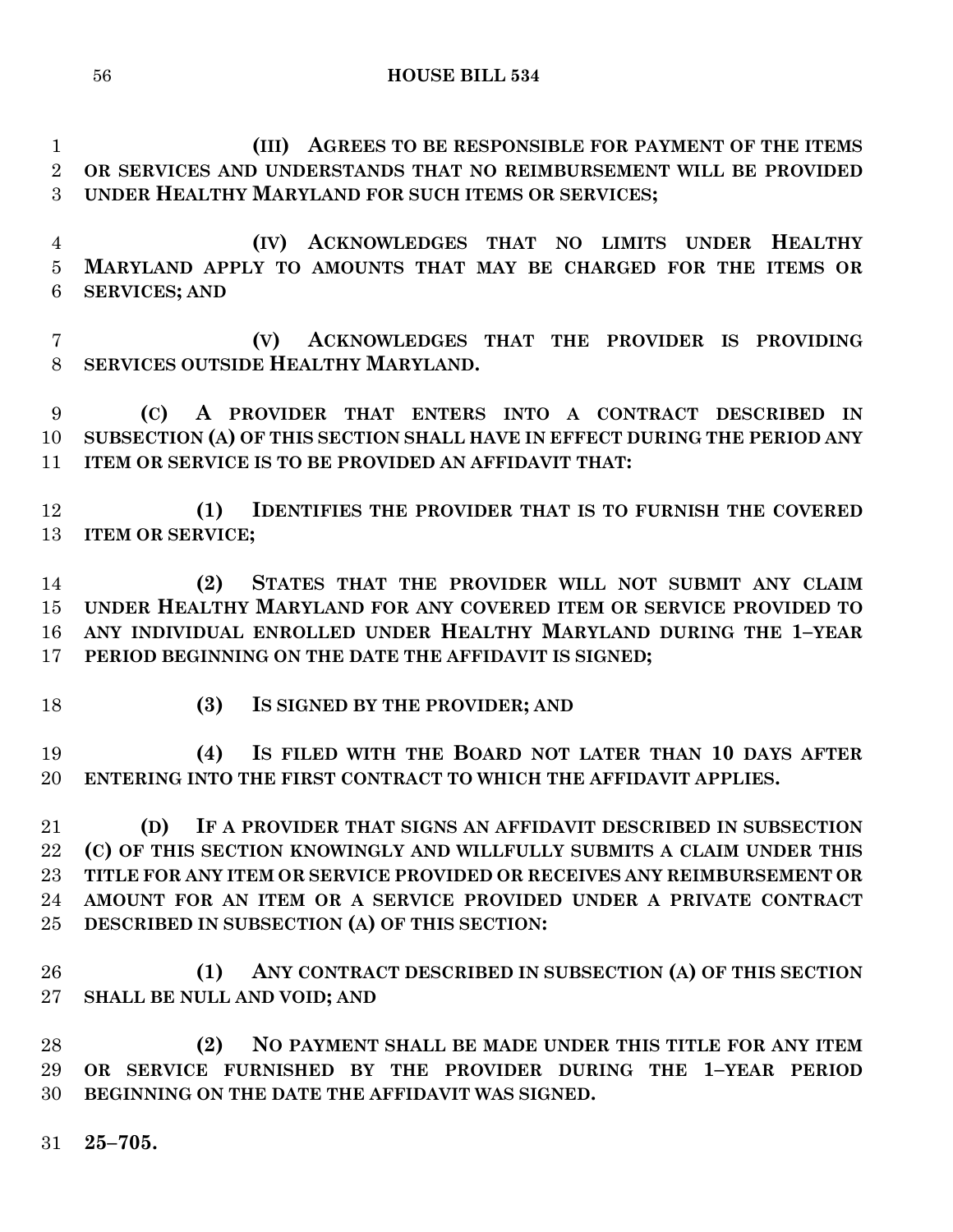**(III) AGREES TO BE RESPONSIBLE FOR PAYMENT OF THE ITEMS OR SERVICES AND UNDERSTANDS THAT NO REIMBURSEMENT WILL BE PROVIDED UNDER HEALTHY MARYLAND FOR SUCH ITEMS OR SERVICES;**

 **(IV) ACKNOWLEDGES THAT NO LIMITS UNDER HEALTHY MARYLAND APPLY TO AMOUNTS THAT MAY BE CHARGED FOR THE ITEMS OR SERVICES; AND**

 **(V) ACKNOWLEDGES THAT THE PROVIDER IS PROVIDING SERVICES OUTSIDE HEALTHY MARYLAND.**

 **(C) A PROVIDER THAT ENTERS INTO A CONTRACT DESCRIBED IN SUBSECTION (A) OF THIS SECTION SHALL HAVE IN EFFECT DURING THE PERIOD ANY ITEM OR SERVICE IS TO BE PROVIDED AN AFFIDAVIT THAT:**

 **(1) IDENTIFIES THE PROVIDER THAT IS TO FURNISH THE COVERED ITEM OR SERVICE;**

 **(2) STATES THAT THE PROVIDER WILL NOT SUBMIT ANY CLAIM UNDER HEALTHY MARYLAND FOR ANY COVERED ITEM OR SERVICE PROVIDED TO ANY INDIVIDUAL ENROLLED UNDER HEALTHY MARYLAND DURING THE 1–YEAR PERIOD BEGINNING ON THE DATE THE AFFIDAVIT IS SIGNED;**

- 
- **(3) IS SIGNED BY THE PROVIDER; AND**

 **(4) IS FILED WITH THE BOARD NOT LATER THAN 10 DAYS AFTER ENTERING INTO THE FIRST CONTRACT TO WHICH THE AFFIDAVIT APPLIES.**

 **(D) IF A PROVIDER THAT SIGNS AN AFFIDAVIT DESCRIBED IN SUBSECTION (C) OF THIS SECTION KNOWINGLY AND WILLFULLY SUBMITS A CLAIM UNDER THIS TITLE FOR ANY ITEM OR SERVICE PROVIDED OR RECEIVES ANY REIMBURSEMENT OR AMOUNT FOR AN ITEM OR A SERVICE PROVIDED UNDER A PRIVATE CONTRACT DESCRIBED IN SUBSECTION (A) OF THIS SECTION:**

 **(1) ANY CONTRACT DESCRIBED IN SUBSECTION (A) OF THIS SECTION SHALL BE NULL AND VOID; AND**

 **(2) NO PAYMENT SHALL BE MADE UNDER THIS TITLE FOR ANY ITEM OR SERVICE FURNISHED BY THE PROVIDER DURING THE 1–YEAR PERIOD BEGINNING ON THE DATE THE AFFIDAVIT WAS SIGNED.**

**25–705.**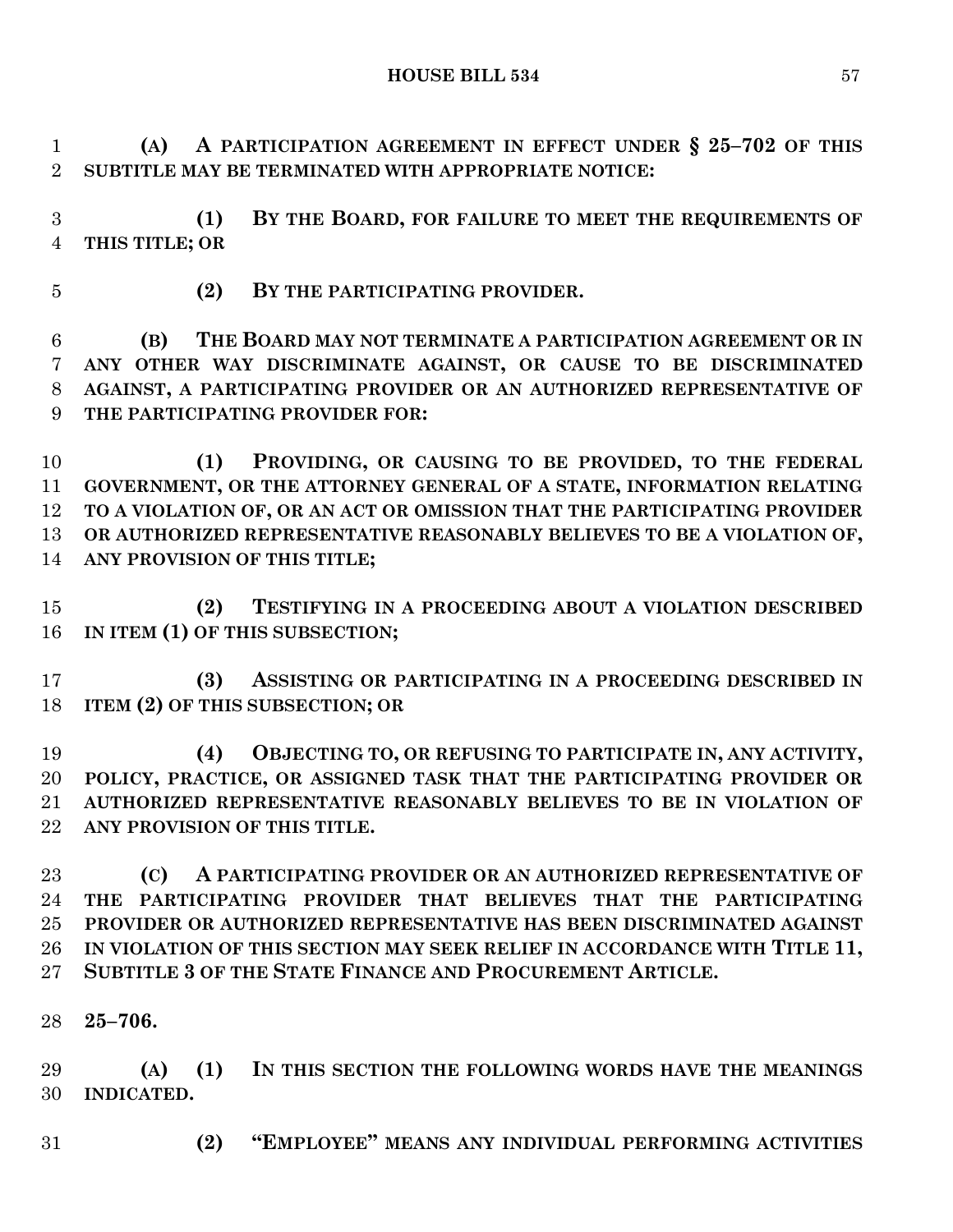**(A) A PARTICIPATION AGREEMENT IN EFFECT UNDER § 25–702 OF THIS SUBTITLE MAY BE TERMINATED WITH APPROPRIATE NOTICE:**

 **(1) BY THE BOARD, FOR FAILURE TO MEET THE REQUIREMENTS OF THIS TITLE; OR**

**(2) BY THE PARTICIPATING PROVIDER.**

 **(B) THE BOARD MAY NOT TERMINATE A PARTICIPATION AGREEMENT OR IN ANY OTHER WAY DISCRIMINATE AGAINST, OR CAUSE TO BE DISCRIMINATED AGAINST, A PARTICIPATING PROVIDER OR AN AUTHORIZED REPRESENTATIVE OF THE PARTICIPATING PROVIDER FOR:**

 **(1) PROVIDING, OR CAUSING TO BE PROVIDED, TO THE FEDERAL GOVERNMENT, OR THE ATTORNEY GENERAL OF A STATE, INFORMATION RELATING TO A VIOLATION OF, OR AN ACT OR OMISSION THAT THE PARTICIPATING PROVIDER OR AUTHORIZED REPRESENTATIVE REASONABLY BELIEVES TO BE A VIOLATION OF, ANY PROVISION OF THIS TITLE;**

 **(2) TESTIFYING IN A PROCEEDING ABOUT A VIOLATION DESCRIBED IN ITEM (1) OF THIS SUBSECTION;**

 **(3) ASSISTING OR PARTICIPATING IN A PROCEEDING DESCRIBED IN ITEM (2) OF THIS SUBSECTION; OR**

 **(4) OBJECTING TO, OR REFUSING TO PARTICIPATE IN, ANY ACTIVITY, POLICY, PRACTICE, OR ASSIGNED TASK THAT THE PARTICIPATING PROVIDER OR AUTHORIZED REPRESENTATIVE REASONABLY BELIEVES TO BE IN VIOLATION OF ANY PROVISION OF THIS TITLE.**

 **(C) A PARTICIPATING PROVIDER OR AN AUTHORIZED REPRESENTATIVE OF THE PARTICIPATING PROVIDER THAT BELIEVES THAT THE PARTICIPATING PROVIDER OR AUTHORIZED REPRESENTATIVE HAS BEEN DISCRIMINATED AGAINST IN VIOLATION OF THIS SECTION MAY SEEK RELIEF IN ACCORDANCE WITH TITLE 11, SUBTITLE 3 OF THE STATE FINANCE AND PROCUREMENT ARTICLE.**

**25–706.**

 **(A) (1) IN THIS SECTION THE FOLLOWING WORDS HAVE THE MEANINGS INDICATED.**

**(2) "EMPLOYEE" MEANS ANY INDIVIDUAL PERFORMING ACTIVITIES**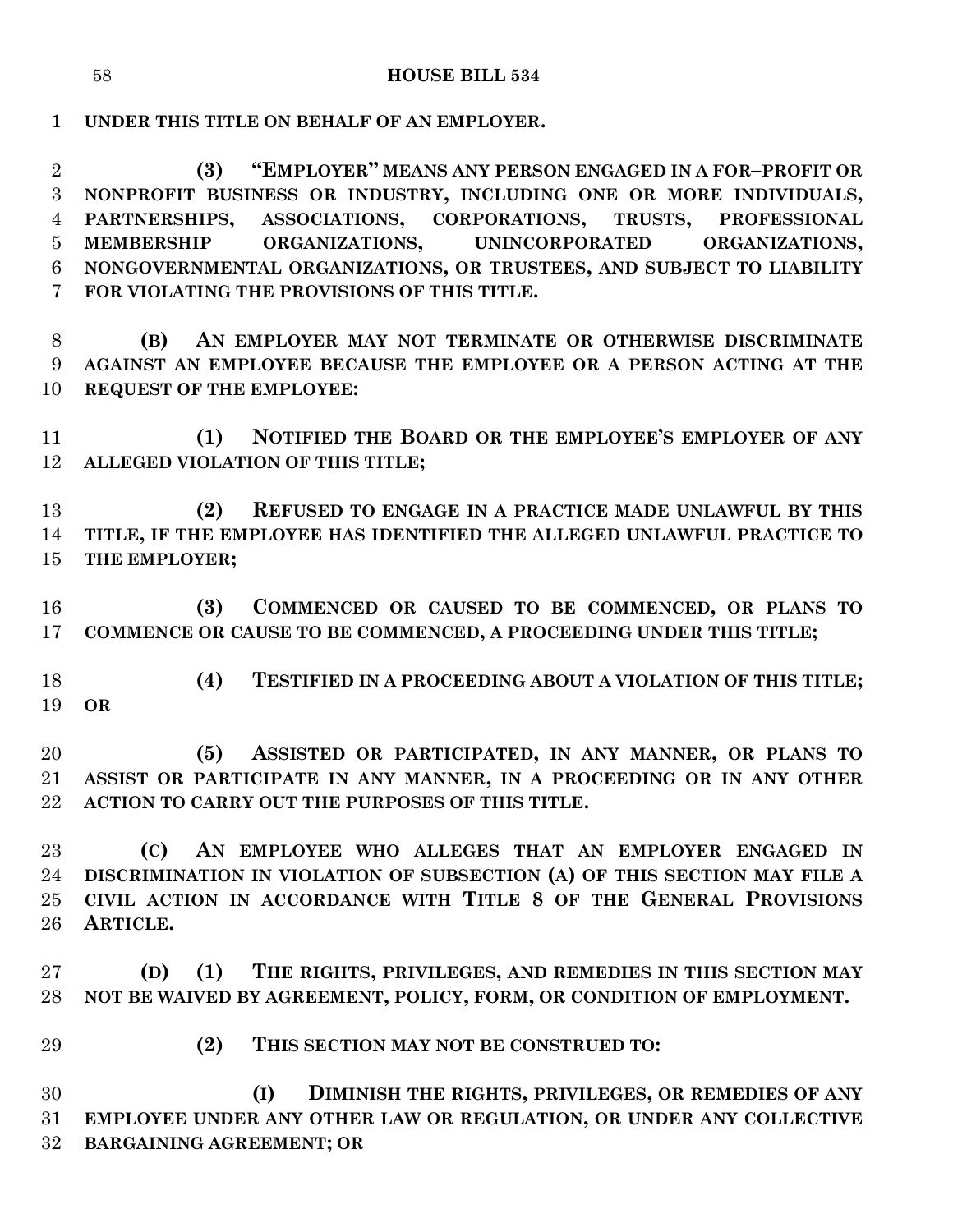**UNDER THIS TITLE ON BEHALF OF AN EMPLOYER.**

 **(3) "EMPLOYER" MEANS ANY PERSON ENGAGED IN A FOR–PROFIT OR NONPROFIT BUSINESS OR INDUSTRY, INCLUDING ONE OR MORE INDIVIDUALS, PARTNERSHIPS, ASSOCIATIONS, CORPORATIONS, TRUSTS, PROFESSIONAL MEMBERSHIP ORGANIZATIONS, UNINCORPORATED ORGANIZATIONS, NONGOVERNMENTAL ORGANIZATIONS, OR TRUSTEES, AND SUBJECT TO LIABILITY FOR VIOLATING THE PROVISIONS OF THIS TITLE.**

 **(B) AN EMPLOYER MAY NOT TERMINATE OR OTHERWISE DISCRIMINATE AGAINST AN EMPLOYEE BECAUSE THE EMPLOYEE OR A PERSON ACTING AT THE REQUEST OF THE EMPLOYEE:**

 **(1) NOTIFIED THE BOARD OR THE EMPLOYEE'S EMPLOYER OF ANY ALLEGED VIOLATION OF THIS TITLE;**

 **(2) REFUSED TO ENGAGE IN A PRACTICE MADE UNLAWFUL BY THIS TITLE, IF THE EMPLOYEE HAS IDENTIFIED THE ALLEGED UNLAWFUL PRACTICE TO THE EMPLOYER;**

 **(3) COMMENCED OR CAUSED TO BE COMMENCED, OR PLANS TO COMMENCE OR CAUSE TO BE COMMENCED, A PROCEEDING UNDER THIS TITLE;**

 **(4) TESTIFIED IN A PROCEEDING ABOUT A VIOLATION OF THIS TITLE; OR**

 **(5) ASSISTED OR PARTICIPATED, IN ANY MANNER, OR PLANS TO ASSIST OR PARTICIPATE IN ANY MANNER, IN A PROCEEDING OR IN ANY OTHER ACTION TO CARRY OUT THE PURPOSES OF THIS TITLE.**

 **(C) AN EMPLOYEE WHO ALLEGES THAT AN EMPLOYER ENGAGED IN DISCRIMINATION IN VIOLATION OF SUBSECTION (A) OF THIS SECTION MAY FILE A CIVIL ACTION IN ACCORDANCE WITH TITLE 8 OF THE GENERAL PROVISIONS ARTICLE.**

 **(D) (1) THE RIGHTS, PRIVILEGES, AND REMEDIES IN THIS SECTION MAY NOT BE WAIVED BY AGREEMENT, POLICY, FORM, OR CONDITION OF EMPLOYMENT.**

**(2) THIS SECTION MAY NOT BE CONSTRUED TO:**

 **(I) DIMINISH THE RIGHTS, PRIVILEGES, OR REMEDIES OF ANY EMPLOYEE UNDER ANY OTHER LAW OR REGULATION, OR UNDER ANY COLLECTIVE BARGAINING AGREEMENT; OR**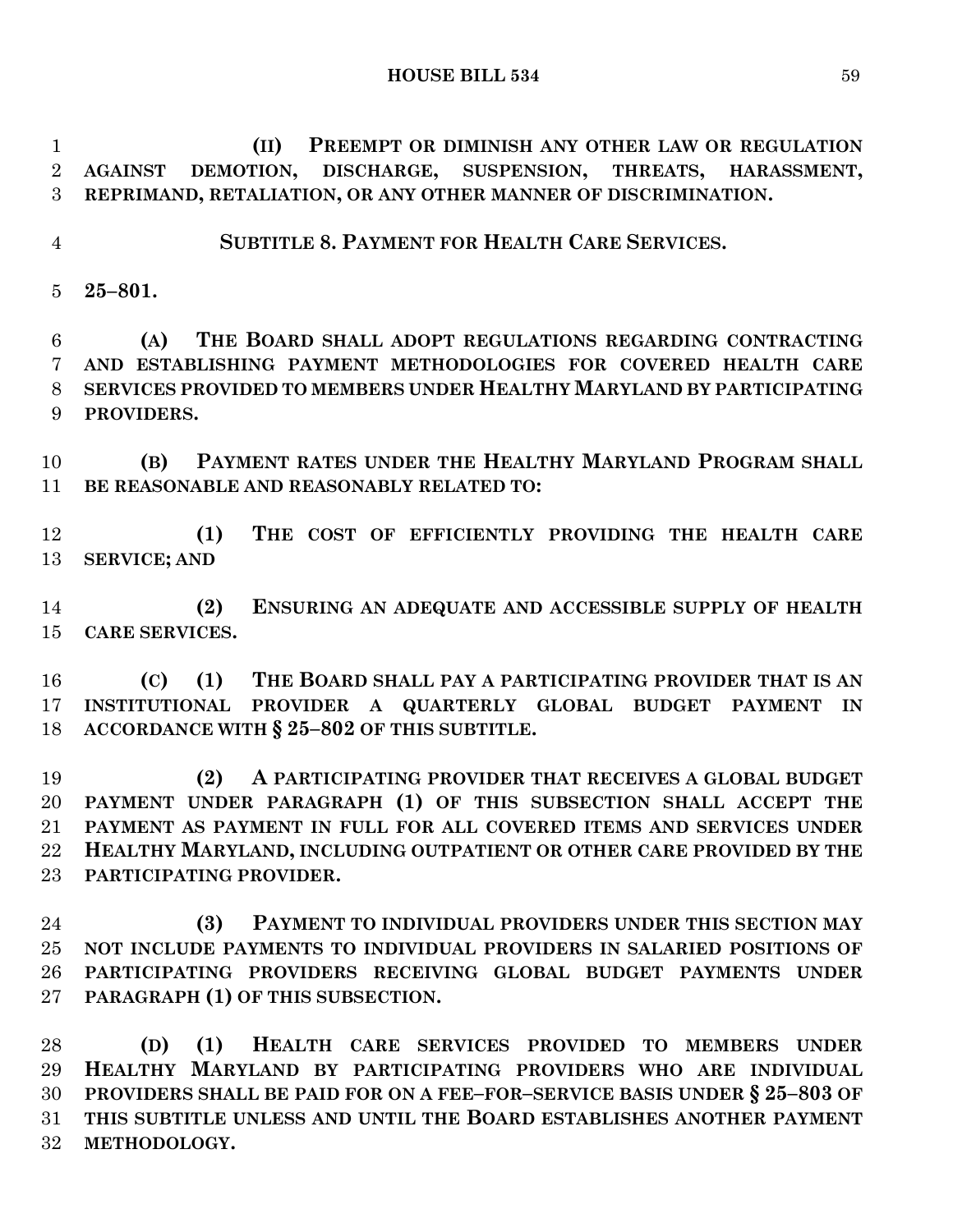**(II) PREEMPT OR DIMINISH ANY OTHER LAW OR REGULATION AGAINST DEMOTION, DISCHARGE, SUSPENSION, THREATS, HARASSMENT, REPRIMAND, RETALIATION, OR ANY OTHER MANNER OF DISCRIMINATION.**

**SUBTITLE 8. PAYMENT FOR HEALTH CARE SERVICES.**

**25–801.**

 **(A) THE BOARD SHALL ADOPT REGULATIONS REGARDING CONTRACTING AND ESTABLISHING PAYMENT METHODOLOGIES FOR COVERED HEALTH CARE SERVICES PROVIDED TO MEMBERS UNDER HEALTHY MARYLAND BY PARTICIPATING PROVIDERS.**

 **(B) PAYMENT RATES UNDER THE HEALTHY MARYLAND PROGRAM SHALL BE REASONABLE AND REASONABLY RELATED TO:**

 **(1) THE COST OF EFFICIENTLY PROVIDING THE HEALTH CARE SERVICE; AND**

 **(2) ENSURING AN ADEQUATE AND ACCESSIBLE SUPPLY OF HEALTH CARE SERVICES.**

 **(C) (1) THE BOARD SHALL PAY A PARTICIPATING PROVIDER THAT IS AN INSTITUTIONAL PROVIDER A QUARTERLY GLOBAL BUDGET PAYMENT IN ACCORDANCE WITH § 25–802 OF THIS SUBTITLE.**

 **(2) A PARTICIPATING PROVIDER THAT RECEIVES A GLOBAL BUDGET PAYMENT UNDER PARAGRAPH (1) OF THIS SUBSECTION SHALL ACCEPT THE PAYMENT AS PAYMENT IN FULL FOR ALL COVERED ITEMS AND SERVICES UNDER HEALTHY MARYLAND, INCLUDING OUTPATIENT OR OTHER CARE PROVIDED BY THE PARTICIPATING PROVIDER.**

 **(3) PAYMENT TO INDIVIDUAL PROVIDERS UNDER THIS SECTION MAY NOT INCLUDE PAYMENTS TO INDIVIDUAL PROVIDERS IN SALARIED POSITIONS OF PARTICIPATING PROVIDERS RECEIVING GLOBAL BUDGET PAYMENTS UNDER PARAGRAPH (1) OF THIS SUBSECTION.**

 **(D) (1) HEALTH CARE SERVICES PROVIDED TO MEMBERS UNDER HEALTHY MARYLAND BY PARTICIPATING PROVIDERS WHO ARE INDIVIDUAL PROVIDERS SHALL BE PAID FOR ON A FEE–FOR–SERVICE BASIS UNDER § 25–803 OF THIS SUBTITLE UNLESS AND UNTIL THE BOARD ESTABLISHES ANOTHER PAYMENT METHODOLOGY.**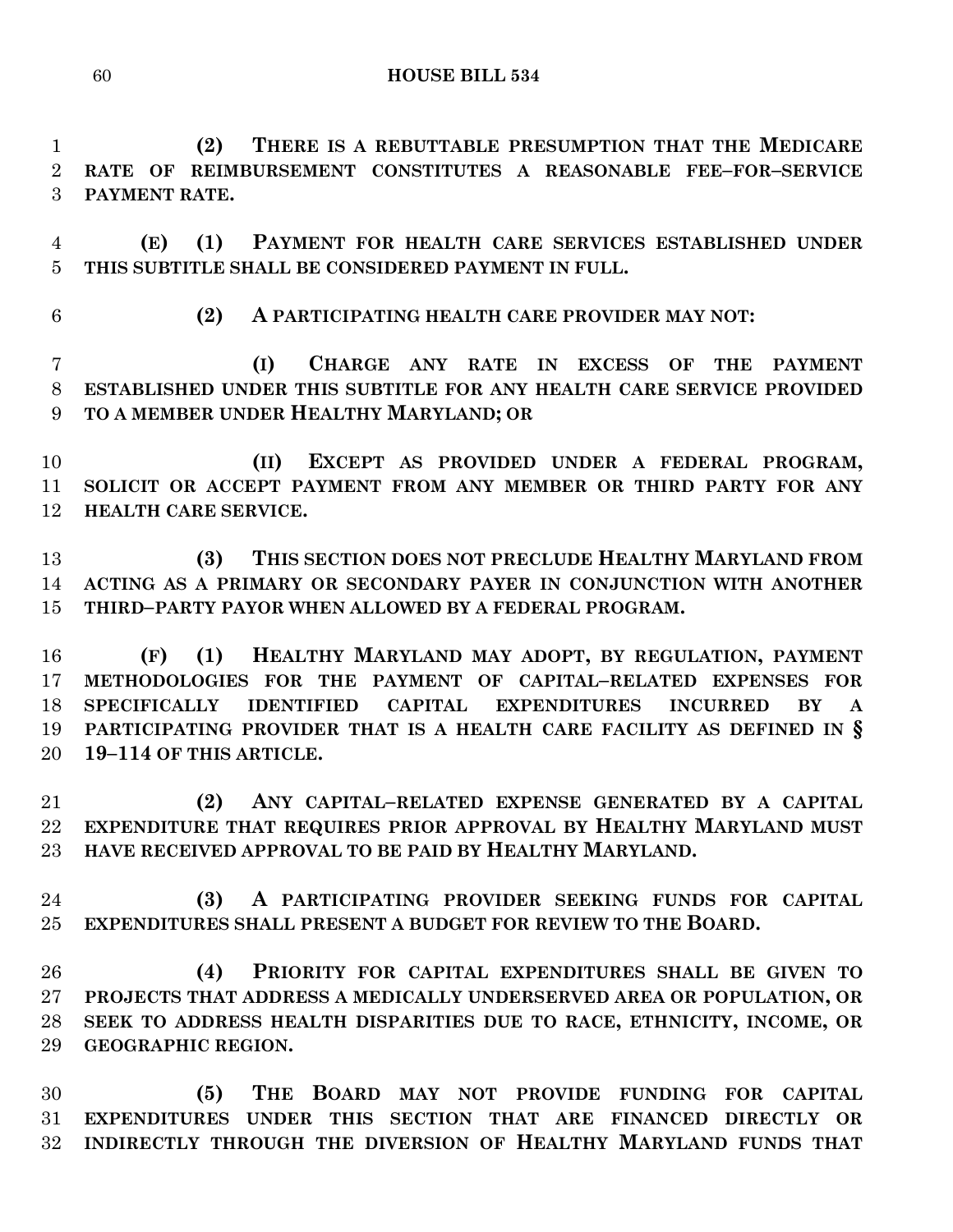**(2) THERE IS A REBUTTABLE PRESUMPTION THAT THE MEDICARE RATE OF REIMBURSEMENT CONSTITUTES A REASONABLE FEE–FOR–SERVICE PAYMENT RATE.**

 **(E) (1) PAYMENT FOR HEALTH CARE SERVICES ESTABLISHED UNDER THIS SUBTITLE SHALL BE CONSIDERED PAYMENT IN FULL.**

**(2) A PARTICIPATING HEALTH CARE PROVIDER MAY NOT:**

 **(I) CHARGE ANY RATE IN EXCESS OF THE PAYMENT ESTABLISHED UNDER THIS SUBTITLE FOR ANY HEALTH CARE SERVICE PROVIDED TO A MEMBER UNDER HEALTHY MARYLAND; OR**

 **(II) EXCEPT AS PROVIDED UNDER A FEDERAL PROGRAM, SOLICIT OR ACCEPT PAYMENT FROM ANY MEMBER OR THIRD PARTY FOR ANY HEALTH CARE SERVICE.**

 **(3) THIS SECTION DOES NOT PRECLUDE HEALTHY MARYLAND FROM ACTING AS A PRIMARY OR SECONDARY PAYER IN CONJUNCTION WITH ANOTHER THIRD–PARTY PAYOR WHEN ALLOWED BY A FEDERAL PROGRAM.**

 **(F) (1) HEALTHY MARYLAND MAY ADOPT, BY REGULATION, PAYMENT METHODOLOGIES FOR THE PAYMENT OF CAPITAL–RELATED EXPENSES FOR SPECIFICALLY IDENTIFIED CAPITAL EXPENDITURES INCURRED BY A PARTICIPATING PROVIDER THAT IS A HEALTH CARE FACILITY AS DEFINED IN § 19–114 OF THIS ARTICLE.**

 **(2) ANY CAPITAL–RELATED EXPENSE GENERATED BY A CAPITAL EXPENDITURE THAT REQUIRES PRIOR APPROVAL BY HEALTHY MARYLAND MUST HAVE RECEIVED APPROVAL TO BE PAID BY HEALTHY MARYLAND.**

 **(3) A PARTICIPATING PROVIDER SEEKING FUNDS FOR CAPITAL EXPENDITURES SHALL PRESENT A BUDGET FOR REVIEW TO THE BOARD.**

 **(4) PRIORITY FOR CAPITAL EXPENDITURES SHALL BE GIVEN TO PROJECTS THAT ADDRESS A MEDICALLY UNDERSERVED AREA OR POPULATION, OR SEEK TO ADDRESS HEALTH DISPARITIES DUE TO RACE, ETHNICITY, INCOME, OR GEOGRAPHIC REGION.**

 **(5) THE BOARD MAY NOT PROVIDE FUNDING FOR CAPITAL EXPENDITURES UNDER THIS SECTION THAT ARE FINANCED DIRECTLY OR INDIRECTLY THROUGH THE DIVERSION OF HEALTHY MARYLAND FUNDS THAT**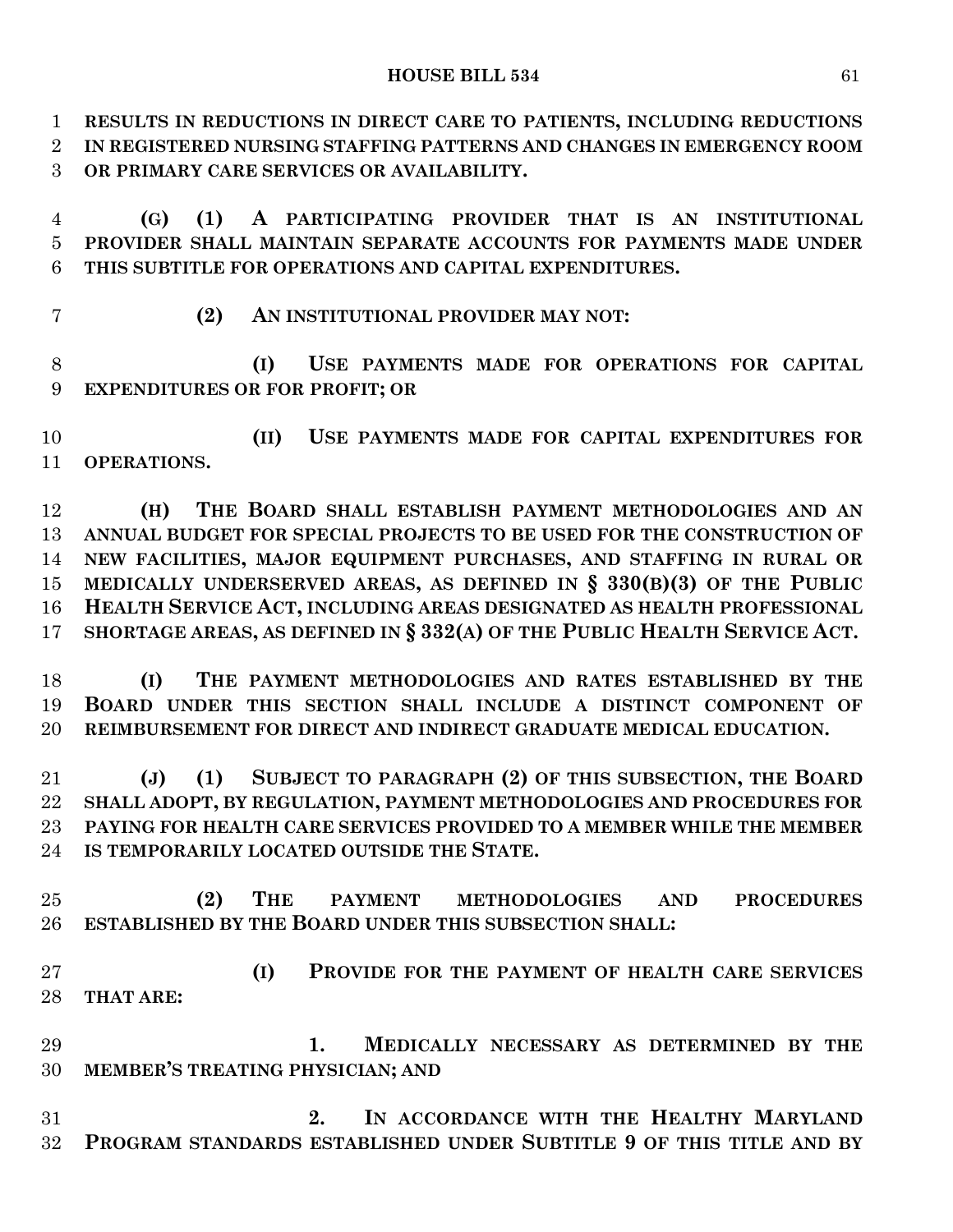**RESULTS IN REDUCTIONS IN DIRECT CARE TO PATIENTS, INCLUDING REDUCTIONS IN REGISTERED NURSING STAFFING PATTERNS AND CHANGES IN EMERGENCY ROOM OR PRIMARY CARE SERVICES OR AVAILABILITY.**

 **(G) (1) A PARTICIPATING PROVIDER THAT IS AN INSTITUTIONAL PROVIDER SHALL MAINTAIN SEPARATE ACCOUNTS FOR PAYMENTS MADE UNDER THIS SUBTITLE FOR OPERATIONS AND CAPITAL EXPENDITURES.**

- 
- **(2) AN INSTITUTIONAL PROVIDER MAY NOT:**

 **(I) USE PAYMENTS MADE FOR OPERATIONS FOR CAPITAL EXPENDITURES OR FOR PROFIT; OR**

 **(II) USE PAYMENTS MADE FOR CAPITAL EXPENDITURES FOR OPERATIONS.**

 **(H) THE BOARD SHALL ESTABLISH PAYMENT METHODOLOGIES AND AN ANNUAL BUDGET FOR SPECIAL PROJECTS TO BE USED FOR THE CONSTRUCTION OF NEW FACILITIES, MAJOR EQUIPMENT PURCHASES, AND STAFFING IN RURAL OR MEDICALLY UNDERSERVED AREAS, AS DEFINED IN § 330(B)(3) OF THE PUBLIC HEALTH SERVICE ACT, INCLUDING AREAS DESIGNATED AS HEALTH PROFESSIONAL SHORTAGE AREAS, AS DEFINED IN § 332(A) OF THE PUBLIC HEALTH SERVICE ACT.**

 **(I) THE PAYMENT METHODOLOGIES AND RATES ESTABLISHED BY THE BOARD UNDER THIS SECTION SHALL INCLUDE A DISTINCT COMPONENT OF REIMBURSEMENT FOR DIRECT AND INDIRECT GRADUATE MEDICAL EDUCATION.**

 **(J) (1) SUBJECT TO PARAGRAPH (2) OF THIS SUBSECTION, THE BOARD SHALL ADOPT, BY REGULATION, PAYMENT METHODOLOGIES AND PROCEDURES FOR PAYING FOR HEALTH CARE SERVICES PROVIDED TO A MEMBER WHILE THE MEMBER IS TEMPORARILY LOCATED OUTSIDE THE STATE.**

 **(2) THE PAYMENT METHODOLOGIES AND PROCEDURES ESTABLISHED BY THE BOARD UNDER THIS SUBSECTION SHALL:**

 **(I) PROVIDE FOR THE PAYMENT OF HEALTH CARE SERVICES THAT ARE:**

 **1. MEDICALLY NECESSARY AS DETERMINED BY THE MEMBER'S TREATING PHYSICIAN; AND**

 **2. IN ACCORDANCE WITH THE HEALTHY MARYLAND PROGRAM STANDARDS ESTABLISHED UNDER SUBTITLE 9 OF THIS TITLE AND BY**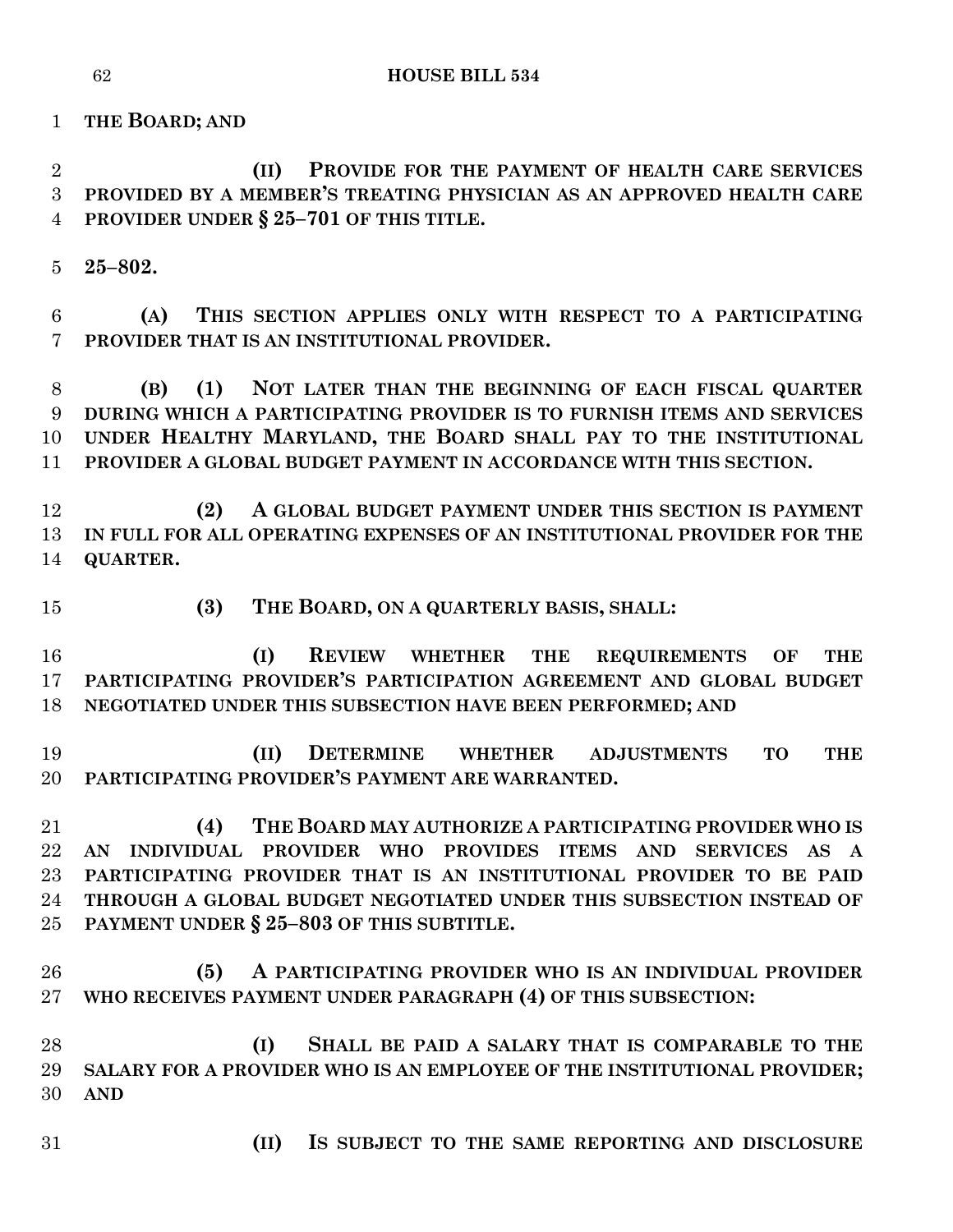**THE BOARD; AND**

 **(II) PROVIDE FOR THE PAYMENT OF HEALTH CARE SERVICES PROVIDED BY A MEMBER'S TREATING PHYSICIAN AS AN APPROVED HEALTH CARE PROVIDER UNDER § 25–701 OF THIS TITLE.**

**25–802.**

 **(A) THIS SECTION APPLIES ONLY WITH RESPECT TO A PARTICIPATING PROVIDER THAT IS AN INSTITUTIONAL PROVIDER.**

 **(B) (1) NOT LATER THAN THE BEGINNING OF EACH FISCAL QUARTER DURING WHICH A PARTICIPATING PROVIDER IS TO FURNISH ITEMS AND SERVICES UNDER HEALTHY MARYLAND, THE BOARD SHALL PAY TO THE INSTITUTIONAL PROVIDER A GLOBAL BUDGET PAYMENT IN ACCORDANCE WITH THIS SECTION.**

 **(2) A GLOBAL BUDGET PAYMENT UNDER THIS SECTION IS PAYMENT IN FULL FOR ALL OPERATING EXPENSES OF AN INSTITUTIONAL PROVIDER FOR THE QUARTER.**

**(3) THE BOARD, ON A QUARTERLY BASIS, SHALL:**

 **(I) REVIEW WHETHER THE REQUIREMENTS OF THE PARTICIPATING PROVIDER'S PARTICIPATION AGREEMENT AND GLOBAL BUDGET NEGOTIATED UNDER THIS SUBSECTION HAVE BEEN PERFORMED; AND**

 **(II) DETERMINE WHETHER ADJUSTMENTS TO THE PARTICIPATING PROVIDER'S PAYMENT ARE WARRANTED.**

 **(4) THE BOARD MAY AUTHORIZE A PARTICIPATING PROVIDER WHO IS AN INDIVIDUAL PROVIDER WHO PROVIDES ITEMS AND SERVICES AS A PARTICIPATING PROVIDER THAT IS AN INSTITUTIONAL PROVIDER TO BE PAID THROUGH A GLOBAL BUDGET NEGOTIATED UNDER THIS SUBSECTION INSTEAD OF PAYMENT UNDER § 25–803 OF THIS SUBTITLE.**

 **(5) A PARTICIPATING PROVIDER WHO IS AN INDIVIDUAL PROVIDER WHO RECEIVES PAYMENT UNDER PARAGRAPH (4) OF THIS SUBSECTION:**

 **(I) SHALL BE PAID A SALARY THAT IS COMPARABLE TO THE SALARY FOR A PROVIDER WHO IS AN EMPLOYEE OF THE INSTITUTIONAL PROVIDER; AND**

- 
- **(II) IS SUBJECT TO THE SAME REPORTING AND DISCLOSURE**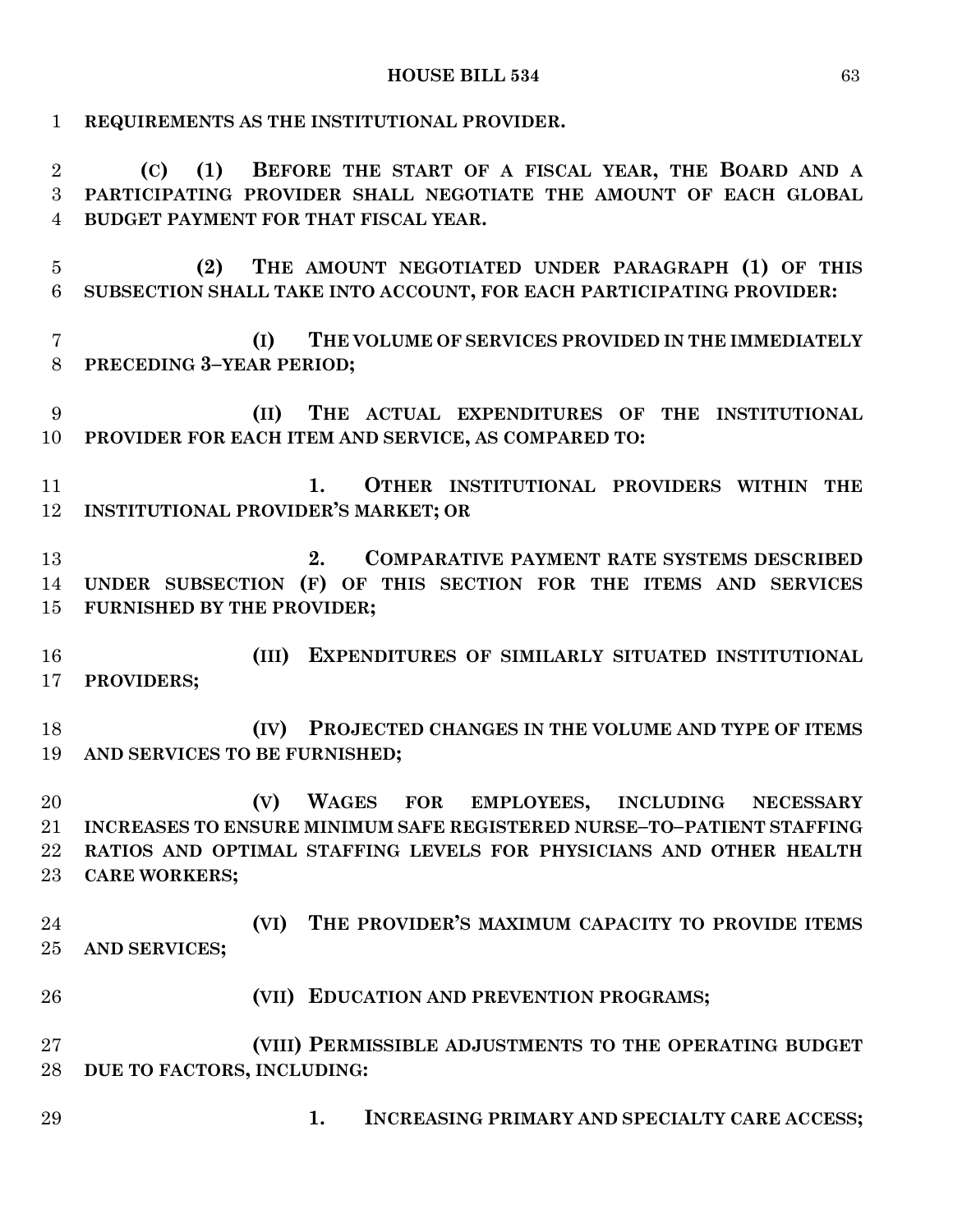**REQUIREMENTS AS THE INSTITUTIONAL PROVIDER. (C) (1) BEFORE THE START OF A FISCAL YEAR, THE BOARD AND A PARTICIPATING PROVIDER SHALL NEGOTIATE THE AMOUNT OF EACH GLOBAL BUDGET PAYMENT FOR THAT FISCAL YEAR. (2) THE AMOUNT NEGOTIATED UNDER PARAGRAPH (1) OF THIS SUBSECTION SHALL TAKE INTO ACCOUNT, FOR EACH PARTICIPATING PROVIDER: (I) THE VOLUME OF SERVICES PROVIDED IN THE IMMEDIATELY PRECEDING 3–YEAR PERIOD; (II) THE ACTUAL EXPENDITURES OF THE INSTITUTIONAL PROVIDER FOR EACH ITEM AND SERVICE, AS COMPARED TO: 1. OTHER INSTITUTIONAL PROVIDERS WITHIN THE INSTITUTIONAL PROVIDER'S MARKET; OR 2. COMPARATIVE PAYMENT RATE SYSTEMS DESCRIBED UNDER SUBSECTION (F) OF THIS SECTION FOR THE ITEMS AND SERVICES FURNISHED BY THE PROVIDER; (III) EXPENDITURES OF SIMILARLY SITUATED INSTITUTIONAL PROVIDERS; (IV) PROJECTED CHANGES IN THE VOLUME AND TYPE OF ITEMS AND SERVICES TO BE FURNISHED; (V) WAGES FOR EMPLOYEES, INCLUDING NECESSARY INCREASES TO ENSURE MINIMUM SAFE REGISTERED NURSE–TO–PATIENT STAFFING RATIOS AND OPTIMAL STAFFING LEVELS FOR PHYSICIANS AND OTHER HEALTH CARE WORKERS; (VI) THE PROVIDER'S MAXIMUM CAPACITY TO PROVIDE ITEMS AND SERVICES; (VII) EDUCATION AND PREVENTION PROGRAMS; (VIII) PERMISSIBLE ADJUSTMENTS TO THE OPERATING BUDGET DUE TO FACTORS, INCLUDING: 1. INCREASING PRIMARY AND SPECIALTY CARE ACCESS;**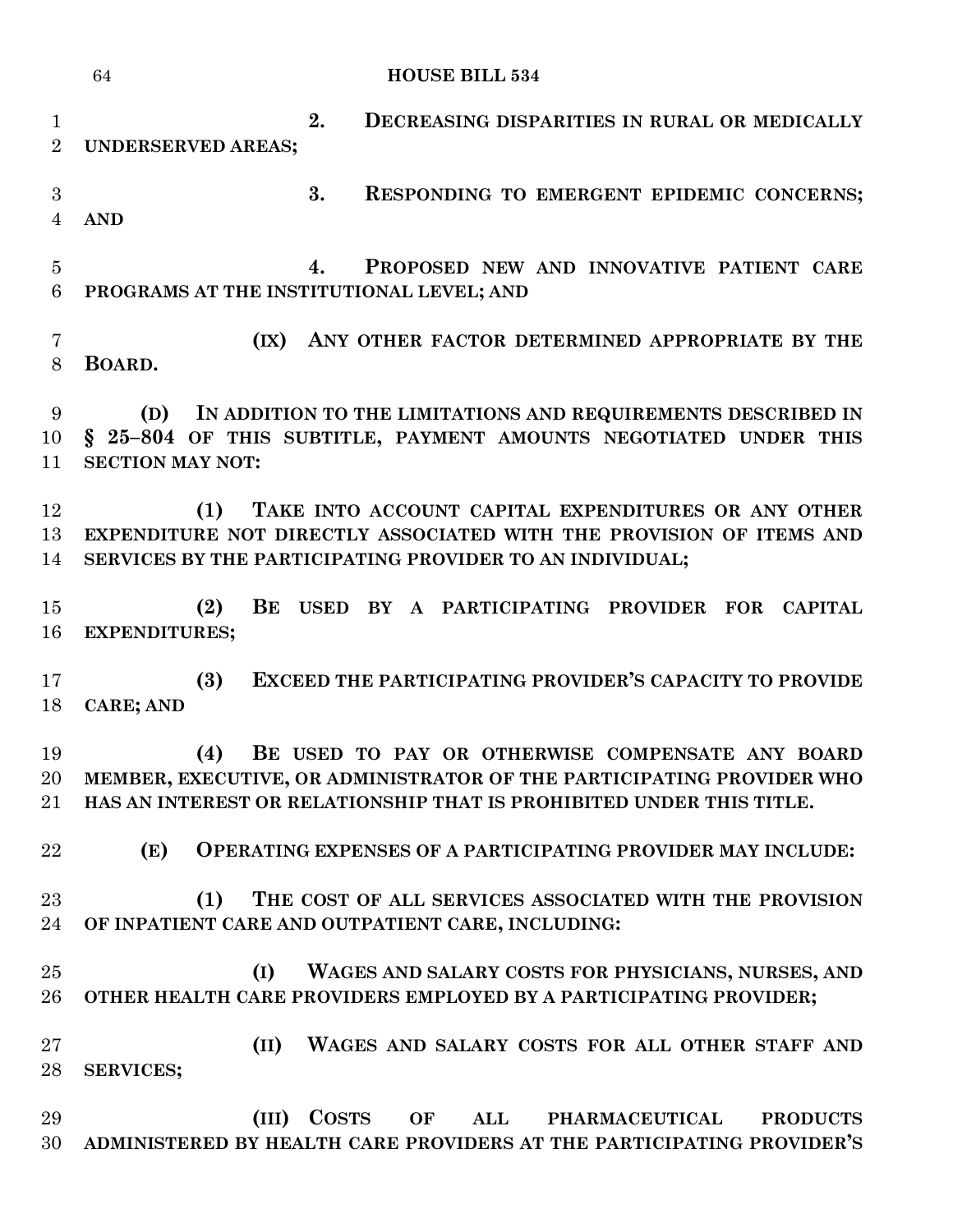**HOUSE BILL 534 2. DECREASING DISPARITIES IN RURAL OR MEDICALLY UNDERSERVED AREAS; 3. RESPONDING TO EMERGENT EPIDEMIC CONCERNS; AND 4. PROPOSED NEW AND INNOVATIVE PATIENT CARE PROGRAMS AT THE INSTITUTIONAL LEVEL; AND (IX) ANY OTHER FACTOR DETERMINED APPROPRIATE BY THE BOARD. (D) IN ADDITION TO THE LIMITATIONS AND REQUIREMENTS DESCRIBED IN § 25–804 OF THIS SUBTITLE, PAYMENT AMOUNTS NEGOTIATED UNDER THIS SECTION MAY NOT: (1) TAKE INTO ACCOUNT CAPITAL EXPENDITURES OR ANY OTHER EXPENDITURE NOT DIRECTLY ASSOCIATED WITH THE PROVISION OF ITEMS AND SERVICES BY THE PARTICIPATING PROVIDER TO AN INDIVIDUAL; (2) BE USED BY A PARTICIPATING PROVIDER FOR CAPITAL EXPENDITURES; (3) EXCEED THE PARTICIPATING PROVIDER'S CAPACITY TO PROVIDE CARE; AND (4) BE USED TO PAY OR OTHERWISE COMPENSATE ANY BOARD MEMBER, EXECUTIVE, OR ADMINISTRATOR OF THE PARTICIPATING PROVIDER WHO HAS AN INTEREST OR RELATIONSHIP THAT IS PROHIBITED UNDER THIS TITLE. (E) OPERATING EXPENSES OF A PARTICIPATING PROVIDER MAY INCLUDE: (1) THE COST OF ALL SERVICES ASSOCIATED WITH THE PROVISION OF INPATIENT CARE AND OUTPATIENT CARE, INCLUDING: (I) WAGES AND SALARY COSTS FOR PHYSICIANS, NURSES, AND OTHER HEALTH CARE PROVIDERS EMPLOYED BY A PARTICIPATING PROVIDER; (II) WAGES AND SALARY COSTS FOR ALL OTHER STAFF AND SERVICES; (III) COSTS OF ALL PHARMACEUTICAL PRODUCTS ADMINISTERED BY HEALTH CARE PROVIDERS AT THE PARTICIPATING PROVIDER'S**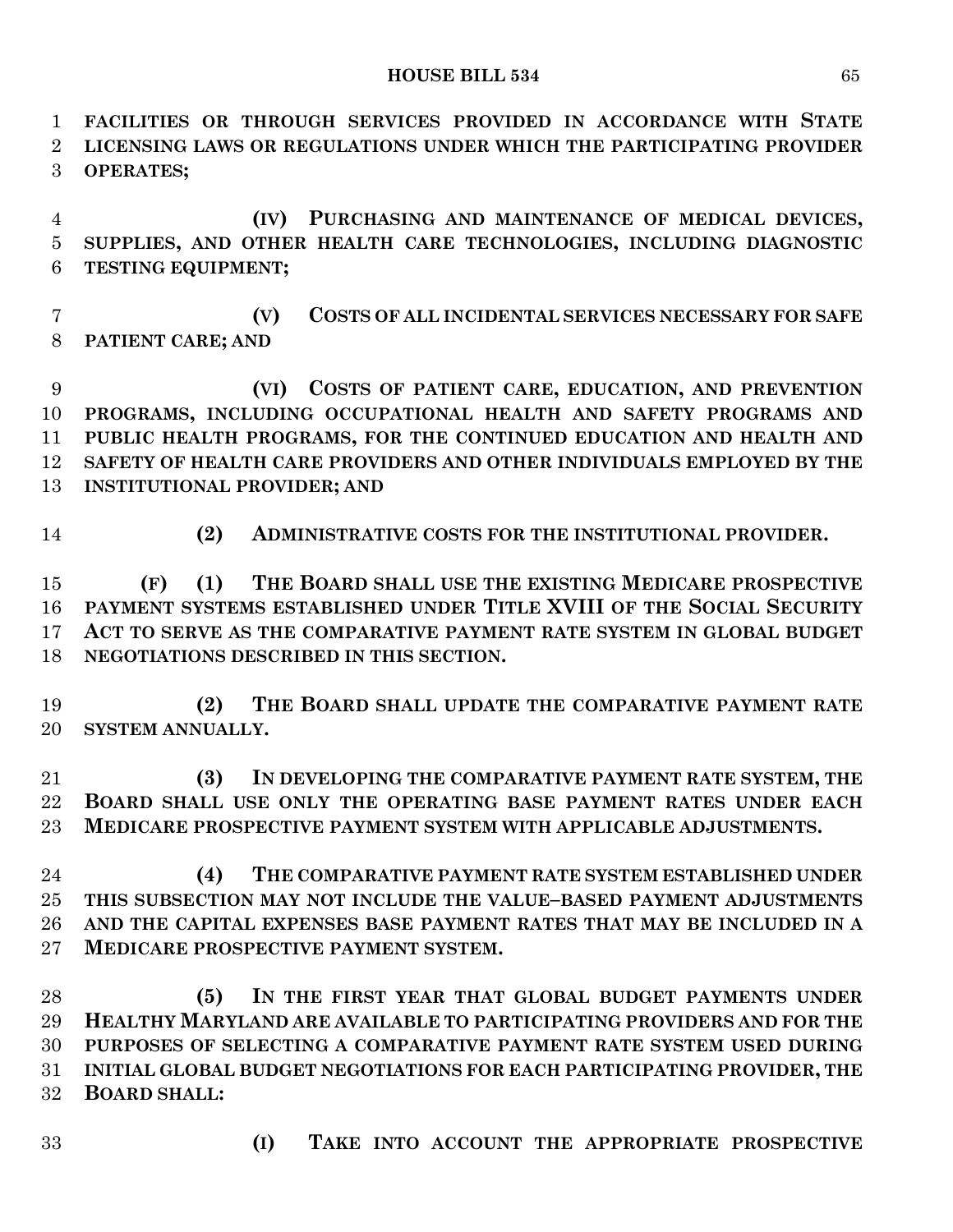**FACILITIES OR THROUGH SERVICES PROVIDED IN ACCORDANCE WITH STATE LICENSING LAWS OR REGULATIONS UNDER WHICH THE PARTICIPATING PROVIDER OPERATES; (IV) PURCHASING AND MAINTENANCE OF MEDICAL DEVICES, SUPPLIES, AND OTHER HEALTH CARE TECHNOLOGIES, INCLUDING DIAGNOSTIC TESTING EQUIPMENT; (V) COSTS OF ALL INCIDENTAL SERVICES NECESSARY FOR SAFE PATIENT CARE; AND (VI) COSTS OF PATIENT CARE, EDUCATION, AND PREVENTION PROGRAMS, INCLUDING OCCUPATIONAL HEALTH AND SAFETY PROGRAMS AND PUBLIC HEALTH PROGRAMS, FOR THE CONTINUED EDUCATION AND HEALTH AND SAFETY OF HEALTH CARE PROVIDERS AND OTHER INDIVIDUALS EMPLOYED BY THE INSTITUTIONAL PROVIDER; AND (2) ADMINISTRATIVE COSTS FOR THE INSTITUTIONAL PROVIDER. (F) (1) THE BOARD SHALL USE THE EXISTING MEDICARE PROSPECTIVE PAYMENT SYSTEMS ESTABLISHED UNDER TITLE XVIII OF THE SOCIAL SECURITY ACT TO SERVE AS THE COMPARATIVE PAYMENT RATE SYSTEM IN GLOBAL BUDGET NEGOTIATIONS DESCRIBED IN THIS SECTION. (2) THE BOARD SHALL UPDATE THE COMPARATIVE PAYMENT RATE SYSTEM ANNUALLY. (3) IN DEVELOPING THE COMPARATIVE PAYMENT RATE SYSTEM, THE BOARD SHALL USE ONLY THE OPERATING BASE PAYMENT RATES UNDER EACH MEDICARE PROSPECTIVE PAYMENT SYSTEM WITH APPLICABLE ADJUSTMENTS. (4) THE COMPARATIVE PAYMENT RATE SYSTEM ESTABLISHED UNDER THIS SUBSECTION MAY NOT INCLUDE THE VALUE–BASED PAYMENT ADJUSTMENTS AND THE CAPITAL EXPENSES BASE PAYMENT RATES THAT MAY BE INCLUDED IN A MEDICARE PROSPECTIVE PAYMENT SYSTEM. (5) IN THE FIRST YEAR THAT GLOBAL BUDGET PAYMENTS UNDER HEALTHY MARYLAND ARE AVAILABLE TO PARTICIPATING PROVIDERS AND FOR THE PURPOSES OF SELECTING A COMPARATIVE PAYMENT RATE SYSTEM USED DURING INITIAL GLOBAL BUDGET NEGOTIATIONS FOR EACH PARTICIPATING PROVIDER, THE BOARD SHALL: (I) TAKE INTO ACCOUNT THE APPROPRIATE PROSPECTIVE**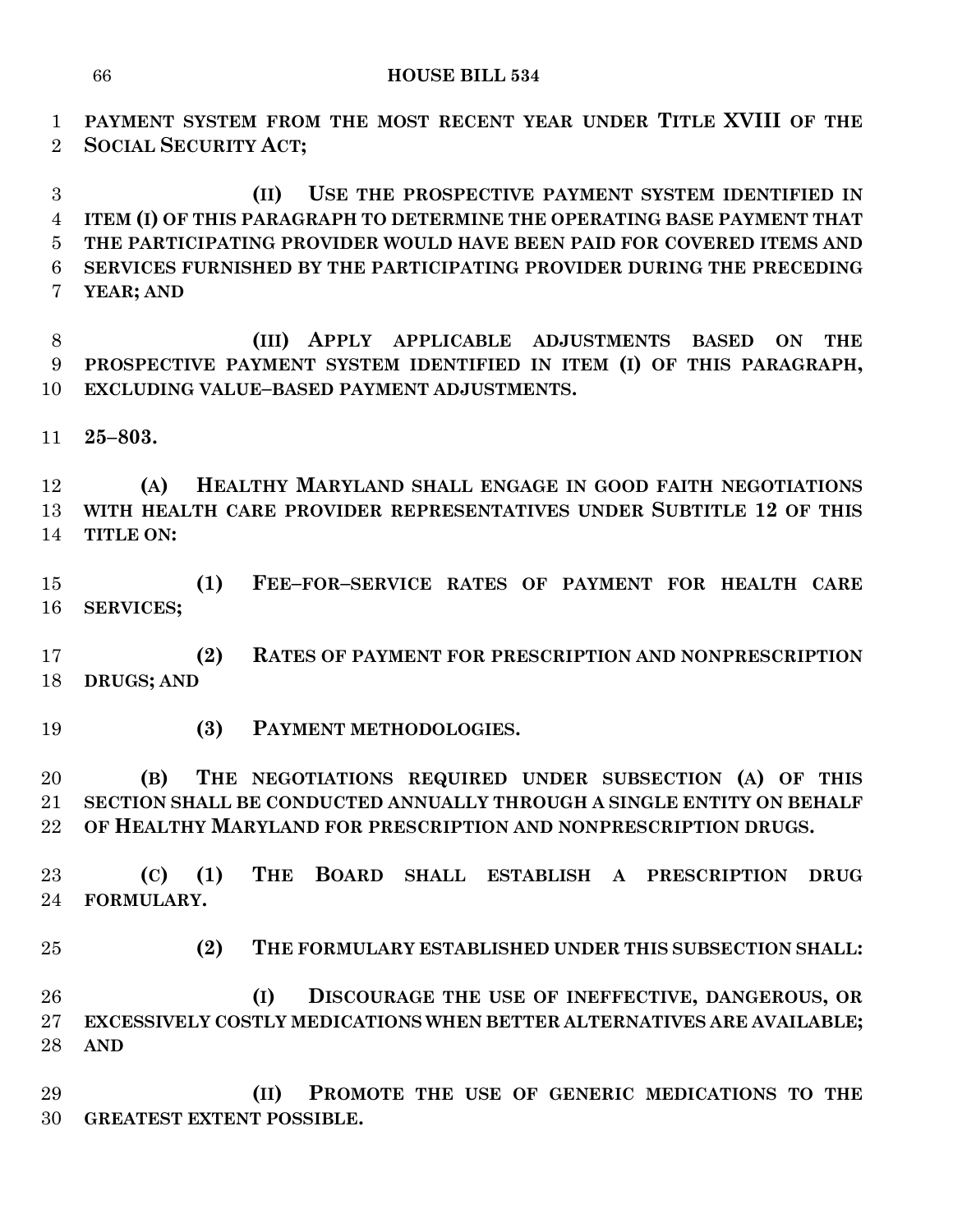**PAYMENT SYSTEM FROM THE MOST RECENT YEAR UNDER TITLE XVIII OF THE SOCIAL SECURITY ACT;**

 **(II) USE THE PROSPECTIVE PAYMENT SYSTEM IDENTIFIED IN ITEM (I) OF THIS PARAGRAPH TO DETERMINE THE OPERATING BASE PAYMENT THAT THE PARTICIPATING PROVIDER WOULD HAVE BEEN PAID FOR COVERED ITEMS AND SERVICES FURNISHED BY THE PARTICIPATING PROVIDER DURING THE PRECEDING YEAR; AND**

 **(III) APPLY APPLICABLE ADJUSTMENTS BASED ON THE PROSPECTIVE PAYMENT SYSTEM IDENTIFIED IN ITEM (I) OF THIS PARAGRAPH, EXCLUDING VALUE–BASED PAYMENT ADJUSTMENTS.**

**25–803.**

 **(A) HEALTHY MARYLAND SHALL ENGAGE IN GOOD FAITH NEGOTIATIONS WITH HEALTH CARE PROVIDER REPRESENTATIVES UNDER SUBTITLE 12 OF THIS TITLE ON:**

 **(1) FEE–FOR–SERVICE RATES OF PAYMENT FOR HEALTH CARE SERVICES;**

 **(2) RATES OF PAYMENT FOR PRESCRIPTION AND NONPRESCRIPTION DRUGS; AND**

**(3) PAYMENT METHODOLOGIES.**

 **(B) THE NEGOTIATIONS REQUIRED UNDER SUBSECTION (A) OF THIS SECTION SHALL BE CONDUCTED ANNUALLY THROUGH A SINGLE ENTITY ON BEHALF OF HEALTHY MARYLAND FOR PRESCRIPTION AND NONPRESCRIPTION DRUGS.**

 **(C) (1) THE BOARD SHALL ESTABLISH A PRESCRIPTION DRUG FORMULARY.**

**(2) THE FORMULARY ESTABLISHED UNDER THIS SUBSECTION SHALL:**

 **(I) DISCOURAGE THE USE OF INEFFECTIVE, DANGEROUS, OR EXCESSIVELY COSTLY MEDICATIONS WHEN BETTER ALTERNATIVES ARE AVAILABLE; AND**

 **(II) PROMOTE THE USE OF GENERIC MEDICATIONS TO THE GREATEST EXTENT POSSIBLE.**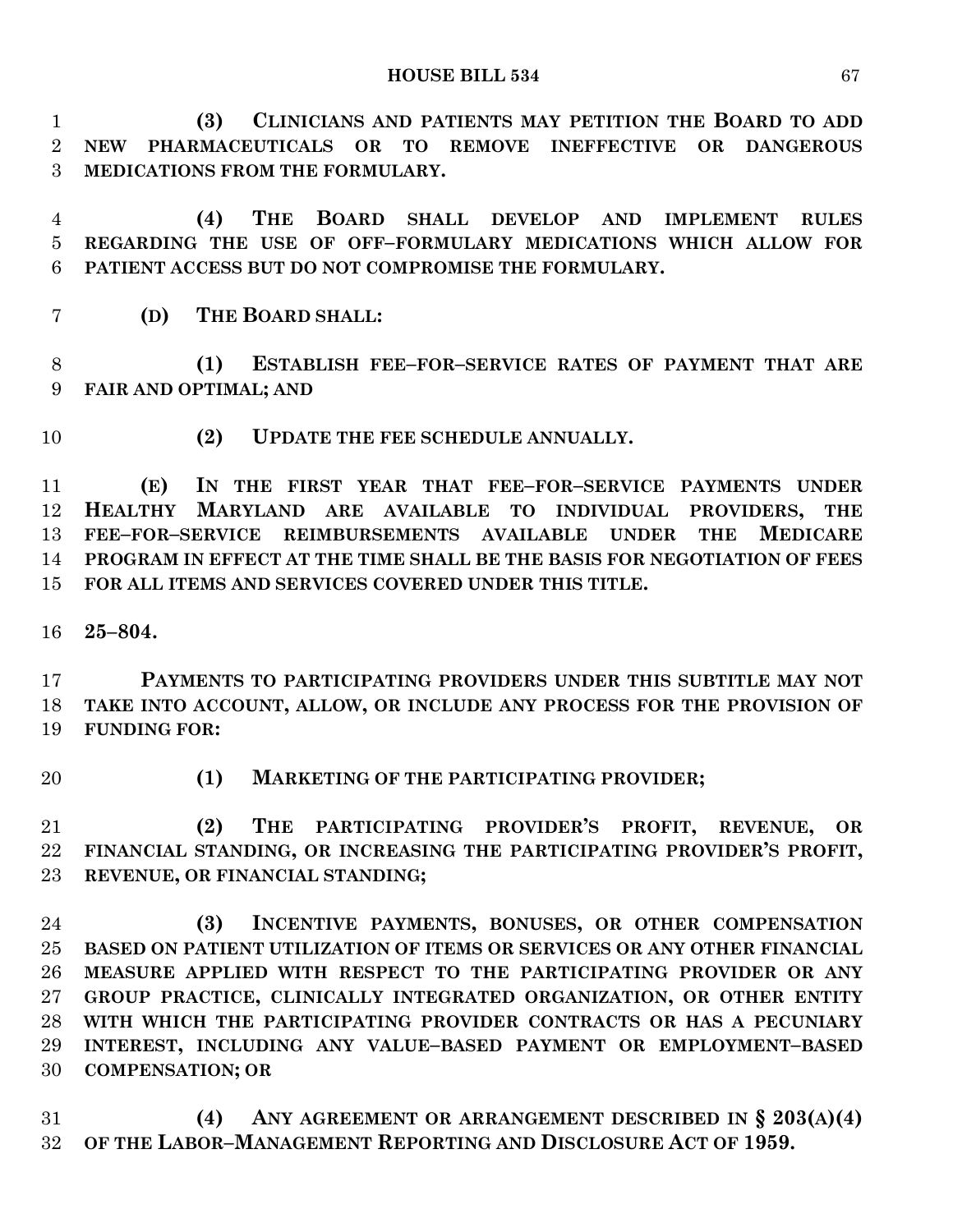**(3) CLINICIANS AND PATIENTS MAY PETITION THE BOARD TO ADD NEW PHARMACEUTICALS OR TO REMOVE INEFFECTIVE OR DANGEROUS MEDICATIONS FROM THE FORMULARY.**

 **(4) THE BOARD SHALL DEVELOP AND IMPLEMENT RULES REGARDING THE USE OF OFF–FORMULARY MEDICATIONS WHICH ALLOW FOR PATIENT ACCESS BUT DO NOT COMPROMISE THE FORMULARY.**

**(D) THE BOARD SHALL:**

 **(1) ESTABLISH FEE–FOR–SERVICE RATES OF PAYMENT THAT ARE FAIR AND OPTIMAL; AND**

**(2) UPDATE THE FEE SCHEDULE ANNUALLY.**

 **(E) IN THE FIRST YEAR THAT FEE–FOR–SERVICE PAYMENTS UNDER HEALTHY MARYLAND ARE AVAILABLE TO INDIVIDUAL PROVIDERS, THE FEE–FOR–SERVICE REIMBURSEMENTS AVAILABLE UNDER THE MEDICARE PROGRAM IN EFFECT AT THE TIME SHALL BE THE BASIS FOR NEGOTIATION OF FEES FOR ALL ITEMS AND SERVICES COVERED UNDER THIS TITLE.**

**25–804.**

 **PAYMENTS TO PARTICIPATING PROVIDERS UNDER THIS SUBTITLE MAY NOT TAKE INTO ACCOUNT, ALLOW, OR INCLUDE ANY PROCESS FOR THE PROVISION OF FUNDING FOR:**

**(1) MARKETING OF THE PARTICIPATING PROVIDER;**

 **(2) THE PARTICIPATING PROVIDER'S PROFIT, REVENUE, OR FINANCIAL STANDING, OR INCREASING THE PARTICIPATING PROVIDER'S PROFIT, REVENUE, OR FINANCIAL STANDING;**

 **(3) INCENTIVE PAYMENTS, BONUSES, OR OTHER COMPENSATION BASED ON PATIENT UTILIZATION OF ITEMS OR SERVICES OR ANY OTHER FINANCIAL MEASURE APPLIED WITH RESPECT TO THE PARTICIPATING PROVIDER OR ANY GROUP PRACTICE, CLINICALLY INTEGRATED ORGANIZATION, OR OTHER ENTITY WITH WHICH THE PARTICIPATING PROVIDER CONTRACTS OR HAS A PECUNIARY INTEREST, INCLUDING ANY VALUE–BASED PAYMENT OR EMPLOYMENT–BASED COMPENSATION; OR**

 **(4) ANY AGREEMENT OR ARRANGEMENT DESCRIBED IN § 203(A)(4) OF THE LABOR–MANAGEMENT REPORTING AND DISCLOSURE ACT OF 1959.**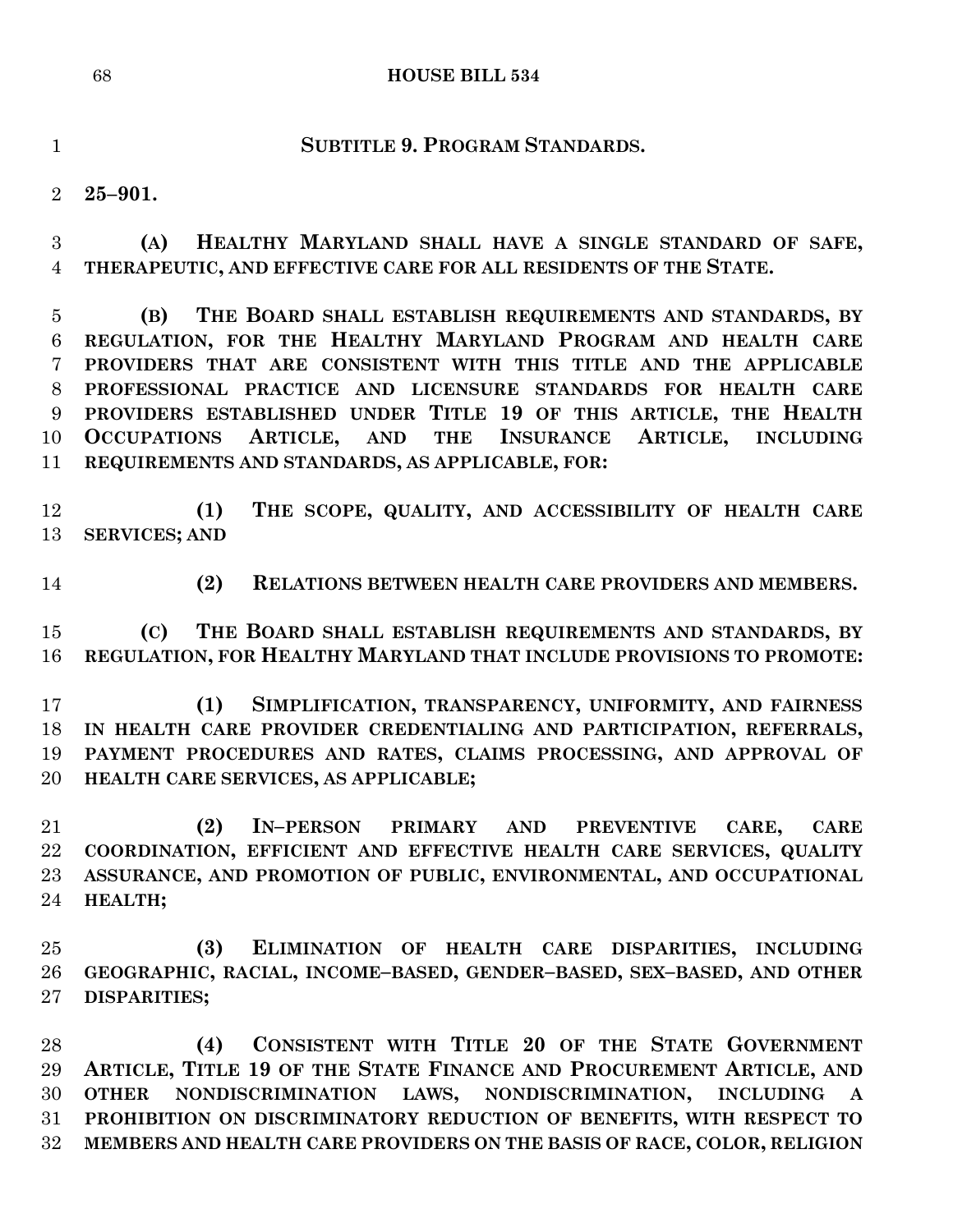## **HOUSE BILL 534**

**SUBTITLE 9. PROGRAM STANDARDS.**

**25–901.**

 **(A) HEALTHY MARYLAND SHALL HAVE A SINGLE STANDARD OF SAFE, THERAPEUTIC, AND EFFECTIVE CARE FOR ALL RESIDENTS OF THE STATE.**

 **(B) THE BOARD SHALL ESTABLISH REQUIREMENTS AND STANDARDS, BY REGULATION, FOR THE HEALTHY MARYLAND PROGRAM AND HEALTH CARE PROVIDERS THAT ARE CONSISTENT WITH THIS TITLE AND THE APPLICABLE PROFESSIONAL PRACTICE AND LICENSURE STANDARDS FOR HEALTH CARE PROVIDERS ESTABLISHED UNDER TITLE 19 OF THIS ARTICLE, THE HEALTH OCCUPATIONS ARTICLE, AND THE INSURANCE ARTICLE, INCLUDING REQUIREMENTS AND STANDARDS, AS APPLICABLE, FOR:**

 **(1) THE SCOPE, QUALITY, AND ACCESSIBILITY OF HEALTH CARE SERVICES; AND**

**(2) RELATIONS BETWEEN HEALTH CARE PROVIDERS AND MEMBERS.**

 **(C) THE BOARD SHALL ESTABLISH REQUIREMENTS AND STANDARDS, BY REGULATION, FOR HEALTHY MARYLAND THAT INCLUDE PROVISIONS TO PROMOTE:**

 **(1) SIMPLIFICATION, TRANSPARENCY, UNIFORMITY, AND FAIRNESS IN HEALTH CARE PROVIDER CREDENTIALING AND PARTICIPATION, REFERRALS, PAYMENT PROCEDURES AND RATES, CLAIMS PROCESSING, AND APPROVAL OF HEALTH CARE SERVICES, AS APPLICABLE;**

 **(2) IN–PERSON PRIMARY AND PREVENTIVE CARE, CARE COORDINATION, EFFICIENT AND EFFECTIVE HEALTH CARE SERVICES, QUALITY ASSURANCE, AND PROMOTION OF PUBLIC, ENVIRONMENTAL, AND OCCUPATIONAL HEALTH;**

 **(3) ELIMINATION OF HEALTH CARE DISPARITIES, INCLUDING GEOGRAPHIC, RACIAL, INCOME–BASED, GENDER–BASED, SEX–BASED, AND OTHER DISPARITIES;**

 **(4) CONSISTENT WITH TITLE 20 OF THE STATE GOVERNMENT ARTICLE, TITLE 19 OF THE STATE FINANCE AND PROCUREMENT ARTICLE, AND OTHER NONDISCRIMINATION LAWS, NONDISCRIMINATION, INCLUDING A PROHIBITION ON DISCRIMINATORY REDUCTION OF BENEFITS, WITH RESPECT TO MEMBERS AND HEALTH CARE PROVIDERS ON THE BASIS OF RACE, COLOR, RELIGION**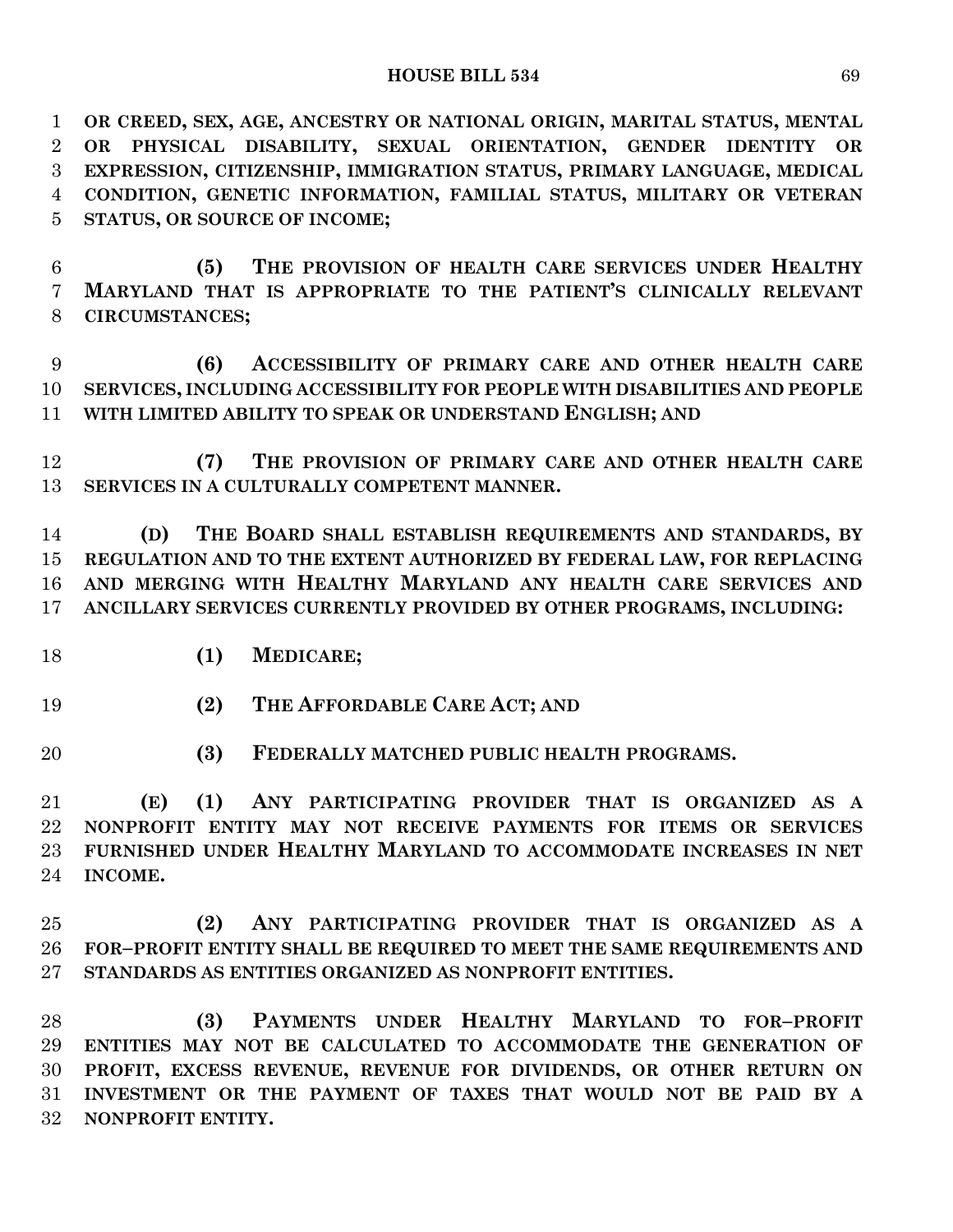**OR CREED, SEX, AGE, ANCESTRY OR NATIONAL ORIGIN, MARITAL STATUS, MENTAL OR PHYSICAL DISABILITY, SEXUAL ORIENTATION, GENDER IDENTITY OR EXPRESSION, CITIZENSHIP, IMMIGRATION STATUS, PRIMARY LANGUAGE, MEDICAL CONDITION, GENETIC INFORMATION, FAMILIAL STATUS, MILITARY OR VETERAN STATUS, OR SOURCE OF INCOME;**

 **(5) THE PROVISION OF HEALTH CARE SERVICES UNDER HEALTHY MARYLAND THAT IS APPROPRIATE TO THE PATIENT'S CLINICALLY RELEVANT CIRCUMSTANCES;**

 **(6) ACCESSIBILITY OF PRIMARY CARE AND OTHER HEALTH CARE SERVICES, INCLUDING ACCESSIBILITY FOR PEOPLE WITH DISABILITIES AND PEOPLE WITH LIMITED ABILITY TO SPEAK OR UNDERSTAND ENGLISH; AND**

 **(7) THE PROVISION OF PRIMARY CARE AND OTHER HEALTH CARE SERVICES IN A CULTURALLY COMPETENT MANNER.**

 **(D) THE BOARD SHALL ESTABLISH REQUIREMENTS AND STANDARDS, BY REGULATION AND TO THE EXTENT AUTHORIZED BY FEDERAL LAW, FOR REPLACING AND MERGING WITH HEALTHY MARYLAND ANY HEALTH CARE SERVICES AND ANCILLARY SERVICES CURRENTLY PROVIDED BY OTHER PROGRAMS, INCLUDING:**

- **(1) MEDICARE;**
- **(2) THE AFFORDABLE CARE ACT; AND**
- **(3) FEDERALLY MATCHED PUBLIC HEALTH PROGRAMS.**

 **(E) (1) ANY PARTICIPATING PROVIDER THAT IS ORGANIZED AS A NONPROFIT ENTITY MAY NOT RECEIVE PAYMENTS FOR ITEMS OR SERVICES FURNISHED UNDER HEALTHY MARYLAND TO ACCOMMODATE INCREASES IN NET INCOME.**

 **(2) ANY PARTICIPATING PROVIDER THAT IS ORGANIZED AS A FOR–PROFIT ENTITY SHALL BE REQUIRED TO MEET THE SAME REQUIREMENTS AND STANDARDS AS ENTITIES ORGANIZED AS NONPROFIT ENTITIES.**

 **(3) PAYMENTS UNDER HEALTHY MARYLAND TO FOR–PROFIT ENTITIES MAY NOT BE CALCULATED TO ACCOMMODATE THE GENERATION OF PROFIT, EXCESS REVENUE, REVENUE FOR DIVIDENDS, OR OTHER RETURN ON INVESTMENT OR THE PAYMENT OF TAXES THAT WOULD NOT BE PAID BY A NONPROFIT ENTITY.**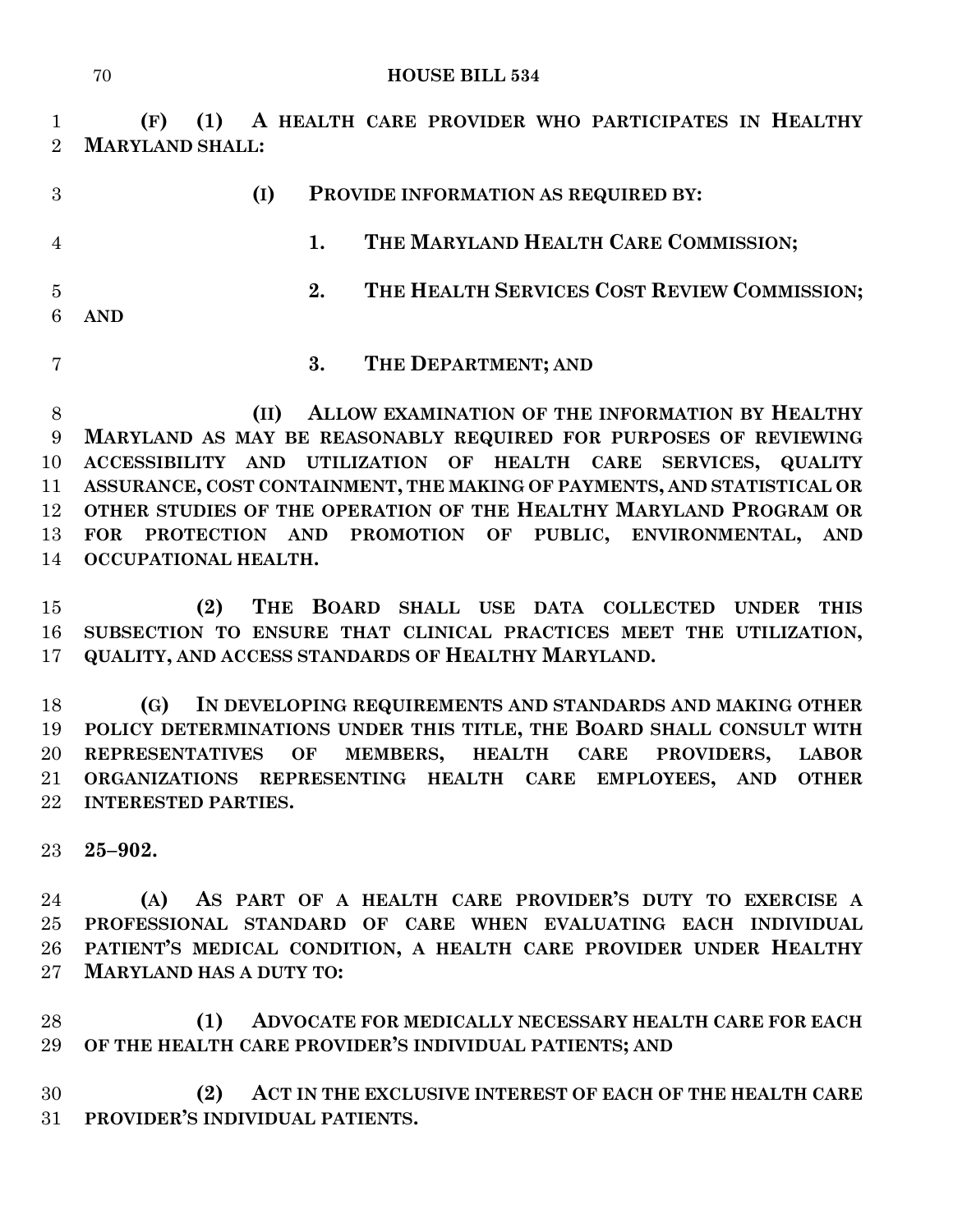#### **HOUSE BILL 534**

 **(F) (1) A HEALTH CARE PROVIDER WHO PARTICIPATES IN HEALTHY MARYLAND SHALL:**

| 3              |            | (I) | PROVIDE INFORMATION AS REQUIRED BY: |                                             |
|----------------|------------|-----|-------------------------------------|---------------------------------------------|
| $\overline{4}$ |            |     |                                     | THE MARYLAND HEALTH CARE COMMISSION;        |
| $\overline{5}$ | <b>AND</b> |     | 2.                                  | THE HEALTH SERVICES COST REVIEW COMMISSION; |
|                |            |     | 3.                                  | THE DEPARTMENT; AND                         |

 **(II) ALLOW EXAMINATION OF THE INFORMATION BY HEALTHY MARYLAND AS MAY BE REASONABLY REQUIRED FOR PURPOSES OF REVIEWING ACCESSIBILITY AND UTILIZATION OF HEALTH CARE SERVICES, QUALITY ASSURANCE, COST CONTAINMENT, THE MAKING OF PAYMENTS, AND STATISTICAL OR OTHER STUDIES OF THE OPERATION OF THE HEALTHY MARYLAND PROGRAM OR FOR PROTECTION AND PROMOTION OF PUBLIC, ENVIRONMENTAL, AND OCCUPATIONAL HEALTH.**

 **(2) THE BOARD SHALL USE DATA COLLECTED UNDER THIS SUBSECTION TO ENSURE THAT CLINICAL PRACTICES MEET THE UTILIZATION, QUALITY, AND ACCESS STANDARDS OF HEALTHY MARYLAND.**

 **(G) IN DEVELOPING REQUIREMENTS AND STANDARDS AND MAKING OTHER POLICY DETERMINATIONS UNDER THIS TITLE, THE BOARD SHALL CONSULT WITH REPRESENTATIVES OF MEMBERS, HEALTH CARE PROVIDERS, LABOR ORGANIZATIONS REPRESENTING HEALTH CARE EMPLOYEES, AND OTHER INTERESTED PARTIES.**

**25–902.**

 **(A) AS PART OF A HEALTH CARE PROVIDER'S DUTY TO EXERCISE A PROFESSIONAL STANDARD OF CARE WHEN EVALUATING EACH INDIVIDUAL PATIENT'S MEDICAL CONDITION, A HEALTH CARE PROVIDER UNDER HEALTHY MARYLAND HAS A DUTY TO:**

 **(1) ADVOCATE FOR MEDICALLY NECESSARY HEALTH CARE FOR EACH OF THE HEALTH CARE PROVIDER'S INDIVIDUAL PATIENTS; AND**

 **(2) ACT IN THE EXCLUSIVE INTEREST OF EACH OF THE HEALTH CARE PROVIDER'S INDIVIDUAL PATIENTS.**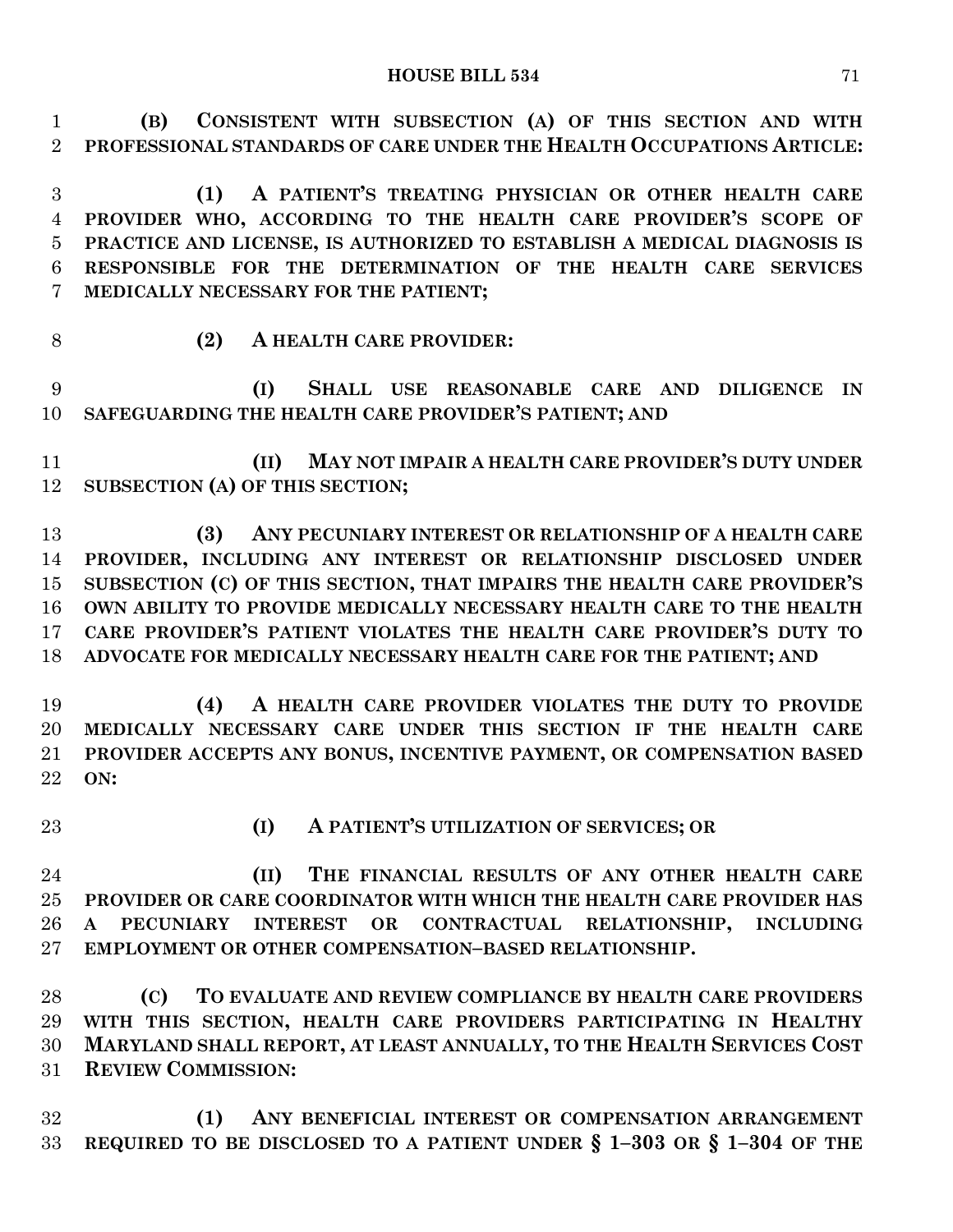**(B) CONSISTENT WITH SUBSECTION (A) OF THIS SECTION AND WITH PROFESSIONAL STANDARDS OF CARE UNDER THE HEALTH OCCUPATIONS ARTICLE:**

 **(1) A PATIENT'S TREATING PHYSICIAN OR OTHER HEALTH CARE PROVIDER WHO, ACCORDING TO THE HEALTH CARE PROVIDER'S SCOPE OF PRACTICE AND LICENSE, IS AUTHORIZED TO ESTABLISH A MEDICAL DIAGNOSIS IS RESPONSIBLE FOR THE DETERMINATION OF THE HEALTH CARE SERVICES MEDICALLY NECESSARY FOR THE PATIENT;**

- 
- **(2) A HEALTH CARE PROVIDER:**

 **(I) SHALL USE REASONABLE CARE AND DILIGENCE IN SAFEGUARDING THE HEALTH CARE PROVIDER'S PATIENT; AND** 

 **(II) MAY NOT IMPAIR A HEALTH CARE PROVIDER'S DUTY UNDER SUBSECTION (A) OF THIS SECTION;**

 **(3) ANY PECUNIARY INTEREST OR RELATIONSHIP OF A HEALTH CARE PROVIDER, INCLUDING ANY INTEREST OR RELATIONSHIP DISCLOSED UNDER SUBSECTION (C) OF THIS SECTION, THAT IMPAIRS THE HEALTH CARE PROVIDER'S OWN ABILITY TO PROVIDE MEDICALLY NECESSARY HEALTH CARE TO THE HEALTH CARE PROVIDER'S PATIENT VIOLATES THE HEALTH CARE PROVIDER'S DUTY TO ADVOCATE FOR MEDICALLY NECESSARY HEALTH CARE FOR THE PATIENT; AND**

 **(4) A HEALTH CARE PROVIDER VIOLATES THE DUTY TO PROVIDE MEDICALLY NECESSARY CARE UNDER THIS SECTION IF THE HEALTH CARE PROVIDER ACCEPTS ANY BONUS, INCENTIVE PAYMENT, OR COMPENSATION BASED ON:**

- 
- **(I) A PATIENT'S UTILIZATION OF SERVICES; OR**

 **(II) THE FINANCIAL RESULTS OF ANY OTHER HEALTH CARE PROVIDER OR CARE COORDINATOR WITH WHICH THE HEALTH CARE PROVIDER HAS A PECUNIARY INTEREST OR CONTRACTUAL RELATIONSHIP, INCLUDING EMPLOYMENT OR OTHER COMPENSATION–BASED RELATIONSHIP.**

 **(C) TO EVALUATE AND REVIEW COMPLIANCE BY HEALTH CARE PROVIDERS WITH THIS SECTION, HEALTH CARE PROVIDERS PARTICIPATING IN HEALTHY MARYLAND SHALL REPORT, AT LEAST ANNUALLY, TO THE HEALTH SERVICES COST REVIEW COMMISSION:**

 **(1) ANY BENEFICIAL INTEREST OR COMPENSATION ARRANGEMENT REQUIRED TO BE DISCLOSED TO A PATIENT UNDER § 1–303 OR § 1–304 OF THE**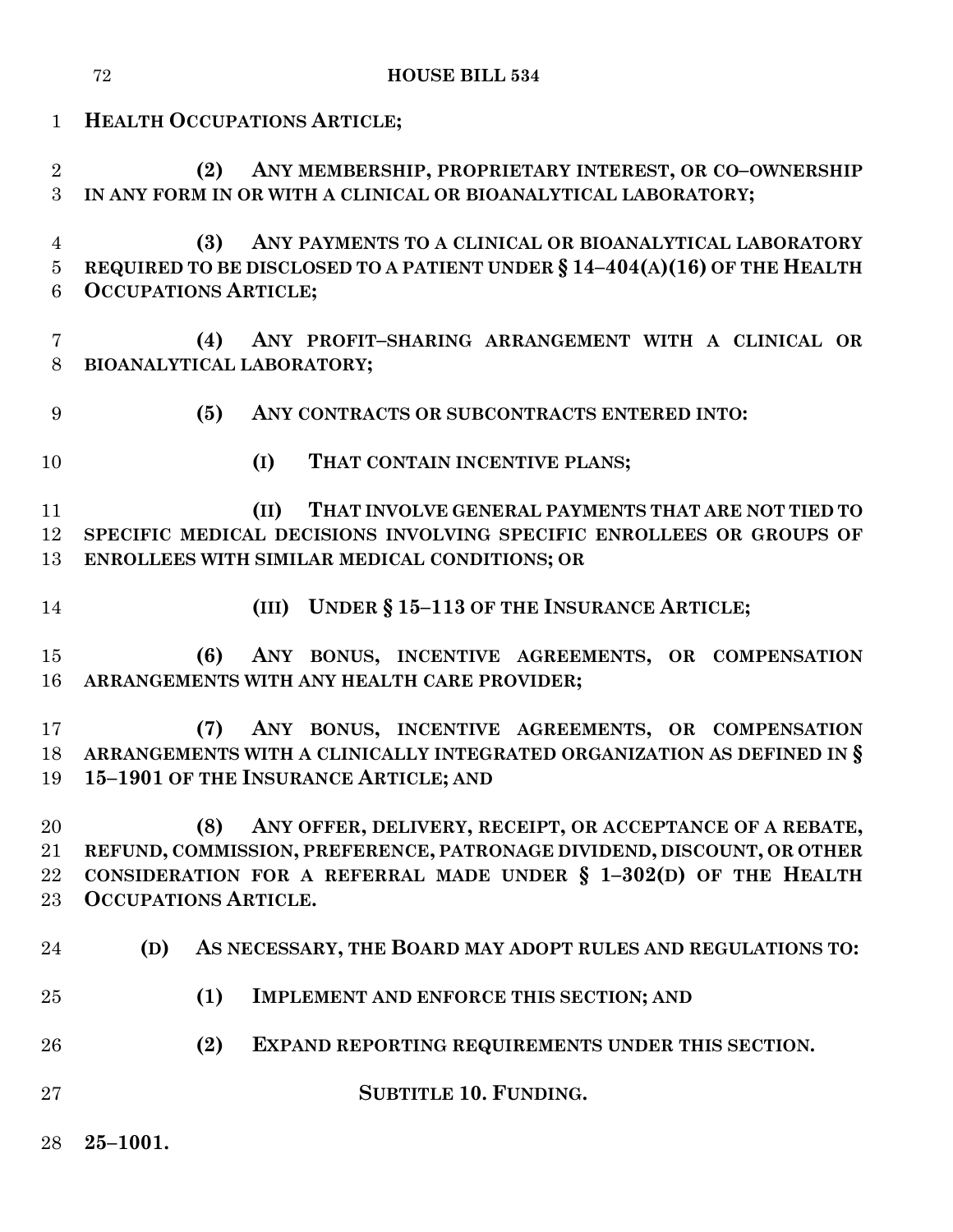|                                       | <b>HOUSE BILL 534</b><br>72                                                                                                                                                                                                                  |
|---------------------------------------|----------------------------------------------------------------------------------------------------------------------------------------------------------------------------------------------------------------------------------------------|
| $\mathbf{1}$                          | <b>HEALTH OCCUPATIONS ARTICLE;</b>                                                                                                                                                                                                           |
| $\overline{2}$<br>3                   | ANY MEMBERSHIP, PROPRIETARY INTEREST, OR CO-OWNERSHIP<br>(2)<br>IN ANY FORM IN OR WITH A CLINICAL OR BIOANALYTICAL LABORATORY;                                                                                                               |
| $\overline{4}$<br>$\overline{5}$<br>6 | ANY PAYMENTS TO A CLINICAL OR BIOANALYTICAL LABORATORY<br>(3)<br>REQUIRED TO BE DISCLOSED TO A PATIENT UNDER $\S 14-404(A)(16)$ OF THE HEALTH<br><b>OCCUPATIONS ARTICLE;</b>                                                                 |
| $\overline{7}$<br>8                   | ANY PROFIT-SHARING ARRANGEMENT WITH A CLINICAL OR<br>(4)<br>BIOANALYTICAL LABORATORY;                                                                                                                                                        |
| 9                                     | (5)<br>ANY CONTRACTS OR SUBCONTRACTS ENTERED INTO:                                                                                                                                                                                           |
| 10                                    | (I)<br>THAT CONTAIN INCENTIVE PLANS;                                                                                                                                                                                                         |
| 11<br>12<br>13                        | THAT INVOLVE GENERAL PAYMENTS THAT ARE NOT TIED TO<br>(II)<br>SPECIFIC MEDICAL DECISIONS INVOLVING SPECIFIC ENROLLEES OR GROUPS OF<br>ENROLLEES WITH SIMILAR MEDICAL CONDITIONS; OR                                                          |
| 14                                    | (III) UNDER § 15-113 OF THE INSURANCE ARTICLE;                                                                                                                                                                                               |
| 15<br>16                              | (6)<br>ANY BONUS, INCENTIVE AGREEMENTS, OR COMPENSATION<br>ARRANGEMENTS WITH ANY HEALTH CARE PROVIDER;                                                                                                                                       |
| 17<br>18<br>19                        | ANY BONUS, INCENTIVE AGREEMENTS, OR COMPENSATION<br>(7)<br>ARRANGEMENTS WITH A CLINICALLY INTEGRATED ORGANIZATION AS DEFINED IN §<br>15-1901 OF THE INSURANCE ARTICLE; AND                                                                   |
| 20<br>21<br>22<br>$23\,$              | ANY OFFER, DELIVERY, RECEIPT, OR ACCEPTANCE OF A REBATE,<br>(8)<br>REFUND, COMMISSION, PREFERENCE, PATRONAGE DIVIDEND, DISCOUNT, OR OTHER<br>CONSIDERATION FOR A REFERRAL MADE UNDER § 1-302(D) OF THE HEALTH<br><b>OCCUPATIONS ARTICLE.</b> |
| 24                                    | (D)<br>AS NECESSARY, THE BOARD MAY ADOPT RULES AND REGULATIONS TO:                                                                                                                                                                           |
| 25                                    | (1)<br><b>IMPLEMENT AND ENFORCE THIS SECTION; AND</b>                                                                                                                                                                                        |
| 26                                    | (2)<br>EXPAND REPORTING REQUIREMENTS UNDER THIS SECTION.                                                                                                                                                                                     |
| $27\,$                                | <b>SUBTITLE 10. FUNDING.</b>                                                                                                                                                                                                                 |
| 28                                    | $25 - 1001.$                                                                                                                                                                                                                                 |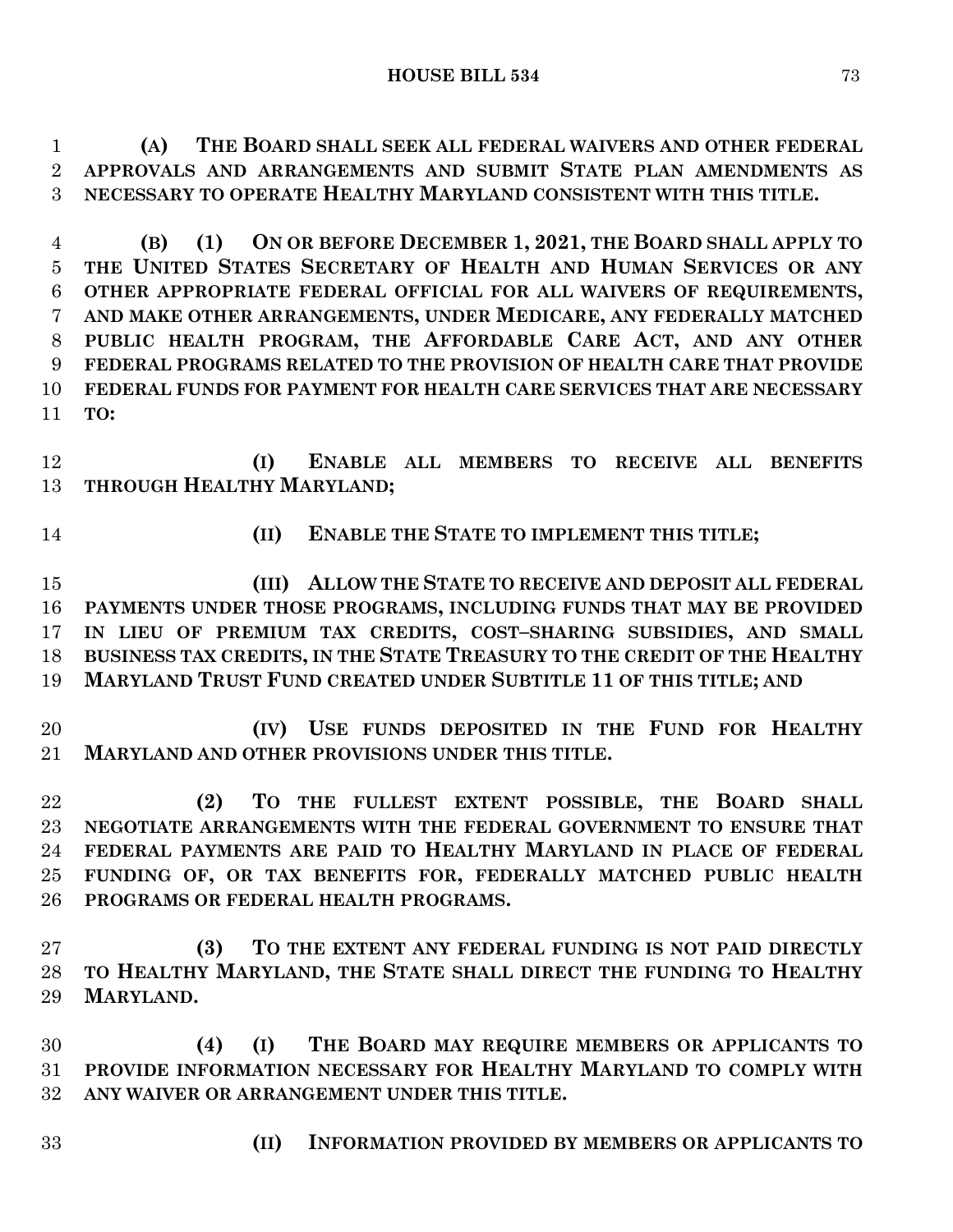**(A) THE BOARD SHALL SEEK ALL FEDERAL WAIVERS AND OTHER FEDERAL APPROVALS AND ARRANGEMENTS AND SUBMIT STATE PLAN AMENDMENTS AS NECESSARY TO OPERATE HEALTHY MARYLAND CONSISTENT WITH THIS TITLE.**

 **(B) (1) ON OR BEFORE DECEMBER 1, 2021, THE BOARD SHALL APPLY TO THE UNITED STATES SECRETARY OF HEALTH AND HUMAN SERVICES OR ANY OTHER APPROPRIATE FEDERAL OFFICIAL FOR ALL WAIVERS OF REQUIREMENTS, AND MAKE OTHER ARRANGEMENTS, UNDER MEDICARE, ANY FEDERALLY MATCHED PUBLIC HEALTH PROGRAM, THE AFFORDABLE CARE ACT, AND ANY OTHER FEDERAL PROGRAMS RELATED TO THE PROVISION OF HEALTH CARE THAT PROVIDE FEDERAL FUNDS FOR PAYMENT FOR HEALTH CARE SERVICES THAT ARE NECESSARY TO:**

 **(I) ENABLE ALL MEMBERS TO RECEIVE ALL BENEFITS THROUGH HEALTHY MARYLAND;**

- 
- **(II) ENABLE THE STATE TO IMPLEMENT THIS TITLE;**

 **(III) ALLOW THE STATE TO RECEIVE AND DEPOSIT ALL FEDERAL PAYMENTS UNDER THOSE PROGRAMS, INCLUDING FUNDS THAT MAY BE PROVIDED IN LIEU OF PREMIUM TAX CREDITS, COST–SHARING SUBSIDIES, AND SMALL BUSINESS TAX CREDITS, IN THE STATE TREASURY TO THE CREDIT OF THE HEALTHY MARYLAND TRUST FUND CREATED UNDER SUBTITLE 11 OF THIS TITLE; AND**

 **(IV) USE FUNDS DEPOSITED IN THE FUND FOR HEALTHY MARYLAND AND OTHER PROVISIONS UNDER THIS TITLE.**

 **(2) TO THE FULLEST EXTENT POSSIBLE, THE BOARD SHALL NEGOTIATE ARRANGEMENTS WITH THE FEDERAL GOVERNMENT TO ENSURE THAT FEDERAL PAYMENTS ARE PAID TO HEALTHY MARYLAND IN PLACE OF FEDERAL FUNDING OF, OR TAX BENEFITS FOR, FEDERALLY MATCHED PUBLIC HEALTH PROGRAMS OR FEDERAL HEALTH PROGRAMS.**

 **(3) TO THE EXTENT ANY FEDERAL FUNDING IS NOT PAID DIRECTLY TO HEALTHY MARYLAND, THE STATE SHALL DIRECT THE FUNDING TO HEALTHY MARYLAND.**

 **(4) (I) THE BOARD MAY REQUIRE MEMBERS OR APPLICANTS TO PROVIDE INFORMATION NECESSARY FOR HEALTHY MARYLAND TO COMPLY WITH ANY WAIVER OR ARRANGEMENT UNDER THIS TITLE.**

- 
- **(II) INFORMATION PROVIDED BY MEMBERS OR APPLICANTS TO**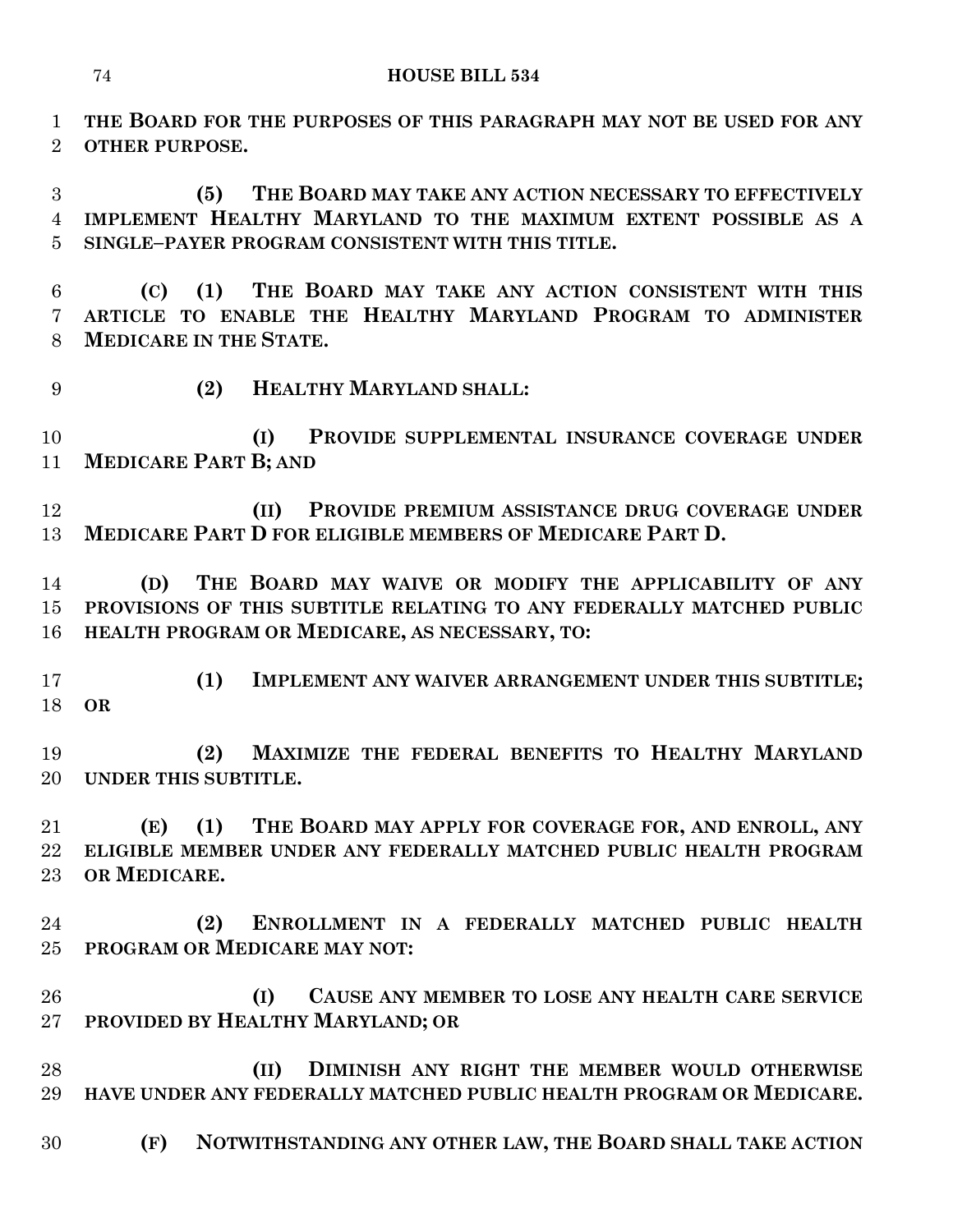**THE BOARD FOR THE PURPOSES OF THIS PARAGRAPH MAY NOT BE USED FOR ANY OTHER PURPOSE.**

 **(5) THE BOARD MAY TAKE ANY ACTION NECESSARY TO EFFECTIVELY IMPLEMENT HEALTHY MARYLAND TO THE MAXIMUM EXTENT POSSIBLE AS A SINGLE–PAYER PROGRAM CONSISTENT WITH THIS TITLE.**

 **(C) (1) THE BOARD MAY TAKE ANY ACTION CONSISTENT WITH THIS ARTICLE TO ENABLE THE HEALTHY MARYLAND PROGRAM TO ADMINISTER MEDICARE IN THE STATE.**

**(2) HEALTHY MARYLAND SHALL:**

 **(I) PROVIDE SUPPLEMENTAL INSURANCE COVERAGE UNDER MEDICARE PART B; AND**

 **(II) PROVIDE PREMIUM ASSISTANCE DRUG COVERAGE UNDER MEDICARE PART D FOR ELIGIBLE MEMBERS OF MEDICARE PART D.**

 **(D) THE BOARD MAY WAIVE OR MODIFY THE APPLICABILITY OF ANY PROVISIONS OF THIS SUBTITLE RELATING TO ANY FEDERALLY MATCHED PUBLIC HEALTH PROGRAM OR MEDICARE, AS NECESSARY, TO:**

 **(1) IMPLEMENT ANY WAIVER ARRANGEMENT UNDER THIS SUBTITLE; OR** 

 **(2) MAXIMIZE THE FEDERAL BENEFITS TO HEALTHY MARYLAND UNDER THIS SUBTITLE.**

 **(E) (1) THE BOARD MAY APPLY FOR COVERAGE FOR, AND ENROLL, ANY ELIGIBLE MEMBER UNDER ANY FEDERALLY MATCHED PUBLIC HEALTH PROGRAM OR MEDICARE.**

 **(2) ENROLLMENT IN A FEDERALLY MATCHED PUBLIC HEALTH PROGRAM OR MEDICARE MAY NOT:**

 **(I) CAUSE ANY MEMBER TO LOSE ANY HEALTH CARE SERVICE PROVIDED BY HEALTHY MARYLAND; OR** 

 **(II) DIMINISH ANY RIGHT THE MEMBER WOULD OTHERWISE HAVE UNDER ANY FEDERALLY MATCHED PUBLIC HEALTH PROGRAM OR MEDICARE.**

**(F) NOTWITHSTANDING ANY OTHER LAW, THE BOARD SHALL TAKE ACTION**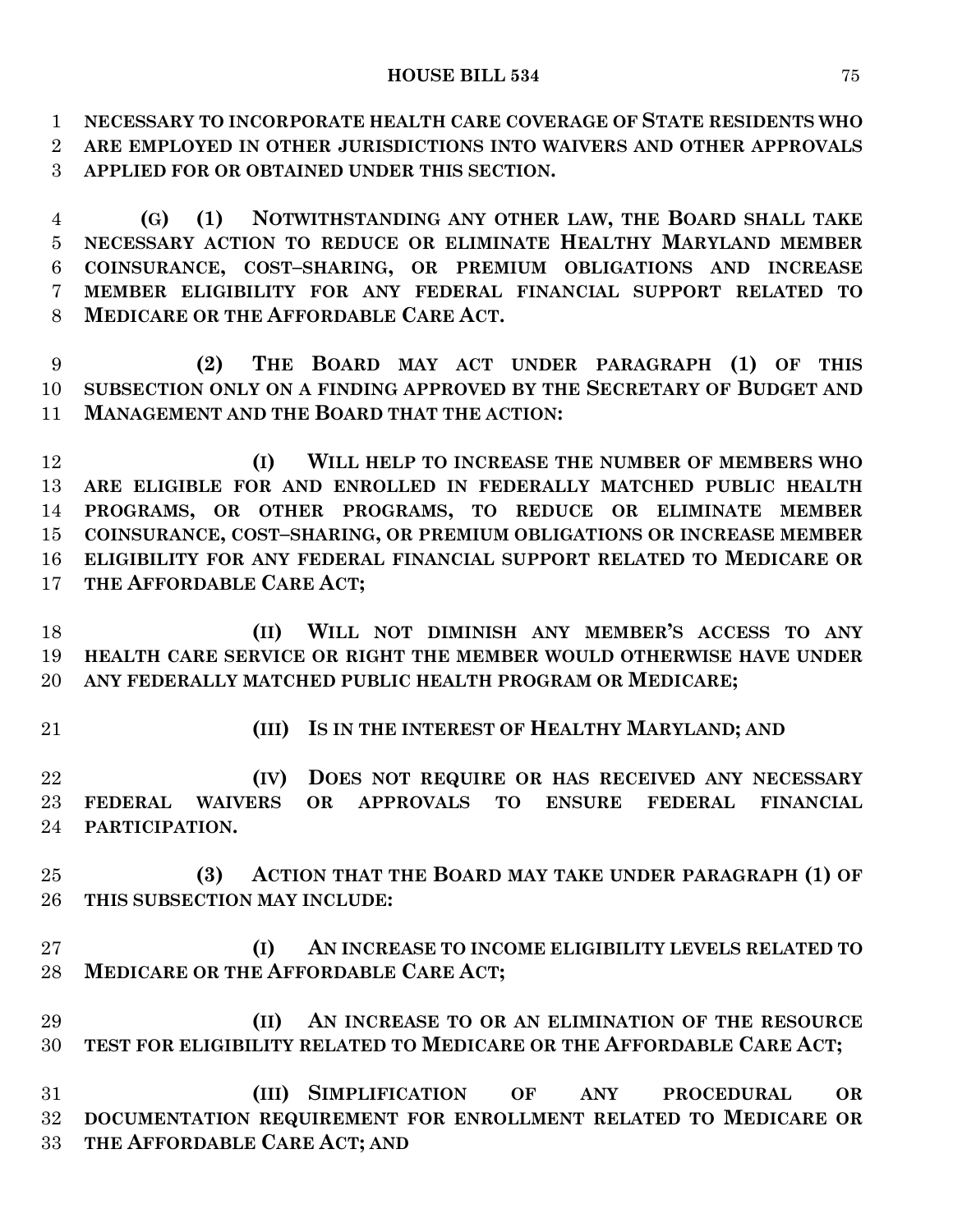**NECESSARY TO INCORPORATE HEALTH CARE COVERAGE OF STATE RESIDENTS WHO ARE EMPLOYED IN OTHER JURISDICTIONS INTO WAIVERS AND OTHER APPROVALS APPLIED FOR OR OBTAINED UNDER THIS SECTION.**

 **(G) (1) NOTWITHSTANDING ANY OTHER LAW, THE BOARD SHALL TAKE NECESSARY ACTION TO REDUCE OR ELIMINATE HEALTHY MARYLAND MEMBER COINSURANCE, COST–SHARING, OR PREMIUM OBLIGATIONS AND INCREASE MEMBER ELIGIBILITY FOR ANY FEDERAL FINANCIAL SUPPORT RELATED TO MEDICARE OR THE AFFORDABLE CARE ACT.**

 **(2) THE BOARD MAY ACT UNDER PARAGRAPH (1) OF THIS SUBSECTION ONLY ON A FINDING APPROVED BY THE SECRETARY OF BUDGET AND MANAGEMENT AND THE BOARD THAT THE ACTION:**

 **(I) WILL HELP TO INCREASE THE NUMBER OF MEMBERS WHO ARE ELIGIBLE FOR AND ENROLLED IN FEDERALLY MATCHED PUBLIC HEALTH PROGRAMS, OR OTHER PROGRAMS, TO REDUCE OR ELIMINATE MEMBER COINSURANCE, COST–SHARING, OR PREMIUM OBLIGATIONS OR INCREASE MEMBER ELIGIBILITY FOR ANY FEDERAL FINANCIAL SUPPORT RELATED TO MEDICARE OR THE AFFORDABLE CARE ACT;**

 **(II) WILL NOT DIMINISH ANY MEMBER'S ACCESS TO ANY HEALTH CARE SERVICE OR RIGHT THE MEMBER WOULD OTHERWISE HAVE UNDER ANY FEDERALLY MATCHED PUBLIC HEALTH PROGRAM OR MEDICARE;**

- 
- **(III) IS IN THE INTEREST OF HEALTHY MARYLAND; AND**

 **(IV) DOES NOT REQUIRE OR HAS RECEIVED ANY NECESSARY FEDERAL WAIVERS OR APPROVALS TO ENSURE FEDERAL FINANCIAL PARTICIPATION.**

 **(3) ACTION THAT THE BOARD MAY TAKE UNDER PARAGRAPH (1) OF THIS SUBSECTION MAY INCLUDE:**

 **(I) AN INCREASE TO INCOME ELIGIBILITY LEVELS RELATED TO MEDICARE OR THE AFFORDABLE CARE ACT;**

 **(II) AN INCREASE TO OR AN ELIMINATION OF THE RESOURCE TEST FOR ELIGIBILITY RELATED TO MEDICARE OR THE AFFORDABLE CARE ACT;**

 **(III) SIMPLIFICATION OF ANY PROCEDURAL OR DOCUMENTATION REQUIREMENT FOR ENROLLMENT RELATED TO MEDICARE OR THE AFFORDABLE CARE ACT; AND**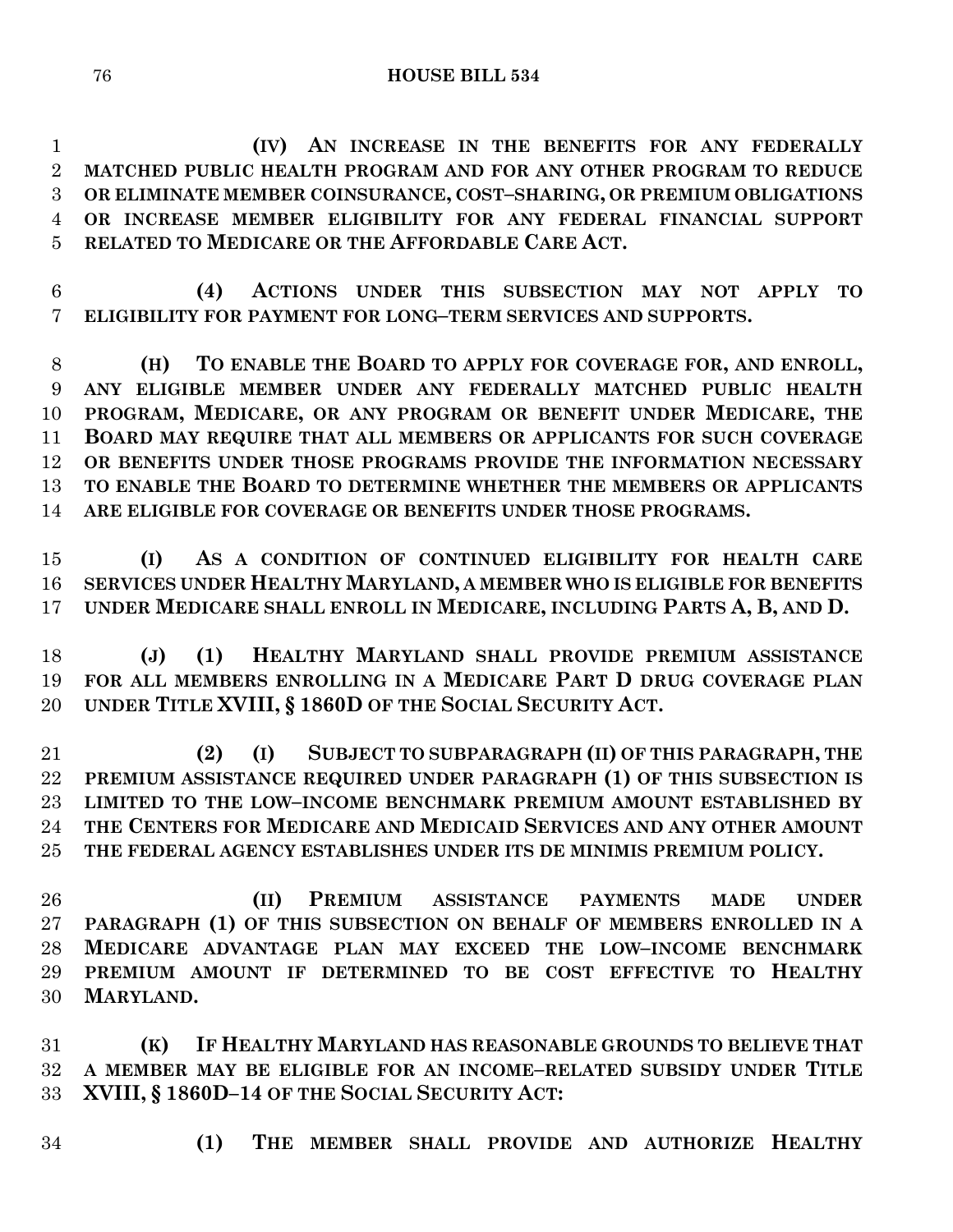**(IV) AN INCREASE IN THE BENEFITS FOR ANY FEDERALLY MATCHED PUBLIC HEALTH PROGRAM AND FOR ANY OTHER PROGRAM TO REDUCE OR ELIMINATE MEMBER COINSURANCE, COST–SHARING, OR PREMIUM OBLIGATIONS OR INCREASE MEMBER ELIGIBILITY FOR ANY FEDERAL FINANCIAL SUPPORT RELATED TO MEDICARE OR THE AFFORDABLE CARE ACT.**

 **(4) ACTIONS UNDER THIS SUBSECTION MAY NOT APPLY TO ELIGIBILITY FOR PAYMENT FOR LONG–TERM SERVICES AND SUPPORTS.**

 **(H) TO ENABLE THE BOARD TO APPLY FOR COVERAGE FOR, AND ENROLL, ANY ELIGIBLE MEMBER UNDER ANY FEDERALLY MATCHED PUBLIC HEALTH PROGRAM, MEDICARE, OR ANY PROGRAM OR BENEFIT UNDER MEDICARE, THE BOARD MAY REQUIRE THAT ALL MEMBERS OR APPLICANTS FOR SUCH COVERAGE OR BENEFITS UNDER THOSE PROGRAMS PROVIDE THE INFORMATION NECESSARY TO ENABLE THE BOARD TO DETERMINE WHETHER THE MEMBERS OR APPLICANTS ARE ELIGIBLE FOR COVERAGE OR BENEFITS UNDER THOSE PROGRAMS.**

 **(I) AS A CONDITION OF CONTINUED ELIGIBILITY FOR HEALTH CARE SERVICES UNDER HEALTHY MARYLAND, A MEMBER WHO IS ELIGIBLE FOR BENEFITS UNDER MEDICARE SHALL ENROLL IN MEDICARE, INCLUDING PARTS A, B, AND D.**

 **(J) (1) HEALTHY MARYLAND SHALL PROVIDE PREMIUM ASSISTANCE FOR ALL MEMBERS ENROLLING IN A MEDICARE PART D DRUG COVERAGE PLAN UNDER TITLE XVIII, § 1860D OF THE SOCIAL SECURITY ACT.**

 **(2) (I) SUBJECT TO SUBPARAGRAPH (II) OF THIS PARAGRAPH, THE PREMIUM ASSISTANCE REQUIRED UNDER PARAGRAPH (1) OF THIS SUBSECTION IS LIMITED TO THE LOW–INCOME BENCHMARK PREMIUM AMOUNT ESTABLISHED BY THE CENTERS FOR MEDICARE AND MEDICAID SERVICES AND ANY OTHER AMOUNT THE FEDERAL AGENCY ESTABLISHES UNDER ITS DE MINIMIS PREMIUM POLICY.**

 **(II) PREMIUM ASSISTANCE PAYMENTS MADE UNDER PARAGRAPH (1) OF THIS SUBSECTION ON BEHALF OF MEMBERS ENROLLED IN A MEDICARE ADVANTAGE PLAN MAY EXCEED THE LOW–INCOME BENCHMARK PREMIUM AMOUNT IF DETERMINED TO BE COST EFFECTIVE TO HEALTHY MARYLAND.**

 **(K) IF HEALTHY MARYLAND HAS REASONABLE GROUNDS TO BELIEVE THAT A MEMBER MAY BE ELIGIBLE FOR AN INCOME–RELATED SUBSIDY UNDER TITLE XVIII, § 1860D–14 OF THE SOCIAL SECURITY ACT:**

- 
- **(1) THE MEMBER SHALL PROVIDE AND AUTHORIZE HEALTHY**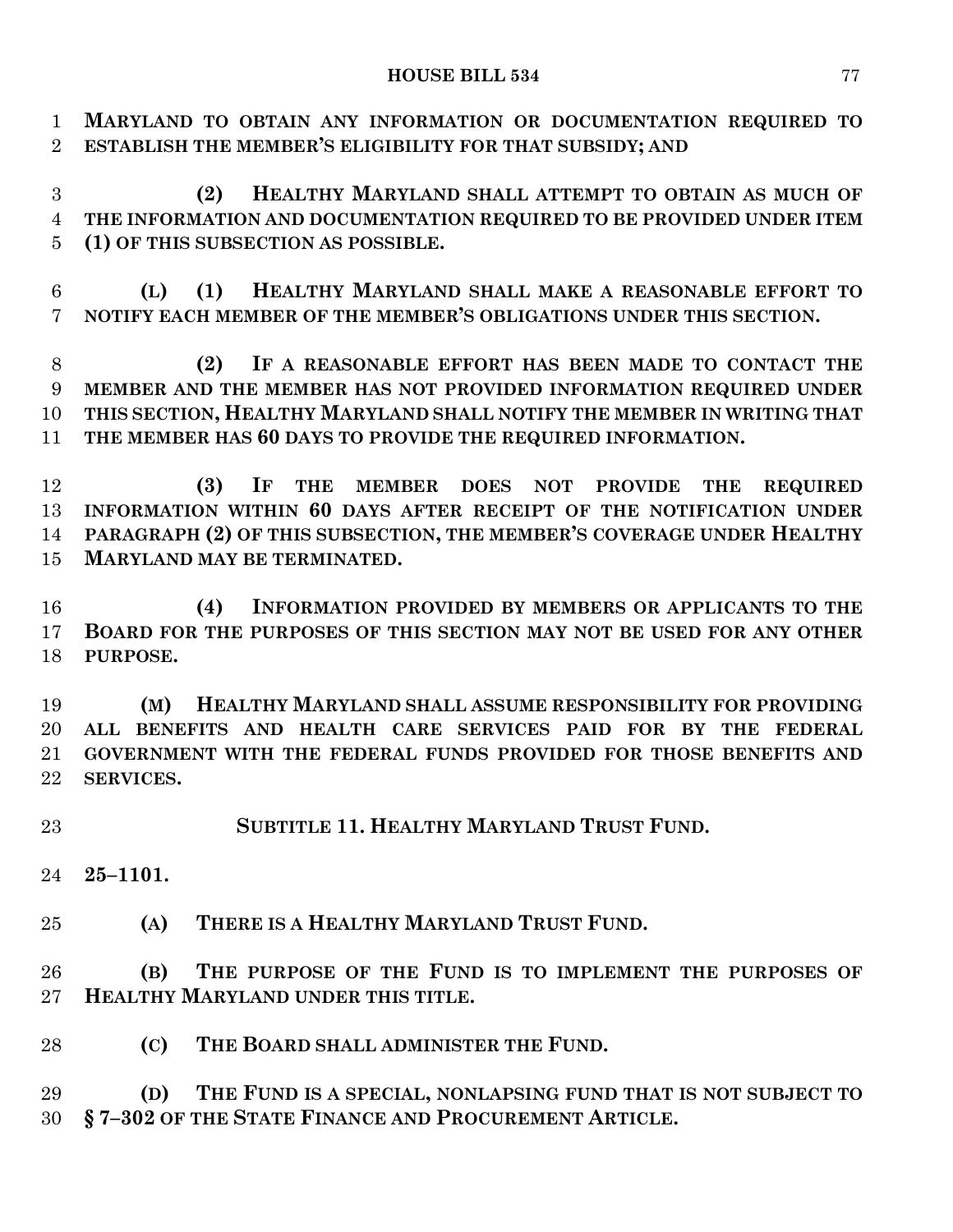**MARYLAND TO OBTAIN ANY INFORMATION OR DOCUMENTATION REQUIRED TO ESTABLISH THE MEMBER'S ELIGIBILITY FOR THAT SUBSIDY; AND**

 **(2) HEALTHY MARYLAND SHALL ATTEMPT TO OBTAIN AS MUCH OF THE INFORMATION AND DOCUMENTATION REQUIRED TO BE PROVIDED UNDER ITEM (1) OF THIS SUBSECTION AS POSSIBLE.**

 **(L) (1) HEALTHY MARYLAND SHALL MAKE A REASONABLE EFFORT TO NOTIFY EACH MEMBER OF THE MEMBER'S OBLIGATIONS UNDER THIS SECTION.**

 **(2) IF A REASONABLE EFFORT HAS BEEN MADE TO CONTACT THE MEMBER AND THE MEMBER HAS NOT PROVIDED INFORMATION REQUIRED UNDER THIS SECTION, HEALTHY MARYLAND SHALL NOTIFY THE MEMBER IN WRITING THAT THE MEMBER HAS 60 DAYS TO PROVIDE THE REQUIRED INFORMATION.**

 **(3) IF THE MEMBER DOES NOT PROVIDE THE REQUIRED INFORMATION WITHIN 60 DAYS AFTER RECEIPT OF THE NOTIFICATION UNDER PARAGRAPH (2) OF THIS SUBSECTION, THE MEMBER'S COVERAGE UNDER HEALTHY MARYLAND MAY BE TERMINATED.**

 **(4) INFORMATION PROVIDED BY MEMBERS OR APPLICANTS TO THE BOARD FOR THE PURPOSES OF THIS SECTION MAY NOT BE USED FOR ANY OTHER PURPOSE.**

 **(M) HEALTHY MARYLAND SHALL ASSUME RESPONSIBILITY FOR PROVIDING ALL BENEFITS AND HEALTH CARE SERVICES PAID FOR BY THE FEDERAL GOVERNMENT WITH THE FEDERAL FUNDS PROVIDED FOR THOSE BENEFITS AND SERVICES.**

**SUBTITLE 11. HEALTHY MARYLAND TRUST FUND.**

**25–1101.**

**(A) THERE IS A HEALTHY MARYLAND TRUST FUND.**

 **(B) THE PURPOSE OF THE FUND IS TO IMPLEMENT THE PURPOSES OF HEALTHY MARYLAND UNDER THIS TITLE.**

**(C) THE BOARD SHALL ADMINISTER THE FUND.**

 **(D) THE FUND IS A SPECIAL, NONLAPSING FUND THAT IS NOT SUBJECT TO § 7–302 OF THE STATE FINANCE AND PROCUREMENT ARTICLE.**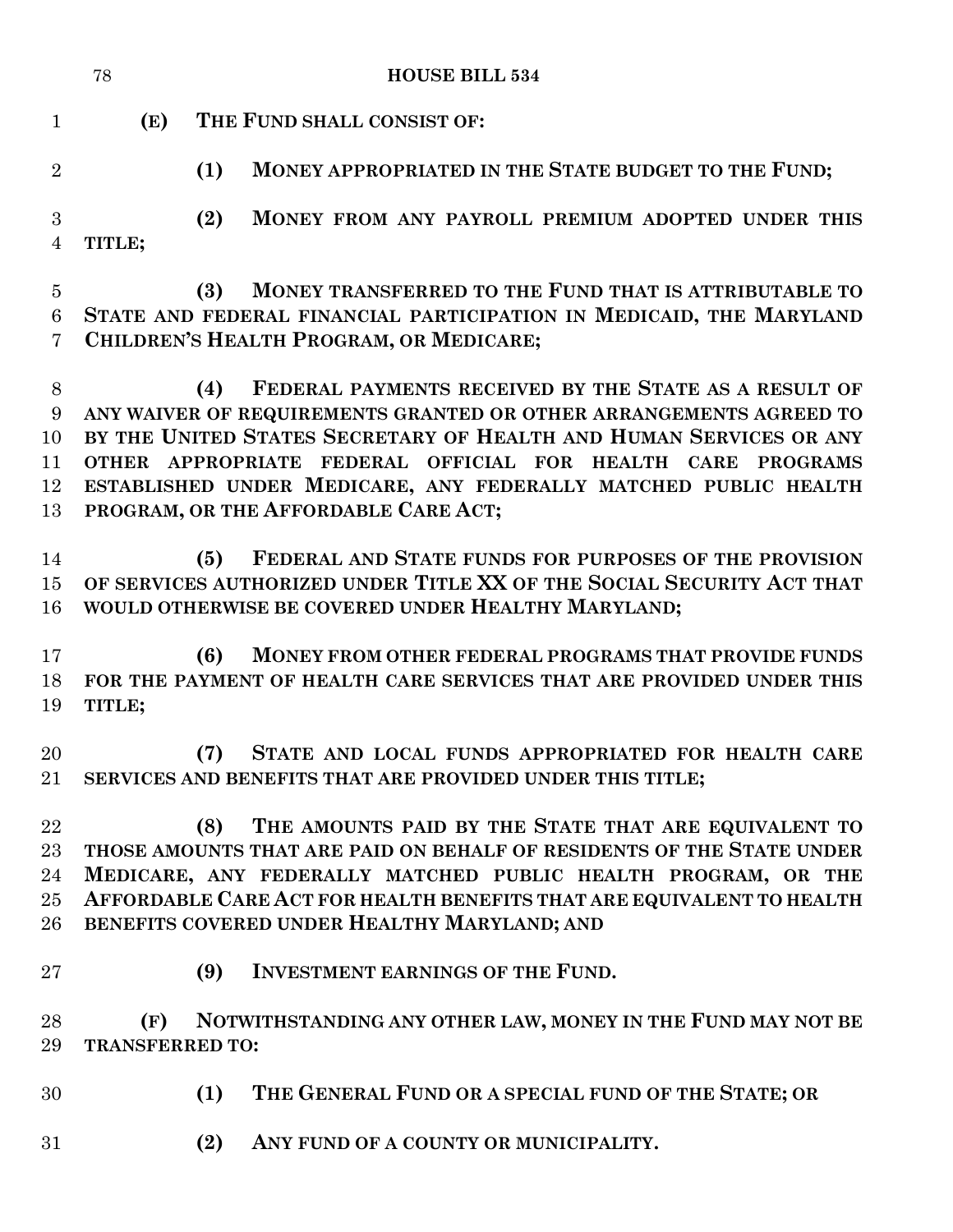|                                | 78                                                                                                             | <b>HOUSE BILL 534</b>                                                                                                                                                                                                                                                                                                                                                                 |  |  |  |  |
|--------------------------------|----------------------------------------------------------------------------------------------------------------|---------------------------------------------------------------------------------------------------------------------------------------------------------------------------------------------------------------------------------------------------------------------------------------------------------------------------------------------------------------------------------------|--|--|--|--|
| $\mathbf{1}$                   | (E)                                                                                                            | THE FUND SHALL CONSIST OF:                                                                                                                                                                                                                                                                                                                                                            |  |  |  |  |
| $\overline{2}$                 |                                                                                                                | MONEY APPROPRIATED IN THE STATE BUDGET TO THE FUND;<br>(1)                                                                                                                                                                                                                                                                                                                            |  |  |  |  |
| 3<br>$\overline{4}$            | TITLE;                                                                                                         | (2)<br>MONEY FROM ANY PAYROLL PREMIUM ADOPTED UNDER THIS                                                                                                                                                                                                                                                                                                                              |  |  |  |  |
| $\overline{5}$                 |                                                                                                                | MONEY TRANSFERRED TO THE FUND THAT IS ATTRIBUTABLE TO<br>(3)                                                                                                                                                                                                                                                                                                                          |  |  |  |  |
| 6<br>7                         | STATE AND FEDERAL FINANCIAL PARTICIPATION IN MEDICAID, THE MARYLAND<br>CHILDREN'S HEALTH PROGRAM, OR MEDICARE; |                                                                                                                                                                                                                                                                                                                                                                                       |  |  |  |  |
| 8<br>9<br>10<br>11<br>12<br>13 |                                                                                                                | FEDERAL PAYMENTS RECEIVED BY THE STATE AS A RESULT OF<br>(4)<br>ANY WAIVER OF REQUIREMENTS GRANTED OR OTHER ARRANGEMENTS AGREED TO<br>BY THE UNITED STATES SECRETARY OF HEALTH AND HUMAN SERVICES OR ANY<br>OTHER APPROPRIATE FEDERAL OFFICIAL FOR HEALTH CARE<br>PROGRAMS<br>ESTABLISHED UNDER MEDICARE, ANY FEDERALLY MATCHED PUBLIC HEALTH<br>PROGRAM, OR THE AFFORDABLE CARE ACT; |  |  |  |  |
| 14<br>15<br>16                 |                                                                                                                | FEDERAL AND STATE FUNDS FOR PURPOSES OF THE PROVISION<br>(5)<br>OF SERVICES AUTHORIZED UNDER TITLE XX OF THE SOCIAL SECURITY ACT THAT<br>WOULD OTHERWISE BE COVERED UNDER HEALTHY MARYLAND;                                                                                                                                                                                           |  |  |  |  |
| 17<br>18<br>19                 | TITLE;                                                                                                         | (6)<br>MONEY FROM OTHER FEDERAL PROGRAMS THAT PROVIDE FUNDS<br>FOR THE PAYMENT OF HEALTH CARE SERVICES THAT ARE PROVIDED UNDER THIS                                                                                                                                                                                                                                                   |  |  |  |  |
| 20<br>21                       |                                                                                                                | STATE AND LOCAL FUNDS APPROPRIATED FOR HEALTH CARE<br>(7)<br>SERVICES AND BENEFITS THAT ARE PROVIDED UNDER THIS TITLE;                                                                                                                                                                                                                                                                |  |  |  |  |
| 22<br>23<br>24<br>$25\,$<br>26 |                                                                                                                | THE AMOUNTS PAID BY THE STATE THAT ARE EQUIVALENT TO<br>(8)<br>THOSE AMOUNTS THAT ARE PAID ON BEHALF OF RESIDENTS OF THE STATE UNDER<br>MEDICARE, ANY FEDERALLY MATCHED PUBLIC HEALTH PROGRAM, OR THE<br>AFFORDABLE CARE ACT FOR HEALTH BENEFITS THAT ARE EQUIVALENT TO HEALTH<br>BENEFITS COVERED UNDER HEALTHY MARYLAND; AND                                                        |  |  |  |  |
| 27                             |                                                                                                                | (9)<br><b>INVESTMENT EARNINGS OF THE FUND.</b>                                                                                                                                                                                                                                                                                                                                        |  |  |  |  |
| 28<br>29                       | (F)<br><b>TRANSFERRED TO:</b>                                                                                  | NOTWITHSTANDING ANY OTHER LAW, MONEY IN THE FUND MAY NOT BE                                                                                                                                                                                                                                                                                                                           |  |  |  |  |
| 30                             |                                                                                                                | THE GENERAL FUND OR A SPECIAL FUND OF THE STATE; OR<br>(1)                                                                                                                                                                                                                                                                                                                            |  |  |  |  |
| 31                             |                                                                                                                | (2)<br>ANY FUND OF A COUNTY OR MUNICIPALITY.                                                                                                                                                                                                                                                                                                                                          |  |  |  |  |
|                                |                                                                                                                |                                                                                                                                                                                                                                                                                                                                                                                       |  |  |  |  |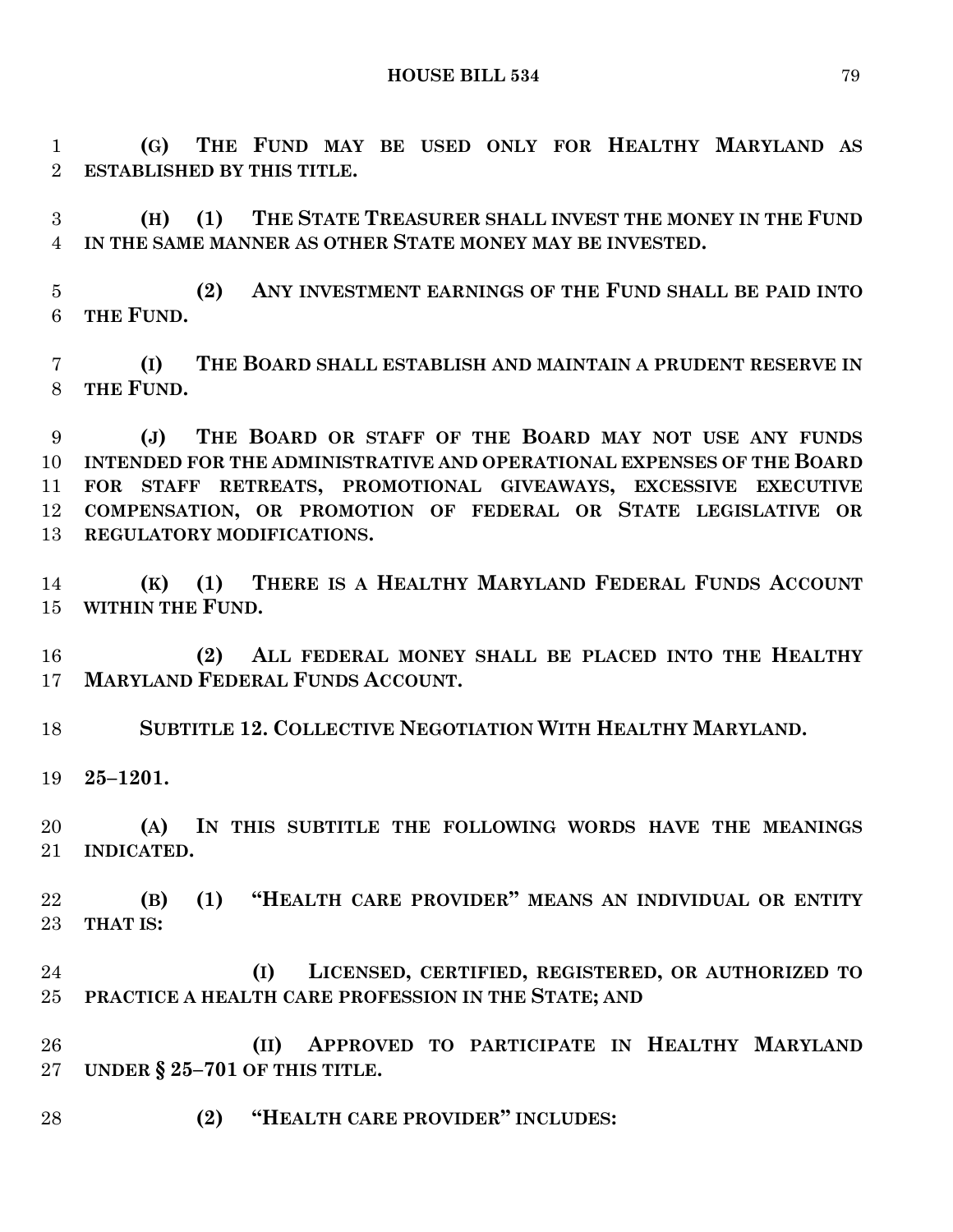**(G) THE FUND MAY BE USED ONLY FOR HEALTHY MARYLAND AS ESTABLISHED BY THIS TITLE.**

 **(H) (1) THE STATE TREASURER SHALL INVEST THE MONEY IN THE FUND IN THE SAME MANNER AS OTHER STATE MONEY MAY BE INVESTED.**

 **(2) ANY INVESTMENT EARNINGS OF THE FUND SHALL BE PAID INTO THE FUND.**

 **(I) THE BOARD SHALL ESTABLISH AND MAINTAIN A PRUDENT RESERVE IN THE FUND.**

 **(J) THE BOARD OR STAFF OF THE BOARD MAY NOT USE ANY FUNDS INTENDED FOR THE ADMINISTRATIVE AND OPERATIONAL EXPENSES OF THE BOARD FOR STAFF RETREATS, PROMOTIONAL GIVEAWAYS, EXCESSIVE EXECUTIVE COMPENSATION, OR PROMOTION OF FEDERAL OR STATE LEGISLATIVE OR REGULATORY MODIFICATIONS.**

 **(K) (1) THERE IS A HEALTHY MARYLAND FEDERAL FUNDS ACCOUNT WITHIN THE FUND.**

 **(2) ALL FEDERAL MONEY SHALL BE PLACED INTO THE HEALTHY MARYLAND FEDERAL FUNDS ACCOUNT.**

**SUBTITLE 12. COLLECTIVE NEGOTIATION WITH HEALTHY MARYLAND.**

**25–1201.**

 **(A) IN THIS SUBTITLE THE FOLLOWING WORDS HAVE THE MEANINGS INDICATED.**

 **(B) (1) "HEALTH CARE PROVIDER" MEANS AN INDIVIDUAL OR ENTITY THAT IS:**

 **(I) LICENSED, CERTIFIED, REGISTERED, OR AUTHORIZED TO PRACTICE A HEALTH CARE PROFESSION IN THE STATE; AND**

 **(II) APPROVED TO PARTICIPATE IN HEALTHY MARYLAND UNDER § 25–701 OF THIS TITLE.**

**(2) "HEALTH CARE PROVIDER" INCLUDES:**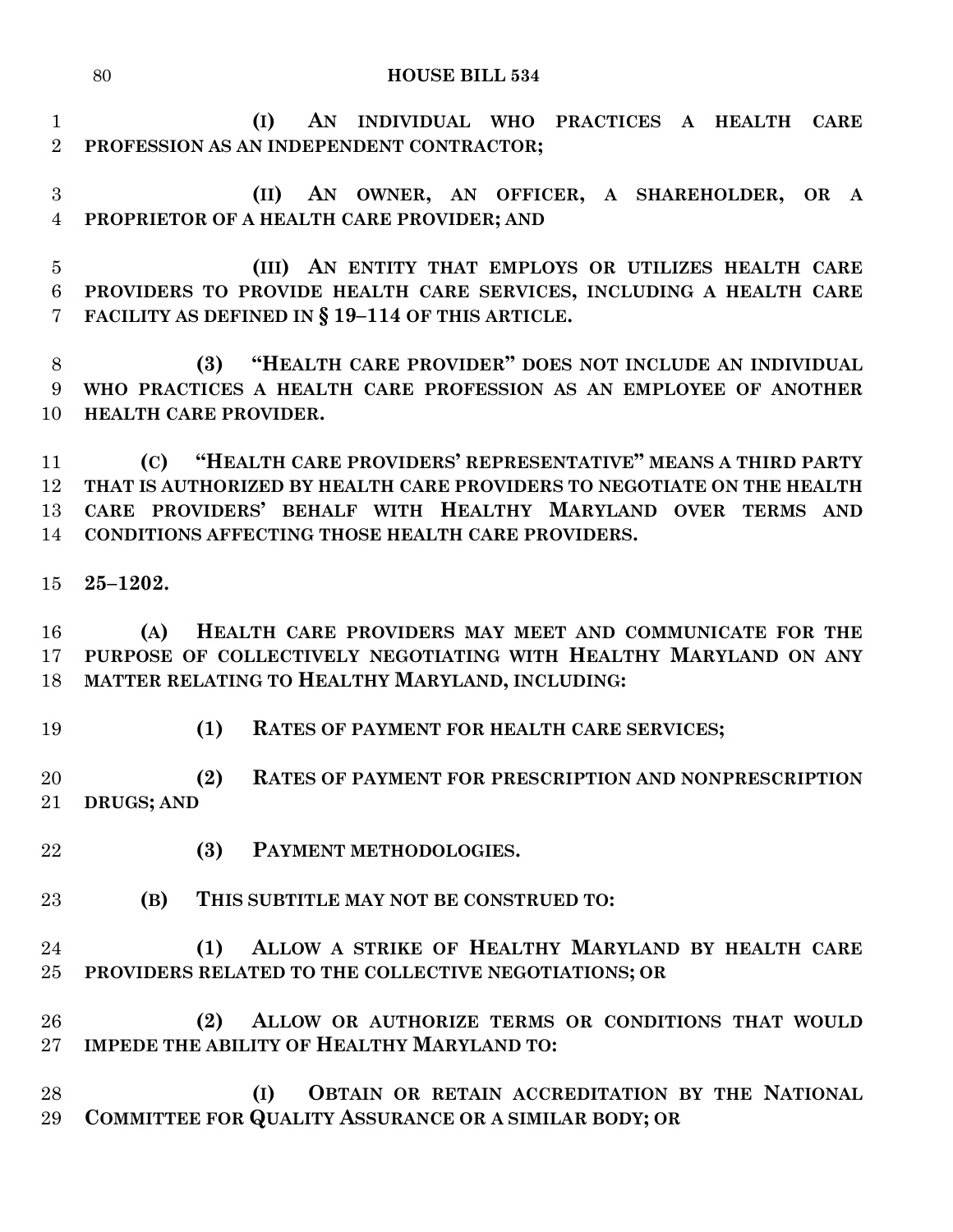### **HOUSE BILL 534**

- **(I) AN INDIVIDUAL WHO PRACTICES A HEALTH CARE PROFESSION AS AN INDEPENDENT CONTRACTOR;**
- **(II) AN OWNER, AN OFFICER, A SHAREHOLDER, OR A PROPRIETOR OF A HEALTH CARE PROVIDER; AND**
- **(III) AN ENTITY THAT EMPLOYS OR UTILIZES HEALTH CARE PROVIDERS TO PROVIDE HEALTH CARE SERVICES, INCLUDING A HEALTH CARE FACILITY AS DEFINED IN § 19–114 OF THIS ARTICLE.**

 **(3) "HEALTH CARE PROVIDER" DOES NOT INCLUDE AN INDIVIDUAL WHO PRACTICES A HEALTH CARE PROFESSION AS AN EMPLOYEE OF ANOTHER HEALTH CARE PROVIDER.**

 **(C) "HEALTH CARE PROVIDERS' REPRESENTATIVE" MEANS A THIRD PARTY THAT IS AUTHORIZED BY HEALTH CARE PROVIDERS TO NEGOTIATE ON THE HEALTH CARE PROVIDERS' BEHALF WITH HEALTHY MARYLAND OVER TERMS AND CONDITIONS AFFECTING THOSE HEALTH CARE PROVIDERS.**

**25–1202.**

 **(A) HEALTH CARE PROVIDERS MAY MEET AND COMMUNICATE FOR THE PURPOSE OF COLLECTIVELY NEGOTIATING WITH HEALTHY MARYLAND ON ANY MATTER RELATING TO HEALTHY MARYLAND, INCLUDING:**

- 
- **(1) RATES OF PAYMENT FOR HEALTH CARE SERVICES;**

 **(2) RATES OF PAYMENT FOR PRESCRIPTION AND NONPRESCRIPTION DRUGS; AND**

- **(3) PAYMENT METHODOLOGIES.**
- **(B) THIS SUBTITLE MAY NOT BE CONSTRUED TO:**
- **(1) ALLOW A STRIKE OF HEALTHY MARYLAND BY HEALTH CARE PROVIDERS RELATED TO THE COLLECTIVE NEGOTIATIONS; OR**
- **(2) ALLOW OR AUTHORIZE TERMS OR CONDITIONS THAT WOULD IMPEDE THE ABILITY OF HEALTHY MARYLAND TO:**
- **(I) OBTAIN OR RETAIN ACCREDITATION BY THE NATIONAL COMMITTEE FOR QUALITY ASSURANCE OR A SIMILAR BODY; OR**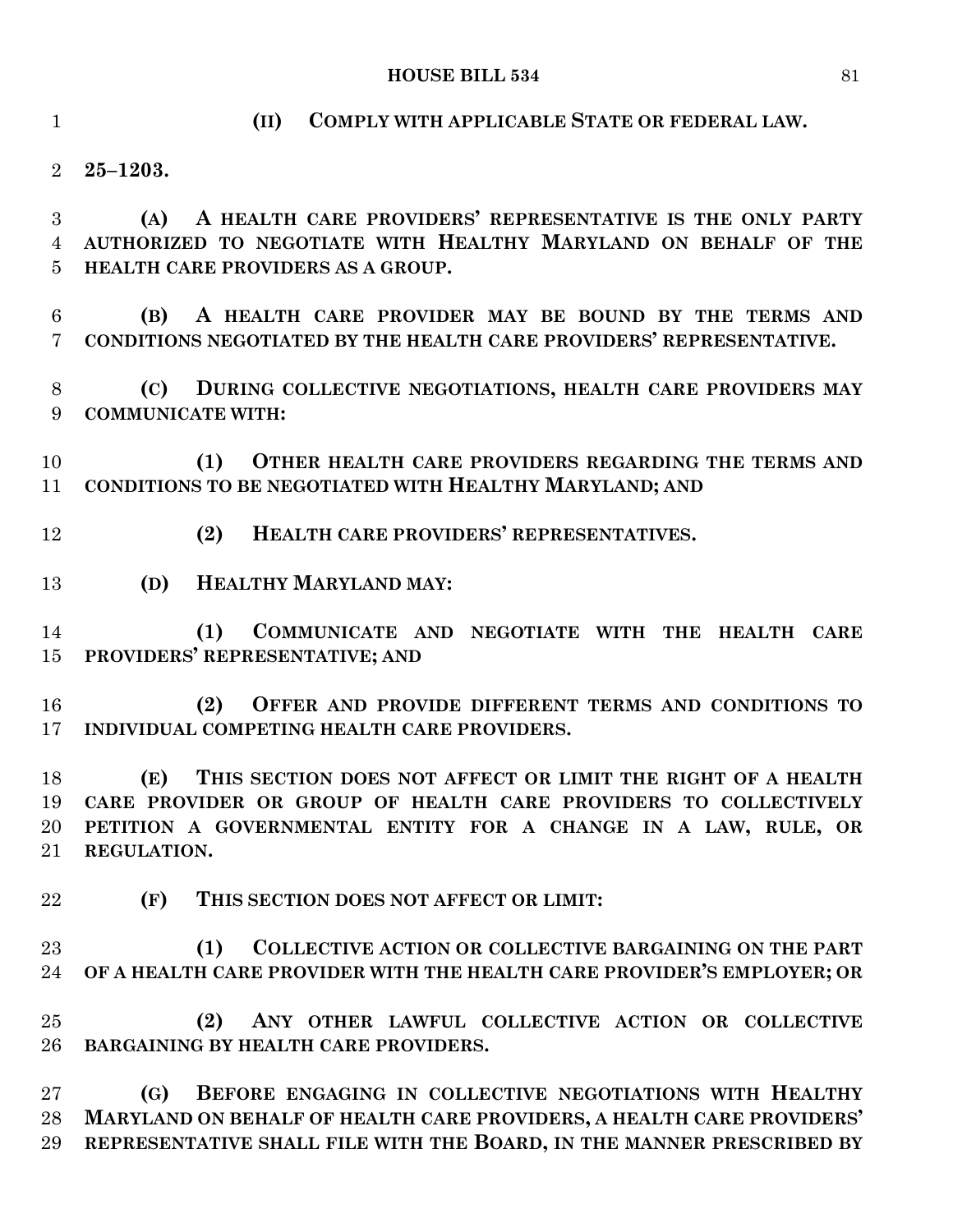**(II) COMPLY WITH APPLICABLE STATE OR FEDERAL LAW.**

**25–1203.**

 **(A) A HEALTH CARE PROVIDERS' REPRESENTATIVE IS THE ONLY PARTY AUTHORIZED TO NEGOTIATE WITH HEALTHY MARYLAND ON BEHALF OF THE HEALTH CARE PROVIDERS AS A GROUP.**

 **(B) A HEALTH CARE PROVIDER MAY BE BOUND BY THE TERMS AND CONDITIONS NEGOTIATED BY THE HEALTH CARE PROVIDERS' REPRESENTATIVE.**

 **(C) DURING COLLECTIVE NEGOTIATIONS, HEALTH CARE PROVIDERS MAY COMMUNICATE WITH:**

 **(1) OTHER HEALTH CARE PROVIDERS REGARDING THE TERMS AND CONDITIONS TO BE NEGOTIATED WITH HEALTHY MARYLAND; AND**

- **(2) HEALTH CARE PROVIDERS' REPRESENTATIVES.**
- **(D) HEALTHY MARYLAND MAY:**

 **(1) COMMUNICATE AND NEGOTIATE WITH THE HEALTH CARE PROVIDERS' REPRESENTATIVE; AND**

 **(2) OFFER AND PROVIDE DIFFERENT TERMS AND CONDITIONS TO INDIVIDUAL COMPETING HEALTH CARE PROVIDERS.**

 **(E) THIS SECTION DOES NOT AFFECT OR LIMIT THE RIGHT OF A HEALTH CARE PROVIDER OR GROUP OF HEALTH CARE PROVIDERS TO COLLECTIVELY PETITION A GOVERNMENTAL ENTITY FOR A CHANGE IN A LAW, RULE, OR REGULATION.**

**(F) THIS SECTION DOES NOT AFFECT OR LIMIT:**

 **(1) COLLECTIVE ACTION OR COLLECTIVE BARGAINING ON THE PART OF A HEALTH CARE PROVIDER WITH THE HEALTH CARE PROVIDER'S EMPLOYER; OR**

 **(2) ANY OTHER LAWFUL COLLECTIVE ACTION OR COLLECTIVE BARGAINING BY HEALTH CARE PROVIDERS.**

 **(G) BEFORE ENGAGING IN COLLECTIVE NEGOTIATIONS WITH HEALTHY MARYLAND ON BEHALF OF HEALTH CARE PROVIDERS, A HEALTH CARE PROVIDERS' REPRESENTATIVE SHALL FILE WITH THE BOARD, IN THE MANNER PRESCRIBED BY**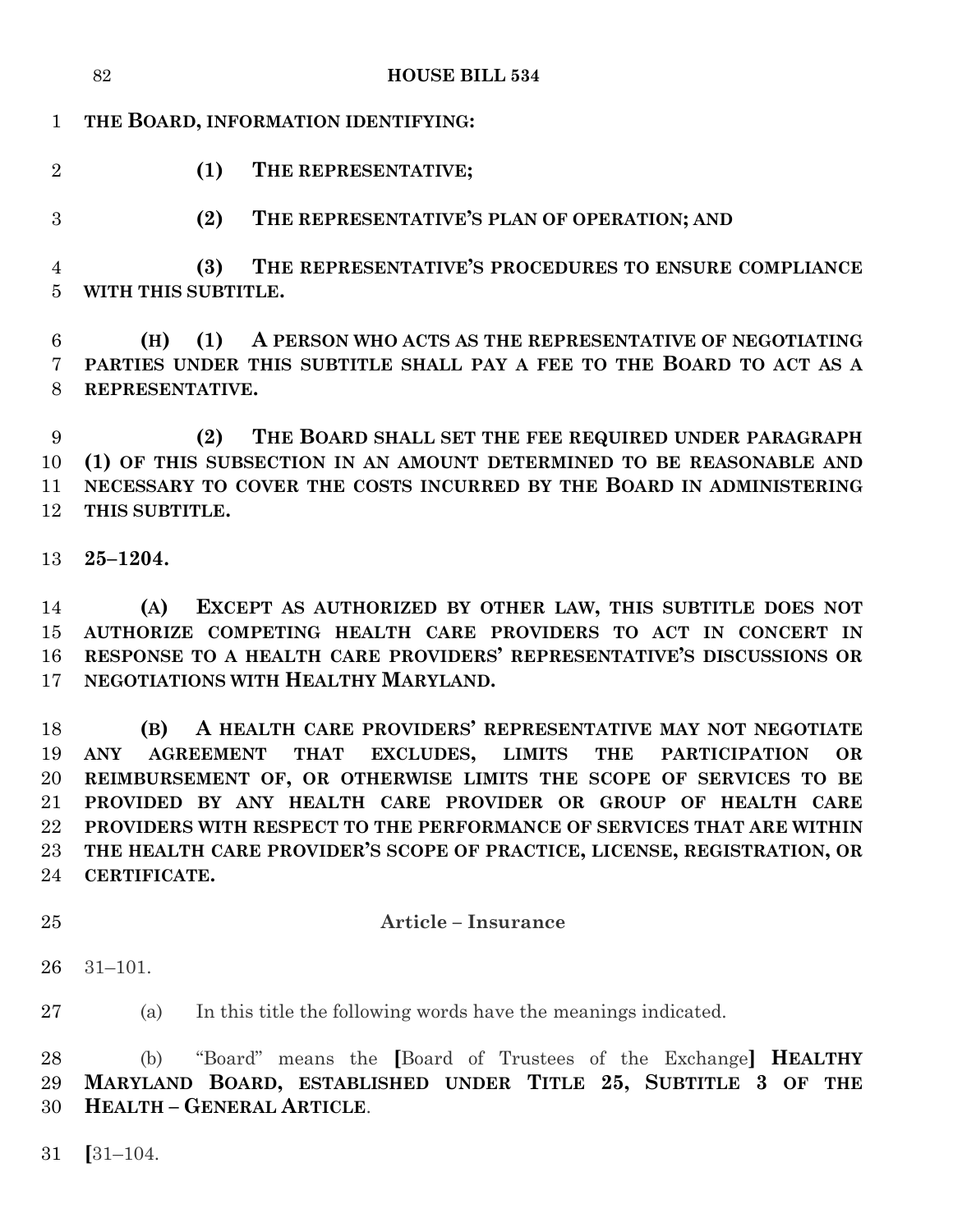|                                  | 82<br><b>HOUSE BILL 534</b>                                                             |  |  |  |  |
|----------------------------------|-----------------------------------------------------------------------------------------|--|--|--|--|
| $\mathbf{1}$                     | THE BOARD, INFORMATION IDENTIFYING:                                                     |  |  |  |  |
| $\overline{2}$                   | (1)<br>THE REPRESENTATIVE;                                                              |  |  |  |  |
| 3                                | (2)<br>THE REPRESENTATIVE'S PLAN OF OPERATION; AND                                      |  |  |  |  |
| $\overline{4}$<br>$\overline{5}$ | THE REPRESENTATIVE'S PROCEDURES TO ENSURE COMPLIANCE<br>(3)<br>WITH THIS SUBTITLE.      |  |  |  |  |
| $6\phantom{.}6$                  | A PERSON WHO ACTS AS THE REPRESENTATIVE OF NEGOTIATING<br>(H)<br>(1)                    |  |  |  |  |
| $\overline{7}$<br>8              | PARTIES UNDER THIS SUBTITLE SHALL PAY A FEE TO THE BOARD TO ACT AS A<br>REPRESENTATIVE. |  |  |  |  |
|                                  |                                                                                         |  |  |  |  |
| 9                                | THE BOARD SHALL SET THE FEE REQUIRED UNDER PARAGRAPH<br>(2)                             |  |  |  |  |
| 10                               | (1) OF THIS SUBSECTION IN AN AMOUNT DETERMINED TO BE REASONABLE AND                     |  |  |  |  |
| 11                               | NECESSARY TO COVER THE COSTS INCURRED BY THE BOARD IN ADMINISTERING                     |  |  |  |  |
| 12                               | THIS SUBTITLE.                                                                          |  |  |  |  |
| 13                               | $25 - 1204.$                                                                            |  |  |  |  |
| 14                               | EXCEPT AS AUTHORIZED BY OTHER LAW, THIS SUBTITLE DOES NOT<br>(A)                        |  |  |  |  |
| 15                               | AUTHORIZE COMPETING HEALTH CARE PROVIDERS TO ACT IN CONCERT IN                          |  |  |  |  |
| 16                               | RESPONSE TO A HEALTH CARE PROVIDERS' REPRESENTATIVE'S DISCUSSIONS OR                    |  |  |  |  |
| 17                               | NEGOTIATIONS WITH HEALTHY MARYLAND.                                                     |  |  |  |  |
| 18                               | A HEALTH CARE PROVIDERS' REPRESENTATIVE MAY NOT NEGOTIATE<br>(B)                        |  |  |  |  |
| 19                               | ANY<br>AGREEMENT THAT EXCLUDES, LIMITS THE PARTICIPATION<br><b>OR</b>                   |  |  |  |  |
| 20                               | REIMBURSEMENT OF, OR OTHERWISE LIMITS THE SCOPE OF SERVICES TO BE                       |  |  |  |  |
| 21                               | PROVIDED BY ANY HEALTH CARE PROVIDER OR GROUP OF HEALTH CARE                            |  |  |  |  |
| 22                               | PROVIDERS WITH RESPECT TO THE PERFORMANCE OF SERVICES THAT ARE WITHIN                   |  |  |  |  |
| 23                               | THE HEALTH CARE PROVIDER'S SCOPE OF PRACTICE, LICENSE, REGISTRATION, OR                 |  |  |  |  |
| 24                               | CERTIFICATE.                                                                            |  |  |  |  |
|                                  |                                                                                         |  |  |  |  |

# **Article – Insurance**

31–101.

(a) In this title the following words have the meanings indicated.

 (b) "Board" means the **[**Board of Trustees of the Exchange**] HEALTHY MARYLAND BOARD, ESTABLISHED UNDER TITLE 25, SUBTITLE 3 OF THE HEALTH – GENERAL ARTICLE**.

**[**31–104.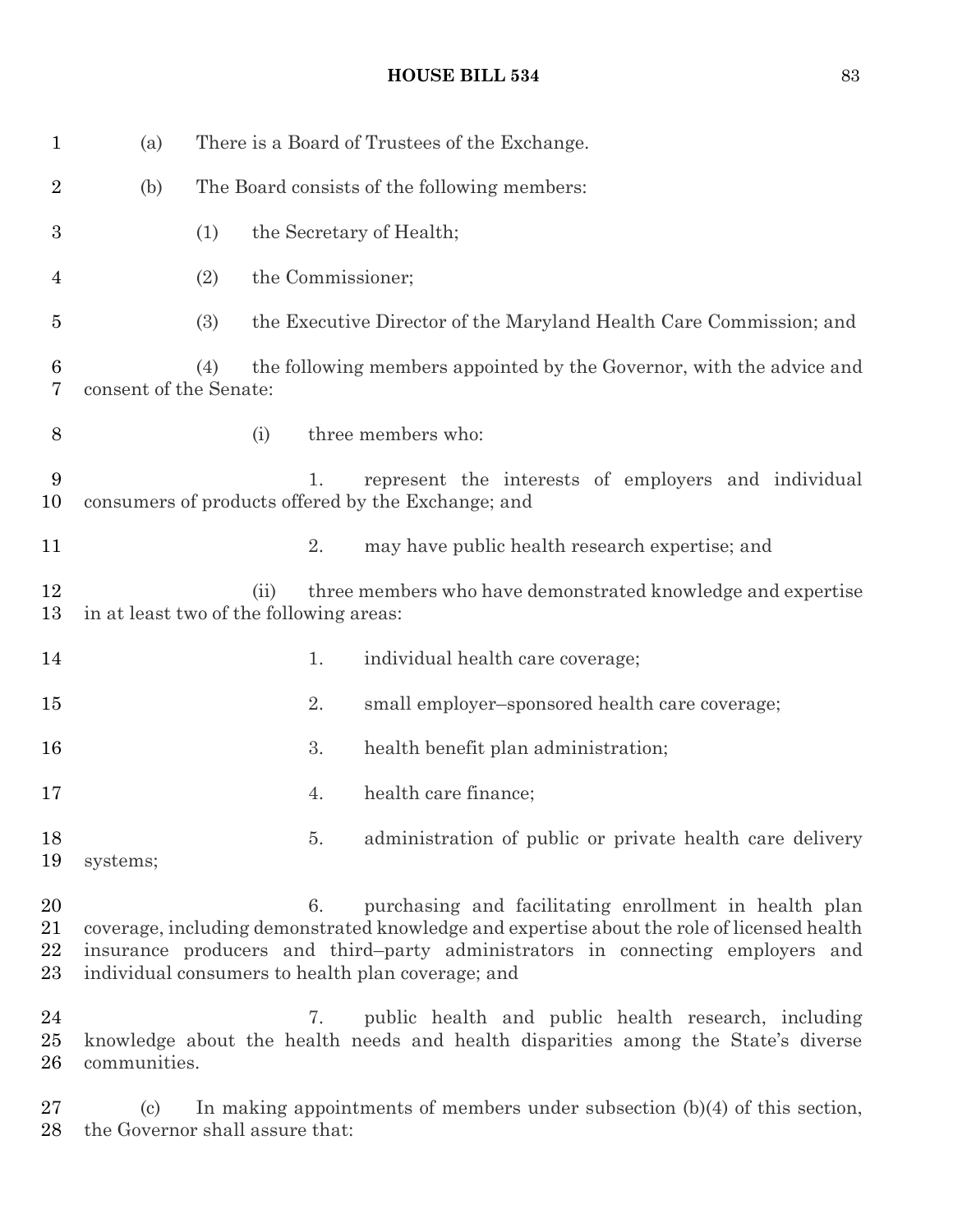| $\mathbf{1}$         | (a)                                     |                                              |      |    | There is a Board of Trustees of the Exchange.                                                                                                                                                                                                                                              |
|----------------------|-----------------------------------------|----------------------------------------------|------|----|--------------------------------------------------------------------------------------------------------------------------------------------------------------------------------------------------------------------------------------------------------------------------------------------|
| $\overline{2}$       | (b)                                     | The Board consists of the following members: |      |    |                                                                                                                                                                                                                                                                                            |
| 3                    |                                         | (1)                                          |      |    | the Secretary of Health;                                                                                                                                                                                                                                                                   |
| 4                    |                                         | (2)                                          |      |    | the Commissioner;                                                                                                                                                                                                                                                                          |
| 5                    |                                         | (3)                                          |      |    | the Executive Director of the Maryland Health Care Commission; and                                                                                                                                                                                                                         |
| 6<br>7               | consent of the Senate:                  | (4)                                          |      |    | the following members appointed by the Governor, with the advice and                                                                                                                                                                                                                       |
| 8                    |                                         |                                              | (i)  |    | three members who:                                                                                                                                                                                                                                                                         |
| 9<br>10              |                                         |                                              |      | 1. | represent the interests of employers and individual<br>consumers of products offered by the Exchange; and                                                                                                                                                                                  |
| 11                   |                                         |                                              |      | 2. | may have public health research expertise; and                                                                                                                                                                                                                                             |
| 12<br>13             | in at least two of the following areas: |                                              | (ii) |    | three members who have demonstrated knowledge and expertise                                                                                                                                                                                                                                |
| 14                   |                                         |                                              |      | 1. | individual health care coverage;                                                                                                                                                                                                                                                           |
| $15\,$               |                                         |                                              |      | 2. | small employer-sponsored health care coverage;                                                                                                                                                                                                                                             |
| 16                   |                                         |                                              |      | 3. | health benefit plan administration;                                                                                                                                                                                                                                                        |
| 17                   |                                         |                                              |      | 4. | health care finance;                                                                                                                                                                                                                                                                       |
| 18<br>19             | systems;                                |                                              |      | 5. | administration of public or private health care delivery                                                                                                                                                                                                                                   |
| 20<br>21<br>22<br>23 |                                         |                                              |      | 6. | purchasing and facilitating enrollment in health plan<br>coverage, including demonstrated knowledge and expertise about the role of licensed health<br>insurance producers and third-party administrators in connecting employers and<br>individual consumers to health plan coverage; and |
| 24<br>$25\,$<br>26   | communities.                            |                                              |      | 7. | public health and public health research, including<br>knowledge about the health needs and health disparities among the State's diverse                                                                                                                                                   |

27 (c) In making appointments of members under subsection (b)(4) of this section, 28 the Governor shall assure that: the Governor shall assure that: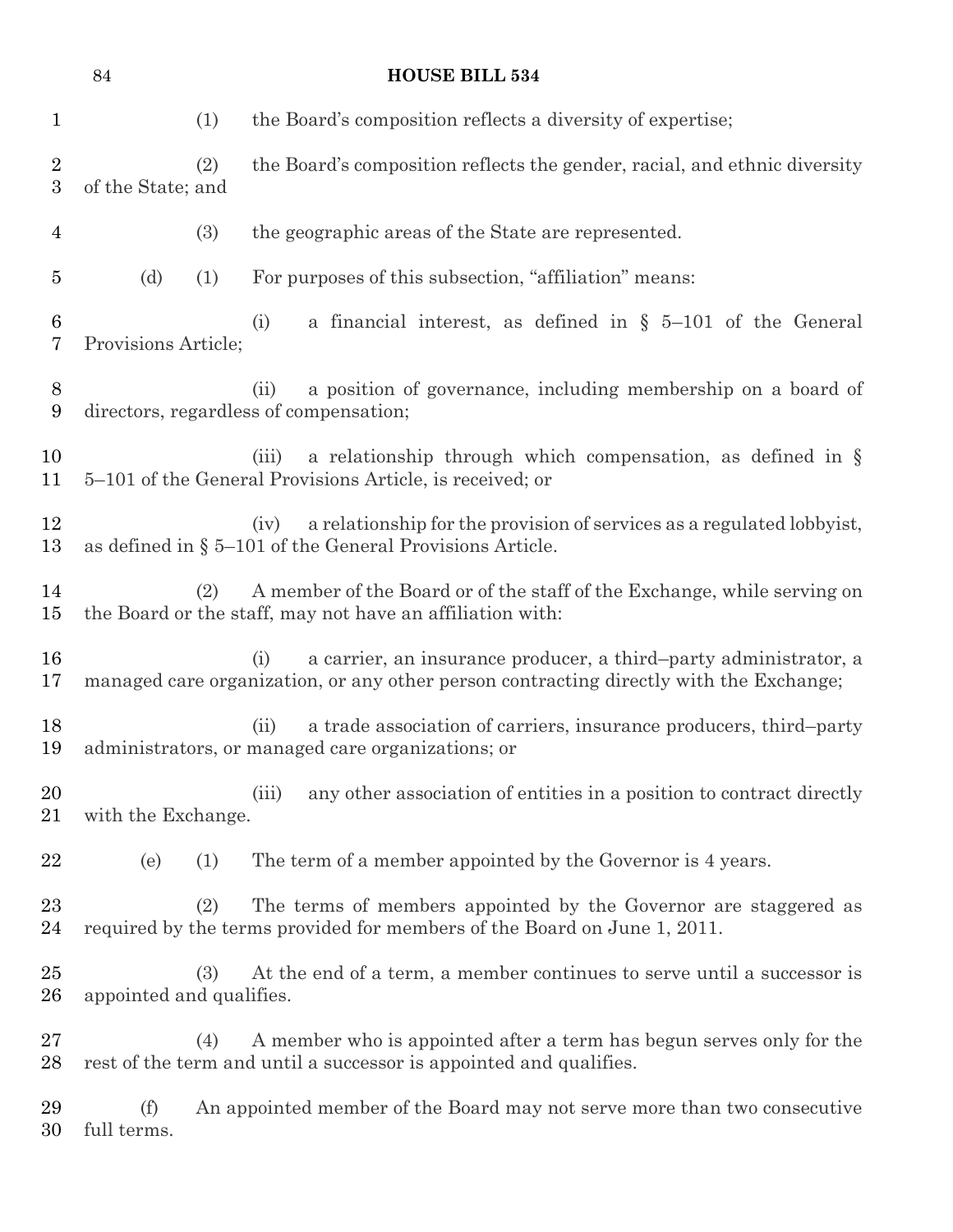|                                    | 84                       |     | <b>HOUSE BILL 534</b>                                                                                                                                             |
|------------------------------------|--------------------------|-----|-------------------------------------------------------------------------------------------------------------------------------------------------------------------|
| $\mathbf 1$                        |                          | (1) | the Board's composition reflects a diversity of expertise;                                                                                                        |
| $\overline{2}$<br>$\boldsymbol{3}$ | of the State; and        | (2) | the Board's composition reflects the gender, racial, and ethnic diversity                                                                                         |
| 4                                  |                          | (3) | the geographic areas of the State are represented.                                                                                                                |
| $\overline{5}$                     | (d)                      | (1) | For purposes of this subsection, "affiliation" means:                                                                                                             |
| 6<br>7                             | Provisions Article;      |     | a financial interest, as defined in $\S$ 5-101 of the General<br>(i)                                                                                              |
| 8<br>9                             |                          |     | a position of governance, including membership on a board of<br>(ii)<br>directors, regardless of compensation;                                                    |
| 10<br>11                           |                          |     | a relationship through which compensation, as defined in $\S$<br>(iii)<br>5–101 of the General Provisions Article, is received; or                                |
| 12<br>13                           |                          |     | a relationship for the provision of services as a regulated lobby ist,<br>(iv)<br>as defined in $\S$ 5–101 of the General Provisions Article.                     |
| 14<br>15                           |                          | (2) | A member of the Board or of the staff of the Exchange, while serving on<br>the Board or the staff, may not have an affiliation with:                              |
| 16<br>17                           |                          |     | a carrier, an insurance producer, a third-party administrator, a<br>(i)<br>managed care organization, or any other person contracting directly with the Exchange; |
| 18<br>19                           |                          |     | a trade association of carriers, insurance producers, third-party<br>(ii)<br>administrators, or managed care organizations; or                                    |
| 20<br>21                           | with the Exchange.       |     | any other association of entities in a position to contract directly<br>(iii)                                                                                     |
| 22                                 | (e)                      | (1) | The term of a member appointed by the Governor is 4 years.                                                                                                        |
| 23<br>24                           |                          | (2) | The terms of members appointed by the Governor are staggered as<br>required by the terms provided for members of the Board on June 1, 2011.                       |
| 25<br>$26\,$                       | appointed and qualifies. | (3) | At the end of a term, a member continues to serve until a successor is                                                                                            |
| $27\,$<br>28                       |                          | (4) | A member who is appointed after a term has begun serves only for the<br>rest of the term and until a successor is appointed and qualifies.                        |
| 29<br>30                           | (f)<br>full terms.       |     | An appointed member of the Board may not serve more than two consecutive                                                                                          |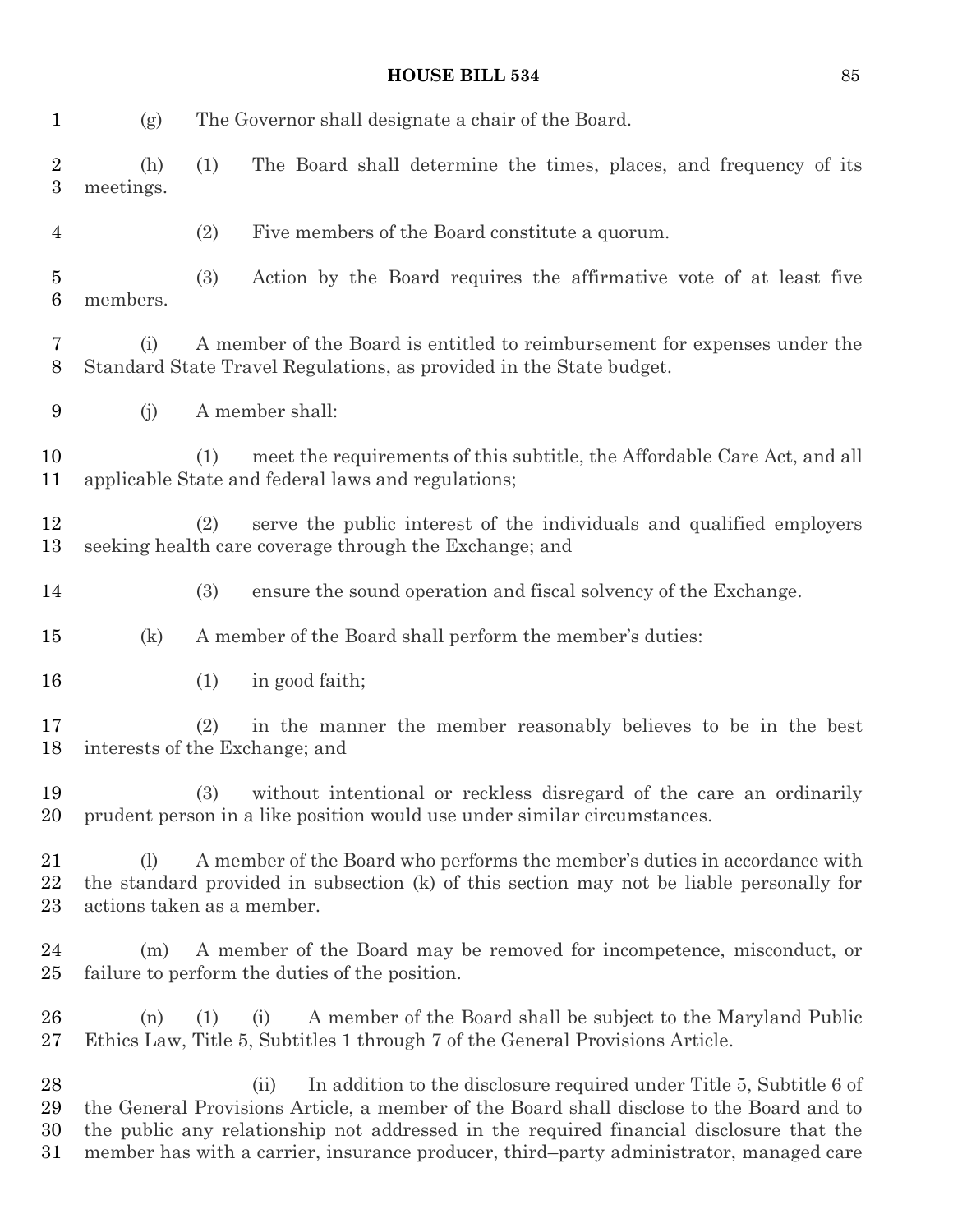| $\mathbf{1}$                       | (g)              | The Governor shall designate a chair of the Board.                                                                                                                                                                                                                                                                                                           |
|------------------------------------|------------------|--------------------------------------------------------------------------------------------------------------------------------------------------------------------------------------------------------------------------------------------------------------------------------------------------------------------------------------------------------------|
| $\overline{2}$<br>$\boldsymbol{3}$ | (h)<br>meetings. | (1)<br>The Board shall determine the times, places, and frequency of its                                                                                                                                                                                                                                                                                     |
| $\overline{4}$                     |                  | (2)<br>Five members of the Board constitute a quorum.                                                                                                                                                                                                                                                                                                        |
| $\overline{5}$<br>6                | members.         | (3)<br>Action by the Board requires the affirmative vote of at least five                                                                                                                                                                                                                                                                                    |
| 7<br>8                             | (i)              | A member of the Board is entitled to reimbursement for expenses under the<br>Standard State Travel Regulations, as provided in the State budget.                                                                                                                                                                                                             |
| 9                                  | (j)              | A member shall:                                                                                                                                                                                                                                                                                                                                              |
| 10<br>11                           |                  | meet the requirements of this subtitle, the Affordable Care Act, and all<br>(1)<br>applicable State and federal laws and regulations;                                                                                                                                                                                                                        |
| 12<br>13                           |                  | serve the public interest of the individuals and qualified employers<br>(2)<br>seeking health care coverage through the Exchange; and                                                                                                                                                                                                                        |
| 14                                 |                  | (3)<br>ensure the sound operation and fiscal solvency of the Exchange.                                                                                                                                                                                                                                                                                       |
| 15                                 | (k)              | A member of the Board shall perform the member's duties:                                                                                                                                                                                                                                                                                                     |
| 16                                 |                  | in good faith;<br>(1)                                                                                                                                                                                                                                                                                                                                        |
| 17<br>18                           |                  | in the manner the member reasonably believes to be in the best<br>(2)<br>interests of the Exchange; and                                                                                                                                                                                                                                                      |
| 19<br>20                           |                  | (3)<br>without intentional or reckless disregard of the care an ordinarily<br>prudent person in a like position would use under similar circumstances.                                                                                                                                                                                                       |
| 21<br>22<br>23                     | (1)              | A member of the Board who performs the member's duties in accordance with<br>the standard provided in subsection (k) of this section may not be liable personally for<br>actions taken as a member.                                                                                                                                                          |
| 24<br>$25\,$                       | (m)              | A member of the Board may be removed for incompetence, misconduct, or<br>failure to perform the duties of the position.                                                                                                                                                                                                                                      |
| 26<br>$27\,$                       | (n)              | A member of the Board shall be subject to the Maryland Public<br>(i)<br>(1)<br>Ethics Law, Title 5, Subtitles 1 through 7 of the General Provisions Article.                                                                                                                                                                                                 |
| 28<br>29<br>30<br>31               |                  | In addition to the disclosure required under Title 5, Subtitle 6 of<br>(ii)<br>the General Provisions Article, a member of the Board shall disclose to the Board and to<br>the public any relationship not addressed in the required financial disclosure that the<br>member has with a carrier, insurance producer, third-party administrator, managed care |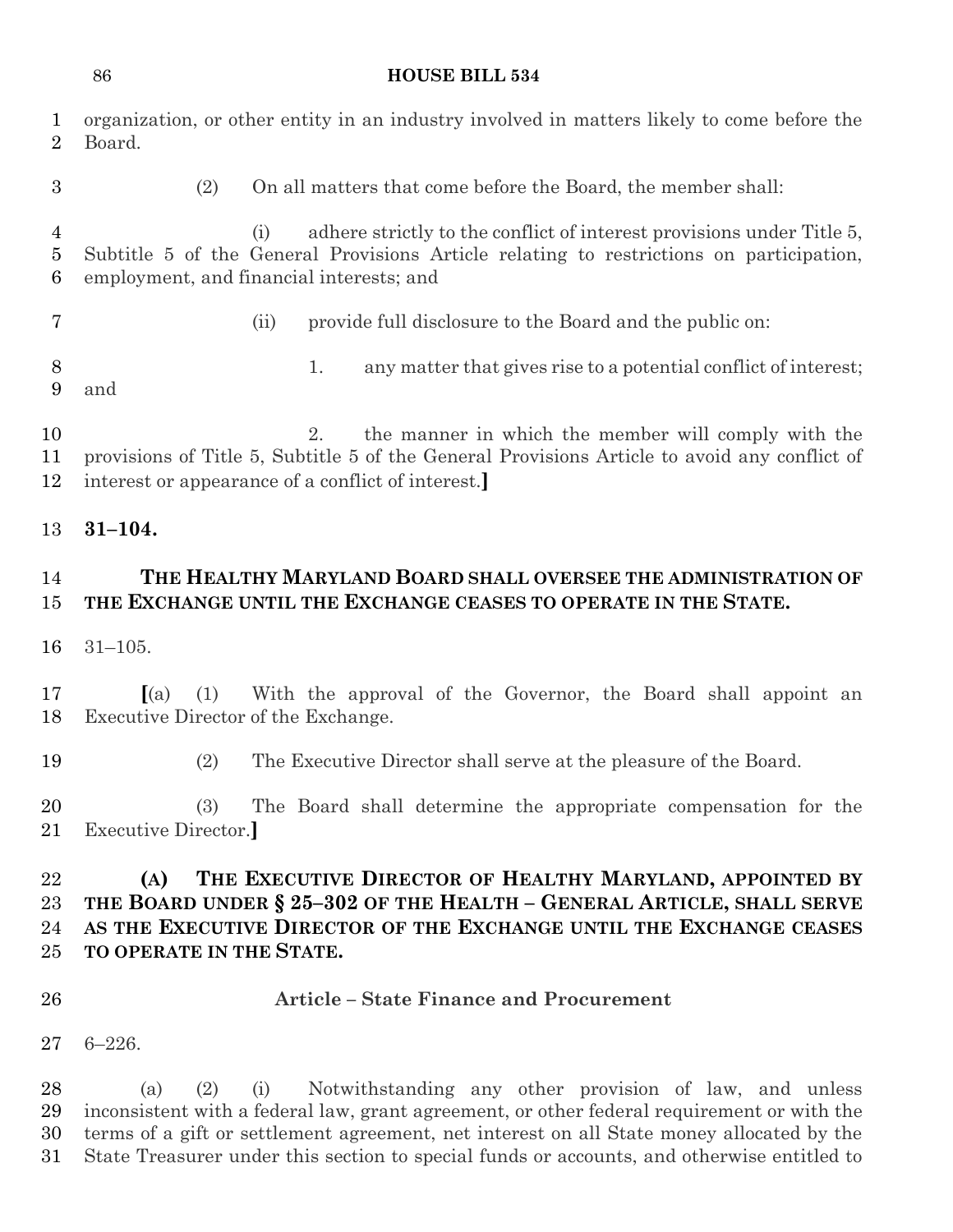|                                | 86                                                | <b>HOUSE BILL 534</b>                                                                                                                                                                                                                                                                                                                                  |
|--------------------------------|---------------------------------------------------|--------------------------------------------------------------------------------------------------------------------------------------------------------------------------------------------------------------------------------------------------------------------------------------------------------------------------------------------------------|
| $\mathbf{1}$<br>$\overline{2}$ | Board.                                            | organization, or other entity in an industry involved in matters likely to come before the                                                                                                                                                                                                                                                             |
| 3                              | (2)                                               | On all matters that come before the Board, the member shall:                                                                                                                                                                                                                                                                                           |
| $\overline{4}$<br>$\bf 5$<br>6 |                                                   | adhere strictly to the conflict of interest provisions under Title 5,<br>(i)<br>Subtitle 5 of the General Provisions Article relating to restrictions on participation,<br>employment, and financial interests; and                                                                                                                                    |
| $\overline{7}$                 |                                                   | provide full disclosure to the Board and the public on:<br>(ii)                                                                                                                                                                                                                                                                                        |
| 8<br>9                         | and                                               | any matter that gives rise to a potential conflict of interest;<br>1.                                                                                                                                                                                                                                                                                  |
| 10<br>11<br>12                 |                                                   | the manner in which the member will comply with the<br>2.<br>provisions of Title 5, Subtitle 5 of the General Provisions Article to avoid any conflict of<br>interest or appearance of a conflict of interest.                                                                                                                                         |
| 13                             | $31 - 104.$                                       |                                                                                                                                                                                                                                                                                                                                                        |
| 14<br>15                       |                                                   | THE HEALTHY MARYLAND BOARD SHALL OVERSEE THE ADMINISTRATION OF<br>THE EXCHANGE UNTIL THE EXCHANGE CEASES TO OPERATE IN THE STATE.                                                                                                                                                                                                                      |
| 16                             | $31 - 105.$                                       |                                                                                                                                                                                                                                                                                                                                                        |
| 17<br>18                       | (a)<br>(1)<br>Executive Director of the Exchange. | With the approval of the Governor, the Board shall appoint an                                                                                                                                                                                                                                                                                          |
| 19                             | (2)                                               | The Executive Director shall serve at the pleasure of the Board.                                                                                                                                                                                                                                                                                       |
| 20<br>21                       | (3)<br>Executive Director.                        | The Board shall determine the appropriate compensation for the                                                                                                                                                                                                                                                                                         |
| 22<br>23<br>24<br>25           | (A)<br>TO OPERATE IN THE STATE.                   | THE EXECUTIVE DIRECTOR OF HEALTHY MARYLAND, APPOINTED BY<br>THE BOARD UNDER § 25-302 OF THE HEALTH - GENERAL ARTICLE, SHALL SERVE<br>AS THE EXECUTIVE DIRECTOR OF THE EXCHANGE UNTIL THE EXCHANGE CEASES                                                                                                                                               |
| 26                             |                                                   | <b>Article - State Finance and Procurement</b>                                                                                                                                                                                                                                                                                                         |
| 27                             | $6 - 226.$                                        |                                                                                                                                                                                                                                                                                                                                                        |
| 28<br>29<br>30<br>31           | (a)<br>(2)                                        | Notwithstanding any other provision of law, and unless<br>(i)<br>inconsistent with a federal law, grant agreement, or other federal requirement or with the<br>terms of a gift or settlement agreement, net interest on all State money allocated by the<br>State Treasurer under this section to special funds or accounts, and otherwise entitled to |